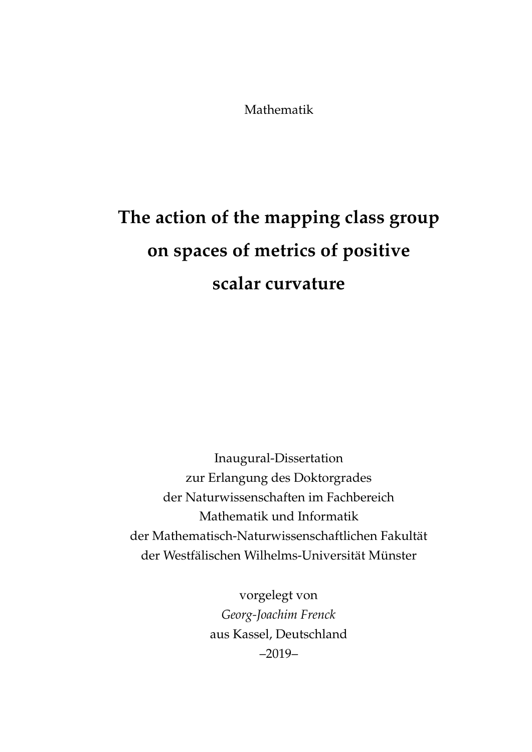Mathematik

# **The action of the mapping class group on spaces of metrics of positive scalar curvature**

Inaugural-Dissertation zur Erlangung des Doktorgrades der Naturwissenschaften im Fachbereich Mathematik und Informatik der Mathematisch-Naturwissenschaftlichen Fakultät der Westfälischen Wilhelms-Universität Münster

> vorgelegt von *Georg-Joachim Frenck* aus Kassel, Deutschland –2019–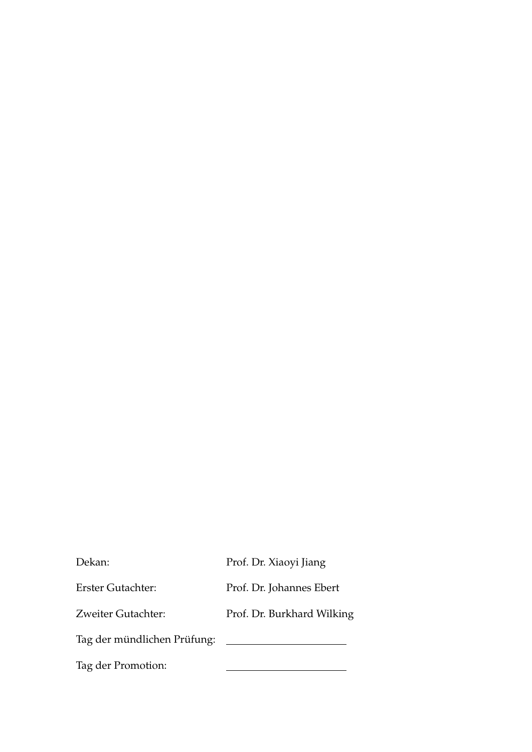| Dekan:                      | Prof. Dr. Xiaoyi Jiang     |
|-----------------------------|----------------------------|
| <b>Erster Gutachter:</b>    | Prof. Dr. Johannes Ebert   |
| Zweiter Gutachter:          | Prof. Dr. Burkhard Wilking |
| Tag der mündlichen Prüfung: |                            |
| Tag der Promotion:          |                            |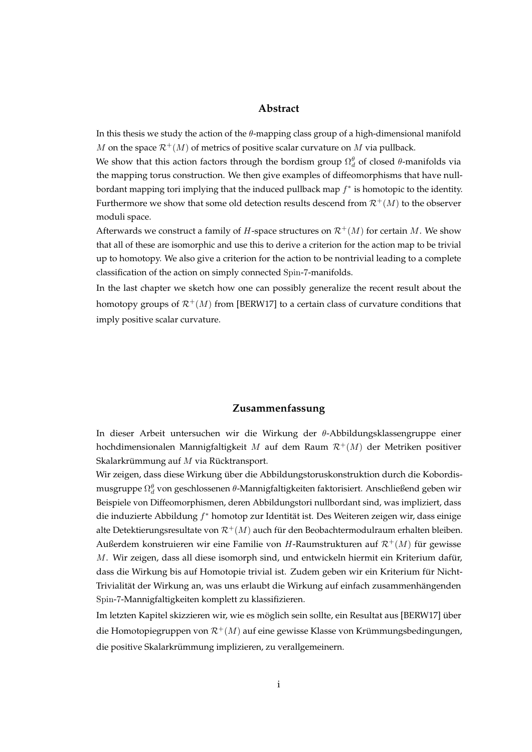#### **Abstract**

<span id="page-2-0"></span>In this thesis we study the action of the  $\theta$ -mapping class group of a high-dimensional manifold M on the space  $\mathcal{R}^+(M)$  of metrics of positive scalar curvature on M via pullback.

We show that this action factors through the bordism group  $\Omega_d^{\theta}$  of closed  $\theta$ -manifolds via the mapping torus construction. We then give examples of diffeomorphisms that have nullbordant mapping tori implying that the induced pullback map  $f^*$  is homotopic to the identity. Furthermore we show that some old detection results descend from  $\mathcal{R}^+(M)$  to the observer moduli space.

Afterwards we construct a family of *H*-space structures on  $\mathcal{R}^+(M)$  for certain M. We show that all of these are isomorphic and use this to derive a criterion for the action map to be trivial up to homotopy. We also give a criterion for the action to be nontrivial leading to a complete classification of the action on simply connected Spin-7-manifolds.

In the last chapter we sketch how one can possibly generalize the recent result about the homotopy groups of  $\mathcal{R}^+(M)$  from [\[BERW17\]](#page-118-0) to a certain class of curvature conditions that imply positive scalar curvature.

#### **Zusammenfassung**

In dieser Arbeit untersuchen wir die Wirkung der θ-Abbildungsklassengruppe einer hochdimensionalen Mannigfaltigkeit M auf dem Raum  $\mathcal{R}^+(M)$  der Metriken positiver Skalarkrümmung auf  $M$  via Rücktransport.

Wir zeigen, dass diese Wirkung über die Abbildungstoruskonstruktion durch die Kobordismusgruppe  $\Omega_d^{\theta}$  von geschlossenen  $\theta$ -Mannigfaltigkeiten faktorisiert. Anschließend geben wir Beispiele von Diffeomorphismen, deren Abbildungstori nullbordant sind, was impliziert, dass die induzierte Abbildung  $f^*$  homotop zur Identität ist. Des Weiteren zeigen wir, dass einige alte Detektierungsresultate von  $\mathcal{R}^+(M)$  auch für den Beobachtermodulraum erhalten bleiben. Außerdem konstruieren wir eine Familie von H-Raumstrukturen auf  $\mathcal{R}^+(M)$  für gewisse  $M$ . Wir zeigen, dass all diese isomorph sind, und entwickeln hiermit ein Kriterium dafür, dass die Wirkung bis auf Homotopie trivial ist. Zudem geben wir ein Kriterium für Nicht-Trivialität der Wirkung an, was uns erlaubt die Wirkung auf einfach zusammenhängenden Spin-7-Mannigfaltigkeiten komplett zu klassifizieren.

Im letzten Kapitel skizzieren wir, wie es möglich sein sollte, ein Resultat aus [[BERW17\]](#page-118-0) über die Homotopiegruppen von  $\mathcal{R}^+(M)$  auf eine gewisse Klasse von Krümmungsbedingungen, die positive Skalarkrümmung implizieren, zu verallgemeinern.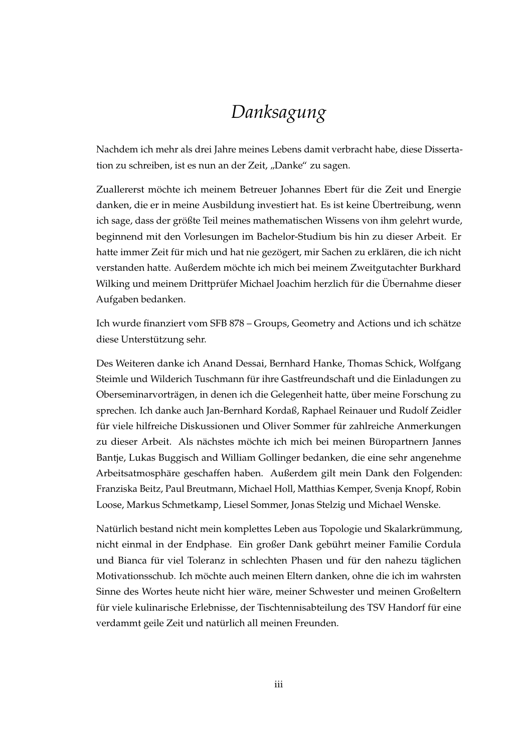### *Danksagung*

<span id="page-4-0"></span>Nachdem ich mehr als drei Jahre meines Lebens damit verbracht habe, diese Dissertation zu schreiben, ist es nun an der Zeit, "Danke" zu sagen.

Zuallererst möchte ich meinem Betreuer Johannes Ebert für die Zeit und Energie danken, die er in meine Ausbildung investiert hat. Es ist keine Ubertreibung, wenn ¨ ich sage, dass der größte Teil meines mathematischen Wissens von ihm gelehrt wurde, beginnend mit den Vorlesungen im Bachelor-Studium bis hin zu dieser Arbeit. Er hatte immer Zeit für mich und hat nie gezögert, mir Sachen zu erklären, die ich nicht verstanden hatte. Außerdem mochte ich mich bei meinem Zweitgutachter Burkhard ¨ Wilking und meinem Drittprüfer Michael Joachim herzlich für die Übernahme dieser Aufgaben bedanken.

Ich wurde finanziert vom SFB 878 – Groups, Geometry and Actions und ich schätze diese Unterstützung sehr.

Des Weiteren danke ich Anand Dessai, Bernhard Hanke, Thomas Schick, Wolfgang Steimle und Wilderich Tuschmann für ihre Gastfreundschaft und die Einladungen zu Oberseminarvorträgen, in denen ich die Gelegenheit hatte, über meine Forschung zu sprechen. Ich danke auch Jan-Bernhard Kordaß, Raphael Reinauer und Rudolf Zeidler für viele hilfreiche Diskussionen und Oliver Sommer für zahlreiche Anmerkungen zu dieser Arbeit. Als nächstes möchte ich mich bei meinen Büropartnern Jannes Bantje, Lukas Buggisch and William Gollinger bedanken, die eine sehr angenehme Arbeitsatmosphare geschaffen haben. Außerdem gilt mein Dank den Folgenden: ¨ Franziska Beitz, Paul Breutmann, Michael Holl, Matthias Kemper, Svenja Knopf, Robin Loose, Markus Schmetkamp, Liesel Sommer, Jonas Stelzig und Michael Wenske.

Natürlich bestand nicht mein komplettes Leben aus Topologie und Skalarkrümmung, nicht einmal in der Endphase. Ein großer Dank gebuhrt meiner Familie Cordula ¨ und Bianca für viel Toleranz in schlechten Phasen und für den nahezu täglichen Motivationsschub. Ich möchte auch meinen Eltern danken, ohne die ich im wahrsten Sinne des Wortes heute nicht hier ware, meiner Schwester und meinen Großeltern ¨ für viele kulinarische Erlebnisse, der Tischtennisabteilung des TSV Handorf für eine verdammt geile Zeit und natürlich all meinen Freunden.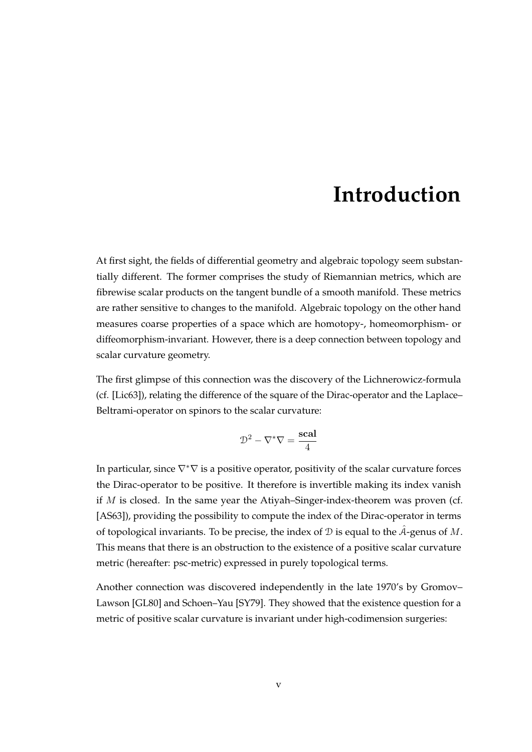## **Introduction**

<span id="page-6-0"></span>At first sight, the fields of differential geometry and algebraic topology seem substantially different. The former comprises the study of Riemannian metrics, which are fibrewise scalar products on the tangent bundle of a smooth manifold. These metrics are rather sensitive to changes to the manifold. Algebraic topology on the other hand measures coarse properties of a space which are homotopy-, homeomorphism- or diffeomorphism-invariant. However, there is a deep connection between topology and scalar curvature geometry.

The first glimpse of this connection was the discovery of the Lichnerowicz-formula (cf. [\[Lic63\]](#page-121-0)), relating the difference of the square of the Dirac-operator and the Laplace– Beltrami-operator on spinors to the scalar curvature:

$$
\mathcal{D}^2 - \nabla^* \nabla = \frac{\text{scal}}{4}
$$

In particular, since  $\nabla^*\nabla$  is a positive operator, positivity of the scalar curvature forces the Dirac-operator to be positive. It therefore is invertible making its index vanish if  $M$  is closed. In the same year the Atiyah–Singer-index-theorem was proven (cf. [\[AS63\]](#page-118-1)), providing the possibility to compute the index of the Dirac-operator in terms of topological invariants. To be precise, the index of  $D$  is equal to the A-genus of  $M$ . This means that there is an obstruction to the existence of a positive scalar curvature metric (hereafter: psc-metric) expressed in purely topological terms.

Another connection was discovered independently in the late 1970's by Gromov– Lawson [\[GL80\]](#page-119-0) and Schoen–Yau [\[SY79\]](#page-122-0). They showed that the existence question for a metric of positive scalar curvature is invariant under high-codimension surgeries: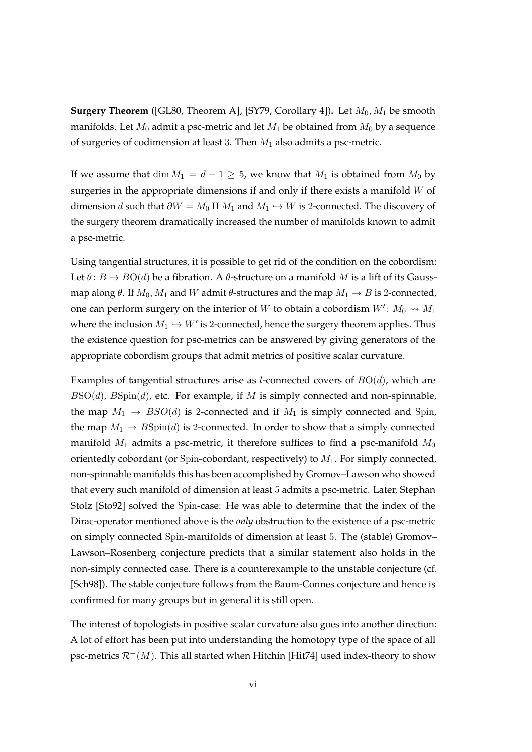**Surgery Theorem** ([\[GL80,](#page-119-0) Theorem A], [\[SY79,](#page-122-0) Corollary 4]). Let  $M_0$ ,  $M_1$  be smooth manifolds. Let  $M_0$  admit a psc-metric and let  $M_1$  be obtained from  $M_0$  by a sequence of surgeries of codimension at least 3. Then  $M_1$  also admits a psc-metric.

If we assume that dim  $M_1 = d - 1 \geq 5$ , we know that  $M_1$  is obtained from  $M_0$  by surgeries in the appropriate dimensions if and only if there exists a manifold  $W$  of dimension *d* such that  $\partial W = M_0 \amalg M_1$  and  $M_1 \hookrightarrow W$  is 2-connected. The discovery of the surgery theorem dramatically increased the number of manifolds known to admit a psc-metric.

Using tangential structures, it is possible to get rid of the condition on the cobordism: Let  $\theta$ :  $B \to BO(d)$  be a fibration. A  $\theta$ -structure on a manifold M is a lift of its Gaussmap along  $\theta$ . If  $M_0$ ,  $M_1$  and W admit  $\theta$ -structures and the map  $M_1 \rightarrow B$  is 2-connected, one can perform surgery on the interior of  $W$  to obtain a cobordism  $W'$ :  $M_0 \rightsquigarrow M_1$ where the inclusion  $M_1 \hookrightarrow W'$  is 2-connected, hence the surgery theorem applies. Thus the existence question for psc-metrics can be answered by giving generators of the appropriate cobordism groups that admit metrics of positive scalar curvature.

Examples of tangential structures arise as *l*-connected covers of  $BO(d)$ , which are  $BSO(d)$ ,  $B\text{Spin}(d)$ , etc. For example, if M is simply connected and non-spinnable, the map  $M_1 \rightarrow BSO(d)$  is 2-connected and if  $M_1$  is simply connected and Spin, the map  $M_1 \rightarrow B\text{Spin}(d)$  is 2-connected. In order to show that a simply connected manifold  $M_1$  admits a psc-metric, it therefore suffices to find a psc-manifold  $M_0$ orientedly cobordant (or Spin-cobordant, respectively) to  $M_1$ . For simply connected, non-spinnable manifolds this has been accomplished by Gromov–Lawson who showed that every such manifold of dimension at least 5 admits a psc-metric. Later, Stephan Stolz [\[Sto92\]](#page-122-1) solved the Spin-case: He was able to determine that the index of the Dirac-operator mentioned above is the *only* obstruction to the existence of a psc-metric on simply connected Spin-manifolds of dimension at least 5. The (stable) Gromov– Lawson–Rosenberg conjecture predicts that a similar statement also holds in the non-simply connected case. There is a counterexample to the unstable conjecture (cf. [\[Sch98\]](#page-122-2)). The stable conjecture follows from the Baum-Connes conjecture and hence is confirmed for many groups but in general it is still open.

The interest of topologists in positive scalar curvature also goes into another direction: A lot of effort has been put into understanding the homotopy type of the space of all psc-metrics  $\mathcal{R}^+(M)$ . This all started when Hitchin [\[Hit74\]](#page-120-0) used index-theory to show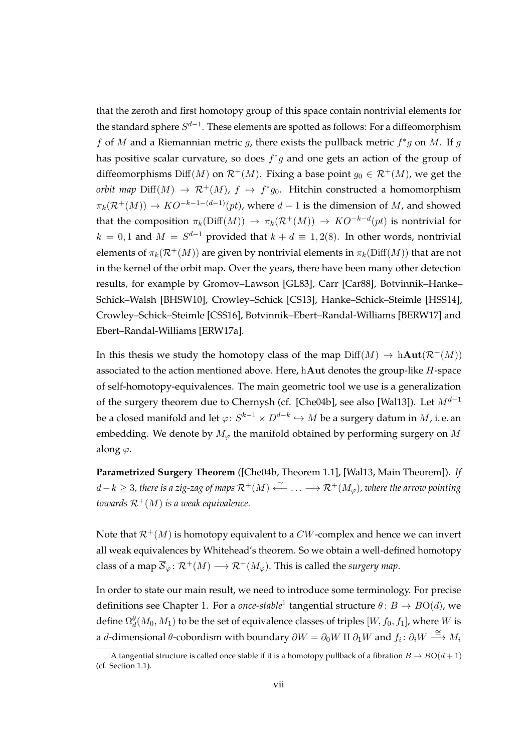that the zeroth and first homotopy group of this space contain nontrivial elements for the standard sphere  $S^{d-1}.$  These elements are spotted as follows: For a diffeomorphism f of M and a Riemannian metric g, there exists the pullback metric  $f^*g$  on M. If g has positive scalar curvature, so does  $f^*g$  and one gets an action of the group of diffeomorphisms Diff(M) on  $\mathcal{R}^+(M)$ . Fixing a base point  $g_0 \in \mathcal{R}^+(M)$ , we get the *orbit map*  $\text{Diff}(M) \to \mathcal{R}^+(M)$ ,  $f \mapsto f^*g_0$ . Hitchin constructed a homomorphism  $\pi_k(\mathcal{R}^+(M)) \to KO^{-k-1-(d-1)}(pt)$ , where  $d-1$  is the dimension of M, and showed that the composition  $\pi_k(\mathrm{Diff}(M)) \to \pi_k(\mathcal{R}^+(M)) \to KO^{-k-d}(pt)$  is nontrivial for  $k = 0, 1$  and  $M = S^{d-1}$  provided that  $k + d \equiv 1, 2(8)$ . In other words, nontrivial elements of  $\pi_k(\mathcal{R}^+(M))$  are given by nontrivial elements in  $\pi_k(\text{Diff}(M))$  that are not in the kernel of the orbit map. Over the years, there have been many other detection results, for example by Gromov–Lawson [\[GL83\]](#page-119-1), Carr [\[Car88\]](#page-118-2), Botvinnik–Hanke– Schick–Walsh [\[BHSW10\]](#page-118-3), Crowley–Schick [\[CS13\]](#page-119-2), Hanke–Schick–Steimle [\[HSS14\]](#page-120-1), Crowley–Schick–Steimle [\[CSS16\]](#page-119-3), Botvinnik–Ebert–Randal-Williams [\[BERW17\]](#page-118-0) and Ebert–Randal-Williams [\[ERW17a\]](#page-119-4).

In this thesis we study the homotopy class of the map  $\text{Diff}(M) \to \text{hAut}(\mathcal{R}^+(M))$ associated to the action mentioned above. Here, hAut denotes the group-like H-space of self-homotopy-equivalences. The main geometric tool we use is a generalization of the surgery theorem due to Chernysh (cf. [\[Che04b\]](#page-119-5), see also [\[Wal13\]](#page-122-3)). Let  $M^{d-1}$ be a closed manifold and let  $\varphi\colon S^{k-1}\times D^{d-k}\hookrightarrow M$  be a surgery datum in  $M$ , i. e. an embedding. We denote by  $M_{\varphi}$  the manifold obtained by performing surgery on M along  $\varphi$ .

**Parametrized Surgery Theorem** ([\[Che04b,](#page-119-5) Theorem 1.1], [\[Wal13,](#page-122-3) Main Theorem])**.** *If* d−k ≥ 3*, there is a zig-zag of maps* R+(M) '←− . . . −→ R+(Mϕ)*, where the arrow pointing towards*  $\mathcal{R}^+(M)$  *is a weak equivalence.* 

Note that  $\mathcal{R}^+(M)$  is homotopy equivalent to a CW-complex and hence we can invert all weak equivalences by Whitehead's theorem. So we obtain a well-defined homotopy class of a map  $\overline{S}_{\varphi}$ :  $\mathcal{R}^+(M) \longrightarrow \mathcal{R}^+(M_{\varphi})$ . This is called the *surgery map*.

In order to state our main result, we need to introduce some terminology. For precise definitions see [Chapter 1.](#page-18-0) For a *once-stable*<sup>[1](#page-8-0)</sup> tangential structure  $\theta \colon B \to BO(d)$ , we define  $\Omega_d^{\theta}(M_0,M_1)$  to be the set of equivalence classes of triples  $[W,f_0,f_1]$ , where  $W$  is a d-dimensional  $\theta$ -cobordism with boundary  $\partial W = \partial_0 W \amalg \partial_1 W$  and  $f_i: \partial_i W \stackrel{\cong}{\longrightarrow} M_i$ 

<span id="page-8-0"></span><sup>&</sup>lt;sup>1</sup>A tangential structure is called once stable if it is a homotopy pullback of a fibration  $\overline{B} \to BO(d+1)$ (cf. [Section 1.1\)](#page-18-1).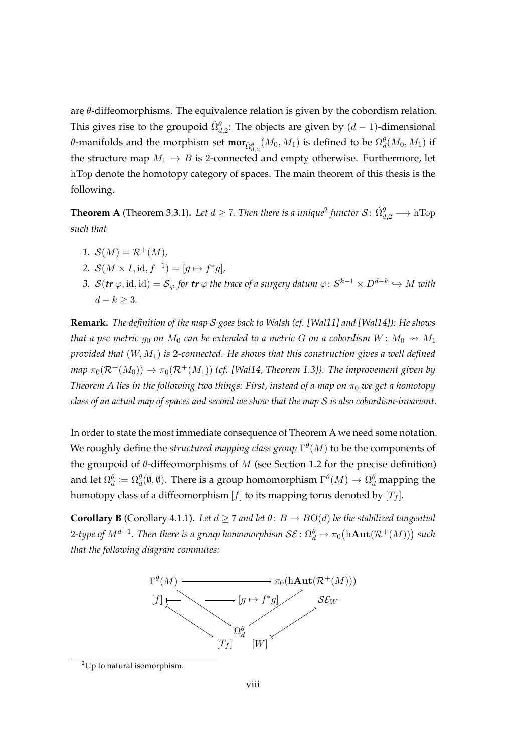are  $\theta$ -diffeomorphisms. The equivalence relation is given by the cobordism relation. This gives rise to the groupoid  $\hat{\Omega}_{d,2}^{\theta}$ : The objects are given by  $(d-1)$ -dimensional θ-manifolds and the morphism set  ${\bf mor}_{\hat\Omega^{\theta}_{\rm d,2}}(M_0,M_1)$  is defined to be  $\Omega^{\theta}_d(M_0,M_1)$  if the structure map  $M_1 \rightarrow B$  is 2-connected and empty otherwise. Furthermore, let hTop denote the homotopy category of spaces. The main theorem of this thesis is the following.

**Theorem A** [\(Theorem 3.3.1\)](#page-68-0). Let  $d \ge 7$ . Then there is a unique<sup>[2](#page-9-0)</sup> functor  $S: \hat{\Omega}_{d,2}^{\theta} \longrightarrow h \text{Top}$ *such that*

- *1.*  $S(M) = \mathcal{R}^+(M)$ ,
- 2.  $S(M \times I, id, f^{-1}) = [g \mapsto f^*g],$
- 3.  $\mathcal{S}(\textbf{\textit{tr}}\ \varphi,\text{id},\text{id})=\overline{\mathcal{S}}_\varphi$  for  $\textbf{\textit{tr}}\ \varphi$  the trace of a surgery datum  $\varphi\colon S^{k-1}\times D^{d-k}\hookrightarrow M$  with  $d − k ≥ 3.$

**Remark.** *The definition of the map* S *goes back to Walsh (cf. [\[Wal11\]](#page-122-4) and [\[Wal14\]](#page-122-5)): He shows that a psc metric*  $g_0$  *on*  $M_0$  *can be extended to a metric* G *on a cobordism*  $W: M_0 \rightarrow M_1$ *provided that* (W, M1) *is* 2*-connected. He shows that this construction gives a well defined map*  $\pi_0(\mathcal{R}^+(M_0)) \to \pi_0(\mathcal{R}^+(M_1))$  *(cf. [\[Wal14,](#page-122-5) Theorem 1.3]). The improvement given by Theorem A lies in the following two things: First, instead of a map on*  $\pi_0$  *we get a homotopy class of an actual map of spaces and second we show that the map* S *is also cobordism-invariant.*

In order to state the most immediate consequence of Theorem A we need some notation. We roughly define the  $structured$  mapping class group  $\Gamma^\theta(M)$  to be the components of the groupoid of  $\theta$ -diffeomorphisms of M (see [Section 1.2](#page-20-0) for the precise definition) and let  $\Omega_d^\theta\coloneqq\Omega_d^\theta(\emptyset,\emptyset).$  There is a group homomorphism  $\Gamma^\theta(M)\to\Omega_d^\theta$  mapping the homotopy class of a diffeomorphism  $[f]$  to its mapping torus denoted by  $[T_f]$ .

**Corollary B** [\(Corollary 4.1.1\)](#page-71-0). Let  $d \geq 7$  and let  $\theta: B \to BO(d)$  be the stabilized tangential  $2$ -type of  $M^{d-1}.$  Then there is a group homomorphism  $\mathcal{SE}\colon \Omega_d^{\theta} \to \pi_0\big(\mathrm{hAut}(\mathcal{R}^+(M))\big)$  such *that the following diagram commutes:*



<span id="page-9-0"></span> $^{2}$ Up to natural isomorphism.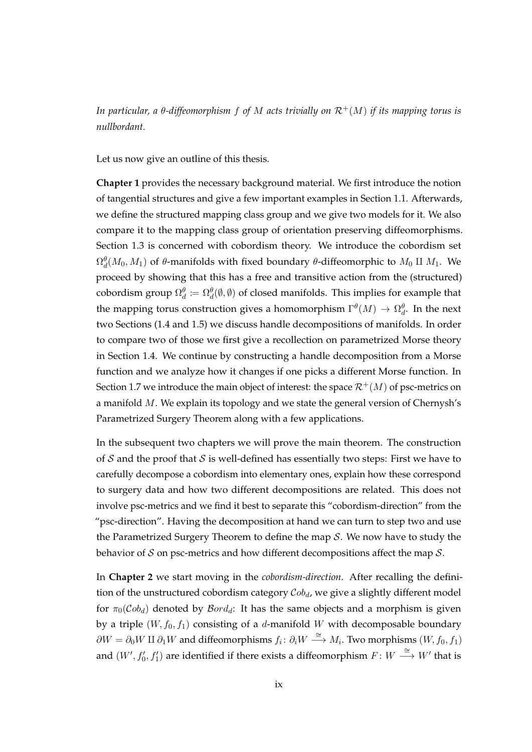*In particular, a θ-diffeomorphism f of M acts trivially on*  $\mathcal{R}^+(M)$  *if its mapping torus is nullbordant.*

Let us now give an outline of this thesis.

**[Chapter 1](#page-18-0)** provides the necessary background material. We first introduce the notion of tangential structures and give a few important examples in [Section 1.1.](#page-18-1) Afterwards, we define the structured mapping class group and we give two models for it. We also compare it to the mapping class group of orientation preserving diffeomorphisms. [Section 1.3](#page-27-0) is concerned with cobordism theory. We introduce the cobordism set  $\Omega_d^\theta(M_0,M_1)$  of  $\theta$ -manifolds with fixed boundary  $\theta$ -diffeomorphic to  $M_0$  II  $M_1$ . We proceed by showing that this has a free and transitive action from the (structured) cobordism group  $\Omega_d^{\theta} \coloneqq \Omega_d^{\theta}(\emptyset,\emptyset)$  of closed manifolds. This implies for example that the mapping torus construction gives a homomorphism  $\Gamma^\theta(M)\to \Omega^\theta_d.$  In the next two Sections [\(1.4](#page-32-0) and [1.5\)](#page-35-0) we discuss handle decompositions of manifolds. In order to compare two of those we first give a recollection on parametrized Morse theory in [Section 1.4.](#page-32-0) We continue by constructing a handle decomposition from a Morse function and we analyze how it changes if one picks a different Morse function. In [Section 1.7](#page-43-0) we introduce the main object of interest: the space  $\mathcal{R}^+(M)$  of psc-metrics on a manifold M. We explain its topology and we state the general version of Chernysh's Parametrized Surgery Theorem along with a few applications.

In the subsequent two chapters we will prove the main theorem. The construction of  $S$  and the proof that  $S$  is well-defined has essentially two steps: First we have to carefully decompose a cobordism into elementary ones, explain how these correspond to surgery data and how two different decompositions are related. This does not involve psc-metrics and we find it best to separate this "cobordism-direction" from the "psc-direction". Having the decomposition at hand we can turn to step two and use the Parametrized Surgery Theorem to define the map  $S$ . We now have to study the behavior of  $S$  on psc-metrics and how different decompositions affect the map  $S$ .

In **[Chapter 2](#page-48-0)** we start moving in the *cobordism-direction*. After recalling the definition of the unstructured cobordism category  $Cob_d$ , we give a slightly different model for  $\pi_0(Cob_d)$  denoted by  $Bord_d$ : It has the same objects and a morphism is given by a triple  $(W, f_0, f_1)$  consisting of a d-manifold W with decomposable boundary  $\partial W = \partial_0 W \amalg \partial_1 W$  and diffeomorphisms  $f_i: \partial_i W \stackrel{\cong}{\longrightarrow} M_i$ . Two morphisms  $(W, f_0, f_1)$ and  $(W', f'_0, f'_1)$  are identified if there exists a diffeomorphism  $F \colon W \stackrel{\cong}{\longrightarrow} W'$  that is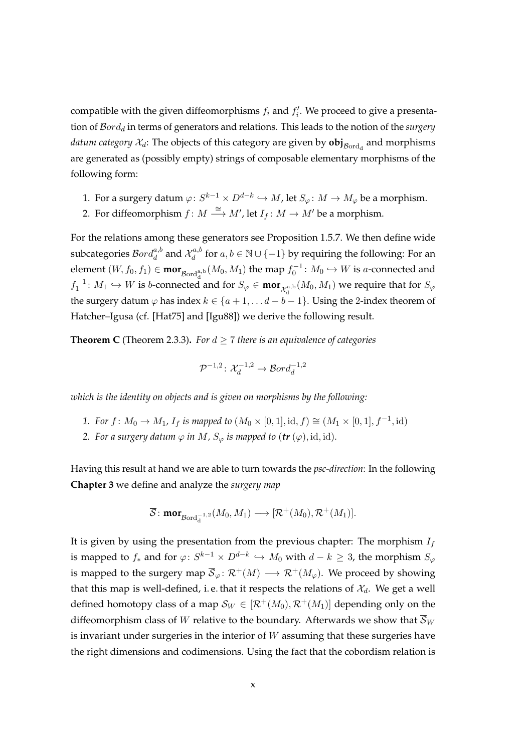compatible with the given diffeomorphisms  $f_i$  and  $f'_i$ . We proceed to give a presentation of  $Bord<sub>d</sub>$  in terms of generators and relations. This leads to the notion of the *surgery*  $d$ atum category  $\mathcal{X}_{d}$ : The objects of this category are given by  $\mathbf{obj}_{\mathcal{B}\mathrm{ord}_\mathrm{d}}$  and morphisms are generated as (possibly empty) strings of composable elementary morphisms of the following form:

- 1. For a surgery datum  $\varphi\colon S^{k-1}\times D^{d-k}\hookrightarrow M$ , let  $S_\varphi\colon M\to M_\varphi$  be a morphism.
- 2. For diffeomorphism  $f: M \stackrel{\cong}{\longrightarrow} M'$ , let  $I_f: M \to M'$  be a morphism.

For the relations among these generators see [Proposition 1.5.7.](#page-39-0) We then define wide subcategories  $\mathcal B\!\mathit{ord}_d^{a,b}$  and  $\mathcal X^{a,b}_d$  $d_d^{a,b}$  for  $a,b\in\mathbb{N}\cup\{-1\}$  by requiring the following: For an element  $(W, f_0, f_1) \in \text{mor}_{Bord_d^{a,b}}(M_0, M_1)$  the map  $f_0^{-1}$ :  $M_0 \hookrightarrow W$  is a-connected and  $f_1^{-1}: M_1 \hookrightarrow W$  is b-connected and for  $S_{\varphi}$  ∈ **mor**<sub> $\chi^{\rm a,b}_\text{d}(M_0,M_1)$  we require that for  $S_{\varphi}$ </sub> the surgery datum  $\varphi$  has index  $k \in \{a+1, \ldots a-b-1\}$ . Using the 2-index theorem of Hatcher–Igusa (cf. [\[Hat75\]](#page-120-2) and [\[Igu88\]](#page-120-3)) we derive the following result.

**Theorem C** [\(Theorem 2.3.3\)](#page-54-0). For  $d \geq 7$  there is an equivalence of categories

$$
\mathcal{P}^{-1,2}\colon \mathcal{X}_d^{-1,2}\to \mathcal{B}ord_d^{-1,2}
$$

*which is the identity on objects and is given on morphisms by the following:*

- *1. For*  $f: M_0 \to M_1$ ,  $I_f$  *is mapped to*  $(M_0 \times [0,1], id, f) \cong (M_1 \times [0,1], f^{-1}, id)$
- *2. For a surgery datum*  $\varphi$  *in*  $M$ *,*  $S_{\varphi}$  *is mapped to (tr (* $\varphi$ *), id, id).*

Having this result at hand we are able to turn towards the *psc-direction*: In the following **[Chapter 3](#page-56-0)** we define and analyze the *surgery map*

$$
\overline{\mathcal{S}}\colon \textbf{mor}_{\mathcal{B}\text{ord}_d^{-1,2}}(M_0, M_1) \longrightarrow [\mathcal{R}^+(M_0), \mathcal{R}^+(M_1)].
$$

It is given by using the presentation from the previous chapter: The morphism  $I_f$ is mapped to  $f_*$  and for  $\varphi\colon S^{k-1}\times D^{d-k}\, \hookrightarrow \, M_0$  with  $d-k\,\geq\, 3$ , the morphism  $S_\varphi$ is mapped to the surgery map  $\overline{S}_{\varphi} \colon \mathcal{R}^+(M) \longrightarrow \mathcal{R}^+(M_{\varphi})$ . We proceed by showing that this map is well-defined, i.e. that it respects the relations of  $\mathcal{X}_{d}$ . We get a well defined homotopy class of a map  $S_W \in [\mathcal{R}^+(M_0), \mathcal{R}^+(M_1)]$  depending only on the diffeomorphism class of W relative to the boundary. Afterwards we show that  $\overline{S}_W$ is invariant under surgeries in the interior of  $W$  assuming that these surgeries have the right dimensions and codimensions. Using the fact that the cobordism relation is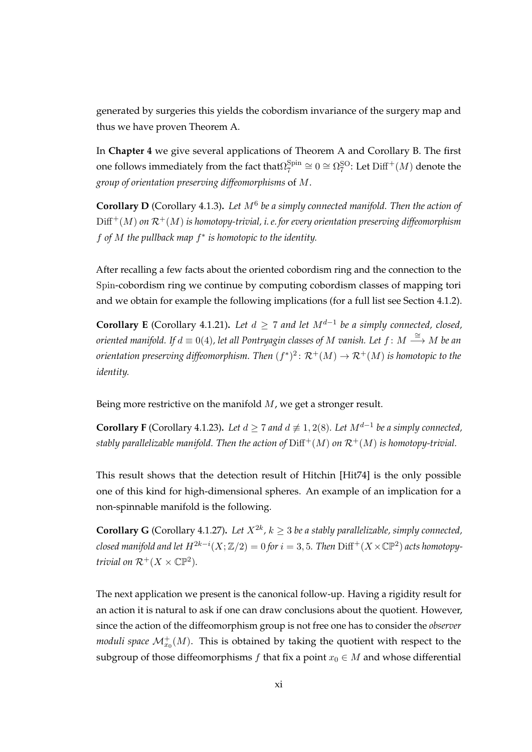generated by surgeries this yields the cobordism invariance of the surgery map and thus we have proven Theorem A.

In **[Chapter 4](#page-70-0)** we give several applications of Theorem A and Corollary B. The first one follows immediately from the fact that $\Omega^{\rm Spin}_7$  $S_7^{\rm Spin}\cong 0\cong \Omega_7^{\rm SO}\colon \text{Let}\ {\rm Diff}^+(M)$  denote the *group of orientation preserving diffeomorphisms* of M.

**Corollary D** [\(Corollary 4.1.3\)](#page-72-0)**.** *Let* M<sup>6</sup> *be a simply connected manifold. Then the action of*  $Diff^{+}(M)$  *on*  $\mathcal{R}^{+}(M)$  *is homotopy-trivial, i.e. for every orientation preserving diffeomorphism* f *of* M *the pullback map* f ∗ *is homotopic to the identity.*

After recalling a few facts about the oriented cobordism ring and the connection to the Spin-cobordism ring we continue by computing cobordism classes of mapping tori and we obtain for example the following implications (for a full list see [Section 4.1.2\)](#page-79-0).

**Corollary E** [\(Corollary 4.1.21\)](#page-80-0). Let  $d \geq 7$  and let  $M^{d-1}$  be a simply connected, closed,  $\hat{\sigma}$  *oriented manifold. If*  $d \equiv 0(4)$ *, let all Pontryagin classes of M vanish. Let f* :  $M \stackrel{\cong}{\longrightarrow} M$  *be an* orientation preserving diffeomorphism. Then  $(f^*)^2\colon \mathcal{R}^+(M)\to \mathcal{R}^+(M)$  is homotopic to the *identity.*

Being more restrictive on the manifold M, we get a stronger result.

**Corollary F** [\(Corollary 4.1.23\)](#page-80-1). Let  $d \geq 7$  and  $d \not\equiv 1, 2(8)$ . Let  $M^{d-1}$  be a simply connected, *stably parallelizable manifold. Then the action of*  $\text{Diff}^+(M)$  *on*  $\mathcal{R}^+(M)$  *is homotopy-trivial.* 

This result shows that the detection result of Hitchin [\[Hit74\]](#page-120-0) is the only possible one of this kind for high-dimensional spheres. An example of an implication for a non-spinnable manifold is the following.

**Corollary G** [\(Corollary 4.1.27\)](#page-80-2). Let  $X^{2k}$ ,  $k \geq 3$  be a stably parallelizable, simply connected, *closed manifold and let*  $H^{2k-i}(X; \mathbb{Z}/2) = 0$  *for*  $i = 3, 5$ *. Then*  $\text{Diff}^+(X \times \mathbb{CP}^2)$  *acts homotopytrivial on*  $\mathcal{R}^+(X \times \mathbb{C}\mathbb{P}^2)$ *.* 

The next application we present is the canonical follow-up. Having a rigidity result for an action it is natural to ask if one can draw conclusions about the quotient. However, since the action of the diffeomorphism group is not free one has to consider the *observer moduli space*  $\mathcal{M}^+_{x_0}(M)$ . This is obtained by taking the quotient with respect to the subgroup of those diffeomorphisms f that fix a point  $x_0 \in M$  and whose differential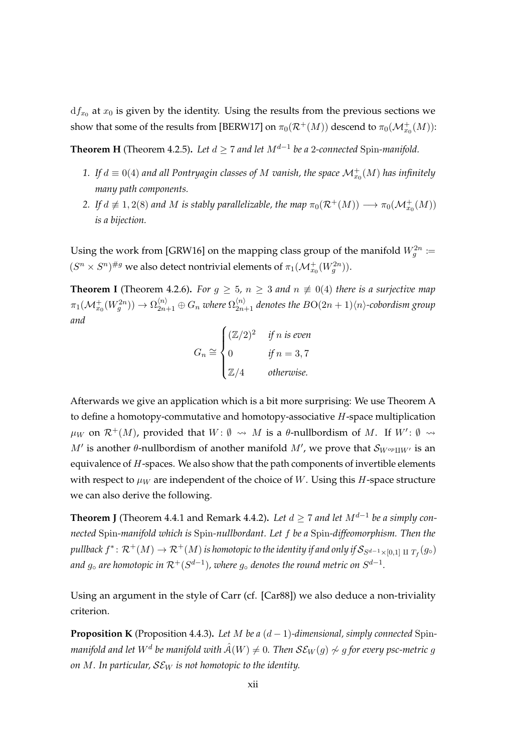$\mathrm{d}f_{x_0}$  at  $x_0$  is given by the identity. Using the results from the previous sections we show that some of the results from [\[BERW17\]](#page-118-0) on  $\pi_0(\mathcal{R}^+(M))$  descend to  $\pi_0(\mathcal{M}_{x_0}^+(M))$ :

**Theorem H** [\(Theorem 4.2.5\)](#page-83-0). Let  $d \geq 7$  and let  $M^{d-1}$  be a 2-connected Spin-manifold.

- 1. If  $d \equiv 0(4)$  and all Pontryagin classes of M vanish, the space  $\mathcal{M}^+_{x_0}(M)$  has infinitely *many path components.*
- 2. If  $d \not\equiv 1,2(8)$  and M is stably parallelizable, the map  $\pi_0(\mathcal{R}^+(M)) \longrightarrow \pi_0(\mathcal{M}_{x_0}^+(M))$ *is a bijection.*

Using the work from [\[GRW16\]](#page-120-4) on the mapping class group of the manifold  $W_g^{2n} \coloneqq$  $(S^n \times S^n)^{\# g}$  we also detect nontrivial elements of  $\pi_1(\mathcal{M}_{x_0}^+(W_g^{2n}))$ .

**Theorem I** [\(Theorem 4.2.6\)](#page-84-0). For  $g \geq 5$ ,  $n \geq 3$  and  $n \not\equiv 0(4)$  there is a surjective map  $\pi_1(\mathcal{M}^+_{x_0}(W^{2n}_g))\to \Omega_{2n+1}^{\langle n\rangle}\oplus G_n$  where  $\Omega_{2n+1}^{\langle n\rangle}$  denotes the  $BO(2n+1)\langle n\rangle$ -cobordism group *and*

$$
G_n \cong \begin{cases} (\mathbb{Z}/2)^2 & \text{if } n \text{ is even} \\ 0 & \text{if } n = 3,7 \\ \mathbb{Z}/4 & \text{otherwise.} \end{cases}
$$

Afterwards we give an application which is a bit more surprising: We use Theorem A to define a homotopy-commutative and homotopy-associative  $H$ -space multiplication  $\mu_W$  on  $\mathcal{R}^+(M)$ , provided that  $W: \emptyset \leadsto M$  is a  $\theta$ -nullbordism of M. If  $W': \emptyset \leadsto$  $M'$  is another θ-nullbordism of another manifold  $M'$ , we prove that  $\mathcal{S}_{W^{op}\amalg W'}$  is an equivalence of H-spaces. We also show that the path components of invertible elements with respect to  $\mu_W$  are independent of the choice of W. Using this H-space structure we can also derive the following.

**Theorem J** [\(Theorem 4.4.1](#page-89-0) and [Remark 4.4.2\)](#page-90-0). Let  $d \geq 7$  and let  $M^{d-1}$  be a simply con*nected* Spin*-manifold which is* Spin*-nullbordant. Let* f *be a* Spin*-diffeomorphism. Then the* pullback  $f^*\colon \mathcal{R}^+(M)\to \mathcal{R}^+(M)$  is homotopic to the identity if and only if  $\mathcal{S}_{S^{d-1}\times [0,1]}$   $\rm{_{I}}$   $\rm{_{I}}_f$   $(g_\circ)$ and  $g_\circ$  are homotopic in  $\mathcal{R}^+(S^{d-1})$ , where  $g_\circ$  denotes the round metric on  $S^{d-1}.$ 

Using an argument in the style of Carr (cf. [\[Car88\]](#page-118-2)) we also deduce a non-triviality criterion.

**Proposition K** [\(Proposition 4.4.3\)](#page-90-1). Let M be a  $(d-1)$ -dimensional, simply connected Spin*manifold and let*  $W^d$  *be manifold with*  $\hat{\mathcal{A}}(W) \neq 0$ *. Then*  $\mathcal{SE}_W(g) \not\sim g$  *for every psc-metric*  $g$ *on* M. In particular,  $SE_W$  is not homotopic to the identity.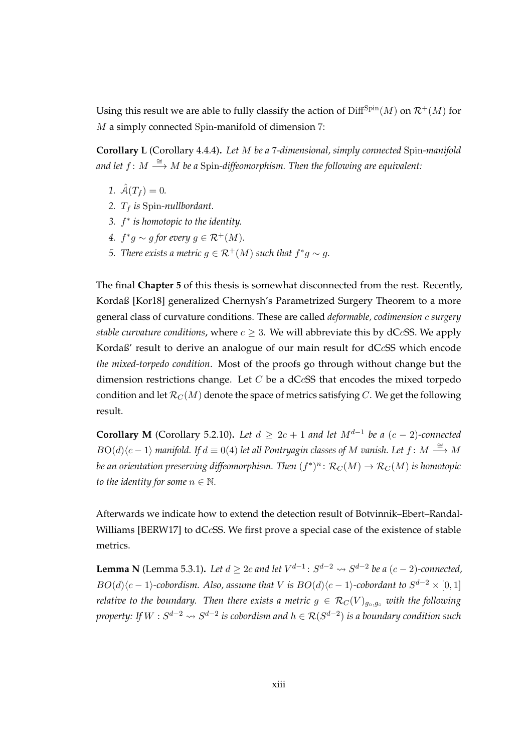Using this result we are able to fully classify the action of  $Diff^{Spin}(M)$  on  $\mathcal{R}^+(M)$  for M a simply connected Spin-manifold of dimension 7:

**Corollary L** [\(Corollary 4.4.4\)](#page-91-0)**.** *Let* M *be a* 7*-dimensional, simply connected* Spin*-manifold* and let  $f\colon M\stackrel{\cong}{\longrightarrow}M$  be a Spin-diffeomorphism. Then the following are equivalent:

- 1.  $\hat{A}(T_f) = 0$ .
- 2.  $T_f$  *is* Spin-nullbordant.
- *3.* f ∗ *is homotopic to the identity.*
- 4.  $f^*g \sim g$  for every  $g \in \mathcal{R}^+(M)$ .
- *5. There exists a metric*  $g \in \mathcal{R}^+(M)$  *such that*  $f^*g \sim g$ *.*

The final **[Chapter 5](#page-94-0)** of this thesis is somewhat disconnected from the rest. Recently, Kordaß [\[Kor18\]](#page-121-1) generalized Chernysh's Parametrized Surgery Theorem to a more general class of curvature conditions. These are called *deformable, codimension* c *surgery stable curvature conditions,* where  $c \geq 3$ . We will abbreviate this by dCcSS. We apply Kordaß' result to derive an analogue of our main result for dCcSS which encode *the mixed-torpedo condition*. Most of the proofs go through without change but the dimension restrictions change. Let  $C$  be a dC $c$ SS that encodes the mixed torpedo condition and let  $\mathcal{R}_C(M)$  denote the space of metrics satisfying C. We get the following result.

**Corollary M** [\(Corollary 5.2.10\)](#page-98-0). Let  $d \geq 2c + 1$  and let  $M^{d-1}$  be a  $(c-2)$ -connected  $B\mathrm{O}(d)\langle c-1\rangle$  manifold. If  $d\equiv 0(4)$  let all Pontryagin classes of M vanish. Let  $f\colon M\stackrel{\cong}{\longrightarrow} M$ be an orientation preserving diffeomorphism. Then  $(f^*)^n \colon \mathcal{R}_C(M) \to \mathcal{R}_C(M)$  is homotopic *to the identity for some*  $n \in \mathbb{N}$ *.* 

Afterwards we indicate how to extend the detection result of Botvinnik–Ebert–Randal-Williams [\[BERW17\]](#page-118-0) to dCcSS. We first prove a special case of the existence of stable metrics.

**Lemma N** [\(Lemma 5.3.1\)](#page-99-0). Let  $d \geq 2c$  and let  $V^{d-1}$ :  $S^{d-2} \rightsquigarrow S^{d-2}$  be a  $(c-2)$ -connected,  $BO(d)\langle c-1\rangle$ -cobordism. Also, assume that V is  $BO(d)\langle c-1\rangle$ -cobordant to  $S^{d-2}\times [0,1]$ *relative to the boundary. Then there exists a metric*  $g \in \mathcal{R}_C(V)_{g_0,g_0}$  *with the following* property: If  $W:S^{d-2}\leadsto S^{d-2}$  is cobordism and  $h\in \mathcal{R}(S^{d-2})$  is a boundary condition such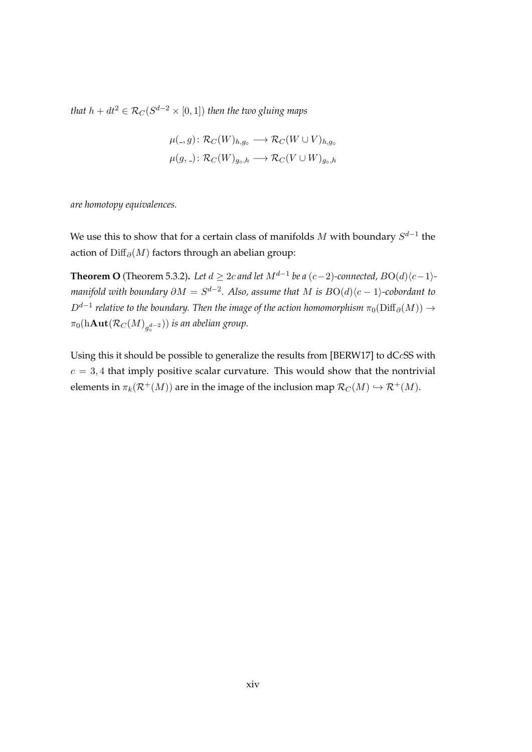that  $h + dt^2 \in \mathcal{R}_C(S^{d-2} \times [0,1])$  then the two gluing maps

$$
\mu(.,g) \colon \mathcal{R}_C(W)_{h,g_\circ} \longrightarrow \mathcal{R}_C(W \cup V)_{h,g_\circ}
$$

$$
\mu(g,.) \colon \mathcal{R}_C(W)_{g_\circ,h} \longrightarrow \mathcal{R}_C(V \cup W)_{g_\circ,h}
$$

*are homotopy equivalences.*

We use this to show that for a certain class of manifolds  $M$  with boundary  $S^{d-1}$  the action of Diff $_{\partial}(M)$  factors through an abelian group:

**Theorem O** [\(Theorem 5.3.2\)](#page-100-0). Let  $d \geq 2c$  and let  $M^{d-1}$  be a  $(c-2)$ -connected,  $BO(d)\langle c-1 \rangle$ *manifold with boundary*  $\partial M = S^{d-2}$ *. Also, assume that*  $M$  *is*  $BO(d)\langle c-1 \rangle$ *-cobordant to*  $D^{d-1}$  relative to the boundary. Then the image of the action homomorphism  $\pi_0(\mathrm{Diff}_\partial(M)) \to$  $\pi_0(\mathrm{h\textbf{Aut}}(\mathcal{R}_C(M)_{g_{\mathrm{o}}^{d-2}}))$  is an abelian group.

Using this it should be possible to generalize the results from [\[BERW17\]](#page-118-0) to dCcSS with  $c = 3, 4$  that imply positive scalar curvature. This would show that the nontrivial elements in  $\pi_k(\mathcal{R}^+(M))$  are in the image of the inclusion map  $\mathcal{R}_C(M) \hookrightarrow \mathcal{R}^+(M)$ .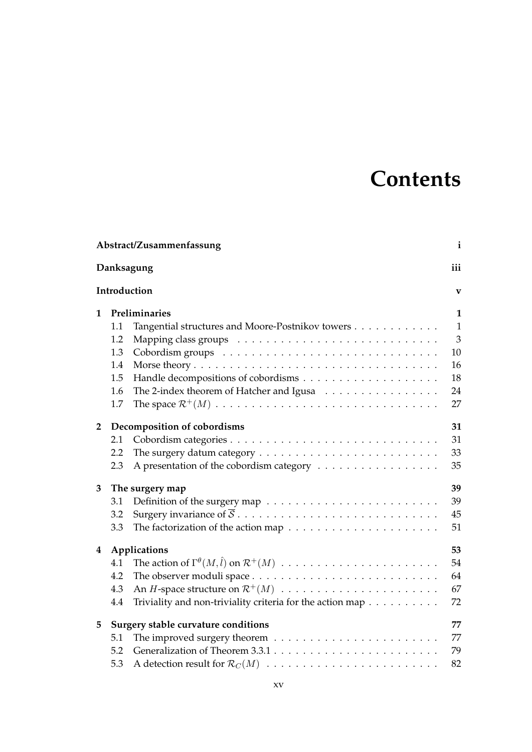# **Contents**

|                   |     | Abstract/Zusammenfassung                                                      | $\mathbf{i}$   |
|-------------------|-----|-------------------------------------------------------------------------------|----------------|
|                   |     | Danksagung                                                                    | iii            |
|                   |     | Introduction                                                                  | $\mathbf{V}$   |
| 1                 |     | Preliminaries                                                                 | 1              |
|                   | 1.1 | Tangential structures and Moore-Postnikov towers                              | $\mathbf{1}$   |
|                   | 1.2 |                                                                               | $\overline{3}$ |
|                   | 1.3 |                                                                               | 10             |
|                   | 1.4 |                                                                               | 16             |
|                   | 1.5 |                                                                               | 18             |
|                   | 1.6 | The 2-index theorem of Hatcher and Igusa                                      | 24             |
|                   | 1.7 |                                                                               | 27             |
| $\overline{2}$    |     | Decomposition of cobordisms                                                   | 31             |
|                   | 2.1 |                                                                               | 31             |
|                   | 2.2 |                                                                               | 33             |
|                   | 2.3 |                                                                               | 35             |
| 3                 |     | The surgery map                                                               | 39             |
|                   | 3.1 |                                                                               | 39             |
|                   | 3.2 |                                                                               | 45             |
|                   | 3.3 |                                                                               | 51             |
| Applications<br>4 |     | 53                                                                            |                |
|                   | 4.1 |                                                                               | 54             |
|                   | 4.2 |                                                                               | 64             |
|                   | 4.3 |                                                                               | 67             |
|                   | 4.4 | Triviality and non-triviality criteria for the action map $\dots \dots \dots$ | 72             |
| 5                 |     | Surgery stable curvature conditions                                           | 77             |
|                   | 5.1 |                                                                               | 77             |
|                   | 5.2 |                                                                               | 79             |
|                   | 5.3 |                                                                               | 82             |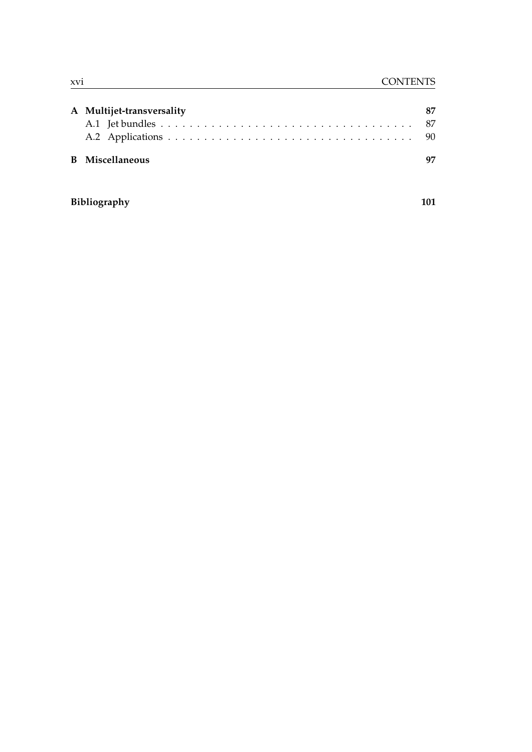| A Multijet-transversality |  |
|---------------------------|--|
|                           |  |
|                           |  |
| <b>B</b> Miscellaneous    |  |

### **[Bibliography](#page-118-4) 101**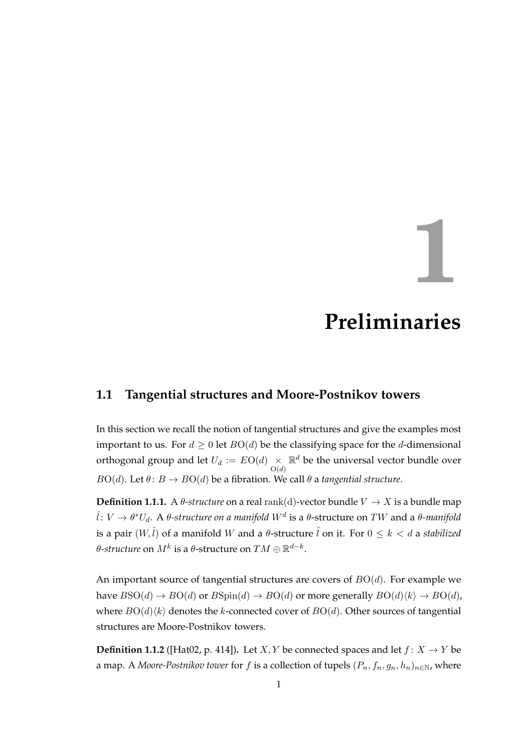**1**

# **Preliminaries**

### <span id="page-18-1"></span><span id="page-18-0"></span>**1.1 Tangential structures and Moore-Postnikov towers**

In this section we recall the notion of tangential structures and give the examples most important to us. For  $d \geq 0$  let  $BO(d)$  be the classifying space for the d-dimensional orthogonal group and let  $U_d := EO(d) \underset{O(d)}{\times}$  $\mathbb{R}^d$  be the universal vector bundle over  $BO(d)$ . Let  $\theta: B \to BO(d)$  be a fibration. We call  $\theta$  a *tangential structure*.

**Definition 1.1.1.** A  $\theta$ -structure on a real rank(d)-vector bundle  $V \rightarrow X$  is a bundle map  $\hat{l}\colon V\to \theta^*U_d.$  A  $\theta$ -structure on a manifold  $W^d$  is a  $\theta$ -structure on  $TW$  and a  $\theta$ -manifold is a pair  $(W, \hat{l})$  of a manifold W and a  $\theta$ -structure  $\hat{l}$  on it. For  $0 \leq k < d$  a *stabilized* θ-structure on  $M^k$  is a  $\theta$ -structure on  $TM \oplus \mathbb{R}^{d-k}.$ 

An important source of tangential structures are covers of  $BO(d)$ . For example we have  $BSO(d) \rightarrow BO(d)$  or  $BSpin(d) \rightarrow BO(d)$  or more generally  $BO(d)\langle k \rangle \rightarrow BO(d)$ , where  $BO(d)\langle k \rangle$  denotes the k-connected cover of  $BO(d)$ . Other sources of tangential structures are Moore-Postnikov towers.

**Definition 1.1.2** ([\[Hat02,](#page-120-5) p. 414]). Let *X*, *Y* be connected spaces and let  $f: X \rightarrow Y$  be a map. A *Moore-Postnikov tower* for f is a collection of tupels  $(P_n, f_n, g_n, h_n)_{n \in \mathbb{N}}$ , where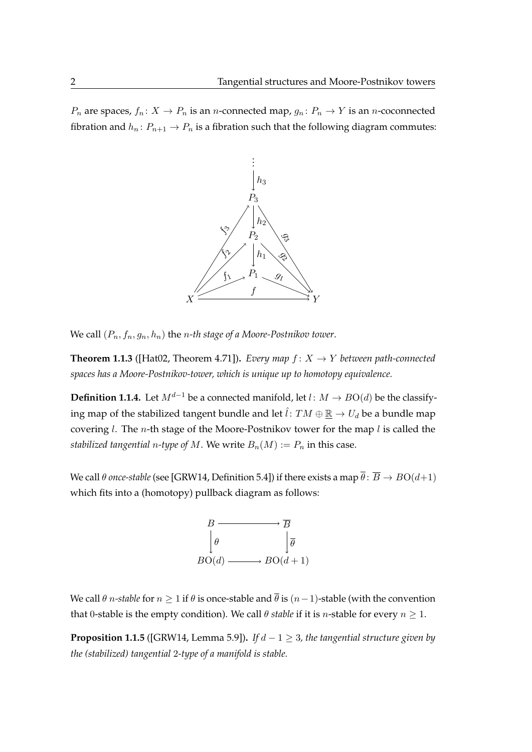$P_n$  are spaces,  $f_n: X \to P_n$  is an *n*-connected map,  $g_n: P_n \to Y$  is an *n*-coconnected fibration and  $h_n: P_{n+1} \to P_n$  is a fibration such that the following diagram commutes:



We call  $(P_n, f_n, g_n, h_n)$  the *n-th stage of a Moore-Postnikov tower*.

**Theorem 1.1.3** ([\[Hat02,](#page-120-5) Theorem 4.71]). *Every map*  $f: X \rightarrow Y$  *between path-connected spaces has a Moore-Postnikov-tower, which is unique up to homotopy equivalence.*

**Definition 1.1.4.** Let  $M^{d-1}$  be a connected manifold, let  $l: M \rightarrow BO(d)$  be the classifying map of the stabilized tangent bundle and let  $\hat{i}: TM \oplus \mathbb{R} \to U_d$  be a bundle map covering *l*. The *n*-th stage of the Moore-Postnikov tower for the map *l* is called the *stabilized tangential n-type of* M. We write  $B_n(M) := P_n$  in this case.

We call  $\theta$  *once-stable* (see [\[GRW14,](#page-120-6) Definition 5.4]) if there exists a map  $\overline{\theta}$ :  $\overline{B} \to BO(d+1)$ which fits into a (homotopy) pullback diagram as follows:



We call  $\theta$  *n*-stable for  $n \geq 1$  if  $\theta$  is once-stable and  $\overline{\theta}$  is  $(n-1)$ -stable (with the convention that 0-stable is the empty condition). We call  $\theta$  *stable* if it is *n*-stable for every  $n \geq 1$ .

**Proposition 1.1.5** ([\[GRW14,](#page-120-6) Lemma 5.9]). *If*  $d - 1 \geq 3$ , the tangential structure given by *the (stabilized) tangential* 2*-type of a manifold is stable.*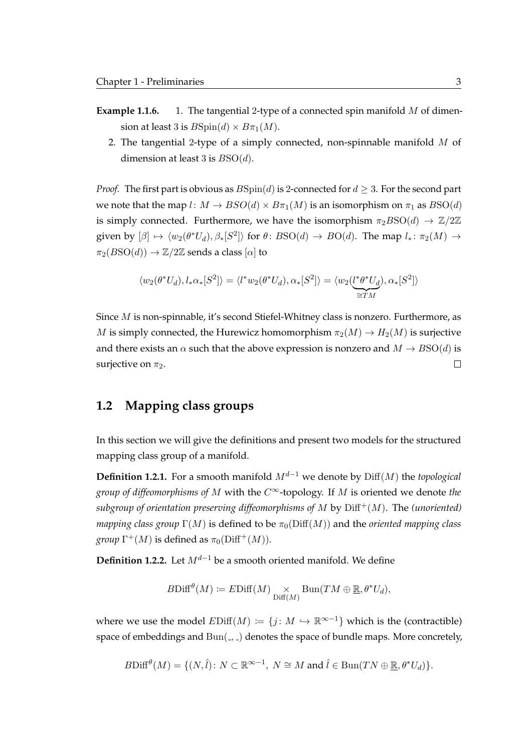- **Example 1.1.6.** 1. The tangential 2-type of a connected spin manifold M of dimension at least 3 is  $B\text{Spin}(d) \times B\pi_1(M)$ .
	- 2. The tangential 2-type of a simply connected, non-spinnable manifold  $M$  of dimension at least 3 is  $BSO(d)$ .

*Proof.* The first part is obvious as  $B\text{Spin}(d)$  is 2-connected for  $d \geq 3$ . For the second part we note that the map  $l: M \to BSO(d) \times B_{\pi_1}(M)$  is an isomorphism on  $\pi_1$  as  $BSO(d)$ is simply connected. Furthermore, we have the isomorphism  $\pi_2 BSO(d) \to \mathbb{Z}/2\mathbb{Z}$ given by  $[\beta] \mapsto \langle w_2(\theta^*U_d), \beta_*[S^2] \rangle$  for  $\theta \colon BSO(d) \to BO(d)$ . The map  $l_* \colon \pi_2(M) \to$  $\pi_2(BSO(d)) \to \mathbb{Z}/2\mathbb{Z}$  sends a class  $[\alpha]$  to

$$
\langle w_2(\theta^*U_d), l_*\alpha_*[S^2] \rangle = \langle l^*w_2(\theta^*U_d), \alpha_*[S^2] \rangle = \langle w_2(\underbrace{l^*\theta^*U_d}_{\cong TM}), \alpha_*[S^2] \rangle
$$

Since M is non-spinnable, it's second Stiefel-Whitney class is nonzero. Furthermore, as M is simply connected, the Hurewicz homomorphism  $\pi_2(M) \to H_2(M)$  is surjective and there exists an  $\alpha$  such that the above expression is nonzero and  $M \rightarrow BSO(d)$  is surjective on  $\pi_2$ .  $\Box$ 

#### <span id="page-20-0"></span>**1.2 Mapping class groups**

In this section we will give the definitions and present two models for the structured mapping class group of a manifold.

**Definition 1.2.1.** For a smooth manifold  $M^{d-1}$  we denote by Diff(M) the *topological group of diffeomorphisms of* M with the C∞-topology. If M is oriented we denote *the subgroup of orientation preserving diffeomorphisms of*  $M$  by  $\text{Diff}^+(M)$ . The *(unoriented) mapping class group*  $\Gamma(M)$  is defined to be  $\pi_0(\text{Diff}(M))$  and the *oriented mapping class group*  $\Gamma^+(M)$  is defined as  $\pi_0(\text{Diff}^+(M)).$ 

**Definition 1.2.2.** Let  $M^{d-1}$  be a smooth oriented manifold. We define

$$
B\mathrm{Diff}^{\theta}(M) \coloneqq E\mathrm{Diff}(M) \underset{\mathrm{Diff}(M)}{\times} \mathrm{Bun}(TM \oplus \underline{\mathbb{R}}, \theta^*U_d),
$$

where we use the model  $EDiff(M) := \{j : M \hookrightarrow \mathbb{R}^{\infty-1}\}\$  which is the (contractible) space of embeddings and  $Bun($ ,  $)$  denotes the space of bundle maps. More concretely,

$$
B\mathrm{Diff}^{\theta}(M) = \{ (N,\hat{l}) \colon N \subset \mathbb{R}^{\infty-1}, \ N \cong M \text{ and } \hat{l} \in \mathrm{Bun}(TN \oplus \underline{\mathbb{R}}, \theta^* U_d) \}.
$$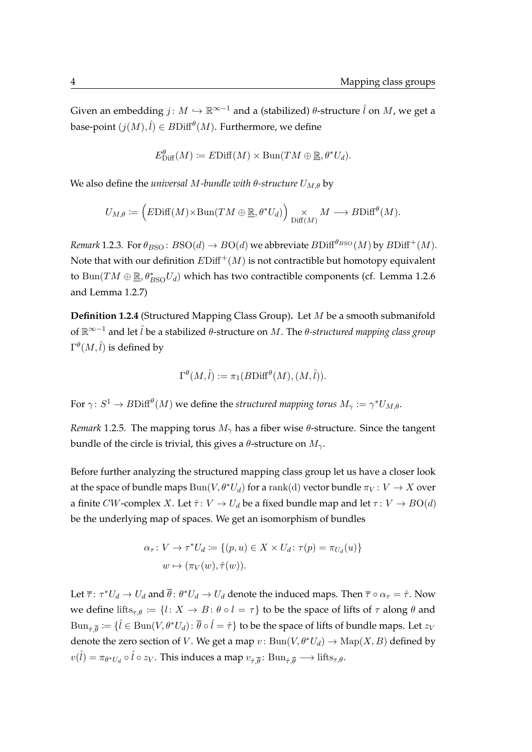Given an embedding  $j: M \hookrightarrow \mathbb{R}^{\infty-1}$  and a (stabilized)  $\theta$ -structure  $\hat{l}$  on  $M$ , we get a base-point  $(j(M), \hat{l}) \in B\mathrm{Diff}^{\theta}(M).$  Furthermore, we define

$$
E_{\text{Diff}}^{\theta}(M) \coloneqq E\text{Diff}(M) \times \text{Bun}(TM \oplus \underline{\mathbb{R}}, \theta^* U_d).
$$

We also define the *universal M-bundle with*  $\theta$ -structure  $U_{M,\theta}$  by

$$
U_{M,\theta} \coloneqq \left( E\mathrm{Diff}(M) \times \mathrm{Bun}(TM \oplus \underline{\mathbb{R}}, \theta^* U_d) \right) \underset{\mathrm{Diff}(M)}{\times} M \longrightarrow B\mathrm{Diff}^{\theta}(M).
$$

*Remark* 1.2.3*.* For  $\theta_{BSO}$ :  $BSO(d) \rightarrow BO(d)$  we abbreviate  $BDiff^{\theta_{BSO}}(M)$  by  $BDiff^+(M)$ . Note that with our definition  $EDiff^+(M)$  is not contractible but homotopy equivalent to  $\text{Bun}(TM \oplus \underline{\mathbb{R}}, \theta^*_{BSO}U_d)$  which has two contractible components (cf. [Lemma 1.2.6](#page-22-0) and [Lemma 1.2.7\)](#page-22-1)

**Definition 1.2.4** (Structured Mapping Class Group)**.** Let M be a smooth submanifold of R∞−<sup>1</sup> and let ˆl be a stabilized θ-structure on M. The θ*-structured mapping class group*  $\Gamma^\theta(M,\hat{l})$  is defined by

$$
\Gamma^{\theta}(M,\hat{l}) := \pi_1(B\mathrm{Diff}^{\theta}(M), (M,\hat{l})).
$$

For  $\gamma\colon S^1\to B\mathrm{Diff}^{\theta}(M)$  we define the structured mapping torus  $M_\gamma:=\gamma^*U_{M,\theta}.$ 

*Remark* 1.2.5*.* The mapping torus  $M_{\gamma}$  has a fiber wise  $\theta$ -structure. Since the tangent bundle of the circle is trivial, this gives a  $\theta$ -structure on  $M_{\gamma}$ .

Before further analyzing the structured mapping class group let us have a closer look at the space of bundle maps  $\text{Bun}(V, \theta^*U_d)$  for a rank(d) vector bundle  $\pi_V : V \to X$  over a finite CW-complex X. Let  $\hat{\tau}$ :  $V \to U_d$  be a fixed bundle map and let  $\tau$ :  $V \to BO(d)$ be the underlying map of spaces. We get an isomorphism of bundles

$$
\alpha_{\tau}: V \to \tau^* U_d := \{(p, u) \in X \times U_d : \tau(p) = \pi_{U_d}(u)\}
$$
  

$$
w \mapsto (\pi_V(w), \hat{\tau}(w)).
$$

Let  $\overline{\tau}\colon \tau^*U_d\to U_d$  and  $\overline{\theta}\colon \theta^*U_d\to U_d$  denote the induced maps. Then  $\overline{\tau}\circ \alpha_\tau=\hat{\tau}.$  Now we define lifts<sub> $\tau, \theta := \{l: X \to B : \theta \circ l = \tau\}$  to be the space of lifts of  $\tau$  along  $\theta$  and</sub>  $\mathrm{Bun}_{\hat\tau,\overline\theta}\coloneqq\{\hat l\in \mathrm{Bun}(V,\theta^*U_d)\colon\overline\theta\circ\hat l=\hat\tau\}$  to be the space of lifts of bundle maps. Let  $z_V$ denote the zero section of V. We get a map  $v: Bun(V,\theta^*U_d)\to \mathrm{Map}(X,B)$  defined by  $v(\hat{l}) = \pi_{\theta^*U_d} \circ \hat{l} \circ z_V$ . This induces a map  $v_{\hat{\tau}, \overline{\theta}} \colon \text{Bun}_{\hat{\tau}, \overline{\theta}} \longrightarrow \text{lifts}_{\tau, \theta}$ .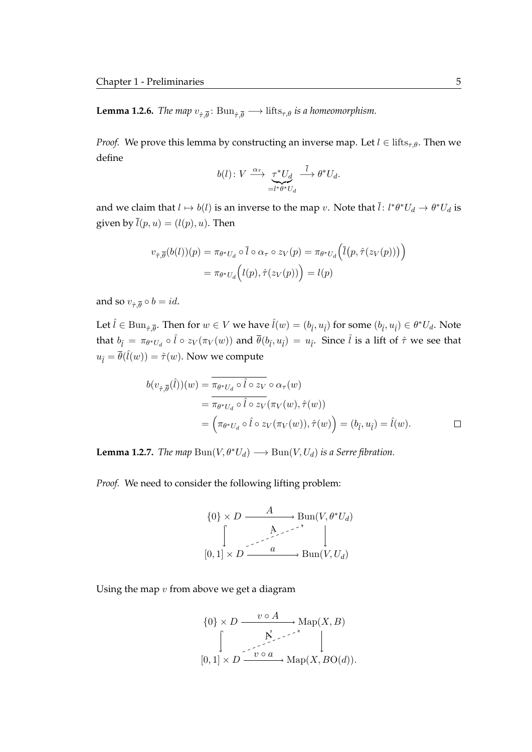<span id="page-22-0"></span>**Lemma 1.2.6.** *The map*  $v_{\hat{\tau}, \overline{\theta}}$ :  $\text{Bun}_{\hat{\tau}, \overline{\theta}} \longrightarrow \text{lifts}_{\tau, \theta}$  *is a homeomorphism.* 

*Proof.* We prove this lemma by constructing an inverse map. Let  $l \in \text{lifts}_{\tau,\theta}$ . Then we define

$$
b(l): V \xrightarrow{\alpha_{\tau}} \underbrace{\tau^* U_d}_{= l^* \theta^* U_d} \xrightarrow{\overline{l}} \theta^* U_d.
$$

and we claim that  $l \mapsto b(l)$  is an inverse to the map  $v.$  Note that  $\bar{l}:$   $l^*\theta^*U_d \to \theta^*U_d$  is given by  $\overline{l}(p, u) = (l(p), u)$ . Then

$$
v_{\hat{\tau},\overline{\theta}}(b(l))(p) = \pi_{\theta^*U_d} \circ \overline{l} \circ \alpha_{\tau} \circ z_V(p) = \pi_{\theta^*U_d} \Big( \overline{l}\big(p,\hat{\tau}(z_V(p))\big)\Big)
$$

$$
= \pi_{\theta^*U_d} \Big( l(p),\hat{\tau}(z_V(p)) \Big) = l(p)
$$

and so  $v_{\hat{\tau}, \overline{\theta}} \circ b = id$ .

Let  $\hat{l} \in \text{Bun}_{\hat{\tau}, \overline{\theta}}$ . Then for  $w \in V$  we have  $\hat{l}(w) = (b_{\hat{l}}, u_{\hat{l}})$  for some  $(b_{\hat{l}}, u_{\hat{l}}) \in \theta^* U_d$ . Note that  $b_{\hat l} = \pi_{\theta^*U_d}\circ \hat l \circ z_V(\pi_V(w))$  and  $\overline\theta(b_{\hat l},u_{\hat l}) = u_{\hat l}.$  Since  $\hat l$  is a lift of  $\hat \tau$  we see that  $u_{\hat{l}} = \overline{\theta}(\hat{l}(w)) = \hat{\tau}(w)$ . Now we compute

$$
b(v_{\hat{\tau},\overline{\theta}}(\hat{l}))(w) = \pi_{\theta^*U_d} \circ \hat{l} \circ z_V \circ \alpha_\tau(w)
$$
  
= 
$$
\pi_{\theta^*U_d} \circ \hat{l} \circ z_V(\pi_V(w), \hat{\tau}(w))
$$
  
= 
$$
\left(\pi_{\theta^*U_d} \circ \hat{l} \circ z_V(\pi_V(w)), \hat{\tau}(w)\right) = (b_{\hat{l}}, u_{\hat{l}}) = \hat{l}(w).
$$

<span id="page-22-1"></span>**Lemma 1.2.7.** *The map*  $\text{Bun}(V, \theta^*U_d) \longrightarrow \text{Bun}(V, U_d)$  *is a Serre fibration.* 

*Proof.* We need to consider the following lifting problem:

$$
\{0\} \times D \xrightarrow{A} \text{Bun}(V, \theta^* U_d)
$$

$$
\downarrow \qquad \qquad \downarrow
$$

$$
[0, 1] \times D \xrightarrow{a} \text{Bun}(V, U_d)
$$

Using the map  $v$  from above we get a diagram

$$
\{0\} \times D \xrightarrow{v \circ A} \text{Map}(X, B)
$$

$$
\downarrow \qquad \qquad \downarrow
$$

$$
[0, 1] \times D \xrightarrow{v \circ a} \text{Map}(X, B \text{O}(d)).
$$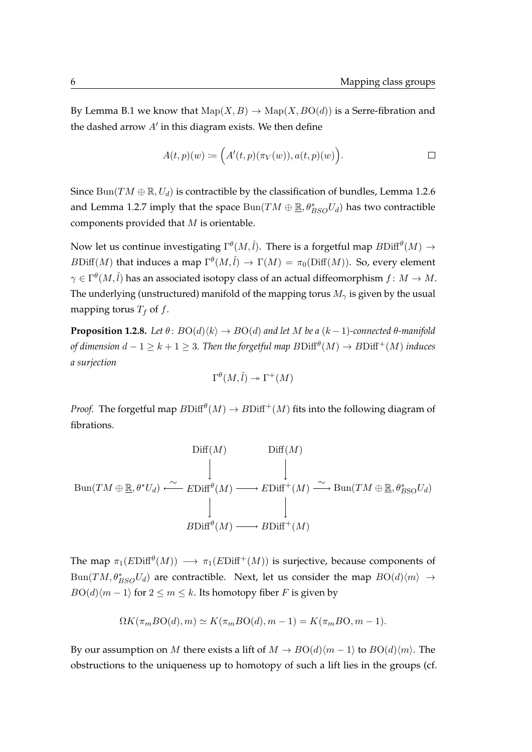By [Lemma B.1](#page-114-1) we know that  $\text{Map}(X, B) \to \text{Map}(X, B\text{O}(d))$  is a Serre-fibration and the dashed arrow  $A'$  in this diagram exists. We then define

$$
A(t,p)(w) \coloneqq \Big(A'(t,p)(\pi_V(w)),a(t,p)(w)\Big). \qquad \qquad \Box
$$

Since  $\text{Bun}(TM \oplus \mathbb{R}, U_d)$  is contractible by the classification of bundles, [Lemma 1.2.6](#page-22-0) and [Lemma 1.2.7](#page-22-1) imply that the space  $\text{Bun}(TM \oplus \underline{\mathbb{R}}, \theta^*_{BSO}U_d)$  has two contractible components provided that  $M$  is orientable.

Now let us continue investigating  $\Gamma^\theta(M,\hat{l}).$  There is a forgetful map  $B\mathrm{Diff}^\theta(M) \to$  $B\mathrm{Diff}(M)$  that induces a map  $\Gamma^{\theta}(M,\hat{l}) \to \Gamma(M) = \pi_0(\mathrm{Diff}(M)).$  So, every element  $\gamma \in \Gamma^\theta(M,\hat{l})$  has an associated isotopy class of an actual diffeomorphism  $f\colon M\to M.$ The underlying (unstructured) manifold of the mapping torus  $M_{\gamma}$  is given by the usual mapping torus  $T_f$  of f.

<span id="page-23-0"></span>**Proposition 1.2.8.** *Let*  $\theta$ :  $BO(d) \langle k \rangle \rightarrow BO(d)$  *and let* M *be a* ( $k - 1$ )*-connected*  $\theta$ *-manifold* of dimension  $d-1\geq k+1\geq 3.$  Then the forgetful map  $B\mathrm{Diff}^{\theta}(M)\to B\mathrm{Diff}^+(M)$  induces *a surjection*

$$
\Gamma^{\theta}(M,\hat{l}) \twoheadrightarrow \Gamma^{+}(M)
$$

*Proof.* The forgetful map  $B\mathrm{Diff}^{\theta}(M) \to B\mathrm{Diff}^+(M)$  fits into the following diagram of fibrations.

$$
\text{Dim}(TM \oplus \underline{\mathbb{R}}, \theta^*U_d) \xleftarrow{\sim} \text{EDiff}^{\theta}(M) \longrightarrow \text{EDiff}^+(M) \xrightarrow{\sim} \text{Bun}(TM \oplus \underline{\mathbb{R}}, \theta^*_{BSO}U_d)
$$
\n
$$
\downarrow \qquad \qquad \downarrow
$$
\n
$$
\text{BDiff}^{\theta}(M) \longrightarrow \text{BDiff}^+(M)
$$

The map  $\pi_1(E\mathrm{Diff}^{\theta}(M)) \longrightarrow \pi_1(E\mathrm{Diff}^+(M))$  is surjective, because components of  $\text{Bun}(TM, \theta^*_{BSO}U_d)$  are contractible. Next, let us consider the map  $BO(d)\langle m \rangle \rightarrow$  $BO(d)(m-1)$  for  $2 \le m \le k$ . Its homotopy fiber F is given by

$$
\Omega K(\pi_m BO(d), m) \simeq K(\pi_m BO(d), m-1) = K(\pi_m BO, m-1).
$$

By our assumption on M there exists a lift of  $M \to BO(d)(m-1)$  to  $BO(d)(m)$ . The obstructions to the uniqueness up to homotopy of such a lift lies in the groups (cf.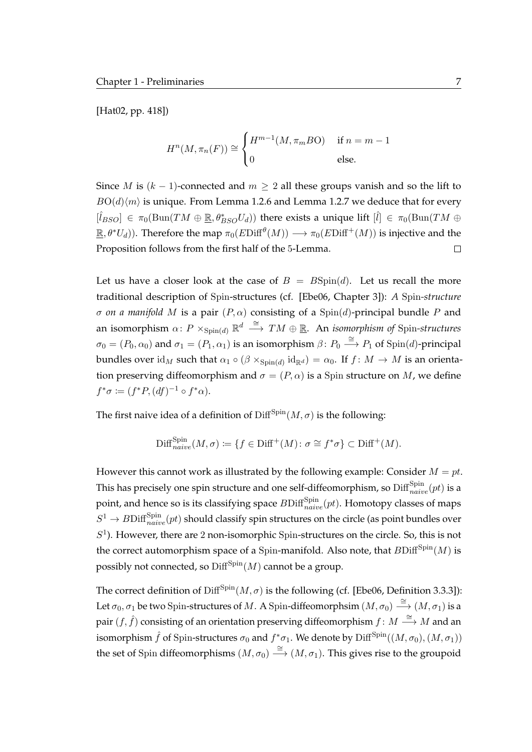[\[Hat02,](#page-120-5) pp. 418])

$$
H^{n}(M, \pi_{n}(F)) \cong \begin{cases} H^{m-1}(M, \pi_{m}BO) & \text{if } n = m-1\\ 0 & \text{else.} \end{cases}
$$

Since *M* is  $(k - 1)$ -connected and  $m \geq 2$  all these groups vanish and so the lift to  $BO(d\langle m \rangle)$  is unique. From [Lemma 1.2.6](#page-22-0) and [Lemma 1.2.7](#page-22-1) we deduce that for every  $[\hat{l}_{BSO}] \in \pi_0(\text{Bun}(TM \oplus \underline{\mathbb{R}}, \theta_{BSO}^*U_d))$  there exists a unique lift  $[\hat{l}] \in \pi_0(\text{Bun}(TM \oplus$  $\mathbb{R},\theta^*U_d)$ ). Therefore the map  $\pi_0(E\mathrm{Diff}^{\theta}(M))\longrightarrow \pi_0(E\mathrm{Diff}^+(M))$  is injective and the Proposition follows from the first half of the 5-Lemma.  $\Box$ 

Let us have a closer look at the case of  $B = B\text{Spin}(d)$ . Let us recall the more traditional description of Spin-structures (cf. [\[Ebe06,](#page-119-6) Chapter 3]): *A* Spin*-structure*  $σ$  *on a manifold M* is a pair  $(P, α)$  consisting of a Spin(*d*)-principal bundle *P* and an isomorphism  $\alpha\colon P\times_{{\rm Spin}(d)}{\mathbb R}^d\stackrel{\cong}{\longrightarrow} TM\oplus{\mathbb R}.$  An *isomorphism of* Spin-structures  $\sigma_0 = (P_0, \alpha_0)$  and  $\sigma_1 = (P_1, \alpha_1)$  is an isomorphism  $\beta \colon P_0 \stackrel{\cong}{\longrightarrow} P_1$  of  $\text{Spin}(d)$ -principal bundles over  ${\rm id}_M$  such that  $\alpha_1 \circ (\beta \times_{\text{Spin}(d)} {\rm id}_{\mathbb{R}^d}) = \alpha_0$ . If  $f \colon M \to M$  is an orientation preserving diffeomorphism and  $\sigma = (P, \alpha)$  is a Spin structure on M, we define  $f^*\sigma \coloneqq (f^*P, (df)^{-1} \circ f^*\alpha).$ 

The first naive idea of a definition of  $\text{Diff}^{\text{Spin}}(M, \sigma)$  is the following:

$$
\mathrm{Diff}_{naive}^{\mathrm{Spin}}(M,\sigma) := \{ f \in \mathrm{Diff}^+(M) \colon \sigma \cong f^*\sigma \} \subset \mathrm{Diff}^+(M).
$$

However this cannot work as illustrated by the following example: Consider  $M = pt$ . This has precisely one spin structure and one self-diffeomorphism, so  ${\rm Diff}_{naive}^{\rm Spin}(pt)$  is a point, and hence so is its classifying space  $B\mathrm{Diff}_{naive}^{\mathrm{Spin}}(pt).$  Homotopy classes of maps  $S^1 \to B \mathrm{Diff}_{naive}^{\mathrm{Spin}}(pt)$  should classify spin structures on the circle (as point bundles over  $S<sup>1</sup>$ ). However, there are 2 non-isomorphic Spin-structures on the circle. So, this is not the correct automorphism space of a Spin-manifold. Also note, that  $B\text{Diff}^{\text{Spin}}(M)$  is possibly not connected, so  $\text{Diff}^{\text{Spin}}(M)$  cannot be a group.

The correct definition of  $Diff<sup>Spin</sup>(M, \sigma)$  is the following (cf. [\[Ebe06,](#page-119-6) Definition 3.3.3]): Let  $\sigma_0, \sigma_1$  be two Spin-structures of M. A Spin-diffeomorphsim  $(M, \sigma_0) \stackrel{\cong}{\longrightarrow} (M, \sigma_1)$  is a pair  $(f, \hat{f})$  consisting of an orientation preserving diffeomorphism  $f: M \stackrel{\cong}{\longrightarrow} M$  and an isomorphism  $\hat{f}$  of Spin-structures  $\sigma_0$  and  $f^*\sigma_1.$  We denote by  $\mathrm{Diff}^\mathrm{Spin}((M,\sigma_0),(M,\sigma_1))$ the set of Spin diffeomorphisms  $(M, \sigma_0) \stackrel{\cong}{\longrightarrow} (M, \sigma_1)$ . This gives rise to the groupoid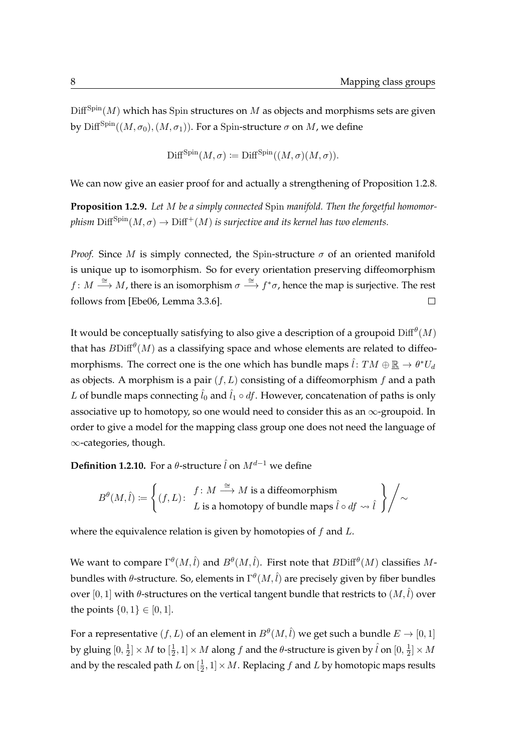$\text{Diff}^{\text{Spin}}(M)$  which has Spin structures on M as objects and morphisms sets are given by Diff<sup>Spin</sup>( $(M, \sigma_0)$ ,  $(M, \sigma_1)$ ). For a Spin-structure  $\sigma$  on M, we define

$$
\text{Diff}^{\text{Spin}}(M,\sigma) \coloneqq \text{Diff}^{\text{Spin}}((M,\sigma)(M,\sigma)).
$$

We can now give an easier proof for and actually a strengthening of [Proposition 1.2.8.](#page-23-0)

**Proposition 1.2.9.** *Let* M *be a simply connected* Spin *manifold. Then the forgetful homomorphism*  $\text{Diff}^{\text{Spin}}(M,\sigma) \to \text{Diff}^+(M)$  *is surjective and its kernel has two elements.* 

*Proof.* Since M is simply connected, the Spin-structure  $\sigma$  of an oriented manifold is unique up to isomorphism. So for every orientation preserving diffeomorphism  $f: M \stackrel{\cong}{\longrightarrow} M$ , there is an isomorphism  $\sigma \stackrel{\cong}{\longrightarrow} f^*\sigma$ , hence the map is surjective. The rest follows from [\[Ebe06,](#page-119-6) Lemma 3.3.6].  $\Box$ 

It would be conceptually satisfying to also give a description of a groupoid  $\mathrm{Diff}^{\theta}(M)$ that has  $B\mathrm{Diff}^{\theta}(M)$  as a classifying space and whose elements are related to diffeomorphisms. The correct one is the one which has bundle maps  $\hat{l}\colon TM\oplus\underline{\mathbb{R}}\to\theta^*U_d$ as objects. A morphism is a pair  $(f, L)$  consisting of a diffeomorphism  $f$  and a path L of bundle maps connecting  $\hat{l}_0$  and  $\hat{l}_1 \circ df$ . However, concatenation of paths is only associative up to homotopy, so one would need to consider this as an  $\infty$ -groupoid. In order to give a model for the mapping class group one does not need the language of ∞-categories, though.

**Definition 1.2.10.** For a  $\theta$ -structure  $\hat{l}$  on  $M^{d-1}$  we define

$$
B^{\theta}(M,\hat{l}):=\left\{(f,L)\colon\begin{array}{l} f\colon M\stackrel{\cong}{\longrightarrow} M \text{ is a diffeomorphism} \\ L \text{ is a homotopy of bundle maps }\hat{l}\circ df \rightsquigarrow \hat{l}\end{array}\right\}\Bigg/\sim
$$

where the equivalence relation is given by homotopies of  $f$  and  $L$ .

We want to compare  $\Gamma^\theta(M, \hat{l})$  and  $B^\theta(M, \hat{l}).$  First note that  $B\mathrm{Diff}^\theta(M)$  classifies  $M$ bundles with θ-structure. So, elements in  $\Gamma^\theta(M,\hat{l})$  are precisely given by fiber bundles over [0, 1] with  $\theta$ -structures on the vertical tangent bundle that restricts to  $(M, \hat{l})$  over the points  $\{0, 1\} \in [0, 1]$ .

For a representative  $(f, L)$  of an element in  $B^\theta(M, \hat{l})$  we get such a bundle  $E \to [0, 1]$ by gluing  $[0,\frac{1}{2}]$  $\frac{1}{2}]\times M$  to  $[\frac{1}{2}]$  $\frac{1}{2}$ ,  $1]\times M$  along  $f$  and the  $\theta$ -structure is given by  $\hat{l}$  on  $[0,\frac{1}{2}]$  $\frac{1}{2}]\times M$ and by the rescaled path  $L$  on  $[\frac{1}{2}]$  $\frac{1}{2}$ ,  $1] \times M$ . Replacing  $f$  and  $L$  by homotopic maps results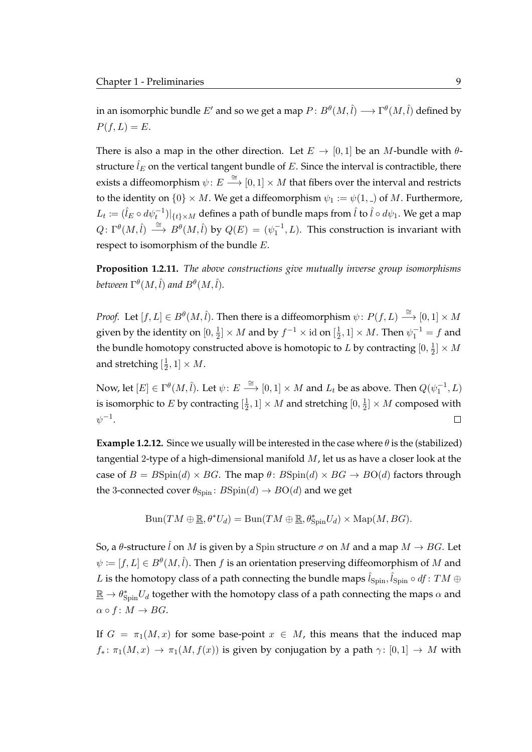in an isomorphic bundle  $E'$  and so we get a map  $P\colon B^{\theta}(M,\hat{l})\longrightarrow \Gamma^{\theta}(M,\hat{l})$  defined by  $P(f, L) = E.$ 

There is also a map in the other direction. Let  $E \to [0, 1]$  be an *M*-bundle with  $\theta$ structure  $\hat{l}_E$  on the vertical tangent bundle of E. Since the interval is contractible, there exists a diffeomorphism  $\psi\colon E\stackrel{\cong}{\longrightarrow}[0,1]\times M$  that fibers over the interval and restricts to the identity on  $\{0\} \times M$ . We get a diffeomorphism  $\psi_1 := \psi(1, 0)$  of M. Furthermore,  $L_t\coloneqq(\hat{l}_E\circ d\psi_t^{-1})|_{\{t\}\times M}$  defines a path of bundle maps from  $\hat{l}$  to  $\hat{l}\circ d\psi_1.$  We get a map  $Q: \Gamma^{\theta}(M, \hat{l}) \stackrel{\cong}{\longrightarrow} B^{\theta}(M, \hat{l})$  by  $Q(E) = (\psi_1^{-1}, L)$ . This construction is invariant with respect to isomorphism of the bundle E.

<span id="page-26-0"></span>**Proposition 1.2.11.** *The above constructions give mutually inverse group isomorphisms* between  $\Gamma^\theta(M,\hat{l})$  and  $B^\theta(M,\hat{l}).$ 

*Proof.* Let  $[f, L] \in B^{\theta}(M, \hat{l})$ . Then there is a diffeomorphism  $\psi \colon P(f, L) \stackrel{\cong}{\longrightarrow} [0, 1] \times M$ given by the identity on  $[0,\frac{1}{2}]$  $\frac{1}{2}$ ] × *M* and by  $f^{-1}$  × id on  $[\frac{1}{2}]$  $[\frac{1}{2}, 1] \times M$ . Then  $\psi_1^{-1} = f$  and the bundle homotopy constructed above is homotopic to  $L$  by contracting  $[0,\frac{1}{2}]$  $\frac{1}{2}]\times M$ and stretching  $[\frac{1}{2}]$  $\frac{1}{2}, 1] \times M$ .

Now, let  $[E] \in \Gamma^\theta(M, \hat{l})$ . Let  $\psi \colon E \stackrel{\cong}{\longrightarrow} [0,1] \times M$  and  $L_t$  be as above. Then  $Q(\psi_1^{-1}, L)$ is isomorphic to E by contracting  $[\frac{1}{2}]$  $[\frac{1}{2},1]\times M$  and stretching  $[0,\frac{1}{2}]$  $\frac{1}{2}]\times M$  composed with  $\psi^{-1}.$  $\Box$ 

**Example 1.2.12.** Since we usually will be interested in the case where  $\theta$  is the (stabilized) tangential 2-type of a high-dimensional manifold  $M$ , let us as have a closer look at the case of  $B = B\text{Spin}(d) \times BG$ . The map  $\theta$ :  $B\text{Spin}(d) \times BG \rightarrow BO(d)$  factors through the 3-connected cover  $\theta_{\text{Spin}}$ :  $B\text{Spin}(d) \rightarrow B\text{O}(d)$  and we get

$$
Bun(TM \oplus \underline{\mathbb{R}}, \theta^*U_d) = Bun(TM \oplus \underline{\mathbb{R}}, \theta^*_{Spin}U_d) \times Map(M, BG).
$$

So, a  $\theta$ -structure  $\hat{l}$  on M is given by a Spin structure  $\sigma$  on M and a map  $M \to BG$ . Let  $\psi \coloneqq [f,L] \in B^{\theta}(M,\hat{l}).$  Then  $f$  is an orientation preserving diffeomorphism of  $M$  and  $L$  is the homotopy class of a path connecting the bundle maps  $\hat{l}_\mathrm{Spin}, \hat{l}_\mathrm{Spin} \circ df \colon TM \oplus$  $\underline{\mathbb{R}} \to \theta^*_{\text{Spin}} U_d$  together with the homotopy class of a path connecting the maps  $\alpha$  and  $\alpha \circ f \colon M \to BG.$ 

If  $G = \pi_1(M, x)$  for some base-point  $x \in M$ , this means that the induced map  $f_*: \pi_1(M, x) \to \pi_1(M, f(x))$  is given by conjugation by a path  $\gamma: [0, 1] \to M$  with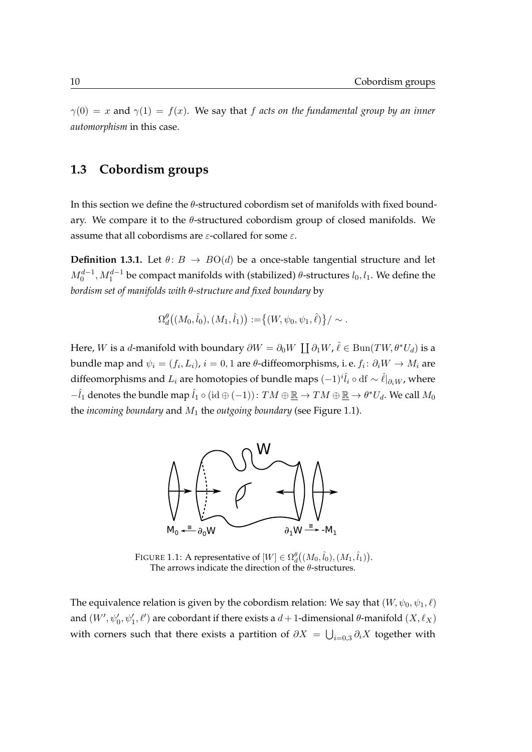$\gamma(0) = x$  and  $\gamma(1) = f(x)$ . We say that f acts on the fundamental group by an inner *automorphism* in this case.

### <span id="page-27-0"></span>**1.3 Cobordism groups**

In this section we define the  $\theta$ -structured cobordism set of manifolds with fixed boundary. We compare it to the  $\theta$ -structured cobordism group of closed manifolds. We assume that all cobordisms are  $\varepsilon$ -collared for some  $\varepsilon$ .

**Definition 1.3.1.** Let  $\theta: B \to BO(d)$  be a once-stable tangential structure and let  $M_0^{d-1}, M_1^{d-1}$  be compact manifolds with (stabilized)  $\theta$ -structures  $l_0, l_1$ . We define the *bordism set of manifolds with* θ*-structure and fixed boundary* by

$$
\Omega_d^{\theta}((M_0,\hat{l}_0),(M_1,\hat{l}_1)) := \{(W,\psi_0,\psi_1,\hat{\ell})\}/\sim.
$$

<span id="page-27-1"></span>Here,  $W$  is a  $d$ -manifold with boundary  $\partial W = \partial_0 W \coprod \partial_1 W$ ,  $\hat{\ell} \in \text{Bun}(TW, \theta^* U_d)$  is a bundle map and  $\psi_i=(f_i,L_i)$ ,  $i=0,1$  are  $\theta$ -diffeomorphisms, i.e.  $f_i\colon \partial_i W\to M_i$  are diffeomorphisms and  $L_i$  are homotopies of bundle maps  $(-1)^i \hat{l}_i \circ df \sim \hat{l}|_{\partial_i W}$ , where  $-\hat{l}_1$  denotes the bundle map  $\hat{l}_1\circ (\mathrm{id}\oplus(-1))\colon TM\oplus \underline{\mathbb{R}} \to TM\oplus \underline{\mathbb{R}} \to \theta^*U_d.$  We call  $M_0$ the *incoming boundary* and M<sup>1</sup> the *outgoing boundary* (see [Figure 1.1\)](#page-27-1).



FIGURE 1.1: A representative of  $[W] \in \Omega^{\theta}_d((M_0, \hat{l}_0), (M_1, \hat{l}_1)).$ The arrows indicate the direction of the  $\theta$ -structures.

The equivalence relation is given by the cobordism relation: We say that  $(W, \psi_0, \psi_1, \ell)$ and  $(W', \psi'_0, \psi'_1, \ell')$  are cobordant if there exists a  $d+1$ -dimensional  $\theta$ -manifold  $(X, \ell_X)$ with corners such that there exists a partition of  $\partial X \,=\, \bigcup_{i=0,3}\partial_i X$  together with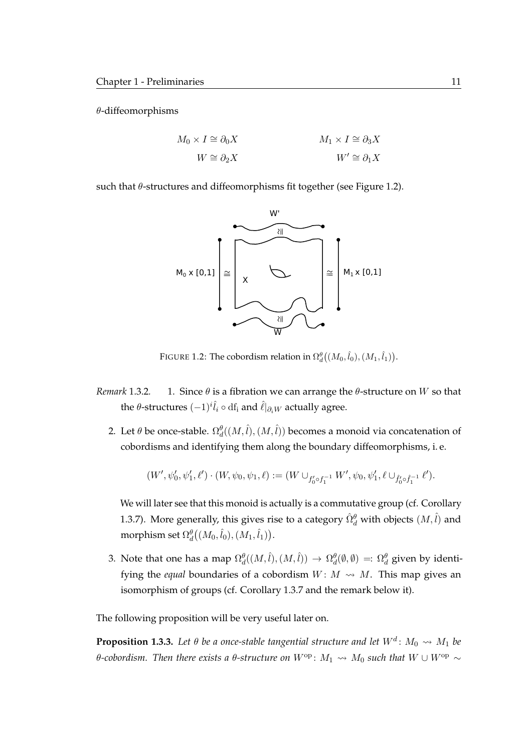$\theta$ -diffeomorphisms

$$
M_0 \times I \cong \partial_0 X
$$
  

$$
W \cong \partial_2 X
$$
  

$$
M_1 \times I \cong \partial_3 X
$$
  

$$
W' \cong \partial_1 X
$$

<span id="page-28-0"></span>such that  $\theta$ -structures and diffeomorphisms fit together (see [Figure 1.2\)](#page-28-0).



FIGURE 1.2: The cobordism relation in  $\Omega^{\theta}_d\big( (M_0, \hat{l}_0), (M_1, \hat{l}_1) \big).$ 

- *Remark* 1.3.2. 1. Since  $\theta$  is a fibration we can arrange the  $\theta$ -structure on W so that the  $\theta$ -structures  $(-1)^{i}\hat{l}_{i} \circ df_{i}$  and  $\hat{\ell}|_{\partial_{i}W}$  actually agree.
	- 2. Let  $\theta$  be once-stable.  $\Omega_d^{\theta}((M, \hat{l}), (M, \hat{l}))$  becomes a monoid via concatenation of cobordisms and identifying them along the boundary diffeomorphisms, i. e.

$$
(W',\psi'_0,\psi'_1,\ell')\cdot (W,\psi_0,\psi_1,\ell):=(W\cup_{f'_0\circ f_1^{-1}}W',\psi_0,\psi'_1,\ell\cup_{\hat{f}'_0\circ\hat{f}_1^{-1}}\ell').
$$

We will later see that this monoid is actually is a commutative group (cf. [Corollary](#page-31-0) [1.3.7\)](#page-31-0). More generally, this gives rise to a category  $\hat{\Omega}^{\theta}_{d}$  with objects  $(M, \hat{l})$  and morphism set  $\Omega_d^{\theta}\bigl((M_0,\hat{l}_0),(M_1,\hat{l}_1)\bigr).$ 

3. Note that one has a map  $\Omega_d^{\theta}((M, \hat{l}), (M, \hat{l})) \to \Omega_d^{\theta}(\emptyset, \emptyset) =: \Omega_d^{\theta}$  given by identifying the *equal* boundaries of a cobordism  $W: M \rightarrow M$ . This map gives an isomorphism of groups (cf. [Corollary 1.3.7](#page-31-0) and the remark below it).

The following proposition will be very useful later on.

<span id="page-28-1"></span>**Proposition 1.3.3.** Let  $\theta$  be a once-stable tangential structure and let  $W^d\colon M_0 \rightsquigarrow M_1$  be θ-cobordism. Then there exists a θ-structure on  $W^{op}$ :  $M_1$  →  $M_0$  such that  $W \cup W^{op}$  ~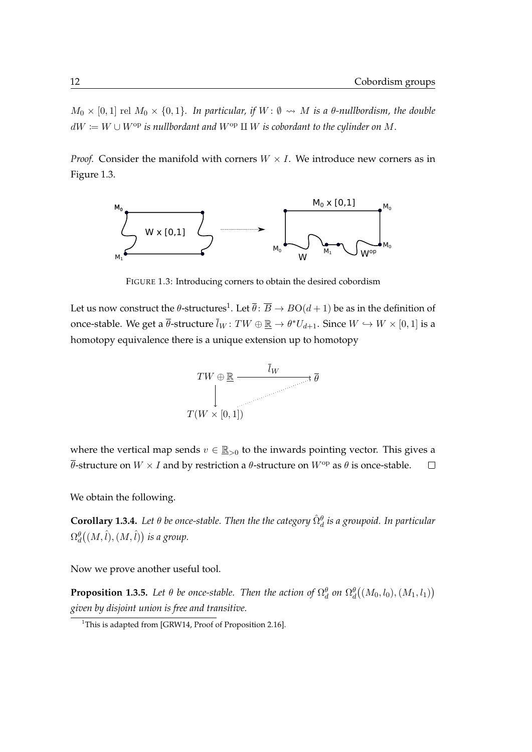$M_0 \times [0,1]$  rel  $M_0 \times \{0,1\}$ . In particular, if  $W: \emptyset \rightsquigarrow M$  is a  $\theta$ -nullbordism, the double  $dW \coloneqq W \cup W^{\text{op}}$  *is nullbordant and*  $W^{\text{op}} \amalg W$  *is cobordant to the cylinder on* M.

*Proof.* Consider the manifold with corners  $W \times I$ . We introduce new corners as in [Figure 1.3.](#page-29-0)

<span id="page-29-0"></span>

FIGURE 1.3: Introducing corners to obtain the desired cobordism

Let us now construct the  $\theta$ -structures $^1$  $^1$ . Let  $\overline{\theta}\colon \overline{B}\to B\mathrm{O}(d+1)$  be as in the definition of once-stable. We get a  $\overline{\theta}$ -structure  $\overline{l}_W\colon TW\oplus\underline{\mathbb{R}}\to\theta^*U_{d+1}.$  Since  $W\hookrightarrow W\times[0,1]$  is a homotopy equivalence there is a unique extension up to homotopy



where the vertical map sends  $v \in \underline{\mathbb{R}}_{>0}$  to the inwards pointing vector. This gives a  $\overline{\theta}$ -structure on  $W \times I$  and by restriction a  $\theta$ -structure on  $W^{\text{op}}$  as  $\theta$  is once-stable.  $\Box$ 

We obtain the following.

 $\bf{Corollary 1.3.4.}$  Let  $\theta$  be once-stable. Then the the category  $\hat{\Omega}_{d}^{\theta}$  is a groupoid. In particular  $\Omega^{\theta}_{d}\bigl((M, \hat{l}), (M, \hat{l})\bigr)$  is a group.

Now we prove another useful tool.

<span id="page-29-2"></span>**Proposition 1.3.5.** Let  $\theta$  be once-stable. Then the action of  $\Omega_d^{\theta}$  on  $\Omega_d^{\theta}((M_0,l_0),(M_1,l_1))$ *given by disjoint union is free and transitive.*

<span id="page-29-1"></span><sup>&</sup>lt;sup>1</sup>This is adapted from [\[GRW14,](#page-120-6) Proof of Proposition 2.16].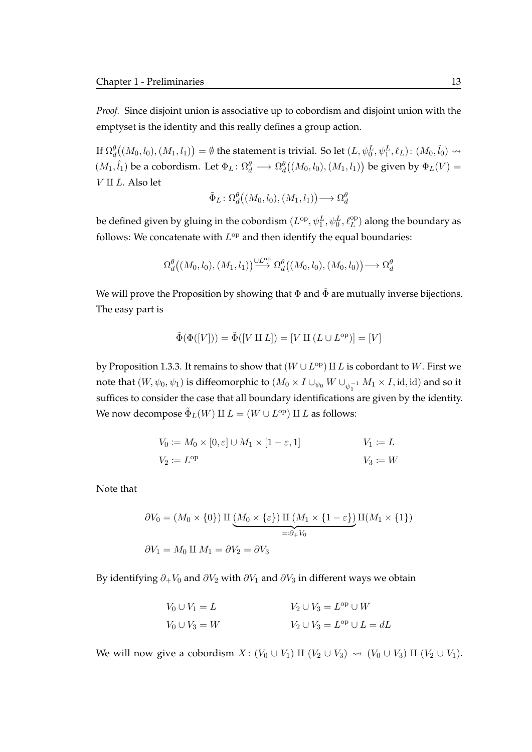*Proof.* Since disjoint union is associative up to cobordism and disjoint union with the emptyset is the identity and this really defines a group action.

If  $\Omega^{\theta}_{d}\big((M_0,l_0),(M_1,l_1)\big)=\emptyset$  the statement is trivial. So let  $(L,\psi^L_0,\psi^L_1,\ell_L)\colon (M_0,\hat{l}_0)\rightsquigarrow$  $(M_1, \hat{l}_1)$  be a cobordism. Let  $\Phi_L \colon \Omega_d^{\theta} \longrightarrow \Omega_d^{\theta}((M_0, l_0), (M_1, l_1))$  be given by  $\Phi_L(V) =$  $V$  II  $L$ . Also let

$$
\tilde{\Phi}_L \colon \Omega_d^\theta\big((M_0,l_0),(M_1,l_1)\big) \longrightarrow \Omega_d^\theta
$$

be defined given by gluing in the cobordism  $(L^{\rm op}, \psi_1^L, \psi_0^L, \ell_L^{\rm op})$  along the boundary as follows: We concatenate with  $L^{\text{op}}$  and then identify the equal boundaries:

$$
\Omega_d^{\theta}((M_0, l_0), (M_1, l_1)) \stackrel{\cup L^{\mathrm{op}}}{\longrightarrow} \Omega_d^{\theta}((M_0, l_0), (M_0, l_0)) \longrightarrow \Omega_d^{\theta}
$$

We will prove the Proposition by showing that  $\Phi$  and  $\tilde{\Phi}$  are mutually inverse bijections. The easy part is

$$
\tilde{\Phi}(\Phi([V])) = \tilde{\Phi}([V \amalg L]) = [V \amalg (L \cup L^{\text{op}})] = [V]
$$

by [Proposition 1.3.3.](#page-28-1) It remains to show that  $(W \cup L^{\rm op}) \amalg L$  is cobordant to  $W$ . First we note that  $(W,\psi_0,\psi_1)$  is diffeomorphic to  $(M_0\times I\cup_{\psi_0}W\cup_{\psi_1^{-1}}M_1\times I, \mathrm{id}, \mathrm{id})$  and so it suffices to consider the case that all boundary identifications are given by the identity. We now decompose  $\tilde{\Phi}_L(W)$  II  $L = (W \cup L^{\mathrm{op}})$  II  $L$  as follows:

$$
V_0 := M_0 \times [0, \varepsilon] \cup M_1 \times [1 - \varepsilon, 1]
$$
  
\n
$$
V_1 := L
$$
  
\n
$$
V_2 := L^{\text{op}}
$$
  
\n
$$
V_3 := W
$$

Note that

$$
\partial V_0 = (M_0 \times \{0\}) \amalg \underbrace{(M_0 \times \{\varepsilon\}) \amalg (M_1 \times \{1 - \varepsilon\})}_{=: \partial_+ V_0} \amalg (M_1 \times \{1\})
$$
  

$$
\partial V_1 = M_0 \amalg M_1 = \partial V_2 = \partial V_3
$$

By identifying  $\partial_+V_0$  and  $\partial V_2$  with  $\partial V_1$  and  $\partial V_3$  in different ways we obtain

$$
V_0 \cup V_1 = L
$$
  
\n
$$
V_2 \cup V_3 = L^{\text{op}} \cup W
$$
  
\n
$$
V_2 \cup V_3 = L^{\text{op}} \cup L = dL
$$

We will now give a cobordism  $X: (V_0 \cup V_1) \amalg (V_2 \cup V_3) \rightsquigarrow (V_0 \cup V_3) \amalg (V_2 \cup V_1)$ .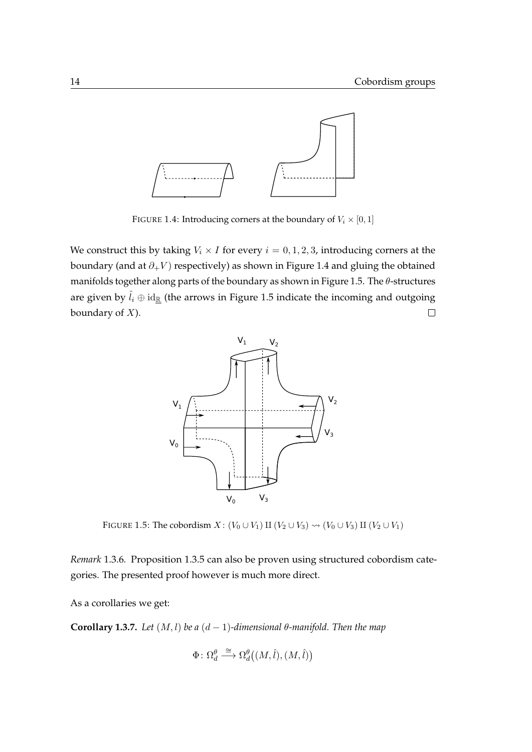<span id="page-31-1"></span>

FIGURE 1.4: Introducing corners at the boundary of  $V_i \times [0,1]$ 

<span id="page-31-2"></span>We construct this by taking  $V_i \times I$  for every  $i = 0, 1, 2, 3$ , introducing corners at the boundary (and at  $\partial_+V$ ) respectively) as shown in [Figure 1.4](#page-31-1) and gluing the obtained manifolds together along parts of the boundary as shown in [Figure 1.5.](#page-31-2) The  $\theta$ -structures are given by  $\hat{l}_i \oplus id_{\underline{\mathbb{R}}}$  (the arrows in [Figure 1.5](#page-31-2) indicate the incoming and outgoing boundary of  $X$ ).  $\Box$ 



FIGURE 1.5: The cobordism  $X: (V_0 \cup V_1)$  II  $(V_2 \cup V_3) \rightsquigarrow (V_0 \cup V_3)$  II  $(V_2 \cup V_1)$ 

*Remark* 1.3.6*.* [Proposition 1.3.5](#page-29-2) can also be proven using structured cobordism categories. The presented proof however is much more direct.

As a corollaries we get:

<span id="page-31-0"></span>**Corollary 1.3.7.** *Let*  $(M, l)$  *be a*  $(d - 1)$ *-dimensional*  $\theta$ *-manifold. Then the map* 

$$
\Phi\colon \Omega_d^\theta \stackrel{\cong}{\longrightarrow} \Omega_d^\theta\big((M,\hat{l}),(M,\hat{l})\big)
$$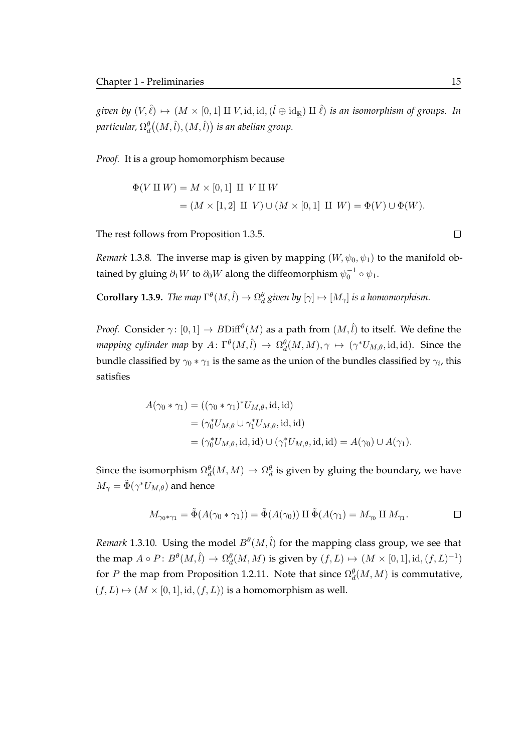given by  $(V,\hat{\ell})\mapsto (M\times [0,1]\amalg V,$  id, id,  $(\hat{l}\oplus{\rm{id}}_{\R})\amalg\hat{\ell})$  is an isomorphism of groups. In particular,  $\Omega_d^{\theta}\big((M, \hat{l}), (M, \hat{l})\big)$  is an abelian group.

*Proof.* It is a group homomorphism because

$$
\Phi(V \amalg W) = M \times [0,1] \amalg V \amalg W
$$
  
=  $(M \times [1,2] \amalg V) \cup (M \times [0,1] \amalg W) = \Phi(V) \cup \Phi(W).$ 

The rest follows from [Proposition 1.3.5.](#page-29-2)

*Remark* 1.3.8. The inverse map is given by mapping  $(W, \psi_0, \psi_1)$  to the manifold obtained by gluing  $\partial_1 W$  to  $\partial_0 W$  along the diffeomorphism  $\psi_0^{-1} \circ \psi_1.$ 

**Corollary 1.3.9.** *The map*  $\Gamma^{\theta}(M, \hat{l}) \to \Omega^{\theta}_{d}$  given by  $[\gamma] \mapsto [M_{\gamma}]$  is a homomorphism.

*Proof.* Consider  $\gamma$ :  $[0,1] \to B\mathrm{Diff}^{\theta}(M)$  as a path from  $(M, \hat{l})$  to itself. We define the *mapping cylinder map* by  $A\colon \Gamma^\theta(M, \hat{l}) \to \Omega_d^\theta(M, M), \gamma \mapsto (\gamma^* U_{M, \theta}, \text{id}, \text{id}).$  Since the bundle classified by  $\gamma_0 * \gamma_1$  is the same as the union of the bundles classified by  $\gamma_i$ , this satisfies

$$
A(\gamma_0 * \gamma_1) = ((\gamma_0 * \gamma_1)^* U_{M,\theta}, \text{id}, \text{id})
$$
  
= 
$$
(\gamma_0^* U_{M,\theta} \cup \gamma_1^* U_{M,\theta}, \text{id}, \text{id})
$$
  
= 
$$
(\gamma_0^* U_{M,\theta}, \text{id}, \text{id}) \cup (\gamma_1^* U_{M,\theta}, \text{id}, \text{id}) = A(\gamma_0) \cup A(\gamma_1).
$$

Since the isomorphism  $\Omega_d^{\theta}(M,M) \to \Omega_d^{\theta}$  is given by gluing the boundary, we have  $M_{\gamma}=\tilde{\Phi}(\gamma^{*}U_{M,\theta})$  and hence

$$
M_{\gamma_0*\gamma_1} = \tilde{\Phi}(A(\gamma_0*\gamma_1)) = \tilde{\Phi}(A(\gamma_0)) \amalg \tilde{\Phi}(A(\gamma_1)) = M_{\gamma_0} \amalg M_{\gamma_1}.
$$

<span id="page-32-0"></span>*Remark* 1.3.10. Using the model  $B^{\theta}(M, \hat{l})$  for the mapping class group, we see that the map  $A \circ P \colon B^{\theta}(M, \hat{l}) \to \Omega^{\theta}_d(M, M)$  is given by  $(f, L) \mapsto (M \times [0, 1], \text{id}, (f, L)^{-1})$ for P the map from [Proposition 1.2.11.](#page-26-0) Note that since  $\Omega_d^{\theta}(M, M)$  is commutative,  $(f, L) \mapsto (M \times [0, 1], id, (f, L))$  is a homomorphism as well.

 $\Box$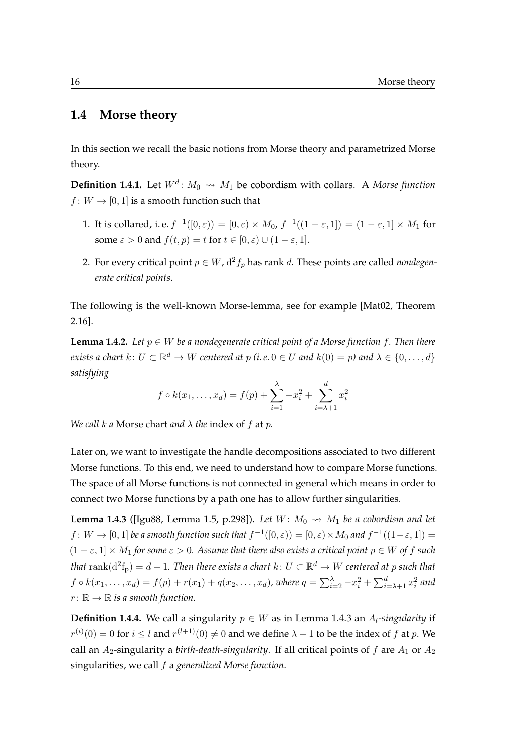### **1.4 Morse theory**

In this section we recall the basic notions from Morse theory and parametrized Morse theory.

**Definition 1.4.1.** Let  $W^d$ :  $M_0 \rightsquigarrow M_1$  be cobordism with collars. A *Morse function*  $f: W \to [0, 1]$  is a smooth function such that

- 1. It is collared, i.e.  $f^{-1}([0,\varepsilon)) = [0,\varepsilon) \times M_0$ ,  $f^{-1}((1-\varepsilon,1]) = (1-\varepsilon,1] \times M_1$  for some  $\varepsilon > 0$  and  $f(t, p) = t$  for  $t \in [0, \varepsilon) \cup (1 - \varepsilon, 1]$ .
- 2. For every critical point  $p \in W$ ,  $d^2 f_p$  has rank d. These points are called *nondegenerate critical points*.

The following is the well-known Morse-lemma, see for example [\[Mat02,](#page-121-2) Theorem 2.16].

**Lemma 1.4.2.** Let  $p \in W$  be a nondegenerate critical point of a Morse function f. Then there *exists a chart*  $k: U \subset \mathbb{R}^d \to W$  *centered at*  $p$  *(i.e.*  $0 \in U$  *and*  $k(0) = p$ *) and*  $\lambda \in \{0, \ldots, d\}$ *satisfying*

$$
f \circ k(x_1,...,x_d) = f(p) + \sum_{i=1}^{\lambda} -x_i^2 + \sum_{i=\lambda+1}^{d} x_i^2
$$

*We call* k *a* Morse chart *and* λ *the* index of f at p*.*

Later on, we want to investigate the handle decompositions associated to two different Morse functions. To this end, we need to understand how to compare Morse functions. The space of all Morse functions is not connected in general which means in order to connect two Morse functions by a path one has to allow further singularities.

<span id="page-33-0"></span>**Lemma 1.4.3** ([\[Igu88,](#page-120-3) Lemma 1.5, p.298]). Let  $W: M_0 \rightarrow M_1$  be a cobordism and let  $f\colon W\to [0,1]$  be a smooth function such that  $f^{-1}([0,\varepsilon))=[0,\varepsilon)\times M_0$  and  $f^{-1}((1-\varepsilon,1])=0$  $(1 - \varepsilon, 1] \times M_1$  *for some*  $\varepsilon > 0$ *. Assume that there also exists a critical point*  $p \in W$  *of f such* that  $\mathrm{rank}(\mathrm{d}^2\mathrm{f}_\mathrm{p})=d-1.$  Then there exists a chart  $k\colon U\subset \mathbb{R}^d\to W$  centered at  $p$  such that  $f \circ k(x_1,\ldots,x_d) = f(p) + r(x_1) + q(x_2,\ldots,x_d)$ , where  $q = \sum_{i=2}^{\lambda} -x_i^2 + \sum_{i=\lambda+1}^{d} x_i^2$  and  $r: \mathbb{R} \to \mathbb{R}$  is a smooth function.

**Definition 1.4.4.** We call a singularity  $p \in W$  as in [Lemma 1.4.3](#page-33-0) an  $A_l$ -singularity if  $r^{(i)}(0) = 0$  for  $i \leq l$  and  $r^{(l+1)}(0) \neq 0$  and we define  $\lambda - 1$  to be the index of  $f$  at  $p$ . We call an  $A_2$ -singularity a *birth-death-singularity*. If all critical points of f are  $A_1$  or  $A_2$ singularities, we call f a *generalized Morse function*.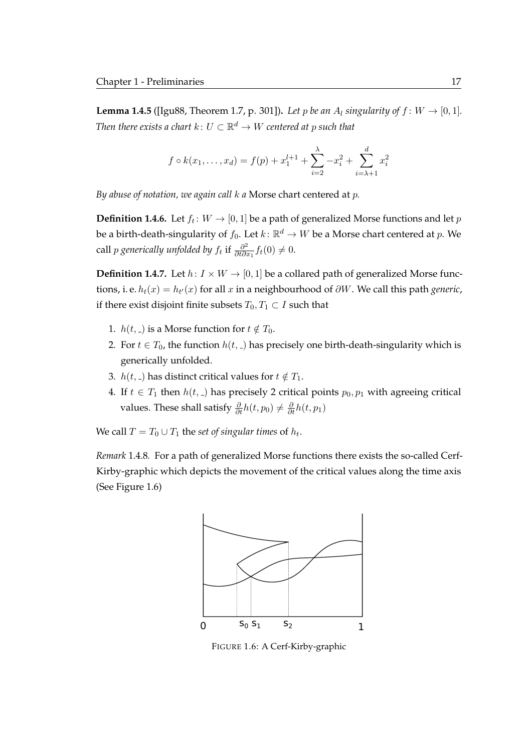**Lemma 1.4.5** ([\[Igu88,](#page-120-3) Theorem 1.7, p. 301]). Let p be an  $A_l$  singularity of  $f: W \rightarrow [0, 1]$ . Then there exists a chart  $k\colon U\subset \mathbb{R}^d \to W$  centered at  $p$  such that

$$
f \circ k(x_1,...,x_d) = f(p) + x_1^{l+1} + \sum_{i=2}^{\lambda} -x_i^2 + \sum_{i=\lambda+1}^{\lambda} x_i^2
$$

*By abuse of notation, we again call* k *a* Morse chart centered at p*.*

**Definition 1.4.6.** Let  $f_t \colon W \to [0,1]$  be a path of generalized Morse functions and let  $p$ be a birth-death-singularity of  $f_0.$  Let  $k \colon \mathbb{R}^d \to W$  be a Morse chart centered at  $p.$  We call  $p$  generically unfolded by  $f_t$  if  $\frac{\partial^2}{\partial t \partial x^2}$  $\frac{\partial^2}{\partial t \partial x_1} f_t(0) \neq 0.$ 

**Definition 1.4.7.** Let  $h: I \times W \rightarrow [0, 1]$  be a collared path of generalized Morse functions, i. e.  $h_t(x) = h_{t'}(x)$  for all  $x$  in a neighbourhood of  $\partial W$ . We call this path *generic*, if there exist disjoint finite subsets  $T_0, T_1 \subset I$  such that

- 1.  $h(t, \, \_)$  is a Morse function for  $t \notin T_0$ .
- 2. For  $t \in T_0$ , the function  $h(t, \cdot)$  has precisely one birth-death-singularity which is generically unfolded.
- 3.  $h(t, \, \_)$  has distinct critical values for  $t \notin T_1$ .
- 4. If  $t \in T_1$  then  $h(t, \_)$  has precisely 2 critical points  $p_0, p_1$  with agreeing critical values. These shall satisfy  $\frac{\partial}{\partial t}h(t, p_0) \neq \frac{\partial}{\partial t}h(t, p_1)$

We call  $T = T_0 \cup T_1$  the *set of singular times* of  $h_t$ .

<span id="page-34-0"></span>*Remark* 1.4.8*.* For a path of generalized Morse functions there exists the so-called Cerf-Kirby-graphic which depicts the movement of the critical values along the time axis (See [Figure 1.6\)](#page-34-0)



FIGURE 1.6: A Cerf-Kirby-graphic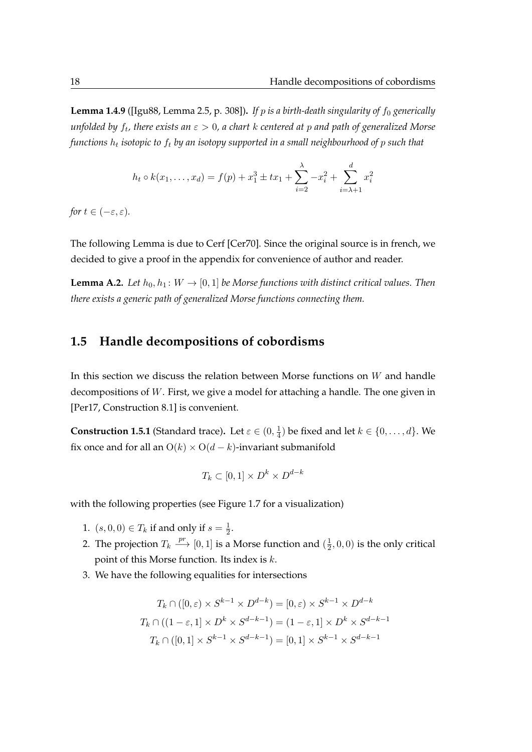**Lemma 1.4.9** ([\[Igu88,](#page-120-3) Lemma 2.5, p. 308]). If p is a birth-death singularity of  $f_0$  generically *unfolded by* f<sup>t</sup> *, there exists an* ε > 0*, a chart* k *centered at* p *and path of generalized Morse* functions  $h_t$  isotopic to  $f_t$  by an isotopy supported in a small neighbourhood of  $p$  such that

$$
h_t \circ k(x_1, \dots, x_d) = f(p) + x_1^3 \pm tx_1 + \sum_{i=2}^{\lambda} -x_i^2 + \sum_{i=\lambda+1}^{\lambda} x_i^2
$$

*for*  $t \in (-\varepsilon, \varepsilon)$ *.* 

The following Lemma is due to Cerf [\[Cer70\]](#page-118-5). Since the original source is in french, we decided to give a proof in the appendix for convenience of author and reader.

**[Lemma A.2.](#page-104-2)** *Let*  $h_0, h_1: W \to [0, 1]$  *be Morse functions with distinct critical values. Then there exists a generic path of generalized Morse functions connecting them.*

#### <span id="page-35-0"></span>**1.5 Handle decompositions of cobordisms**

In this section we discuss the relation between Morse functions on  $W$  and handle decompositions of W. First, we give a model for attaching a handle. The one given in [\[Per17,](#page-122-6) Construction 8.1] is convenient.

**Construction 1.5.1** (Standard trace). Let  $\varepsilon \in (0, \frac{1}{4})$  $(\frac{1}{4})$  be fixed and let  $k \in \{0, \ldots, d\}$ . We fix once and for all an  $O(k) \times O(d-k)$ -invariant submanifold

$$
T_k \subset [0,1] \times D^k \times D^{d-k}
$$

with the following properties (see [Figure 1.7](#page-36-0) for a visualization)

- 1.  $(s,0,0) \in T_k$  if and only if  $s = \frac{1}{2}$  $\frac{1}{2}$ .
- 2. The projection  $T_k \stackrel{pr}{\longrightarrow} [0,1]$  is a Morse function and  $(\frac{1}{2})$  $(\frac{1}{2}, 0, 0)$  is the only critical point of this Morse function. Its index is  $k$ .
- 3. We have the following equalities for intersections

$$
T_k \cap ([0, \varepsilon) \times S^{k-1} \times D^{d-k}) = [0, \varepsilon) \times S^{k-1} \times D^{d-k}
$$

$$
T_k \cap ((1 - \varepsilon, 1] \times D^k \times S^{d-k-1}) = (1 - \varepsilon, 1] \times D^k \times S^{d-k-1}
$$

$$
T_k \cap ([0, 1] \times S^{k-1} \times S^{d-k-1}) = [0, 1] \times S^{k-1} \times S^{d-k-1}
$$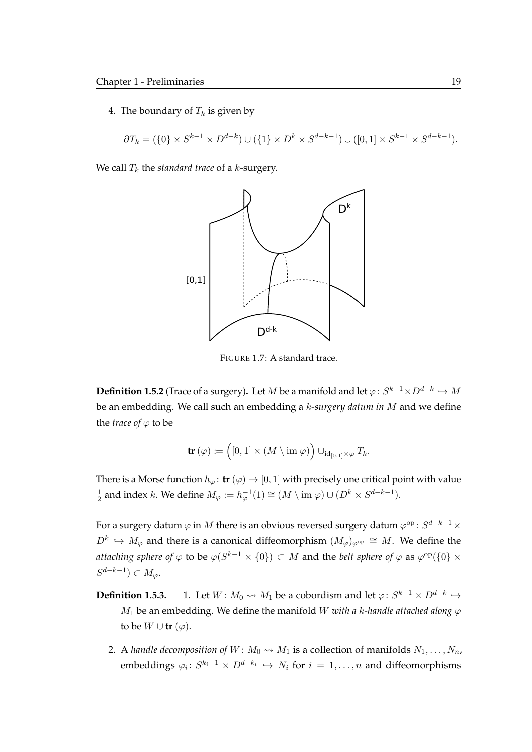4. The boundary of  $T_k$  is given by

$$
\partial T_k=(\{0\}\times S^{k-1}\times D^{d-k})\cup (\{1\}\times D^k\times S^{d-k-1})\cup ([0,1]\times S^{k-1}\times S^{d-k-1}).
$$

We call  $T_k$  the *standard trace* of a  $k$ -surgery.



FIGURE 1.7: A standard trace.

**Definition 1.5.2** (Trace of a surgery). Let  $M$  be a manifold and let  $\varphi\colon S^{k-1}\times D^{d-k}\hookrightarrow M$ be an embedding. We call such an embedding a k*-surgery datum in* M and we define the *trace* of  $\varphi$  to be

$$
\text{tr}(\varphi) \coloneqq \left( [0,1] \times (M \setminus \text{im } \varphi) \right) \cup_{\text{id}_{[0,1]} \times \varphi} T_k.
$$

There is a Morse function  $h_{\varphi}$ : **tr**  $(\varphi) \to [0, 1]$  with precisely one critical point with value 1  $\frac{1}{2}$  and index k. We define  $M_{\varphi} := h_{\varphi}^{-1}(1) \cong (M \setminus \text{im } \varphi) \cup (D^k \times S^{d-k-1}).$ 

For a surgery datum  $\varphi$  in  $M$  there is an obvious reversed surgery datum  $\varphi^{\rm op} \colon S^{d-k-1} \times$  $D^k$   $\hookrightarrow$   $M_{\varphi}$  and there is a canonical diffeomorphism  $(M_{\varphi})_{\varphi^{\text{op}}}\cong M$ . We define the *attaching sphere of*  $\varphi$  *to be*  $\varphi(S^{k-1}\times\{0\})\subset M$  *and the <i>belt sphere of*  $\varphi$  *as*  $\varphi^{\rm op}(\{0\}\times\{0\})$  $S^{d-k-1}) \subset M_{\varphi}.$ 

- **Definition 1.5.3.** 1. Let  $W: M_0 \rightsquigarrow M_1$  be a cobordism and let  $\varphi: S^{k-1} \times D^{d-k} \hookrightarrow$  $M_1$  be an embedding. We define the manifold W *with a k-handle attached along*  $\varphi$ to be  $W \cup \text{tr } (\varphi)$ .
	- 2. A *handle decomposition of*  $W: M_0 \rightarrow M_1$  is a collection of manifolds  $N_1, \ldots, N_n$ , embeddings  $\varphi_i \colon S^{k_i-1} \times D^{d-k_i} \hookrightarrow N_i$  for  $i = 1, \ldots, n$  and diffeomorphisms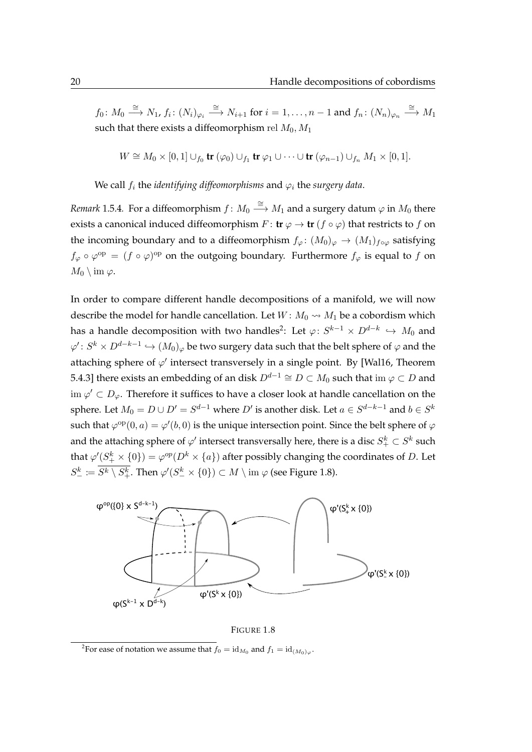$f_0\colon M_0\stackrel{\cong}{\longrightarrow} N_1$ ,  $f_i\colon (N_i)_{\varphi_i}\stackrel{\cong}{\longrightarrow} N_{i+1}$  for  $i=1,\ldots,n-1$  and  $f_n\colon (N_n)_{\varphi_n}\stackrel{\cong}{\longrightarrow} M_1$ such that there exists a diffeomorphism rel  $M_0, M_1$ 

$$
W \cong M_0 \times [0,1] \cup_{f_0} \mathbf{tr}(\varphi_0) \cup_{f_1} \mathbf{tr} \varphi_1 \cup \cdots \cup \mathbf{tr}(\varphi_{n-1}) \cup_{f_n} M_1 \times [0,1].
$$

We call  $f_i$  the *identifying diffeomorphisms* and  $\varphi_i$  the *surgery data*.

<span id="page-37-2"></span>*Remark* 1.5.4. For a diffeomorphism  $f \colon M_0 \stackrel{\cong}{\longrightarrow} M_1$  and a surgery datum  $\varphi$  in  $M_0$  there exists a canonical induced diffeomorphism  $F : \mathbf{tr} \varphi \to \mathbf{tr} (f \circ \varphi)$  that restricts to f on the incoming boundary and to a diffeomorphism  $f_{\varphi} \colon (M_0)_{\varphi} \to (M_1)_{f \circ \varphi}$  satisfying  $f_{\varphi} \circ \varphi^{\rm op} = (f \circ \varphi)^{\rm op}$  on the outgoing boundary. Furthermore  $f_{\varphi}$  is equal to f on  $M_0 \setminus \text{im } \varphi$ .

In order to compare different handle decompositions of a manifold, we will now describe the model for handle cancellation. Let  $W: M_0 \rightarrow M_1$  be a cobordism which has a handle decomposition with two handles $^2\!\colon$  $^2\!\colon$  $^2\!\colon$  Let  $\varphi\colon S^{k-1}\times D^{d-k}\,\hookrightarrow\,M_0$  and  $\varphi'\colon S^k\times D^{d-k-1}\hookrightarrow (M_0)_\varphi$  be two surgery data such that the belt sphere of  $\varphi$  and the attaching sphere of  $\varphi'$  intersect transversely in a single point. By [\[Wal16,](#page-122-0) Theorem 5.4.3] there exists an embedding of an disk  $D^{d-1} \cong D \subset M_0$  such that im  $\varphi \subset D$  and im  $\varphi' \subset D_{\varphi}$ . Therefore it suffices to have a closer look at handle cancellation on the sphere. Let  $M_0=D\cup D'=S^{d-1}$  where  $D'$  is another disk. Let  $a\in S^{d-k-1}$  and  $b\in S^k$ such that  $\varphi^{\rm op}(0,a) = \varphi'(b,0)$  is the unique intersection point. Since the belt sphere of  $\varphi$ and the attaching sphere of  $\varphi'$  intersect transversally here, there is a disc  $S_+^k\subset S^k$  such that  $\varphi'(S^k_+ \times \{0\}) = \varphi^{op}(D^k \times \{a\})$  after possibly changing the coordinates of  $D.$  Let  $S^{k}_{-} \coloneqq S^{k} \setminus S^{k}_{+}.$  Then  $\varphi'(S^{k}_{-} \times \{0\}) \subset M \setminus \mathrm{im}~\varphi$  (see [Figure 1.8\)](#page-37-1).

<span id="page-37-1"></span>

FIGURE 1.8

<span id="page-37-0"></span><sup>&</sup>lt;sup>2</sup>For ease of notation we assume that  $f_0 = \mathrm{id}_{M_0}$  and  $f_1 = \mathrm{id}_{(M_0)_{\varphi}}$ .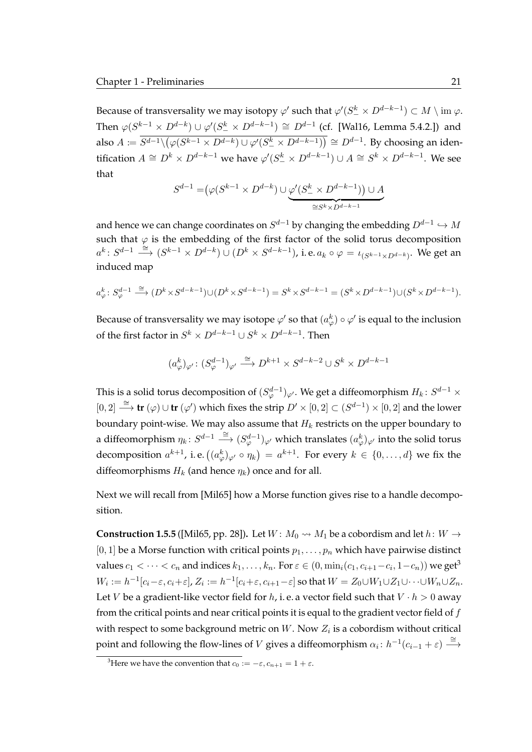Because of transversality we may isotopy  $\varphi'$  such that  $\varphi'(S^k_- \times D^{d-k-1}) \subset M \setminus \mathrm{im}\ \varphi.$ Then  $\varphi(S^{k-1}\times D^{d-k})\cup\varphi'(S^k_-\times D^{d-k-1})\cong D^{d-1}$  (cf. [\[Wal16,](#page-122-0) Lemma 5.4.2.]) and also  $A\coloneqq\overline{S^{d-1}\backslash(\varphi(S^{k-1}\times D^{d-k})\cup\varphi'(S^k_- \times D^{d-k-1}))}\cong D^{d-1}.$  By choosing an identification  $A \cong D^k \times D^{d-k-1}$  we have  $\varphi'(S^k_-\times D^{d-k-1})\cup A \cong S^k \times D^{d-k-1}$ . We see that

$$
S^{d-1} = \n\big(\varphi(S^{k-1} \times D^{d-k}) \cup \underbrace{\varphi'(S^k_-\times D^{d-k-1})\big) \cup A}_{\cong S^k \times D^{d-k-1}}
$$

and hence we can change coordinates on  $S^{d-1}$  by changing the embedding  $D^{d-1}\hookrightarrow M$ such that  $\varphi$  is the embedding of the first factor of the solid torus decomposition  $a^k\colon S^{d-1}\stackrel{\cong}\longrightarrow (S^{k-1}\times D^{d-k})\cup (D^k\times S^{d-k-1})$ , i.e.  $a_k\circ\varphi=\iota_{(S^{k-1}\times D^{d-k})}$ . We get an induced map

$$
a_{\varphi}^k\colon S_{\varphi}^{d-1}\xrightarrow{\cong} (D^k\times S^{d-k-1})\cup (D^k\times S^{d-k-1})=S^k\times S^{d-k-1}=(S^k\times D^{d-k-1})\cup (S^k\times D^{d-k-1}).
$$

Because of transversality we may isotope  $\varphi'$  so that  $(a_\varphi^k)\circ\varphi'$  is equal to the inclusion of the first factor in  $S^k \times D^{d-k-1} \cup S^k \times D^{d-k-1}.$  Then

$$
(a^k_\varphi)_{\varphi'}\colon (S^{d-1}_\varphi)_{\varphi'}\overset{\cong}{\longrightarrow} D^{k+1}\times S^{d-k-2}\cup S^k\times D^{d-k-1}
$$

This is a solid torus decomposition of  $(S^{d-1}_\varphi)_{{\varphi}'}.$  We get a diffeomorphism  $H_k \colon S^{d-1} \times$ [0, 2]  $\stackrel{\cong}{\longrightarrow}$  **tr** ( $\varphi$ ) ∪ **tr** ( $\varphi'$ ) which fixes the strip  $D' \times [0,2] \subset (S^{d-1}) \times [0,2]$  and the lower boundary point-wise. We may also assume that  $H_k$  restricts on the upper boundary to a diffeomorphism  $\eta_k\colon S^{d-1}\stackrel{\cong}{\longrightarrow} (S^{d-1}_\varphi)_\varphi'$  which translates  $(a^k_\varphi)_\varphi'$  into the solid torus decomposition  $a^{k+1}$ , i.e.  $\big((a^k_{\varphi})_{\varphi'}\circ\eta_k\big)\,=\,a^{k+1}.$  For every  $k\,\in\,\{0,\ldots,d\}$  we fix the diffeomorphisms  $H_k$  (and hence  $\eta_k$ ) once and for all.

Next we will recall from [\[Mil65\]](#page-121-0) how a Morse function gives rise to a handle decomposition.

<span id="page-38-1"></span>**Construction 1.5.5** ([\[Mil65,](#page-121-0) pp. 28]). Let  $W: M_0 \rightsquigarrow M_1$  be a cobordism and let  $h: W \rightarrow$ [0, 1] be a Morse function with critical points  $p_1, \ldots, p_n$  which have pairwise distinct values  $c_1 < \cdots < c_n$  and indices  $k_1, \ldots, k_n$ . For  $\varepsilon \in (0, \min_i(c_1, c_{i+1} - c_i, 1-c_n))$  we get<sup>[3](#page-38-0)</sup>  $W_i:=h^{-1}[c_i-\varepsilon,c_i+\varepsilon]$ ,  $Z_i:=h^{-1}[c_i+\varepsilon,c_{i+1}-\varepsilon]$  so that  $W=Z_0\cup W_1\cup Z_1\cup\cdots\cup W_n\cup Z_n$ . Let *V* be a gradient-like vector field for *h*, i. e. a vector field such that  $V \cdot h > 0$  away from the critical points and near critical points it is equal to the gradient vector field of  $f$ with respect to some background metric on  $W$ . Now  $Z_i$  is a cobordism without critical point and following the flow-lines of V gives a diffeomorphism  $\alpha_i$ :  $h^{-1}(c_{i-1} + \varepsilon) \stackrel{\cong}{\longrightarrow}$ 

<span id="page-38-0"></span><sup>&</sup>lt;sup>3</sup>Here we have the convention that  $c_0 := -\varepsilon$ ,  $c_{n+1} = 1 + \varepsilon$ .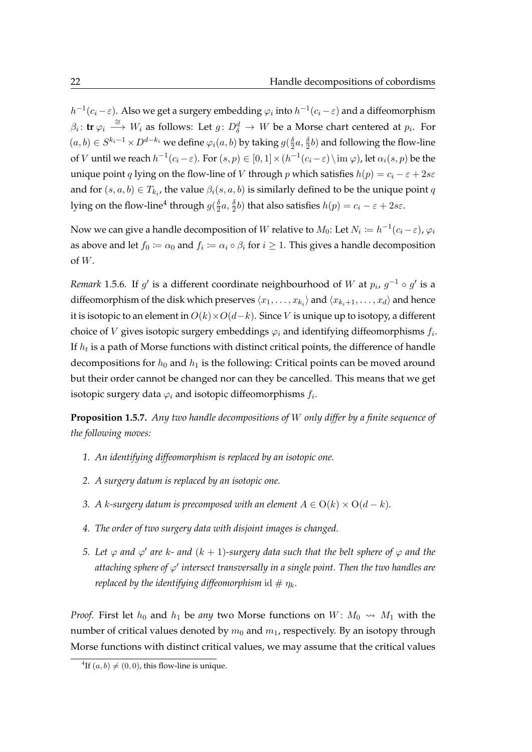$h^{-1}(c_i-\varepsilon)$ . Also we get a surgery embedding  $\varphi_i$  into  $h^{-1}(c_i-\varepsilon)$  and a diffeomorphism  $\beta_i\colon \mathbf{tr}\,\varphi_i\, \stackrel{\cong}{\longrightarrow}\, W_i$  as follows: Let  $g\colon D^d_\delta\, \to\, W$  be a Morse chart centered at  $p_i.$  For  $(a, b) \in S^{k_i-1} \times D^{d-k_i}$  we define  $\varphi_i(a, b)$  by taking  $g(\frac{\delta}{2})$  $\frac{\delta}{2}a, \frac{\delta}{2}b)$  and following the flow-line of  $V$  until we reach  $h^{-1}(c_i-\varepsilon)$ . For  $(s,p)\in [0,1]\times (h^{-1}(c_i-\varepsilon)\setminus \text{im }\varphi)$ , let  $\alpha_i(s,p)$  be the unique point q lying on the flow-line of V through p which satisfies  $h(p) = c_i - \varepsilon + 2s\varepsilon$ and for  $(s, a, b) \in T_{k_i}$ , the value  $\beta_i(s, a, b)$  is similarly defined to be the unique point  $q$ lying on the flow-line $^4$  $^4$  through  $g(\frac{\delta}{2})$  $\frac{\delta}{2}a, \frac{\delta}{2}b)$  that also satisfies  $h(p) = c_i - \varepsilon + 2s\varepsilon.$ 

Now we can give a handle decomposition of  $W$  relative to  $M_0$ : Let  $N_i\coloneqq h^{-1}(c_i-\varepsilon)$ ,  $\varphi_i$ as above and let  $f_0\coloneqq\alpha_0$  and  $f_i\coloneqq\alpha_i\circ\beta_i$  for  $i\geq 1.$  This gives a handle decomposition of  $W$ .

<span id="page-39-1"></span>*Remark* 1.5.6. If  $g'$  is a different coordinate neighbourhood of W at  $p_i$ ,  $g^{-1} \circ g'$  is a diffeomorphism of the disk which preserves  $\langle x_1, \ldots, x_{k_i}\rangle$  and  $\langle x_{k_i+1}, \ldots, x_d\rangle$  and hence it is isotopic to an element in  $O(k) \times O(d-k)$ . Since V is unique up to isotopy, a different choice of  $V$  gives isotopic surgery embeddings  $\varphi_i$  and identifying diffeomorphisms  $f_i.$ If  $h_t$  is a path of Morse functions with distinct critical points, the difference of handle decompositions for  $h_0$  and  $h_1$  is the following: Critical points can be moved around but their order cannot be changed nor can they be cancelled. This means that we get isotopic surgery data  $\varphi_i$  and isotopic diffeomorphisms  $f_i.$ 

<span id="page-39-2"></span>**Proposition 1.5.7.** *Any two handle decompositions of* W *only differ by a finite sequence of the following moves:*

- *1. An identifying diffeomorphism is replaced by an isotopic one.*
- *2. A surgery datum is replaced by an isotopic one.*
- *3. A k*-surgery datum is precomposed with an element  $A \in O(k) \times O(d k)$ *.*
- *4. The order of two surgery data with disjoint images is changed.*
- *5. Let*  $\varphi$  and  $\varphi'$  are k- and  $(k + 1)$ -surgery data such that the belt sphere of  $\varphi$  and the *attaching sphere of* ϕ 0 *intersect transversally in a single point. Then the two handles are replaced by the identifying diffeomorphism* id  $\#\eta_k$ .

*Proof.* First let  $h_0$  and  $h_1$  be *any* two Morse functions on  $W: M_0 \rightarrow M_1$  with the number of critical values denoted by  $m_0$  and  $m_1$ , respectively. By an isotopy through Morse functions with distinct critical values, we may assume that the critical values

<span id="page-39-0"></span><sup>&</sup>lt;sup>4</sup>If  $(a, b) \neq (0, 0)$ , this flow-line is unique.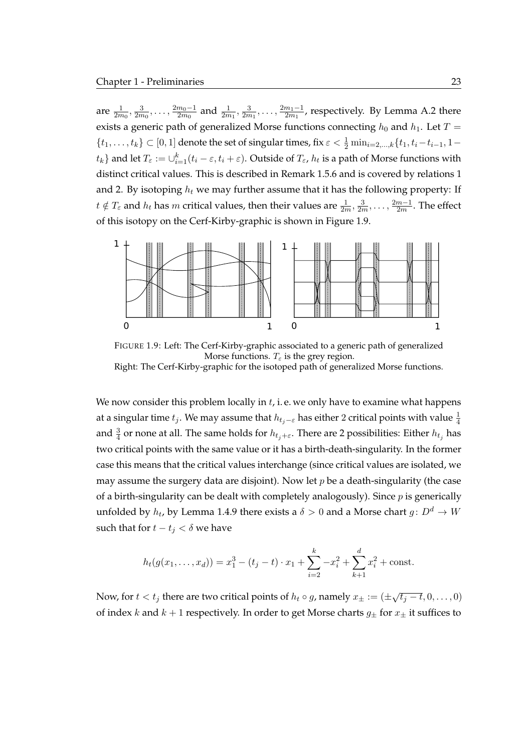are  $\frac{1}{2m_0}, \frac{3}{2m}$  $\frac{3}{2m_0}, \ldots, \frac{2m_0-1}{2m_0}$  $\frac{m_0-1}{2m_0}$  and  $\frac{1}{2m_1}, \frac{3}{2m_1}$  $\frac{3}{2m_1}, \ldots, \frac{2m_1-1}{2m_1}$  $\frac{m_1-1}{2m_1}$ , respectively. By [Lemma A.2](#page-104-0) there exists a generic path of generalized Morse functions connecting  $h_0$  and  $h_1$ . Let  $T =$  $\{t_1,\ldots,t_k\} \subset [0,1]$  denote the set of singular times, fix  $\varepsilon < \frac{1}{2} \min_{i=2,\ldots,k} \{t_1,t_i-t_{i-1},1-t_{i-1}\}$  $\{t_k\}$  and let  $T_\varepsilon:=\cup_{i=1}^k(t_i-\varepsilon,t_i+\varepsilon).$  Outside of  $T_\varepsilon$ ,  $h_t$  is a path of Morse functions with distinct critical values. This is described in [Remark 1.5.6](#page-39-1) and is covered by relations 1 and 2. By isotoping  $h_t$  we may further assume that it has the following property: If  $t \notin T_\varepsilon$  and  $h_t$  has  $m$  critical values, then their values are  $\frac{1}{2m}, \frac{3}{2m}$  $\frac{3}{2m}, \ldots, \frac{2m-1}{2m}$  $\frac{m-1}{2m}$ . The effect of this isotopy on the Cerf-Kirby-graphic is shown in [Figure 1.9.](#page-40-0)

<span id="page-40-0"></span>

FIGURE 1.9: Left: The Cerf-Kirby-graphic associated to a generic path of generalized Morse functions.  $T_{\varepsilon}$  is the grey region. Right: The Cerf-Kirby-graphic for the isotoped path of generalized Morse functions.

We now consider this problem locally in  $t$ , i.e. we only have to examine what happens at a singular time  $t_j.$  We may assume that  $h_{t_j- \varepsilon}$  has either  $2$  critical points with value  $\frac{1}{4}$ and  $\frac{3}{4}$  or none at all. The same holds for  $h_{t_j+\varepsilon}.$  There are 2 possibilities: Either  $h_{t_j}$  has two critical points with the same value or it has a birth-death-singularity. In the former case this means that the critical values interchange (since critical values are isolated, we may assume the surgery data are disjoint). Now let  $p$  be a death-singularity (the case of a birth-singularity can be dealt with completely analogously). Since  $p$  is generically unfolded by  $h_t$ , by [Lemma 1.4.9](#page-35-0) there exists a  $\delta>0$  and a Morse chart  $g\colon D^d\to W$ such that for  $t - t_j < \delta$  we have

$$
h_t(g(x_1,\ldots,x_d)) = x_1^3 - (t_j - t) \cdot x_1 + \sum_{i=2}^k -x_i^2 + \sum_{k=1}^d x_i^2 + \text{const.}
$$

Now, for  $t < t_j$  there are two critical points of  $h_t \circ g$ , namely  $x_{\pm} := (\pm \sqrt{t_j - t}, 0, \dots, 0)$ of index k and  $k + 1$  respectively. In order to get Morse charts  $g_{\pm}$  for  $x_{\pm}$  it suffices to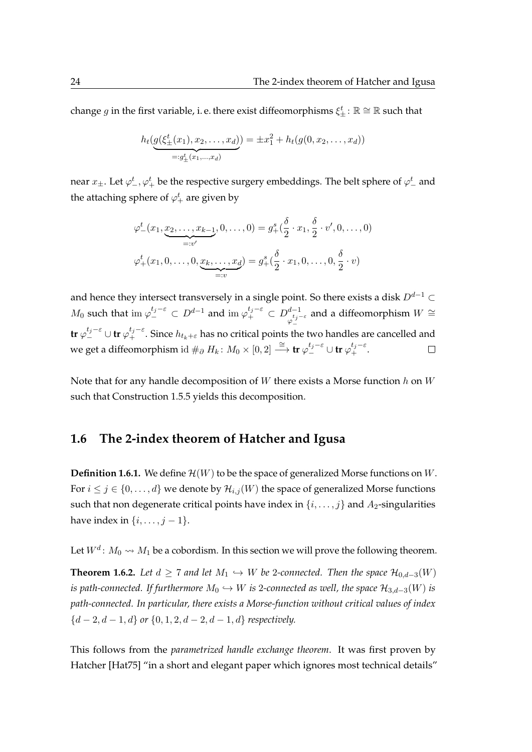change  $g$  in the first variable, i. e. there exist diffeomorphisms  $\xi_\pm^t$  :  $\mathbb{R}\cong\mathbb{R}$  such that

$$
h_t(g(\xi_{\pm}^t(x_1), x_2, \dots, x_d)) = \pm x_1^2 + h_t(g(0, x_2, \dots, x_d))
$$
  
=:g\_{\pm}^t(x\_1, \dots, x\_d)

near  $x_{\pm}.$  Let  $\varphi_-^t, \varphi_+^t$  be the respective surgery embeddings. The belt sphere of  $\varphi_-^t$  and the attaching sphere of  $\varphi_+^t$  are given by

$$
\varphi_{-}^{t}(x_{1}, \underbrace{x_{2}, \ldots, x_{k-1}}_{=:v'}, 0, \ldots, 0) = g_{+}^{s}(\frac{\delta}{2} \cdot x_{1}, \frac{\delta}{2} \cdot v', 0, \ldots, 0)
$$

$$
\varphi_{+}^{t}(x_{1}, 0, \ldots, 0, \underbrace{x_{k}, \ldots, x_{d}}_{=:v}) = g_{+}^{s}(\frac{\delta}{2} \cdot x_{1}, 0, \ldots, 0, \frac{\delta}{2} \cdot v)
$$

and hence they intersect transversely in a single point. So there exists a disk  $D^{d-1} \subset$  $M_0$  such that im  $\varphi_{-}^{t_j-\varepsilon} \subset D^{d-1}$  and im  $\varphi_{+}^{t_j-\varepsilon} \subset D_{\_t_{j-}t_j}^{d-1}$ and a diffeomorphism  $W \cong$  $\varphi_{-}^{t_j-\varepsilon}$  ${\sf tr}\,\varphi_-^{t_j-\varepsilon}\cup{\sf tr}\,\varphi_+^{t_j-\varepsilon}.$  Since  $h_{t_k+\varepsilon}$  has no critical points the two handles are cancelled and we get a diffeomorphism id  $\#_\partial H_k\colon M_0\times [0,2]\stackrel{\cong}{\longrightarrow}$  tr  $\varphi_-^{t_j-{\varepsilon}}\cup$  tr  $\varphi_+^{t_j-{\varepsilon}}.$  $\Box$ 

Note that for any handle decomposition of  $W$  there exists a Morse function  $h$  on  $W$ such that [Construction 1.5.5](#page-38-1) yields this decomposition.

#### **1.6 The 2-index theorem of Hatcher and Igusa**

**Definition 1.6.1.** We define  $\mathcal{H}(W)$  to be the space of generalized Morse functions on  $W$ . For  $i \leq j \in \{0, \ldots, d\}$  we denote by  $\mathcal{H}_{i,j}(W)$  the space of generalized Morse functions such that non degenerate critical points have index in  $\{i, \ldots, j\}$  and  $A_2$ -singularities have index in  $\{i, \ldots, j-1\}$ .

Let  $W^d\colon M_0\rightsquigarrow M_1$  be a cobordism. In this section we will prove the following theorem.

<span id="page-41-0"></span>**Theorem 1.6.2.** Let  $d \geq 7$  and let  $M_1 \hookrightarrow W$  be 2-connected. Then the space  $\mathcal{H}_{0,d-3}(W)$ *is path-connected. If furthermore*  $M_0 \hookrightarrow W$  *is* 2*-connected as well, the space*  $\mathcal{H}_{3,d-3}(W)$  *is path-connected. In particular, there exists a Morse-function without critical values of index* {d − 2, d − 1, d} *or* {0, 1, 2, d − 2, d − 1, d} *respectively.*

This follows from the *parametrized handle exchange theorem*. It was first proven by Hatcher [\[Hat75\]](#page-120-0) "in a short and elegant paper which ignores most technical details"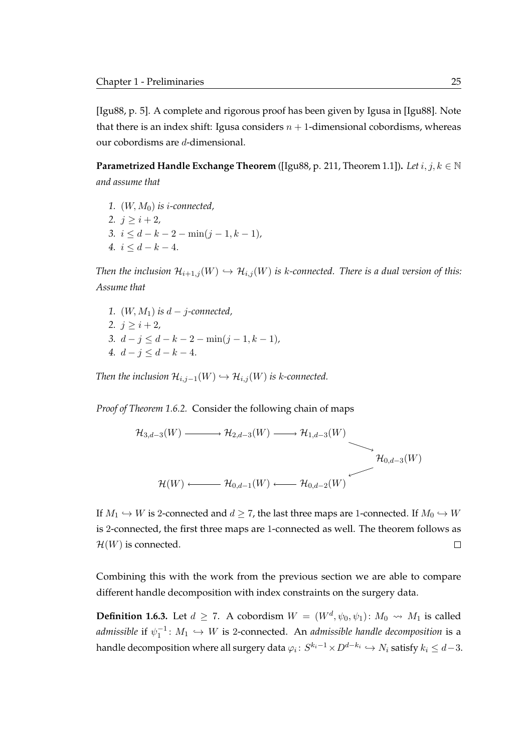[\[Igu88,](#page-120-1) p. 5]. A complete and rigorous proof has been given by Igusa in [\[Igu88\]](#page-120-1). Note that there is an index shift: Igusa considers  $n + 1$ -dimensional cobordisms, whereas our cobordisms are d-dimensional.

**Parametrized Handle Exchange Theorem** ([\[Igu88,](#page-120-1) p. 211, Theorem 1.1])**.** *Let* i, j, k ∈ N *and assume that*

1.  $(W, M_0)$  *is i-connected*, 2.  $j \geq i+2$ , *3.*  $i \leq d - k - 2 - \min(j - 1, k - 1)$ *, 4.*  $i \leq d - k - 4$ .

*Then the inclusion*  $\mathcal{H}_{i+1,j}(W) \hookrightarrow \mathcal{H}_{i,j}(W)$  *is k-connected. There is a dual version of this: Assume that*

*1.* (W, M1) *is* d − j*-connected,* 2.  $j \geq i+2$ , *3.*  $d - j \leq d - k - 2 - \min(j - 1, k - 1)$ *, 4.*  $d - j \leq d - k - 4$ .

*Then the inclusion*  $\mathcal{H}_{i,j-1}(W) \hookrightarrow \mathcal{H}_{i,j}(W)$  *is k-connected.* 

*Proof of [Theorem 1.6.2.](#page-41-0)* Consider the following chain of maps

$$
\mathcal{H}_{3,d-3}(W) \longrightarrow \mathcal{H}_{2,d-3}(W) \longrightarrow \mathcal{H}_{1,d-3}(W)
$$
\n
$$
\mathcal{H}_{0,d-3}(W) \longleftarrow \mathcal{H}_{0,d-3}(W)
$$
\n
$$
\mathcal{H}(W) \longleftarrow \mathcal{H}_{0,d-1}(W) \longleftarrow \mathcal{H}_{0,d-2}(W)
$$

If  $M_1 \hookrightarrow W$  is 2-connected and  $d \geq 7$ , the last three maps are 1-connected. If  $M_0 \hookrightarrow W$ is 2-connected, the first three maps are 1-connected as well. The theorem follows as  $\mathcal{H}(W)$  is connected.  $\Box$ 

Combining this with the work from the previous section we are able to compare different handle decomposition with index constraints on the surgery data.

**Definition 1.6.3.** Let  $d \ge 7$ . A cobordism  $W = (W^d, \psi_0, \psi_1)$ :  $M_0 \rightsquigarrow M_1$  is called  $admissible$  if  $\psi_1^{-1} \colon M_1 \hookrightarrow W$  is 2-connected. An *admissible handle decomposition* is a handle decomposition where all surgery data  $\varphi_i\colon S^{k_i-1}\!\times\!D^{d-k_i}\hookrightarrow N_i$  satisfy  $k_i\leq d\!-\!3.$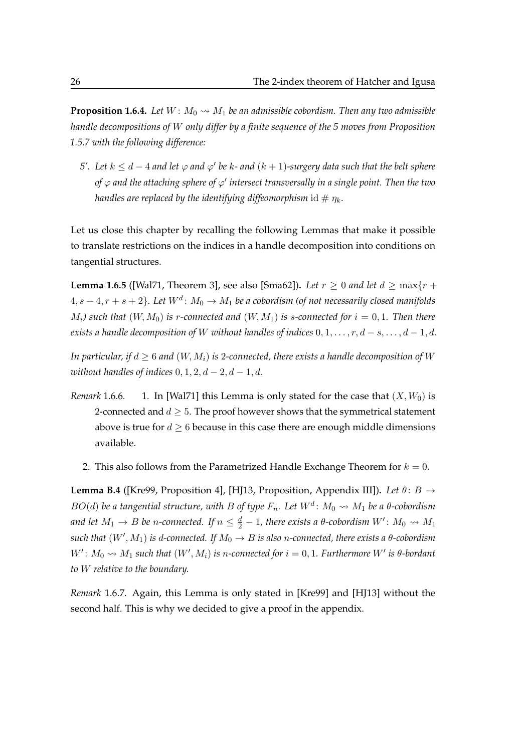<span id="page-43-0"></span>**Proposition 1.6.4.** Let  $W: M_0 \rightarrow M_1$  be an admissible cobordism. Then any two admissible *handle decompositions of* W *only differ by a finite sequence of the 5 moves from [Proposition](#page-39-2) [1.5.7](#page-39-2) with the following difference:*

*5'.* Let  $k ≤ d - 4$  and let  $\varphi$  and  $\varphi'$  be  $k$ - and  $(k + 1)$ -surgery data such that the belt sphere of  $\varphi$  and the attaching sphere of  $\varphi'$  intersect transversally in a single point. Then the two *handles are replaced by the identifying diffeomorphism* id  $\#\eta_k$ .

Let us close this chapter by recalling the following Lemmas that make it possible to translate restrictions on the indices in a handle decomposition into conditions on tangential structures.

<span id="page-43-1"></span>**Lemma 1.6.5** ([\[Wal71,](#page-122-1) Theorem 3], see also [\[Sma62\]](#page-122-2)). Let  $r \ge 0$  and let  $d \ge \max\{r + 1\}$  $4, s+4, r+s+2\}$ . Let  $W^d\colon M_0\to M_1$  be a cobordism (of not necessarily closed manifolds  $M_i$ *)* such that  $(W, M_0)$  is r-connected and  $(W, M_1)$  is s-connected for  $i = 0, 1$ . Then there *exists a handle decomposition of* W *without handles of indices*  $0, 1, \ldots, r, d - s, \ldots, d - 1, d$ .

*In particular, if*  $d \geq 6$  *and*  $(W, M_i)$  *is* 2-connected, there exists a handle decomposition of W *without handles of indices*  $0, 1, 2, d - 2, d - 1, d$ .

- *Remark* 1.6.6. 1. In [\[Wal71\]](#page-122-1) this Lemma is only stated for the case that  $(X, W_0)$  is 2-connected and  $d \geq 5$ . The proof however shows that the symmetrical statement above is true for  $d \geq 6$  because in this case there are enough middle dimensions available.
	- 2. This also follows from the Parametrized Handle Exchange Theorem for  $k = 0$ .

**Lemma B.4** ([\[Kre99,](#page-121-1) Proposition 4], [\[HJ13,](#page-120-2) Proposition, Appendix III]). Let  $\theta$ :  $B \rightarrow$  $BO(d)$  be a tangential structure, with B of type  $F_n$ . Let  $W^d\colon M_0 \rightsquigarrow M_1$  be a  $\theta$ -cobordism and let  $M_1 \to B$  be n-connected. If  $n \leq \frac{d}{2}-1$ , there exists a  $\theta$ -cobordism  $W' \colon M_0 \rightsquigarrow M_1$  $\mathfrak{such}\,$  that  $(W',M_1)$  is d-connected. If  $M_0\to B$  is also n-connected, there exists a  $\theta$ -cobordism  $W'$ :  $M_0 \rightsquigarrow M_1$  such that  $(W', M_i)$  is n-connected for  $i = 0, 1$ . Furthermore  $W'$  is  $\theta$ -bordant *to* W *relative to the boundary.*

*Remark* 1.6.7*.* Again, this Lemma is only stated in [\[Kre99\]](#page-121-1) and [\[HJ13\]](#page-120-2) without the second half. This is why we decided to give a proof in the appendix.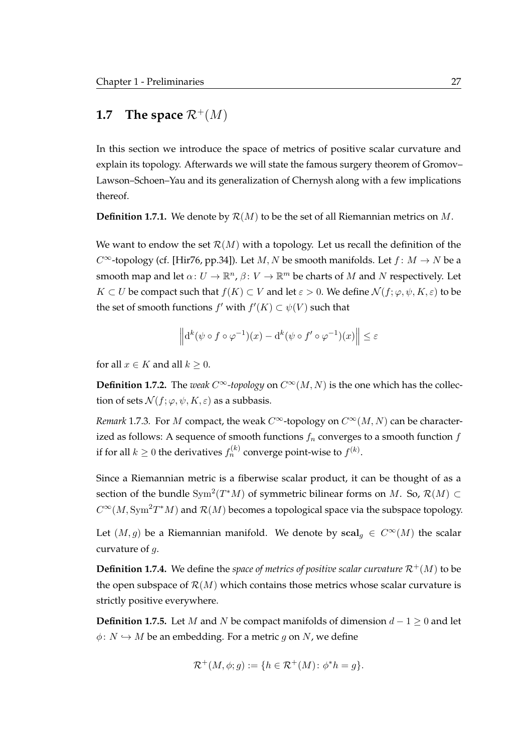## **1.7 The space**  $\mathcal{R}^+(M)$

In this section we introduce the space of metrics of positive scalar curvature and explain its topology. Afterwards we will state the famous surgery theorem of Gromov– Lawson–Schoen–Yau and its generalization of Chernysh along with a few implications thereof.

**Definition 1.7.1.** We denote by  $\mathcal{R}(M)$  to be the set of all Riemannian metrics on M.

We want to endow the set  $\mathcal{R}(M)$  with a topology. Let us recall the definition of the  $C^{\infty}$ -topology (cf. [\[Hir76,](#page-120-3) pp.34]). Let M, N be smooth manifolds. Let  $f: M \to N$  be a smooth map and let  $\alpha: U \to \mathbb{R}^n$ ,  $\beta: V \to \mathbb{R}^m$  be charts of M and N respectively. Let  $K \subset U$  be compact such that  $f(K) \subset V$  and let  $\varepsilon > 0$ . We define  $\mathcal{N}(f; \varphi, \psi, K, \varepsilon)$  to be the set of smooth functions  $f'$  with  $f'(K) \subset \psi(V)$  such that

$$
\left\| \mathrm{d}^k(\psi \circ f \circ \varphi^{-1})(x) - \mathrm{d}^k(\psi \circ f' \circ \varphi^{-1})(x) \right\| \le \varepsilon
$$

for all  $x \in K$  and all  $k \geq 0$ .

**Definition 1.7.2.** The *weak*  $C^{\infty}$ -topology on  $C^{\infty}(M, N)$  is the one which has the collection of sets  $\mathcal{N}(f; \varphi, \psi, K, \varepsilon)$  as a subbasis.

*Remark* 1.7.3*.* For *M* compact, the weak  $C^{\infty}$ -topology on  $C^{\infty}(M, N)$  can be characterized as follows: A sequence of smooth functions  $f_n$  converges to a smooth function  $f$ if for all  $k\geq 0$  the derivatives  $f_n^{(k)}$  converge point-wise to  $f^{(k)}.$ 

Since a Riemannian metric is a fiberwise scalar product, it can be thought of as a section of the bundle  $\text{Sym}^2(T^*M)$  of symmetric bilinear forms on  $M$ . So,  $\mathcal{R}(M) \subset$  $C^{\infty}(M, \text{Sym}^2 T^*M)$  and  $\mathcal{R}(M)$  becomes a topological space via the subspace topology.

Let  $(M, g)$  be a Riemannian manifold. We denote by  $\text{scal}_q \in C^{\infty}(M)$  the scalar curvature of g.

**Definition 1.7.4.** We define the *space of metrics of positive scalar curvature*  $\mathcal{R}^+(M)$  to be the open subspace of  $\mathcal{R}(M)$  which contains those metrics whose scalar curvature is strictly positive everywhere.

**Definition 1.7.5.** Let M and N be compact manifolds of dimension  $d - 1 \ge 0$  and let  $\phi: N \hookrightarrow M$  be an embedding. For a metric g on N, we define

$$
\mathcal{R}^+(M,\phi;g) := \{ h \in \mathcal{R}^+(M) \colon \phi^*h = g \}.
$$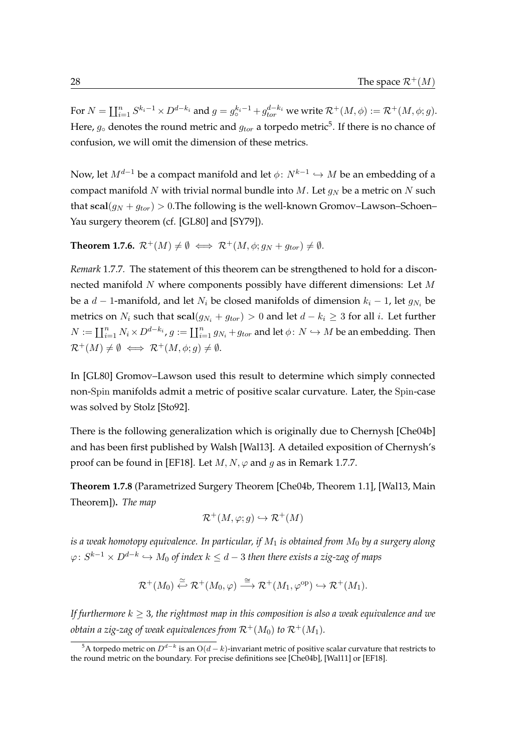For  $N=\coprod_{i=1}^n S^{k_i-1}\times D^{d-k_i}$  and  $g=g^{k_i-1}_\circ+g^{d-k_i}_{tor}$  we write  $\mathcal{R}^+(M,\phi):=\mathcal{R}^+(M,\phi;g).$ Here,  $g_\circ$  denotes the round metric and  $g_{tor}$  a torpedo metric $^5.$  $^5.$  $^5.$  If there is no chance of confusion, we will omit the dimension of these metrics.

Now, let  $M^{d-1}$  be a compact manifold and let  $\phi\colon N^{k-1}\hookrightarrow M$  be an embedding of a compact manifold N with trivial normal bundle into M. Let  $g_N$  be a metric on N such that  $\text{scal}(g_N + g_{tor}) > 0$ . The following is the well-known Gromov–Lawson–Schoen– Yau surgery theorem (cf. [\[GL80\]](#page-119-0) and [\[SY79\]](#page-122-3)).

**Theorem 1.7.6.**  $\mathcal{R}^+(M) \neq \emptyset \iff \mathcal{R}^+(M, \phi; g_N + g_{tor}) \neq \emptyset$ .

<span id="page-45-1"></span>*Remark* 1.7.7*.* The statement of this theorem can be strengthened to hold for a disconnected manifold  $N$  where components possibly have different dimensions: Let  $M$ be a  $d-1$ -manifold, and let  $N_i$  be closed manifolds of dimension  $k_i - 1$ , let  $g_{N_i}$  be metrics on  $N_i$  such that  $\text{scal}(g_{N_i} + g_{tor}) > 0$  and let  $d - k_i \geq 3$  for all i. Let further  $N := \coprod_{i=1}^n N_i \times D^{d-k_i}$ ,  $g := \coprod_{i=1}^n g_{N_i} + g_{tor}$  and let  $\phi \colon N \hookrightarrow M$  be an embedding. Then  $\mathcal{R}^+(M) \neq \emptyset \iff \mathcal{R}^+(M, \phi; g) \neq \emptyset.$ 

In [\[GL80\]](#page-119-0) Gromov–Lawson used this result to determine which simply connected non-Spin manifolds admit a metric of positive scalar curvature. Later, the Spin-case was solved by Stolz [\[Sto92\]](#page-122-4).

There is the following generalization which is originally due to Chernysh [\[Che04b\]](#page-119-1) and has been first published by Walsh [\[Wal13\]](#page-122-5). A detailed exposition of Chernysh's proof can be found in [\[EF18\]](#page-119-2). Let  $M, N, \varphi$  and g as in [Remark 1.7.7.](#page-45-1)

<span id="page-45-2"></span>**Theorem 1.7.8** (Parametrized Surgery Theorem [\[Che04b,](#page-119-1) Theorem 1.1], [\[Wal13,](#page-122-5) Main Theorem])**.** *The map*

$$
\mathcal{R}^+(M,\varphi;g) \hookrightarrow \mathcal{R}^+(M)
$$

*is a weak homotopy equivalence. In particular, if* M<sup>1</sup> *is obtained from* M<sup>0</sup> *by a surgery along*  $\varphi \colon S^{k-1} \times D^{d-k} \hookrightarrow M_0$  of index  $k \leq d-3$  then there exists a zig-zag of maps

$$
\mathcal{R}^+(M_0) \stackrel{\simeq}{\leftarrow} \mathcal{R}^+(M_0, \varphi) \stackrel{\cong}{\longrightarrow} \mathcal{R}^+(M_1, \varphi^{\text{op}}) \hookrightarrow \mathcal{R}^+(M_1).
$$

*If furthermore*  $k \geq 3$ , the rightmost map in this composition is also a weak equivalence and we *obtain a zig-zag of weak equivalences from*  $\mathcal{R}^+(M_0)$  *to*  $\mathcal{R}^+(M_1)$ *.* 

<span id="page-45-0"></span> $^5$ A torpedo metric on  $D^{d-k}$  is an  ${\rm O}(d-k)$ -invariant metric of positive scalar curvature that restricts to the round metric on the boundary. For precise definitions see [\[Che04b\]](#page-119-1), [\[Wal11\]](#page-122-6) or [\[EF18\]](#page-119-2).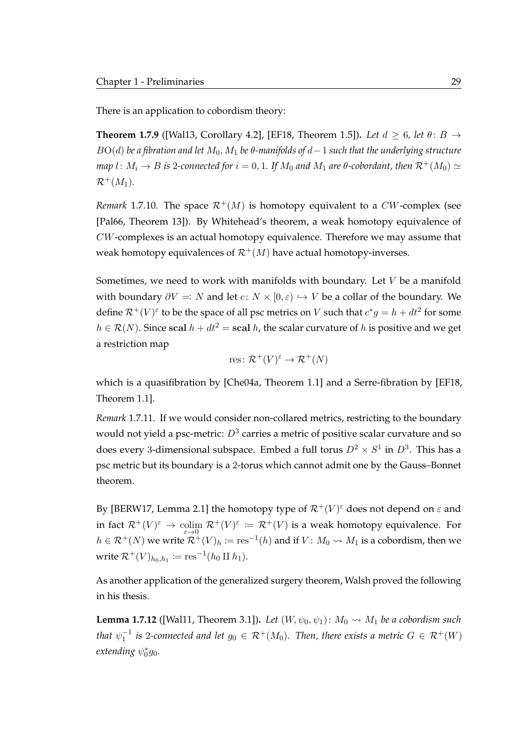There is an application to cobordism theory:

**Theorem 1.7.9** ([\[Wal13,](#page-122-5) Corollary 4.2], [\[EF18,](#page-119-2) Theorem 1.5]). Let  $d \geq 6$ , let  $\theta: B \rightarrow$ BO(d) *be a fibration and let* M0, M<sup>1</sup> *be* θ*-manifolds of* d−1 *such that the underlying structure map* l:  $M_i \rightarrow B$  *is* 2-connected for  $i = 0, 1$ . If  $M_0$  and  $M_1$  are  $\theta$ -cobordant, then  $\mathcal{R}^+(M_0) \simeq$  $\mathcal{R}^+(M_1)$ .

<span id="page-46-0"></span>*Remark* 1.7.10. The space  $\mathcal{R}^+(M)$  is homotopy equivalent to a CW-complex (see [\[Pal66,](#page-121-2) Theorem 13]). By Whitehead's theorem, a weak homotopy equivalence of CW-complexes is an actual homotopy equivalence. Therefore we may assume that weak homotopy equivalences of  $\mathcal{R}^+(M)$  have actual homotopy-inverses.

Sometimes, we need to work with manifolds with boundary. Let  $V$  be a manifold with boundary  $\partial V =: N$  and let  $c: N \times [0, \varepsilon) \hookrightarrow V$  be a collar of the boundary. We define  $\mathcal{R}^+(V)^\varepsilon$  to be the space of all psc metrics on  $V$  such that  $c^*g = h + dt^2$  for some  $h \in \mathcal{R}(N)$ . Since scal  $h + dt^2 =$  scal h, the scalar curvature of h is positive and we get a restriction map

res: 
$$
\mathcal{R}^+(V)^\varepsilon \to \mathcal{R}^+(N)
$$

which is a quasifibration by [\[Che04a,](#page-119-3) Theorem 1.1] and a Serre-fibration by [\[EF18,](#page-119-2) Theorem 1.1].

*Remark* 1.7.11*.* If we would consider non-collared metrics, restricting to the boundary would not yield a psc-metric:  $D^3$  carries a metric of positive scalar curvature and so does every 3-dimensional subspace. Embed a full torus  $D^2\times S^1$  in  $D^3.$  This has a psc metric but its boundary is a 2-torus which cannot admit one by the Gauss–Bonnet theorem.

By [\[BERW17,](#page-118-0) Lemma 2.1] the homotopy type of  $\mathcal{R}^+(V)^{\varepsilon}$  does not depend on  $\varepsilon$  and in fact  $\mathcal{R}^+(V)^\varepsilon \to \text{colim } \mathcal{R}^+(V)^\varepsilon := \mathcal{R}^+(V)$  is a weak homotopy equivalence. For  $h \in \mathcal{R}^+(N)$  we write  $\mathcal{R}^+(V)_h := \text{res}^{-1}(h)$  and if  $V: M_0 \leadsto M_1$  is a cobordism, then we write  $\mathcal{R}^+(V)_{h_0,h_1} \coloneqq \mathrm{res}^{-1}(h_0 \amalg h_1).$ 

As another application of the generalized surgery theorem, Walsh proved the following in his thesis.

<span id="page-46-1"></span>**Lemma 1.7.12** ([\[Wal11,](#page-122-6) Theorem 3.1]). Let  $(W, \psi_0, \psi_1)$ :  $M_0 \rightsquigarrow M_1$  be a cobordism such that  $\psi_1^{-1}$  is 2-connected and let  $g_0\in\mathcal{R}^+(M_0).$  Then, there exists a metric  $G\in\mathcal{R}^+(W)$ extending  $\psi_0^*$ g<sub>0</sub>.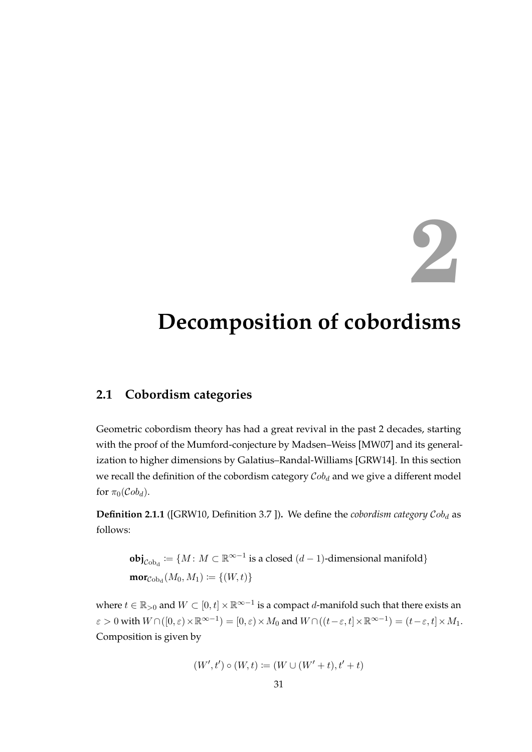## **2**

## <span id="page-48-0"></span>**Decomposition of cobordisms**

### **2.1 Cobordism categories**

Geometric cobordism theory has had a great revival in the past 2 decades, starting with the proof of the Mumford-conjecture by Madsen–Weiss [\[MW07\]](#page-121-3) and its generalization to higher dimensions by Galatius–Randal-Williams [\[GRW14\]](#page-120-4). In this section we recall the definition of the cobordism category  $Cob<sub>d</sub>$  and we give a different model for  $\pi_0(\mathcal{C}ob_d)$ .

**Definition 2.1.1** ([\[GRW10,](#page-120-5) Definition 3.7 ]). We define the *cobordism category*  $Cob<sub>d</sub>$  as follows:

$$
\textbf{obj}_{Cob_d} := \{ M : M \subset \mathbb{R}^{\infty-1} \text{ is a closed } (d-1)\text{-dimensional manifold} \}
$$
\n
$$
\textbf{mor}_{Cob_d}(M_0, M_1) := \{ (W, t) \}
$$

where  $t \in \mathbb{R}_{>0}$  and  $W \subset [0,t] \times \mathbb{R}^{\infty-1}$  is a compact *d*-manifold such that there exists an  $\varepsilon > 0$  with  $W \cap ([0, \varepsilon) \times \mathbb{R}^{\infty - 1}) = [0, \varepsilon) \times M_0$  and  $W \cap ((t - \varepsilon, t] \times \mathbb{R}^{\infty - 1}) = (t - \varepsilon, t] \times M_1$ . Composition is given by

$$
(W',t') \circ (W,t) := (W \cup (W'+t),t'+t)
$$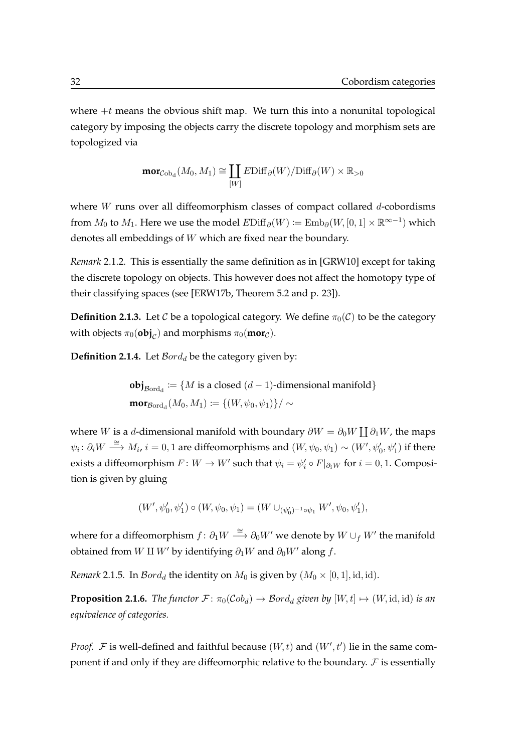where  $+t$  means the obvious shift map. We turn this into a nonunital topological category by imposing the objects carry the discrete topology and morphism sets are topologized via

$$
\mathrm{mor}_{C \mathrm{ob}_\mathrm{d}}(M_0, M_1) \cong \coprod_{[W]} E \mathrm{Diff}_\partial(W) / \mathrm{Diff}_\partial(W) \times \mathbb{R}_{>0}
$$

where  $W$  runs over all diffeomorphism classes of compact collared  $d$ -cobordisms from  $M_0$  to  $M_1$ . Here we use the model  $E\mathrm{Diff}_\partial(W) \coloneqq \mathrm{Emb}_\partial(W,[0,1] \times \mathbb{R}^{\infty-1})$  which denotes all embeddings of W which are fixed near the boundary.

*Remark* 2.1.2*.* This is essentially the same definition as in [\[GRW10\]](#page-120-5) except for taking the discrete topology on objects. This however does not affect the homotopy type of their classifying spaces (see [\[ERW17b,](#page-119-4) Theorem 5.2 and p. 23]).

**Definition 2.1.3.** Let C be a topological category. We define  $\pi_0(\mathcal{C})$  to be the category with objects  $\pi_0(\textbf{obj}_\mathcal{C})$  and morphisms  $\pi_0(\textbf{mor}_\mathcal{C})$ .

**Definition 2.1.4.** Let  $\mathcal{B}ord_d$  be the category given by:

**obj**<sub>Bord<sub>d</sub></sub> := {*M* is a closed (*d* − 1)-dimensional manifold}  $\mathbf{mor}_{\mathcal{B}\mathrm{ord}_{\mathrm{d}}}(M_0,M_1) \coloneqq \{ (W, \psi_0, \psi_1) \}/\sim$ 

where  $W$  is a  $d$ -dimensional manifold with boundary  $\partial W = \partial_0 W \coprod \partial_1 W$ , the maps  $\psi_i\colon \partial_i W\stackrel{\cong}{\longrightarrow} M_i,$   $i=0,1$  are diffeomorphisms and  $(W,\psi_0,\psi_1)\sim (W',\psi'_0,\psi'_1)$  if there exists a diffeomorphism  $F \colon W \to W'$  such that  $\psi_i = \psi'_i \circ F|_{\partial_i W}$  for  $i = 0, 1$ . Composition is given by gluing

$$
(W',\psi'_0,\psi'_1) \circ (W,\psi_0,\psi_1) = (W \cup_{(\psi'_0)^{-1} \circ \psi_1} W',\psi_0,\psi'_1),
$$

where for a diffeomorphism  $f\colon \partial_1 W\stackrel{\cong}{\longrightarrow} \partial_0 W'$  we denote by  $W\cup_f W'$  the manifold obtained from W II W' by identifying  $\partial_1W$  and  $\partial_0W'$  along f.

*Remark* 2.1.5*.* In  $\mathcal{B}ord_d$  the identity on  $M_0$  is given by  $(M_0 \times [0, 1], id, id)$ *.* 

**Proposition 2.1.6.** *The functor*  $\mathcal{F}$ :  $\pi_0(\mathcal{C}ob_d) \to \mathcal{B}ord_d$  given by  $[W, t] \mapsto (W, id, id)$  *is an equivalence of categories.*

*Proof.*  $\mathcal F$  is well-defined and faithful because  $(W, t)$  and  $(W', t')$  lie in the same component if and only if they are diffeomorphic relative to the boundary.  $\mathcal F$  is essentially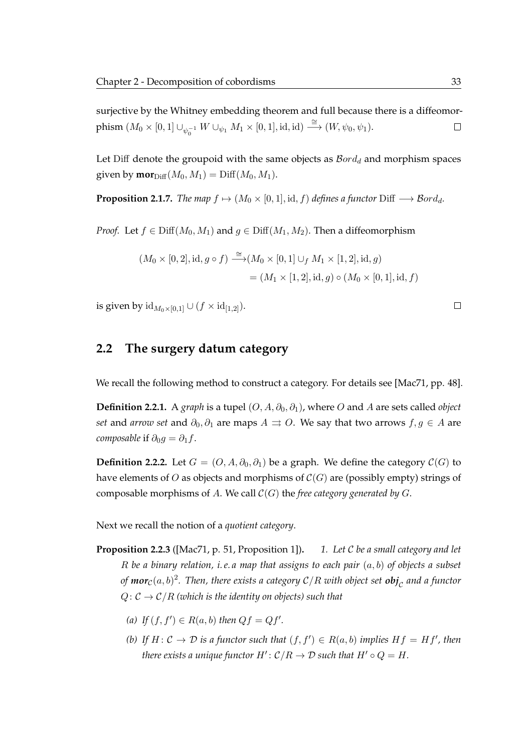surjective by the Whitney embedding theorem and full because there is a diffeomorphism  $(M_0 \times [0,1] \cup_{\psi_0^{-1}} W \cup_{\psi_1} M_1 \times [0,1], \text{id}, \text{id}) \stackrel{\cong}{\longrightarrow} (W, \psi_0, \psi_1).$  $\Box$ 

Let Diff denote the groupoid with the same objects as  $Bord<sub>d</sub>$  and morphism spaces given by  $\mathbf{mor}_{\text{Diff}}(M_0, M_1) = \text{Diff}(M_0, M_1)$ .

**Proposition 2.1.7.** *The map*  $f \mapsto (M_0 \times [0, 1], \text{id}, f)$  *defines a functor* Diff  $\longrightarrow$  Bord<sub>d</sub>.

*Proof.* Let  $f \in \text{Diff}(M_0, M_1)$  and  $g \in \text{Diff}(M_1, M_2)$ . Then a diffeomorphism

$$
(M_0 \times [0, 2], id, g \circ f) \xrightarrow{\cong} (M_0 \times [0, 1] \cup_f M_1 \times [1, 2], id, g)
$$
  
=  $(M_1 \times [1, 2], id, g) \circ (M_0 \times [0, 1], id, f)$ 

is given by  $\mathrm{id}_{M_0\times [0,1]} \cup (f \times \mathrm{id}_{[1,2]}).$ 

#### **2.2 The surgery datum category**

We recall the following method to construct a category. For details see [\[Mac71,](#page-121-4) pp. 48].

**Definition 2.2.1.** A *graph* is a tupel  $(O, A, \partial_0, \partial_1)$ , where O and A are sets called *object set* and *arrow set* and  $\partial_0$ ,  $\partial_1$  are maps  $A \rightrightarrows O$ . We say that two arrows  $f, g \in A$  are *composable* if  $\partial_0 g = \partial_1 f$ .

**Definition 2.2.2.** Let  $G = (O, A, \partial_0, \partial_1)$  be a graph. We define the category  $C(G)$  to have elements of O as objects and morphisms of  $C(G)$  are (possibly empty) strings of composable morphisms of A. We call C(G) the *free category generated by* G.

Next we recall the notion of a *quotient category*.

- **Proposition 2.2.3** ([\[Mac71,](#page-121-4) p. 51, Proposition 1])**.** *1. Let* C *be a small category and let* R *be a binary relation, i. e. a map that assigns to each pair* (a, b) *of objects a subset of*  $\mathsf{mor}_{\mathcal{C}}(a, b)^2$ *. Then, there exists a category*  $\mathcal{C}/R$  *with object set*  $\bm{obj}_{\mathcal{C}}$  *and a functor*  $Q: \mathcal{C} \to \mathcal{C}/R$  *(which is the identity on objects) such that* 
	- *(a) If*  $(f, f') \in R(a, b)$  *then*  $Qf = Qf'$ *.*
	- *(b)* If  $H: \mathcal{C} \to \mathcal{D}$  *is a functor such that*  $(f, f') \in R(a, b)$  *implies*  $Hf = Hf'$ *, then there exists a unique functor*  $H'$ *:*  $C/R \rightarrow \mathcal{D}$  *such that*  $H' \circ Q = H$ *.*

 $\Box$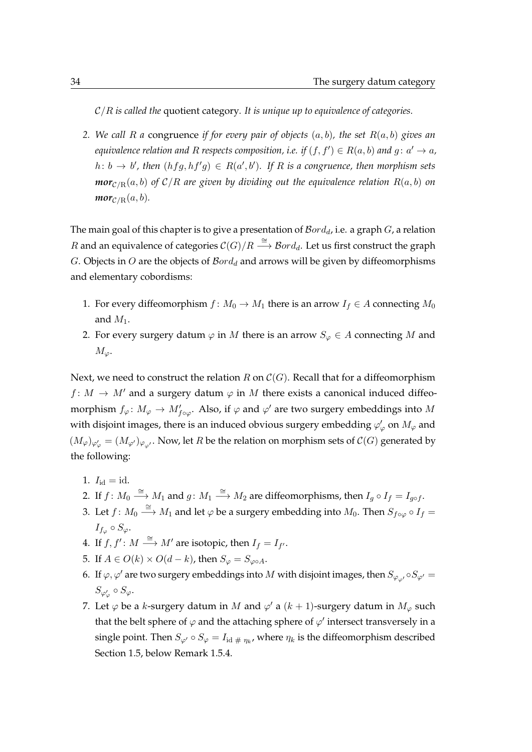C/R *is called the* quotient category*. It is unique up to equivalence of categories.*

*2. We call* R *a* congruence *if for every pair of objects* (a, b)*, the set* R(a, b) *gives an equivalence relation and R respects composition, i.e. if*  $(f, f') \in R(a, b)$  *and g* :  $a' \rightarrow a$ *,*  $h: b \to b'$ , then  $(hfg, hf'g) \in R(a', b')$ . If R is a congruence, then morphism sets *mor*<sub>C/R</sub> $(a, b)$  *of* C/R are given by dividing out the equivalence relation R $(a, b)$  on *mor*<sub>C/R</sub> $(a, b)$ *.* 

The main goal of this chapter is to give a presentation of  $Bord_d$ , i.e. a graph  $G$ , a relation  $R$  and an equivalence of categories  $\mathcal{C}(G)/R \stackrel{\cong}{\longrightarrow} \mathcal{B}ord_d$ . Let us first construct the graph G. Objects in O are the objects of  $\mathcal{B}ord_d$  and arrows will be given by diffeomorphisms and elementary cobordisms:

- 1. For every diffeomorphism  $f: M_0 \to M_1$  there is an arrow  $I_f \in A$  connecting  $M_0$ and  $M_1$ .
- 2. For every surgery datum  $\varphi$  in M there is an arrow  $S_{\varphi} \in A$  connecting M and  $M_{\varphi}$ .

Next, we need to construct the relation R on  $C(G)$ . Recall that for a diffeomorphism  $f: M \to M'$  and a surgery datum  $\varphi$  in M there exists a canonical induced diffeomorphism  $f_{\varphi} \colon M_{\varphi} \to M'_{f \circ \varphi}$ . Also, if  $\varphi$  and  $\varphi'$  are two surgery embeddings into  $M$ with disjoint images, there is an induced obvious surgery embedding  $\varphi _{\varphi }^{\prime }$  on  $M_{\varphi }$  and  $(M_{\varphi})_{\varphi'_{\varphi}} = (M_{\varphi'})_{\varphi_{\varphi'}}$ . Now, let R be the relation on morphism sets of  $\mathcal{C}(G)$  generated by the following:

- 1.  $I_{\rm id} = id$ .
- 2. If  $f: M_0 \stackrel{\cong}{\longrightarrow} M_1$  and  $g: M_1 \stackrel{\cong}{\longrightarrow} M_2$  are diffeomorphisms, then  $I_g \circ I_f = I_{g \circ f}$ .
- 3. Let  $f: M_0 \stackrel{\cong}{\longrightarrow} M_1$  and let  $\varphi$  be a surgery embedding into  $M_0$ . Then  $S_{f \circ \varphi} \circ I_f =$  $I_{f_\varphi} \circ S_\varphi.$
- 4. If  $f, f' : M \stackrel{\cong}{\longrightarrow} M'$  are isotopic, then  $I_f = I_{f'}$ .
- 5. If  $A \in O(k) \times O(d-k)$ , then  $S_{\varphi} = S_{\varphi \circ A}$ .
- 6. If  $\varphi, \varphi'$  are two surgery embeddings into M with disjoint images, then  $S_{\varphi_{\omega'}} \circ S_{\varphi'} =$  $S_{\varphi'_\varphi} \circ S_\varphi.$
- 7. Let  $\varphi$  be a k-surgery datum in M and  $\varphi'$  a  $(k + 1)$ -surgery datum in  $M_{\varphi}$  such that the belt sphere of  $\varphi$  and the attaching sphere of  $\varphi'$  intersect transversely in a single point. Then  $S_{\varphi'}\circ S_\varphi=I_{\mathrm{id}\;\# \;\eta_k}$ , where  $\eta_k$  is the diffeomorphism described [Section 1.5,](#page-35-1) below [Remark 1.5.4.](#page-37-2)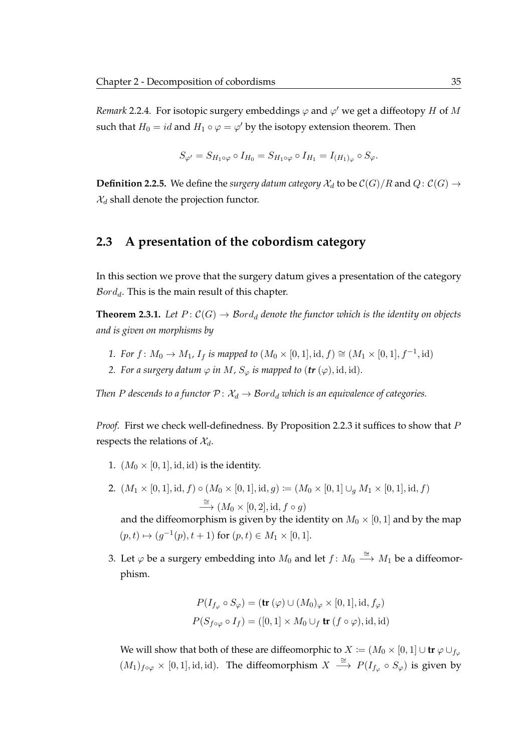*Remark* 2.2.4. For isotopic surgery embeddings  $\varphi$  and  $\varphi'$  we get a diffeotopy H of M such that  $H_0 = id$  and  $H_1 \circ \varphi = \varphi'$  by the isotopy extension theorem. Then

$$
S_{\varphi'} = S_{H_1 \circ \varphi} \circ I_{H_0} = S_{H_1 \circ \varphi} \circ I_{H_1} = I_{(H_1)_{\varphi}} \circ S_{\varphi}.
$$

<span id="page-52-0"></span>**Definition 2.2.5.** We define the *surgery datum category*  $\mathcal{X}_d$  to be  $\mathcal{C}(G)/R$  and  $Q: \mathcal{C}(G) \rightarrow$  $\mathcal{X}_d$  shall denote the projection functor.

#### **2.3 A presentation of the cobordism category**

In this section we prove that the surgery datum gives a presentation of the category  $\mathcal{B}ord_d$ . This is the main result of this chapter.

<span id="page-52-1"></span>**Theorem 2.3.1.** Let  $P: C(G) \rightarrow \mathcal{B}ord_d$  denote the functor which is the identity on objects *and is given on morphisms by*

- *1. For*  $f: M_0 \to M_1$ ,  $I_f$  *is mapped to*  $(M_0 \times [0,1], id, f) \cong (M_1 \times [0,1], f^{-1}, id)$
- *2. For a surgery datum*  $\varphi$  *in*  $M$ *,*  $S_{\varphi}$  *is mapped to (tr (* $\varphi$ *), id, id).*

*Then P* descends to a functor  $P: \mathcal{X}_d \to \mathcal{B}ord_d$  which is an equivalence of categories.

*Proof.* First we check well-definedness. By [Proposition 2.2.3](#page-0-0) it suffices to show that P respects the relations of  $\mathcal{X}_d$ .

- 1.  $(M_0 \times [0, 1], id, id)$  is the identity.
- 2.  $(M_1 \times [0,1], \text{id}, f) \circ (M_0 \times [0,1], \text{id}, g) := (M_0 \times [0,1] \cup_q M_1 \times [0,1], \text{id}, f)$  $\stackrel{\cong}{\longrightarrow} (M_0 \times [0, 2], \text{id}, f \circ g)$

and the diffeomorphism is given by the identity on  $M_0 \times [0, 1]$  and by the map  $(p, t) \mapsto (g^{-1}(p), t + 1)$  for  $(p, t) \in M_1 \times [0, 1].$ 

3. Let  $\varphi$  be a surgery embedding into  $M_0$  and let  $f: M_0 \stackrel{\cong}{\longrightarrow} M_1$  be a diffeomorphism.

$$
P(I_{f_{\varphi}} \circ S_{\varphi}) = (\mathbf{tr}(\varphi) \cup (M_0)_{\varphi} \times [0, 1], \text{id}, f_{\varphi})
$$
  

$$
P(S_{f \circ \varphi} \circ I_f) = ([0, 1] \times M_0 \cup_f \mathbf{tr}(f \circ \varphi), \text{id}, \text{id})
$$

We will show that both of these are diffeomorphic to  $X := (M_0 \times [0, 1] \cup \text{tr } \varphi \cup_{f_\varphi}$  $(M_1)_{f\circ\varphi}\times[0,1],$  id, id). The diffeomorphism  $X\stackrel{\cong}{\longrightarrow}P(I_{f_{\varphi}}\circ S_{\varphi})$  is given by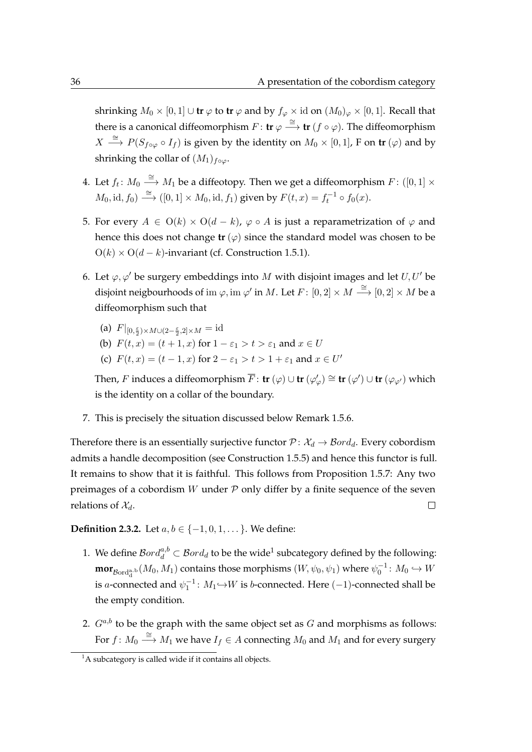shrinking  $M_0 \times [0, 1] \cup \text{tr } \varphi$  to  $\text{tr } \varphi$  and by  $f_{\varphi} \times \text{id }$  on  $(M_0)_{\varphi} \times [0, 1]$ . Recall that there is a canonical diffeomorphism  $F: \mathbf{tr} \varphi \stackrel{\cong}{\longrightarrow} \mathbf{tr} (f \circ \varphi)$ . The diffeomorphism  $X \stackrel{\cong}{\longrightarrow} P(S_{f \circ \varphi} \circ I_f)$  is given by the identity on  $M_0 \times [0,1]$ , F on  $\text{tr}(\varphi)$  and by shrinking the collar of  $(M_1)_{f \circ \varphi}$ .

- 4. Let  $f_t \colon M_0 \stackrel{\cong}{\longrightarrow} M_1$  be a diffeotopy. Then we get a diffeomorphism  $F \colon ([0,1] \times$  $M_0$ , id,  $f_0$ )  $\xrightarrow{\cong} ([0,1] \times M_0, \text{id}, f_1)$  given by  $F(t, x) = f_t^{-1} \circ f_0(x)$ .
- 5. For every  $A \in O(k) \times O(d-k)$ ,  $\varphi \circ A$  is just a reparametrization of  $\varphi$  and hence this does not change  $tr(\varphi)$  since the standard model was chosen to be  $O(k) \times O(d-k)$ -invariant (cf. [Construction 1.5.1\)](#page-35-2).
- 6. Let  $\varphi, \varphi'$  be surgery embeddings into M with disjoint images and let  $U, U'$  be disjoint neigbourhoods of im  $\varphi,$  im  $\varphi'$  in  $M.$  Let  $F\colon [0,2]\times M\stackrel{\cong}\longrightarrow [0,2]\times M$  be a diffeomorphism such that
	- (a)  $F|_{[0,\frac{\varepsilon}{2})\times M\cup(2-\frac{\varepsilon}{2},2]\times M}=\mathrm{id}$
	- (b)  $F(t, x) = (t + 1, x)$  for  $1 \varepsilon_1 > t > \varepsilon_1$  and  $x \in U$
	- (c)  $F(t, x) = (t 1, x)$  for  $2 \varepsilon_1 > t > 1 + \varepsilon_1$  and  $x \in U'$

Then,  $F$  induces a diffeomorphism  $\overline{F}$ :  ${\bf tr} \, (\varphi) \cup {\bf tr} \, (\varphi'_{\varphi}) \cong {\bf tr} \, (\varphi') \cup {\bf tr} \, (\varphi_{\varphi'} )$  which is the identity on a collar of the boundary.

7. This is precisely the situation discussed below [Remark 1.5.6.](#page-39-1)

Therefore there is an essentially surjective functor  $P: \mathcal{X}_d \to \mathcal{B}ord_d$ . Every cobordism admits a handle decomposition (see [Construction 1.5.5\)](#page-38-1) and hence this functor is full. It remains to show that it is faithful. This follows from [Proposition 1.5.7:](#page-39-2) Any two preimages of a cobordism  $W$  under  $P$  only differ by a finite sequence of the seven relations of  $\mathcal{X}_d$ .  $\Box$ 

**Definition 2.3.2.** Let  $a, b \in \{-1, 0, 1, \dots\}$ . We define:

- [1](#page-53-0). We define  $\mathcal{B}ord_d^{a,b} \subset \mathcal{B}ord_d$  to be the wide<sup>1</sup> subcategory defined by the following:  $\mathbf{mor}_{\mathcal{B}\mathrm{ord}^{\mathrm{a},\mathrm{b}}_d}(M_0,M_1)$  contains those morphisms  $(W,\psi_0,\psi_1)$  where  $\psi_0^{-1}\colon M_0\hookrightarrow W$ is a-connected and  $\psi_1^{-1}$ :  $M_1 \hookrightarrow W$  is b-connected. Here (-1)-connected shall be the empty condition.
- 2.  $G^{a,b}$  to be the graph with the same object set as G and morphisms as follows: For  $f\colon M_0 \stackrel{\cong}{\longrightarrow} M_1$  we have  $I_f \in A$  connecting  $M_0$  and  $M_1$  and for every surgery

<span id="page-53-0"></span><sup>&</sup>lt;sup>1</sup>A subcategory is called wide if it contains all objects.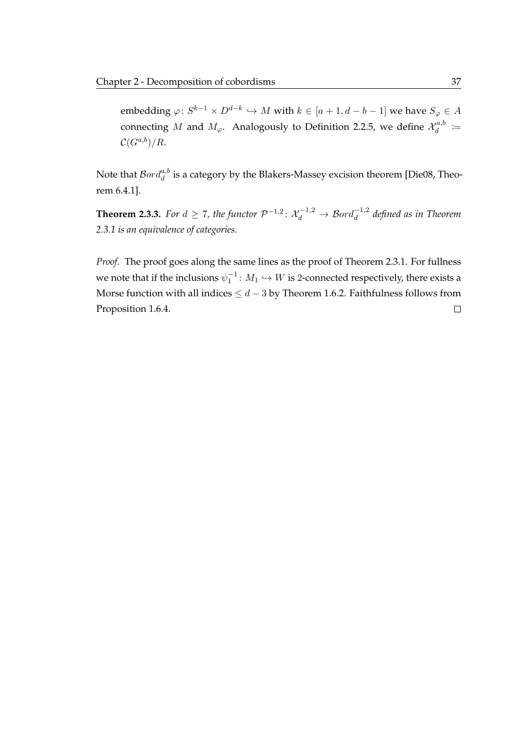embedding  $\varphi\colon S^{k-1}\times D^{d-k}\hookrightarrow M$  with  $k\in [a+1,d-b-1]$  we have  $S_\varphi\in A$ connecting M and  $M_{\varphi}$ . Analogously to [Definition 2.2.5,](#page-52-0) we define  $\mathcal{X}_{d}^{a,b}$  $\begin{array}{c} a, b \ d \end{array} \coloneqq$  $\mathcal{C}(G^{a,b})/R$ .

Note that  $\mathcal{B}ord^{a,b}_{d}$  is a category by the Blakers-Massey excision theorem [\[Die08,](#page-119-5) Theorem 6.4.1].

<span id="page-54-0"></span>**[Theorem](#page-52-1) 2.3.3.** For  $d \ge 7$ , the functor  $\mathcal{P}^{-1,2}$ :  $\mathcal{X}_d^{-1,2} \to \mathcal{B}ord_d^{-1,2}$  defined as in Theorem *[2.3.1](#page-52-1) is an equivalence of categories.*

*Proof.* The proof goes along the same lines as the proof of [Theorem 2.3.1.](#page-52-1) For fullness we note that if the inclusions  $\psi_1^{-1}\colon M_1\hookrightarrow W$  is 2-connected respectively, there exists a Morse function with all indices  $\leq d-3$  by [Theorem 1.6.2.](#page-41-0) Faithfulness follows from [Proposition 1.6.4.](#page-43-0) $\Box$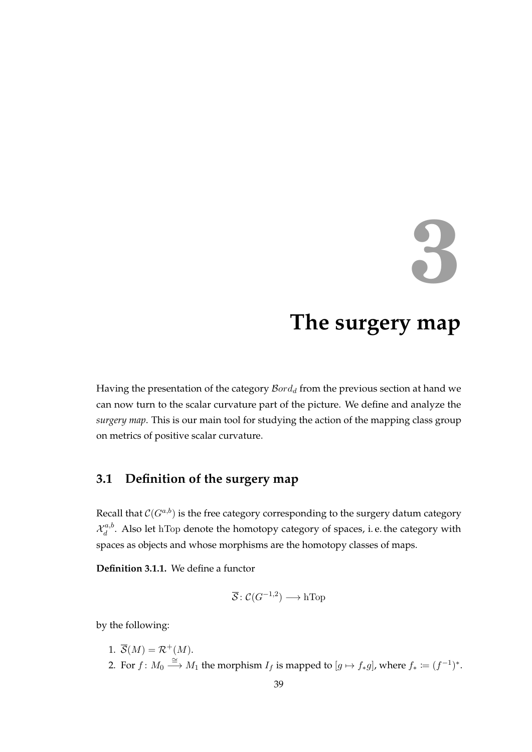# **3**

## **The surgery map**

<span id="page-56-0"></span>Having the presentation of the category  $\mathcal{B}ord_d$  from the previous section at hand we can now turn to the scalar curvature part of the picture. We define and analyze the *surgery map*. This is our main tool for studying the action of the mapping class group on metrics of positive scalar curvature.

### **3.1 Definition of the surgery map**

Recall that  $\mathcal C(G^{a,b})$  is the free category corresponding to the surgery datum category  $\mathcal{X}^{a,b}_d$  $d_d^{a,o}$ . Also let hTop denote the homotopy category of spaces, i.e. the category with spaces as objects and whose morphisms are the homotopy classes of maps.

**Definition 3.1.1.** We define a functor

$$
\overline{\mathcal{S}}\colon \mathcal{C}(G^{-1,2}) \longrightarrow \text{hTop}
$$

by the following:

1.  $\overline{S}(M) = \mathcal{R}^+(M)$ . 2. For  $f: M_0 \stackrel{\cong}{\longrightarrow} M_1$  the morphism  $I_f$  is mapped to  $[g \mapsto f_* g]$ , where  $f_* := (f^{-1})^*$ .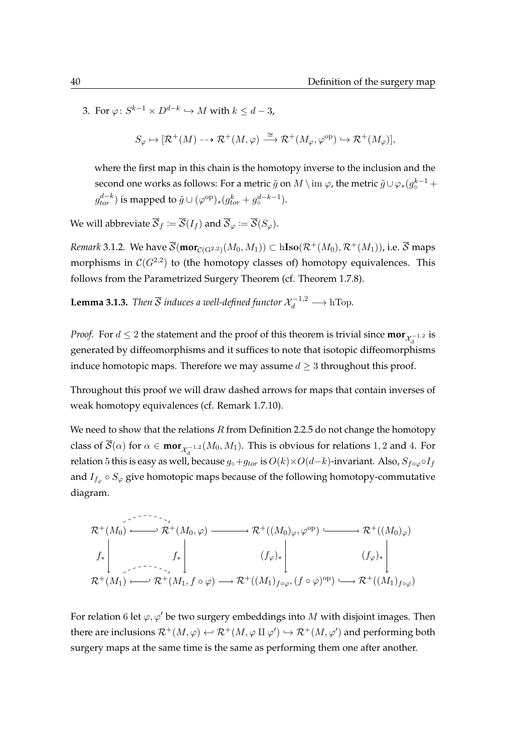3. For  $\varphi\colon S^{k-1}\times D^{d-k}\hookrightarrow M$  with  $k\leq d-3$ ,

$$
S_{\varphi} \mapsto [\mathcal{R}^+(M) \dashrightarrow \mathcal{R}^+(M,\varphi) \stackrel{\cong}{\longrightarrow} \mathcal{R}^+(M_{\varphi},\varphi^{\text{op}}) \hookrightarrow \mathcal{R}^+(M_{\varphi})],
$$

where the first map in this chain is the homotopy inverse to the inclusion and the second one works as follows: For a metric  $\tilde g$  on  $M\setminus\mathrm{im}\ \varphi$ , the metric  $\tilde g\cup\varphi_*(g^{k-1}_\circ +$  $g_{tor}^{d-k}$ ) is mapped to  $\tilde{g} \cup (\varphi^{\rm op})_*(g_{tor}^k + g_{\circ}^{d-k-1}).$ 

We will abbreviate  $\overline{\mathcal{S}}_f\coloneqq\overline{\mathcal{S}}(I_f)$  and  $\overline{\mathcal{S}}_\varphi\coloneqq\overline{\mathcal{S}}(S_\varphi).$ 

 $\mathcal R$ emark 3.1.2. We have  $\overline{\mathcal S}(\textbf{mor}_{\mathcal C(\mathrm{G}^{2,2})}(M_0,M_1))\subset \text{hIso}(\mathcal R^+(M_0),\mathcal R^+(M_1)),$  i.e.  $\overline{\mathcal S}$  maps morphisms in  $\mathcal C(G^{2,2})$  to (the homotopy classes of) homotopy equivalences. This follows from the Parametrized Surgery Theorem (cf. [Theorem 1.7.8\)](#page-45-2).

<span id="page-57-0"></span>**Lemma 3.1.3.** *Then*  $\overline{S}$  *induces a well-defined functor*  $\mathcal{X}_d^{-1,2} \longrightarrow \text{hTop}.$ 

*Proof.* For  $d \leq 2$  the statement and the proof of this theorem is trivial since  $\textbf{mor}_{\mathcal{X}_d^{-1,2}}$  is generated by diffeomorphisms and it suffices to note that isotopic diffeomorphisms induce homotopic maps. Therefore we may assume  $d \geq 3$  throughout this proof.

Throughout this proof we will draw dashed arrows for maps that contain inverses of weak homotopy equivalences (cf. [Remark 1.7.10\)](#page-46-0).

We need to show that the relations  $R$  from [Definition 2.2.5](#page-52-0) do not change the homotopy class of  $\mathcal{S}(\alpha)$  for  $\alpha \in \max_{\mathcal{X}_d^{-1,2}} (M_0, M_1)$ . This is obvious for relations 1, 2 and 4. For relation 5 this is easy as well, because  $g_{\circ}+g_{tor}$  is  $O(k)\times O(d-k)$ -invariant. Also,  $S_{f\circ\varphi}\circ I_f$ and  $I_{f_\varphi}\circ S_\varphi$  give homotopic maps because of the following homotopy-commutative diagram.

$$
\mathcal{R}^+(M_0) \xrightarrow{\qquad \qquad } \mathcal{R}^+(M_0, \varphi) \longrightarrow \mathcal{R}^+((M_0)_{\varphi}, \varphi^{\text{op}}) \xrightarrow{\qquad \qquad } \mathcal{R}^+((M_0)_{\varphi})
$$
\n
$$
f_* \begin{vmatrix}\nf_* & (f_{\varphi})_* \\
\vdots & \ddots & \vdots \\
f^*(M_1) \xleftarrow{\qquad \qquad } \mathcal{R}^+(M_1, f \circ \varphi) \longrightarrow \mathcal{R}^+((M_1)_{f \circ \varphi}, (f \circ \varphi)^{\text{op}}) \longrightarrow \mathcal{R}^+((M_1)_{f \circ \varphi})\n\end{vmatrix}
$$

For relation 6 let  $\varphi, \varphi'$  be two surgery embeddings into M with disjoint images. Then there are inclusions  $\mathcal{R}^+(M,\varphi)\leftrightarrow \mathcal{R}^+(M,\varphi\amalg\varphi')\hookrightarrow \mathcal{R}^+(M,\varphi')$  and performing both surgery maps at the same time is the same as performing them one after another.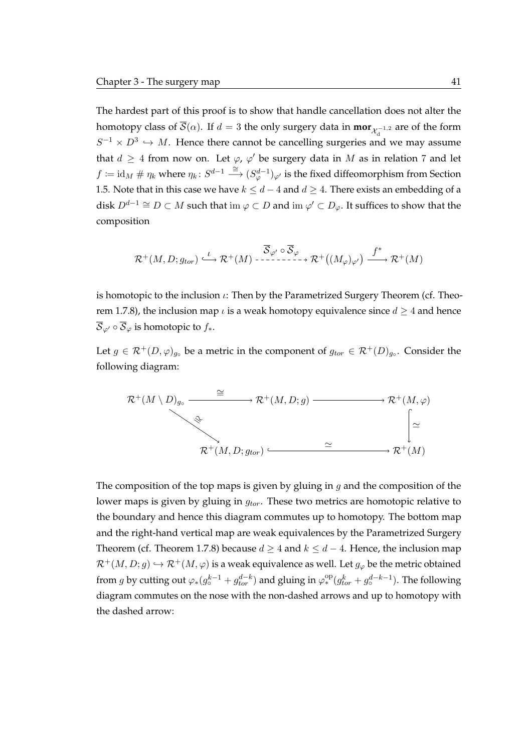The hardest part of this proof is to show that handle cancellation does not alter the homotopy class of  $\mathcal{S}(\alpha)$ . If  $d=3$  the only surgery data in  $\mathrm{\textbf{mor}}_{\mathcal{X}^{-1,2}_\mathrm{d}}$  are of the form  $S^{-1} \times D^3 \hookrightarrow M$ . Hence there cannot be cancelling surgeries and we may assume that  $d \geq 4$  from now on. Let  $\varphi$ ,  $\varphi'$  be surgery data in M as in relation 7 and let  $f \coloneqq \mathrm{id}_M \ \#\ \eta_k$  where  $\eta_k \colon S^{d-1} \stackrel{\cong}{\longrightarrow} (S^{d-1}_\varphi)_\varphi{}'$  is the fixed diffeomorphism from [Section](#page-35-1) [1.5.](#page-35-1) Note that in this case we have  $k \leq d-4$  and  $d \geq 4$ . There exists an embedding of a disk  $D^{d-1}\cong D\subset M$  such that im  $\varphi\subset D$  and im  $\varphi'\subset D_\varphi.$  It suffices to show that the composition

$$
\mathcal{R}^+(M,D;g_{tor}) \stackrel{\iota}{\longrightarrow} \mathcal{R}^+(M) \stackrel{\overline{\mathcal{S}}_{\varphi'}}{\dashrightarrow} \overline{\mathcal{S}}_{\varphi} \to \mathcal{R}^+\big((M_{\varphi})_{\varphi'}\big) \stackrel{f^*}{\longrightarrow} \mathcal{R}^+(M)
$$

is homotopic to the inclusion  $\iota$ : Then by the Parametrized Surgery Theorem (cf. [Theo](#page-45-2)[rem 1.7.8\)](#page-45-2), the inclusion map  $\iota$  is a weak homotopy equivalence since  $d \geq 4$  and hence  $\overline{S}_{\varphi'} \circ \overline{S}_{\varphi}$  is homotopic to  $f_*$ .

Let  $g \in \mathcal{R}^+(D, \varphi)_{g}$  be a metric in the component of  $g_{tor} \in \mathcal{R}^+(D)_{g}$ . Consider the following diagram:

$$
\begin{array}{ccc}\mathcal{R}^{+}(M\setminus D)_{g_{\circ}}&\stackrel{\cong}{\longrightarrow}\mathcal{R}^{+}(M,D;g)\longrightarrow\mathcal{R}^{+}(M,\varphi)\\ &\stackrel{\mathfrak{S}}{\longrightarrow}\mathcal{R}^{+}(M,D;g_{tor})\stackrel{\simeq}{\longrightarrow}\mathcal{R}^{+}(M)\end{array}
$$

The composition of the top maps is given by gluing in  $g$  and the composition of the lower maps is given by gluing in  $g_{tor}$ . These two metrics are homotopic relative to the boundary and hence this diagram commutes up to homotopy. The bottom map and the right-hand vertical map are weak equivalences by the Parametrized Surgery Theorem (cf. [Theorem 1.7.8\)](#page-45-2) because  $d \geq 4$  and  $k \leq d - 4$ . Hence, the inclusion map  $\mathcal{R}^+(M, D; g) \hookrightarrow \mathcal{R}^+(M, \varphi)$  is a weak equivalence as well. Let  $g_{\varphi}$  be the metric obtained from g by cutting out  $\varphi_*(g_o^{k-1}+g_{tor}^{d-k})$  and gluing in  $\varphi_*^{\rm op}(g_{tor}^k+g_o^{d-k-1})$ . The following diagram commutes on the nose with the non-dashed arrows and up to homotopy with the dashed arrow: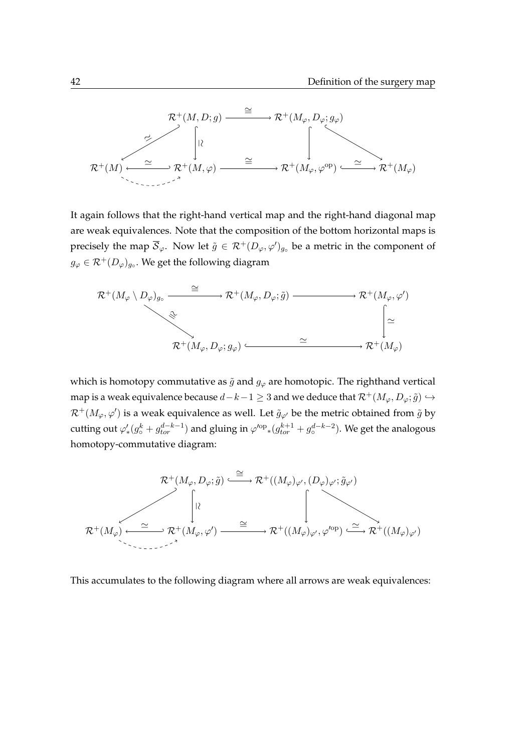

It again follows that the right-hand vertical map and the right-hand diagonal map are weak equivalences. Note that the composition of the bottom horizontal maps is precisely the map  $\overline{\mathcal{S}}_\varphi$ . Now let  $\tilde{g} \in \mathcal{R}^+(D_\varphi,\varphi')_{g_\circ}$  be a metric in the component of  $g_{\varphi}\in \mathcal{R}^{+}(D_{\varphi})_{g_{\circ}}.$  We get the following diagram



which is homotopy commutative as  $\tilde{g}$  and  $g_{\varphi}$  are homotopic. The righthand vertical map is a weak equivalence because  $d-k-1 \geq 3$  and we deduce that  $\mathcal{R}^+(M_\varphi, D_\varphi; \tilde{g}) \hookrightarrow$  $\mathcal{R}^+(M_\varphi,\varphi')$  is a weak equivalence as well. Let  $\tilde g_{\varphi'}$  be the metric obtained from  $\tilde g$  by cutting out  $\varphi'_*(g^k_\circ+g^{d-k-1}_{tor})$  and gluing in  ${\varphi}'^{\rm op}{}_*(g^{k+1}_{tor}+g^{d-k-2}_\circ).$  We get the analogous homotopy-commutative diagram:



This accumulates to the following diagram where all arrows are weak equivalences: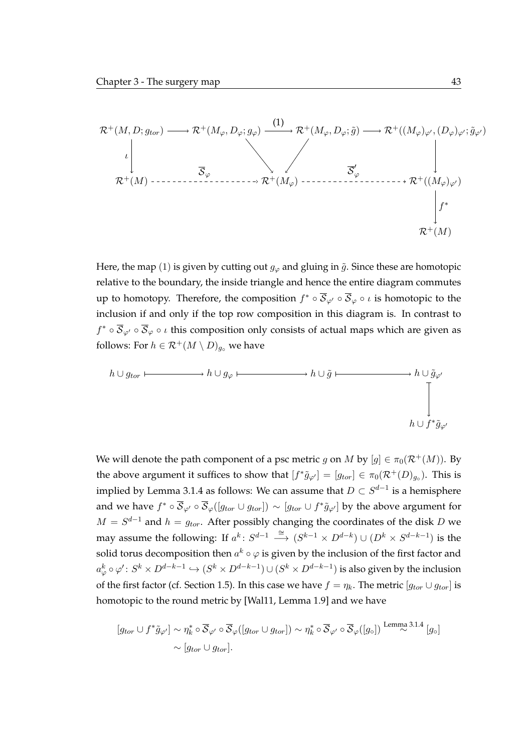

Here, the map (1) is given by cutting out  $g_{\varphi}$  and gluing in  $\tilde{g}$ . Since these are homotopic relative to the boundary, the inside triangle and hence the entire diagram commutes up to homotopy. Therefore, the composition  $f^*\circ\overline{\mathcal{S}}_{\varphi'}\circ\overline{\mathcal{S}}_\varphi\circ\iota$  is homotopic to the inclusion if and only if the top row composition in this diagram is. In contrast to  $f^*\circ\overline{\mathcal{S}}_{\varphi'}\circ\overline{\mathcal{S}}_\varphi\circ\iota$  this composition only consists of actual maps which are given as follows: For  $h \in \mathcal{R}^+(M \setminus D)_{g_0}$  we have

$$
h \cup g_{tor} \longmapsto h \cup g_{\varphi} \longmapsto h \cup \tilde{g} \longmapsto h \cup \tilde{g}_{\varphi'}
$$
\n
$$
\downarrow \qquad \qquad \downarrow
$$
\n
$$
h \cup f^* \tilde{g}_{\varphi'}
$$

We will denote the path component of a psc metric g on M by  $[g] \in \pi_0(\mathcal{R}^+(M))$ . By the above argument it suffices to show that  $[f^*\tilde{g}_{\varphi'}] = [g_{tor}] \in \pi_0(\mathcal{R}^+(D)_{g_\circ})$ . This is implied by [Lemma 3.1.4](#page-61-0) as follows: We can assume that  $D\subset S^{d-1}$  is a hemisphere and we have  $f^*\circ\overline{\mathcal{S}}_{\varphi'}\circ\overline{\mathcal{S}}_{\varphi}([g_{tor}\cup g_{tor}])\sim [g_{tor}\cup f^*\tilde{g}_{\varphi'}]$  by the above argument for  $M = S^{d-1}$  and  $h = g_{tor}$ . After possibly changing the coordinates of the disk D we may assume the following: If  $a^k \colon S^{d-1} \stackrel{\cong}{\longrightarrow} (S^{k-1} \times D^{d-k}) \cup (D^k \times S^{d-k-1})$  is the solid torus decomposition then  $a^k \circ \varphi$  is given by the inclusion of the first factor and  $a^k_\varphi\circ\varphi'\colon S^k\times D^{d-k-1}\hookrightarrow (S^k\times D^{d-k-1})\cup (S^k\times D^{d-k-1})$  is also given by the inclusion of the first factor (cf. [Section 1.5\)](#page-35-1). In this case we have  $f = \eta_k$ . The metric  $[g_{tor} \cup g_{tor}]$  is homotopic to the round metric by [\[Wal11,](#page-122-6) Lemma 1.9] and we have

$$
[g_{tor} \cup f^* \tilde{g}_{\varphi'}] \sim \eta_k^* \circ \overline{\mathcal{S}}_{\varphi'} \circ \overline{\mathcal{S}}_{\varphi}([g_{tor} \cup g_{tor}]) \sim \eta_k^* \circ \overline{\mathcal{S}}_{\varphi'} \circ \overline{\mathcal{S}}_{\varphi}([g_{\circ}]) \stackrel{\text{Lemma 3.1.4}}{\sim} [g_{\circ}]
$$

$$
\sim [g_{tor} \cup g_{tor}].
$$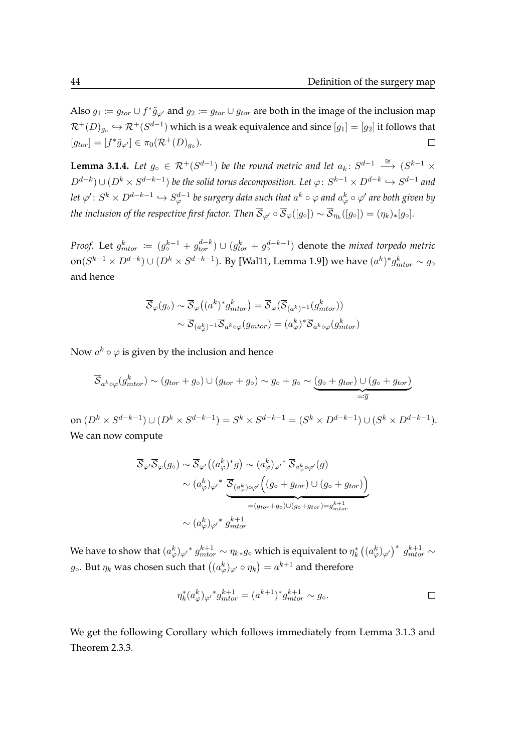Also  $g_1 := g_{tor} \cup f^* \tilde{g}_{\varphi'}$  and  $g_2 := g_{tor} \cup g_{tor}$  are both in the image of the inclusion map  $\mathcal{R}^+(D)_{g_\circ}\hookrightarrow\mathcal{R}^+(S^{d-1})$  which is a weak equivalence and since  $[g_1]=[g_2]$  it follows that  $[g_{tor}] = [f^*\tilde{g}_{\varphi'}] \in \pi_0(\mathcal{R}^+(D)_{g_\circ}).$  $\Box$ 

<span id="page-61-0"></span>**Lemma 3.1.4.** Let  $g_{\circ} \in \mathcal{R}^+(S^{d-1})$  be the round metric and let  $a_k \colon S^{d-1} \stackrel{\cong}{\longrightarrow} (S^{k-1} \times S^{d-1})$  $D^{d-k}) \cup (D^k \times S^{d-k-1})$  be the solid torus decomposition. Let  $\varphi\colon S^{k-1} \times D^{d-k} \hookrightarrow S^{d-1}$  and let  $\varphi'\colon S^k\times D^{d-k-1}\hookrightarrow S^{d-1}_\varphi$  be surgery data such that  $a^k\circ\varphi$  and  $a^k_\varphi\circ\varphi'$  are both given by *the inclusion of the respective first factor. Then*  ${\cal S}_{\varphi'}\circ{\cal S}_{\varphi}([g_\circ])\sim{\cal S}_{\eta_k}([g_\circ])=(\eta_k)_*[g_\circ].$ 

*Proof.* Let  $g_{\textit{mtor}}^k \coloneqq (g_{\circ}^{k-1} + g_{\textit{tor}}^{d-k}) \cup (g_{\textit{tor}}^k + g_{\circ}^{d-k-1})$  denote the *mixed torpedo metric* on $(S^{k-1}\times D^{d-k})\cup (D^k\times S^{d-k-1}).$  By [\[Wal11,](#page-122-6) Lemma 1.9]) we have  $(a^k)^*g^k_{mtor}\sim g_\circ$ and hence

$$
\overline{\mathcal{S}}_{\varphi}(g_{\circ}) \sim \overline{\mathcal{S}}_{\varphi}\big((a^k)^* g^k_{\text{mtor}}\big) = \overline{\mathcal{S}}_{\varphi}(\overline{\mathcal{S}}_{(a^k)^{-1}}(g^k_{\text{mtor}}))
$$

$$
\sim \overline{\mathcal{S}}_{(a^k_{\varphi})^{-1}} \overline{\mathcal{S}}_{a^k \circ \varphi}(g_{\text{mtor}}) = (a^k_{\varphi})^* \overline{\mathcal{S}}_{a^k \circ \varphi}(g^k_{\text{mtor}})
$$

Now  $a^k \circ \varphi$  is given by the inclusion and hence

$$
\overline{\mathcal{S}}_{a^k \circ \varphi}(g^k_{mtor}) \sim (g_{tor} + g_{\circ}) \cup (g_{tor} + g_{\circ}) \sim g_{\circ} + g_{\circ} \sim \underbrace{(g_{\circ} + g_{tor}) \cup (g_{\circ} + g_{tor})}_{=: \overline{g}}
$$

on  $(D^k\times S^{d-k-1})\cup (D^k\times S^{d-k-1})=S^k\times S^{d-k-1}=(S^k\times D^{d-k-1})\cup (S^k\times D^{d-k-1}).$ We can now compute

$$
\overline{\mathcal{S}}_{\varphi'}\overline{\mathcal{S}}_{\varphi}(g_{\circ}) \sim \overline{\mathcal{S}}_{\varphi'}((a_{\varphi}^{k})^{*}\overline{g}) \sim (a_{\varphi}^{k})_{\varphi'}^{*} \overline{\mathcal{S}}_{a_{\varphi}^{k}\circ\varphi'}(\overline{g})
$$

$$
\sim (a_{\varphi}^{k})_{\varphi'}^{*} \underbrace{\overline{\mathcal{S}}_{(a_{\varphi}^{k})\circ\varphi'}((g_{\circ} + g_{tor}) \cup (g_{\circ} + g_{tor})}_{=(g_{tor} + g_{\circ}) \cup (g_{\circ} + g_{tor}) = g_{mitor}^{k+1}}
$$

$$
\sim (a_{\varphi}^{k})_{\varphi'}^{*} g_{mitor}^{k+1}
$$

We have to show that  $(a_\varphi^k)_{\varphi'}{}^*g_{mtor}^{k+1}\sim \eta_{k*}g_\circ$  which is equivalent to  $\eta_k^*\left((a_\varphi^k)_{\varphi'}\right)^*g_{mtor}^{k+1}\sim$  $g_\circ.$  But  $\eta_k$  was chosen such that  $\bigl((a_\varphi^k)_{\varphi'}\circ \eta_k\bigr)=a^{k+1}$  and therefore

$$
\eta_k^*(a_\varphi^k)_{\varphi'}^*g_{mtor}^{k+1} = (a^{k+1})^*g_{mtor}^{k+1} \sim g_\circ.
$$

We get the following Corollary which follows immediately from [Lemma 3.1.3](#page-57-0) and [Theorem 2.3.3.](#page-54-0)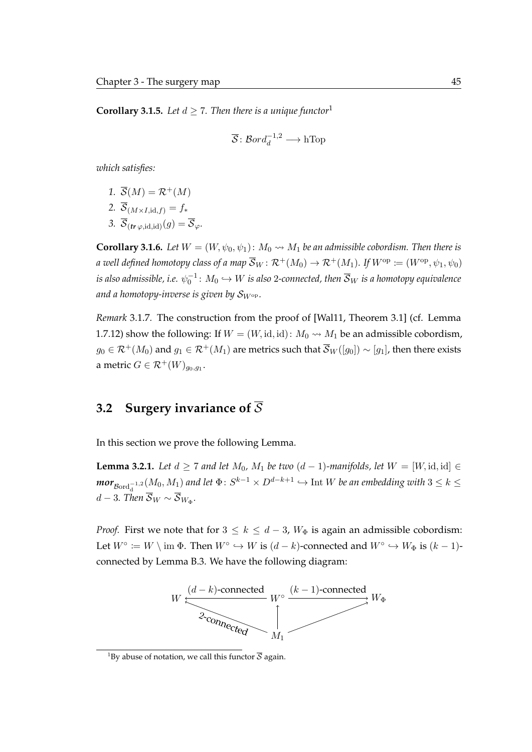<span id="page-62-2"></span>**Corollary 3.[1](#page-62-0).5.** Let  $d \ge 7$ . Then there is a unique functor<sup>1</sup>

$$
\overline{\mathcal{S}}\colon \mathcal{B}ord_d^{-1,2}\longrightarrow \text{hTop}
$$

*which satisfies:*

1.  $\overline{S}(M) = \mathcal{R}^+(M)$ 

2. 
$$
\overline{\mathcal{S}}_{(M\times I,\mathrm{id},f)}=f_*
$$

3.  $\overline{\mathcal{S}}_{(tr\varphi \text{ id }id)}(q) = \overline{\mathcal{S}}_{\varphi}$ .

**Corollary 3.1.6.** *Let*  $W = (W, \psi_0, \psi_1)$ :  $M_0 \rightsquigarrow M_1$  *be an admissible cobordism. Then there is a* well defined homotopy class of a map  $\overline{S}_W : \mathcal{R}^+(M_0) \to \mathcal{R}^+(M_1)$ . If  $W^{\text{op}} := (W^{\text{op}}, \psi_1, \psi_0)$ is also admissible, i.e.  $\psi_0^{-1}\colon M_0\hookrightarrow W$  is also 2-connected, then  $\overline{\mathcal{S}}_W$  is a homotopy equivalence *and a homotopy-inverse is given by* SWop*.*

*Remark* 3.1.7*.* The construction from the proof of [\[Wal11,](#page-122-6) Theorem 3.1] (cf. [Lemma](#page-46-1) [1.7.12\)](#page-46-1) show the following: If  $W = (W, id, id): M_0 \rightarrow M_1$  be an admissible cobordism,  $g_0 \in \mathcal{R}^+(M_0)$  and  $g_1 \in \mathcal{R}^+(M_1)$  are metrics such that  $\overline{\mathcal{S}}_W([g_0]) \sim [g_1]$ , then there exists a metric  $G \in \mathcal{R}^+(W)_{g_0,g_1}.$ 

## **3.2 Surgery invariance of**  $\overline{S}$

In this section we prove the following Lemma.

<span id="page-62-1"></span>**Lemma 3.2.1.** *Let*  $d \geq 7$  *and let*  $M_0$ *,*  $M_1$  *be two*  $(d - 1)$ *-manifolds, let*  $W = [W, id, id]$  ∈  $\bm{mor}_{\mathcal{B}\mathrm{ord}_{\mathbf{d}}^{-1,2}}(M_0,M_1)$  and let  $\Phi\colon S^{k-1}\times D^{d-k+1}\hookrightarrow \text{Int }W$  be an embedding with  $3\leq k\leq d$  $d-3$ . Then  $S_W \sim S_{W_{\Phi}}$ .

*Proof.* First we note that for  $3 \leq k \leq d-3$ ,  $W_{\Phi}$  is again an admissible cobordism: Let  $W^{\circ} := W \setminus \text{im } \Phi$ . Then  $W^{\circ} \hookrightarrow W$  is  $(d-k)$ -connected and  $W^{\circ} \hookrightarrow W_{\Phi}$  is  $(k-1)$ connected by [Lemma B.3.](#page-115-0) We have the following diagram:



<span id="page-62-0"></span><sup>&</sup>lt;sup>1</sup>By abuse of notation, we call this functor  $\overline{S}$  again.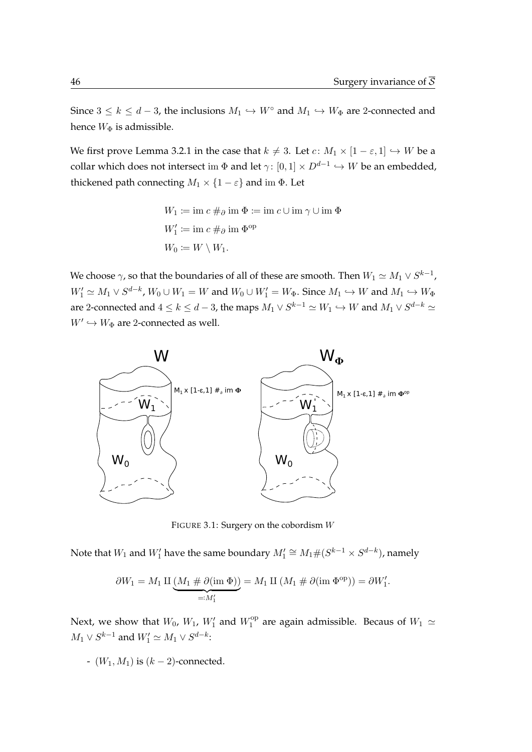Since  $3 \le k \le d-3$ , the inclusions  $M_1 \hookrightarrow W^{\circ}$  and  $M_1 \hookrightarrow W_{\Phi}$  are 2-connected and hence  $W_{\Phi}$  is admissible.

We first prove [Lemma 3.2.1](#page-62-1) in the case that  $k \neq 3$ . Let  $c: M_1 \times [1 - \varepsilon, 1] \hookrightarrow W$  be a collar which does not intersect im  $\Phi$  and let  $\gamma\colon [0,1]\times D^{d-1}\hookrightarrow W$  be an embedded, thickened path connecting  $M_1 \times \{1 - \varepsilon\}$  and im  $\Phi$ . Let

$$
W_1 \coloneqq \text{im } c \#_{\partial} \text{ im } \Phi \coloneqq \text{im } c \cup \text{im } \gamma \cup \text{im } \Phi
$$

$$
W'_1 \coloneqq \text{im } c \#_{\partial} \text{ im } \Phi^{\text{op}}
$$

$$
W_0 \coloneqq W \setminus W_1.
$$

We choose  $\gamma$ , so that the boundaries of all of these are smooth. Then  $W_1 \simeq M_1 \vee S^{k-1}$ ,  $W'_1 \simeq M_1 \vee S^{d-k}$ ,  $W_0 \cup W_1 = W$  and  $W_0 \cup W'_1 = W_{\Phi}$ . Since  $M_1 \hookrightarrow W$  and  $M_1 \hookrightarrow W_{\Phi}$ are 2-connected and  $4\leq k\leq d-3$ , the maps  $M_1\vee S^{k-1}\simeq W_1\hookrightarrow W$  and  $M_1\vee S^{d-k}\simeq$  $W' \hookrightarrow W_{\Phi}$  are 2-connected as well.



FIGURE 3.1: Surgery on the cobordism W

Note that  $W_1$  and  $W'_1$  have the same boundary  $M'_1 \cong M_1 \# (S^{k-1} \times S^{d-k})$ , namely

$$
\partial W_1 = M_1 \amalg \underbrace{(M_1 \# \partial (\text{im } \Phi))}_{=: M_1'} = M_1 \amalg (M_1 \# \partial (\text{im } \Phi^{\text{op}})) = \partial W_1'.
$$

Next, we show that  $W_0$ ,  $W_1$ ,  $W'_1$  and  $W_1^{\text{op}}$  $_1^{\text{op}}$  are again admissible. Becaus of  $W_1 \simeq$  $M_1 \vee S^{k-1}$  and  $W'_1 \simeq M_1 \vee S^{d-k}$ :

-  $(W_1, M_1)$  is  $(k - 2)$ -connected.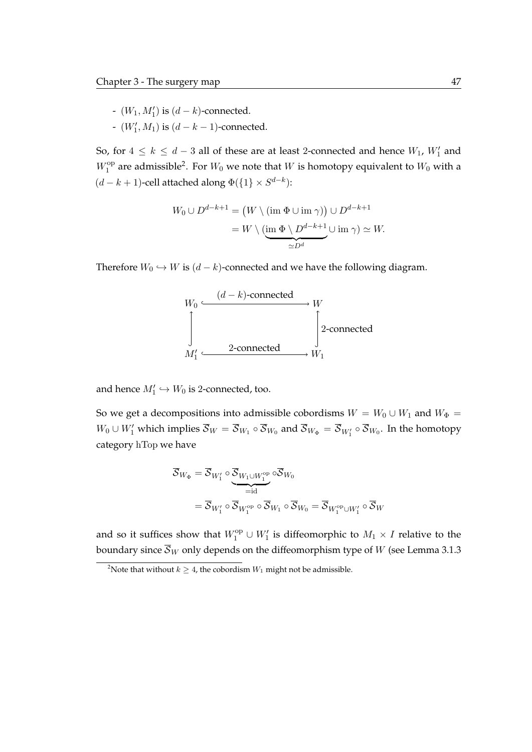- $(W_1, M'_1)$  is  $(d k)$ -connected.
- $(W'_1, M_1)$  is  $(d k 1)$ -connected.

So, for  $4 \leq k \leq d-3$  all of these are at least 2-connected and hence  $W_1$ ,  $W'_1$  and  $W_1^{\text{op}}$  $_1^{\rm op}$  are admissible<sup>[2](#page-64-0)</sup>. For  $W_0$  we note that  $W$  is homotopy equivalent to  $W_0$  with a  $(d - k + 1)$ -cell attached along  $\Phi({1} \times S^{d-k})$ :

$$
W_0 \cup D^{d-k+1} = (W \setminus (\text{im } \Phi \cup \text{im } \gamma)) \cup D^{d-k+1}
$$
  
= 
$$
W \setminus (\underbrace{\text{im } \Phi \setminus D^{d-k+1}}_{\simeq D^d} \cup \text{im } \gamma) \simeq W.
$$

Therefore  $W_0 \hookrightarrow W$  is  $(d-k)$ -connected and we have the following diagram.



and hence  $M'_1 \hookrightarrow W_0$  is 2-connected, too.

So we get a decompositions into admissible cobordisms  $W = W_0 \cup W_1$  and  $W_{\Phi} =$  $W_0 \cup W'_1$  which implies  $\overline{\mathcal{S}}_W = \overline{\mathcal{S}}_{W_1} \circ \overline{\mathcal{S}}_{W_0}$  and  $\overline{\mathcal{S}}_{W_\Phi} = \overline{\mathcal{S}}_{W'_1} \circ \overline{\mathcal{S}}_{W_0}$ . In the homotopy category hTop we have

$$
\overline{\mathcal{S}}_{W_{\Phi}} = \overline{\mathcal{S}}_{W_1'} \circ \underbrace{\overline{\mathcal{S}}_{W_1 \cup W_1^{\text{op}}}}_{=:d} \circ \overline{\mathcal{S}}_{W_0}
$$
\n
$$
= \overline{\mathcal{S}}_{W_1'} \circ \overline{\mathcal{S}}_{W_1^{\text{op}}} \circ \overline{\mathcal{S}}_{W_1} \circ \overline{\mathcal{S}}_{W_0} = \overline{\mathcal{S}}_{W_1^{\text{op}} \cup W_1'} \circ \overline{\mathcal{S}}_{W_0}
$$

and so it suffices show that  $W_1^{\text{op}} \cup W_1'$  is diffeomorphic to  $M_1 \times I$  relative to the boundary since  $\overline{S}_W$  only depends on the diffeomorphism type of W (see [Lemma 3.1.3](#page-57-0)

<span id="page-64-0"></span><sup>&</sup>lt;sup>2</sup>Note that without  $k \geq 4$ , the cobordism  $W_1$  might not be admissible.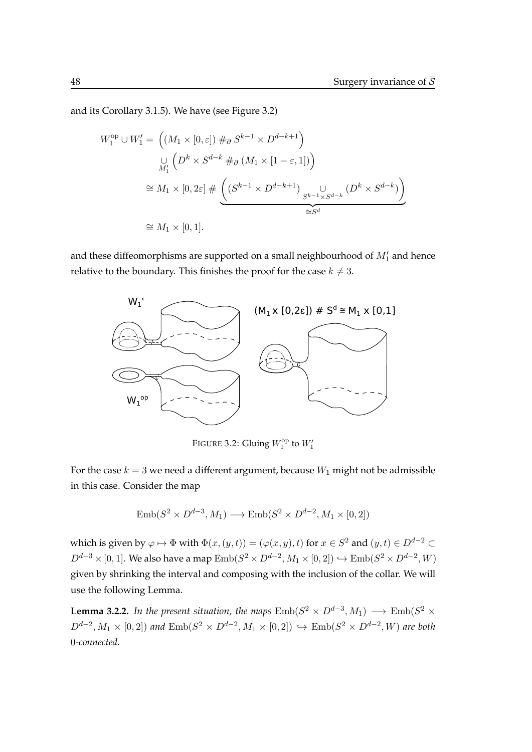and its [Corollary 3.1.5\)](#page-62-2). We have (see [Figure 3.2\)](#page-65-0)

$$
W_1^{\text{op}} \cup W_1' = \left( (M_1 \times [0, \varepsilon]) \#_{\partial} S^{k-1} \times D^{d-k+1} \right)
$$
  

$$
\cup_{M_1'} \left( D^k \times S^{d-k} \#_{\partial} (M_1 \times [1 - \varepsilon, 1]) \right)
$$
  

$$
\cong M_1 \times [0, 2\varepsilon] \# \left( (S^{k-1} \times D^{d-k+1}) \underset{\cong S^d}{\cup} \cup_{S^{k-1} \times S^{d-k}} (D^k \times S^{d-k}) \right)
$$
  

$$
\cong M_1 \times [0, 1].
$$

and these diffeomorphisms are supported on a small neighbourhood of  $M_1'$  and hence relative to the boundary. This finishes the proof for the case  $k \neq 3$ .

<span id="page-65-0"></span>

FIGURE 3.2: Gluing  $W_1^{\text{op}}$  to  $W_1'$ 

For the case  $k = 3$  we need a different argument, because  $W_1$  might not be admissible in this case. Consider the map

$$
Emb(S^2 \times D^{d-3}, M_1) \longrightarrow Emb(S^2 \times D^{d-2}, M_1 \times [0, 2])
$$

which is given by  $\varphi \mapsto \Phi$  with  $\Phi(x,(y,t)) = (\varphi(x,y),t)$  for  $x \in S^2$  and  $(y,t) \in D^{d-2} \subset U$  $D^{d-3}\times [0,1].$  We also have a map  $\mathrm{Emb}(S^2\times D^{d-2},M_1\times [0,2])\hookrightarrow \mathrm{Emb}(S^2\times D^{d-2},W)$ given by shrinking the interval and composing with the inclusion of the collar. We will use the following Lemma.

<span id="page-65-1"></span>**Lemma 3.2.2.** In the present situation, the maps  $\text{Emb}(S^2 \times D^{d-3}, M_1) \longrightarrow \text{Emb}(S^2 \times D^2)$  $D^{d-2}, M_1 \times [0,2]$ ) and  $\text{Emb}(S^2 \times D^{d-2}, M_1 \times [0,2]) \hookrightarrow \text{Emb}(S^2 \times D^{d-2}, W)$  are both 0*-connected.*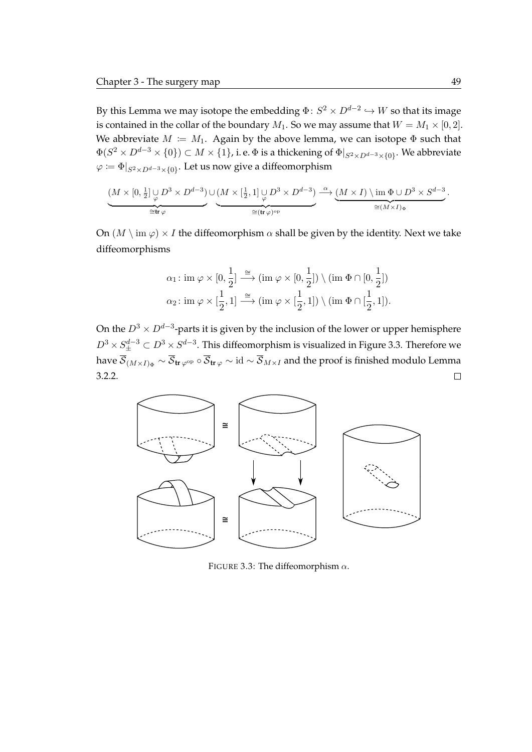By this Lemma we may isotope the embedding  $\Phi\colon S^2\times D^{d-2}\hookrightarrow W$  so that its image is contained in the collar of the boundary  $M_1$ . So we may assume that  $W = M_1 \times [0, 2]$ . We abbreviate  $M := M_1$ . Again by the above lemma, we can isotope  $\Phi$  such that  $\Phi(S^2\times D^{d-3}\times\{0\})\subset M\times\{1\}$ , i. e.  $\Phi$  is a thickening of  $\Phi|_{S^2\times D^{d-3}\times\{0\}}.$  We abbreviate  $\varphi \coloneqq \Phi|_{S^2 \times D^{d-3} \times \{0\}}.$  Let us now give a diffeomorphism

$$
\underbrace{(M\times [0,\tfrac{1}{2}]\cup_{\varphi}D^3\times D^{d-3})\cup (M\times [\tfrac{1}{2},1]\cup_{\varphi}D^3\times D^{d-3})}_{\cong ({\rm tr}\,\varphi)^{\rm op}}\xrightarrow{\alpha} \underbrace{(M\times I)\setminus \operatorname{im}\Phi\cup D^3\times S^{d-3}}_{\cong (M\times I)_\Phi}.
$$

On  $(M \setminus \text{im } \varphi) \times I$  the diffeomorphism  $\alpha$  shall be given by the identity. Next we take diffeomorphisms

$$
\alpha_1: \text{ im } \varphi \times [0, \frac{1}{2}] \stackrel{\cong}{\longrightarrow} (\text{im } \varphi \times [0, \frac{1}{2}]) \setminus (\text{im } \Phi \cap [0, \frac{1}{2}])
$$
  

$$
\alpha_2: \text{im } \varphi \times [\frac{1}{2}, 1] \stackrel{\cong}{\longrightarrow} (\text{im } \varphi \times [\frac{1}{2}, 1]) \setminus (\text{im } \Phi \cap [\frac{1}{2}, 1]).
$$

On the  $D^3\times D^{d-3}$ -parts it is given by the inclusion of the lower or upper hemisphere  $D^3\times S^{d-3}_\pm\subset D^3\times S^{d-3}.$  This diffeomorphism is visualized in [Figure 3.3.](#page-66-0) Therefore we have  $\overline{S}_{(M\times I)_{\Phi}} \sim \overline{S}_{tr\,\varphi}$  ∘  $\overline{S}_{tr\,\varphi} \sim$  id  $\sim \overline{S}_{M\times I}$  and the proof is finished modulo [Lemma](#page-65-1) [3.2.2.](#page-65-1)  $\Box$ 

<span id="page-66-0"></span>

FIGURE 3.3: The diffeomorphism  $\alpha$ .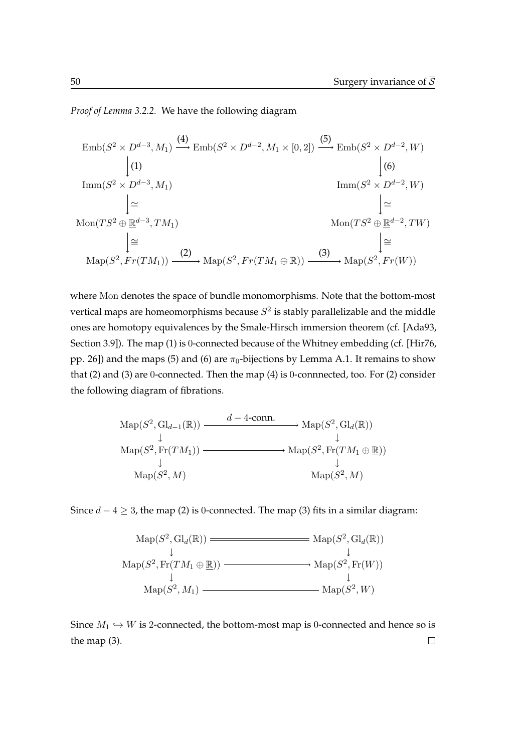*Proof of [Lemma 3.2.2.](#page-65-1)* We have the following diagram

$$
\begin{aligned}\n\text{Emb}(S^2 \times D^{d-3}, M_1) &\xrightarrow{(4)} \text{Emb}(S^2 \times D^{d-2}, M_1 \times [0, 2]) \xrightarrow{(5)} \text{Emb}(S^2 \times D^{d-2}, W) \\
&\qquad \qquad \downarrow (6) \\
\text{Imm}(S^2 \times D^{d-3}, M_1) &\qquad \qquad \downarrow (6) \\
\text{Imm}(S^2 \times D^{d-2}, W) &\qquad \searrow \qquad \downarrow \simeq \\
\text{Mon}(TS^2 \oplus \underline{\mathbb{R}}^{d-3}, TM_1) &\qquad \qquad \downarrow (2) \\
&\qquad \qquad \downarrow (2) \\
\text{Map}(S^2, Fr(TM_1)) &\xrightarrow{(3)} \text{Map}(S^2, Fr(W))\n\end{aligned}
$$

where Mon denotes the space of bundle monomorphisms. Note that the bottom-most vertical maps are homeomorphisms because  $S^2$  is stably parallelizable and the middle ones are homotopy equivalences by the Smale-Hirsch immersion theorem (cf. [\[Ada93,](#page-118-1) Section 3.9]). The map (1) is 0-connected because of the Whitney embedding (cf. [\[Hir76,](#page-120-3) pp. 26]) and the maps (5) and (6) are  $\pi_0$ -bijections by [Lemma A.1.](#page-104-1) It remains to show that (2) and (3) are 0-connected. Then the map (4) is 0-connnected, too. For (2) consider the following diagram of fibrations.

$$
\operatorname{Map}(S^2, \operatorname{Gl}_{d-1}(\mathbb{R})) \xrightarrow{d-4\text{-conn.}} \operatorname{Map}(S^2, \operatorname{Gl}_d(\mathbb{R}))
$$
\n
$$
\downarrow^{1}
$$
\n
$$
\operatorname{Map}(S^2, \operatorname{Fr}(TM_1)) \xrightarrow{\downarrow^{1}} \operatorname{Map}(S^2, \operatorname{Fr}(TM_1 \oplus \mathbb{R}))
$$
\n
$$
\downarrow^{1}
$$
\n
$$
\operatorname{Map}(S^2, M) \xrightarrow{\downarrow^{1}} \operatorname{Map}(S^2, M)
$$

Since  $d - 4 \geq 3$ , the map (2) is 0-connected. The map (3) fits in a similar diagram:

$$
Map(S^2, Gl_d(\mathbb{R})) \longrightarrow Map(S^2, Gl_d(\mathbb{R}))
$$
  
\n
$$
Map(S^2, Fr(TM_1 \oplus \mathbb{R})) \longrightarrow Map(S^2, Fr(W))
$$
  
\n
$$
Map(S^2, M_1) \longrightarrow Map(S^2, W)
$$
  
\n
$$
Map(S^2, M_1) \longrightarrow Map(S^2, W)
$$

Since  $M_1 \hookrightarrow W$  is 2-connected, the bottom-most map is 0-connected and hence so is the map (3). $\Box$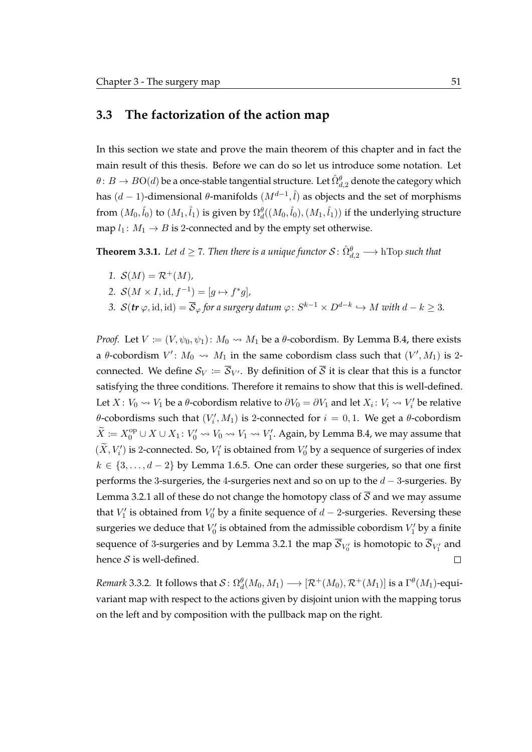### **3.3 The factorization of the action map**

In this section we state and prove the main theorem of this chapter and in fact the main result of this thesis. Before we can do so let us introduce some notation. Let  $\theta\colon B\to B{\rm O}(d)$  be a once-stable tangential structure. Let  $\hat{\Omega}_{d,2}^{\theta}$  denote the category which has  $(d-1)$ -dimensional  $\theta$ -manifolds  $(M^{d-1}, \hat{l})$  as objects and the set of morphisms from  $(M_0,\hat{l}_0)$  to  $(M_1,\hat{l}_1)$  is given by  $\Omega^{\theta}_d((M_0,\hat{l}_0),(M_1,\hat{l}_1))$  if the underlying structure map  $l_1: M_1 \rightarrow B$  is 2-connected and by the empty set otherwise.

<span id="page-68-0"></span>**Theorem 3.3.1.** Let  $d\geq 7$ . Then there is a unique functor  $\mathcal{S} \colon \hat{\Omega}_{d,2}^{\theta} \longrightarrow \text{hTop such that}$ 

- *1.*  $S(M) = \mathcal{R}^+(M)$ ,
- 2.  $S(M \times I, id, f^{-1}) = [g \mapsto f^*g],$
- 3.  $\mathcal{S}(\textbf{\textit{tr}}\ \varphi,\text{id},\text{id}) = \overline{\mathcal{S}}_{\varphi}$  for a surgery datum  $\varphi\colon S^{k-1}\times D^{d-k}\hookrightarrow M$  with  $d-k\geq3.$

*Proof.* Let  $V := (V, \psi_0, \psi_1)$ :  $M_0 \rightsquigarrow M_1$  be a  $\theta$ -cobordism. By [Lemma B.4,](#page-115-1) there exists a  $\theta$ -cobordism  $V'$ :  $M_0 \rightsquigarrow M_1$  in the same cobordism class such that  $(V', M_1)$  is 2connected. We define  $S_V := \overline{S}_{V'}$ . By definition of  $\overline{S}$  it is clear that this is a functor satisfying the three conditions. Therefore it remains to show that this is well-defined. Let  $X: V_0 \leadsto V_1$  be a  $\theta$ -cobordism relative to  $\partial V_0 = \partial V_1$  and let  $X_i: V_i \leadsto V'_i$  be relative  $\theta$ -cobordisms such that  $(V'_i, M_1)$  is 2-connected for  $i = 0, 1$ . We get a  $\theta$ -cobordism  $\widetilde{X}:=X_0^\text{op}\cup X\cup X_1\colon V_0'\rightsquigarrow V_0\rightsquigarrow V_1\rightsquigarrow V_1'.$  Again, by [Lemma B.4,](#page-115-1) we may assume that  $(\tilde{X}, V_i')$  is 2-connected. So,  $V_1'$  is obtained from  $V_0'$  by a sequence of surgeries of index  $k \in \{3, \ldots, d-2\}$  by [Lemma 1.6.5.](#page-43-1) One can order these surgeries, so that one first performs the 3-surgeries, the 4-surgeries next and so on up to the  $d-3$ -surgeries. By [Lemma 3.2.1](#page-62-1) all of these do not change the homotopy class of  $\overline{S}$  and we may assume that  $V'_1$  is obtained from  $V'_0$  by a finite sequence of  $d-2$ -surgeries. Reversing these surgeries we deduce that  $V_0'$  is obtained from the admissible cobordism  $V_1'$  by a finite sequence of 3-surgeries and by [Lemma 3.2.1](#page-62-1) the map  ${\cal S}_{V_0'}$  is homotopic to  ${\cal S}_{V_1'}$  and hence  $S$  is well-defined.  $\Box$ 

*Remark* 3.3.2. It follows that  $\mathcal{S}\colon \Omega_d^{\theta}(M_0,M_1)\longrightarrow [\mathcal{R}^+(M_0),\mathcal{R}^+(M_1)]$  is a  $\Gamma^{\theta}(M_1)$ -equivariant map with respect to the actions given by disjoint union with the mapping torus on the left and by composition with the pullback map on the right.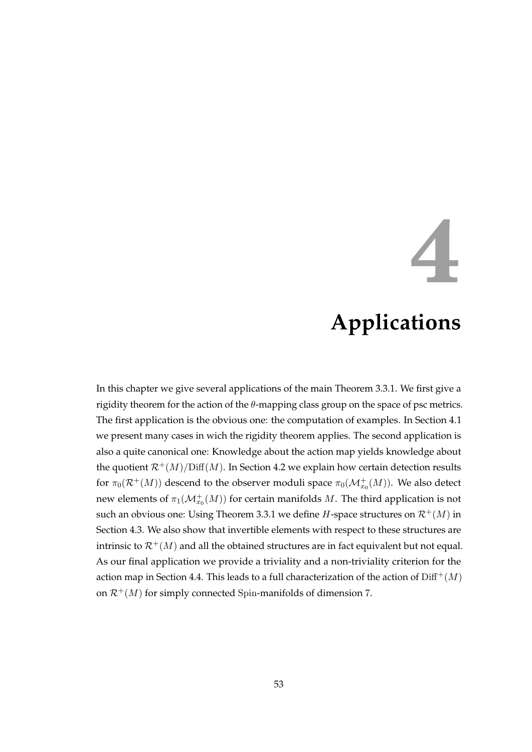## **4**

## **Applications**

<span id="page-70-0"></span>In this chapter we give several applications of the main [Theorem 3.3.1.](#page-68-0) We first give a rigidity theorem for the action of the  $\theta$ -mapping class group on the space of psc metrics. The first application is the obvious one: the computation of examples. In [Section 4.1](#page-70-0) we present many cases in wich the rigidity theorem applies. The second application is also a quite canonical one: Knowledge about the action map yields knowledge about the quotient  $\mathcal{R}^+(M)/\text{Diff}(M)$ . In [Section 4.2](#page-81-0) we explain how certain detection results for  $\pi_0(\mathcal{R}^+(M))$  descend to the observer moduli space  $\pi_0(\mathcal{M}^+_{x_0}(M))$ . We also detect new elements of  $\pi_1(\mathcal{M}^+_{x_0}(M))$  for certain manifolds  $M$ . The third application is not such an obvious one: Using [Theorem 3.3.1](#page-68-0) we define *H*-space structures on  $\mathcal{R}^+(M)$  in [Section 4.3.](#page-84-0) We also show that invertible elements with respect to these structures are intrinsic to  $\mathcal{R}^+(M)$  and all the obtained structures are in fact equivalent but not equal. As our final application we provide a triviality and a non-triviality criterion for the action map in [Section 4.4.](#page-89-0) This leads to a full characterization of the action of  $\text{Diff}^+(M)$ on  $\mathcal{R}^+(M)$  for simply connected Spin-manifolds of dimension 7.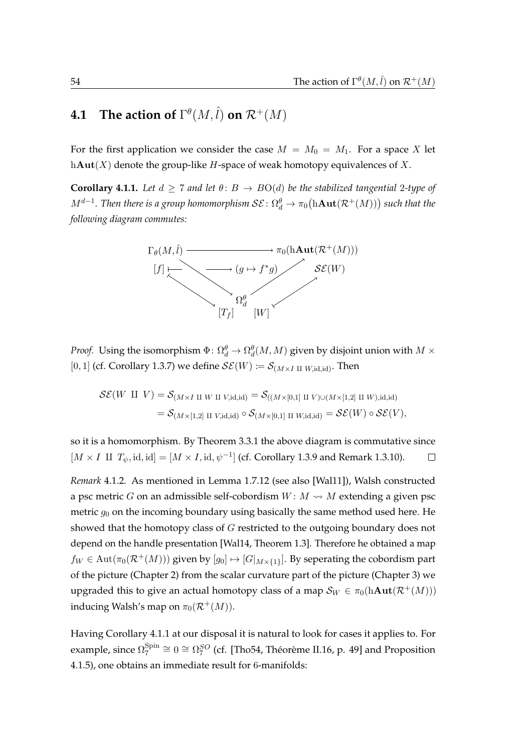## **4.1** The action of  $\Gamma^\theta(M, \hat{l})$  on  $\mathcal{R}^+(M)$

For the first application we consider the case  $M = M_0 = M_1$ . For a space X let h $\text{Aut}(X)$  denote the group-like H-space of weak homotopy equivalences of X.

<span id="page-71-0"></span>**Corollary 4.1.1.** Let  $d \geq 7$  and let  $\theta: B \to BO(d)$  be the stabilized tangential 2-type of  $M^{d-1}.$  Then there is a group homomorphism  $\mathcal{SE}\colon \Omega^{\theta}_d\to \pi_0\big(\mathrm{h}\mathbf{Aut}(\mathcal{R}^+(M))\big)$  such that the *following diagram commutes:*



*Proof.* Using the isomorphism  $\Phi\colon \Omega_d^{\theta} \to \Omega_d^{\theta}(M,M)$  given by disjoint union with  $M\times$ [0, 1] (cf. [Corollary 1.3.7\)](#page-31-0) we define  $\mathcal{SE}(W) \coloneqq \mathcal{S}_{(M \times I \amalg W, \text{id}, \text{id})}$ . Then

$$
\mathcal{SE}(W \amalg V) = \mathcal{S}_{(M \times I \amalg W \amalg V, \mathrm{id}, \mathrm{id})} = \mathcal{S}_{((M \times [0,1] \amalg V) \cup (M \times [1,2] \amalg W), \mathrm{id}, \mathrm{id})}
$$
  
=  $\mathcal{S}_{(M \times [1,2] \amalg V, \mathrm{id}, \mathrm{id})} \circ \mathcal{S}_{(M \times [0,1] \amalg W, \mathrm{id}, \mathrm{id})} = \mathcal{SE}(W) \circ \mathcal{SE}(V),$ 

so it is a homomorphism. By [Theorem 3.3.1](#page-68-0) the above diagram is commutative since [ $M \times I$  II  $T_{\psi}$ , id, id] = [ $M \times I$ , id,  $\psi^{-1}$ ] (cf. [Corollary 1.3.9](#page-32-0) and [Remark 1.3.10\)](#page-32-1).  $\Box$ 

*Remark* 4.1.2*.* As mentioned in [Lemma 1.7.12](#page-46-1) (see also [\[Wal11\]](#page-122-6)), Walsh constructed a psc metric G on an admissible self-cobordism  $W: M \rightsquigarrow M$  extending a given psc metric  $q_0$  on the incoming boundary using basically the same method used here. He showed that the homotopy class of G restricted to the outgoing boundary does not depend on the handle presentation [\[Wal14,](#page-122-7) Theorem 1.3]. Therefore he obtained a map  $f_W \in \text{Aut}(\pi_0(\mathcal{R}^+(M)))$  given by  $[g_0] \mapsto [G|_{M \times \{1\}}]$ . By seperating the cobordism part of the picture [\(Chapter 2\)](#page-48-0) from the scalar curvature part of the picture [\(Chapter 3\)](#page-56-0) we upgraded this to give an actual homotopy class of a map  $\mathcal{S}_W \in \pi_0(h\text{Aut}(\mathcal{R}^+(M)))$ inducing Walsh's map on  $\pi_0(\mathcal{R}^+(M))$ .

Having [Corollary 4.1.1](#page-71-0) at our disposal it is natural to look for cases it applies to. For example, since  $\Omega_7^{\mathrm{Spin}}$  $\frac{{\rm Spin}}{7}$  ≅ 0 ≅  $\Omega_7^{SO}$  (cf. [\[Tho54,](#page-122-8) Théorème II.16, p. 49] and [Proposition](#page-72-0) [4.1.5\)](#page-72-0), one obtains an immediate result for 6-manifolds: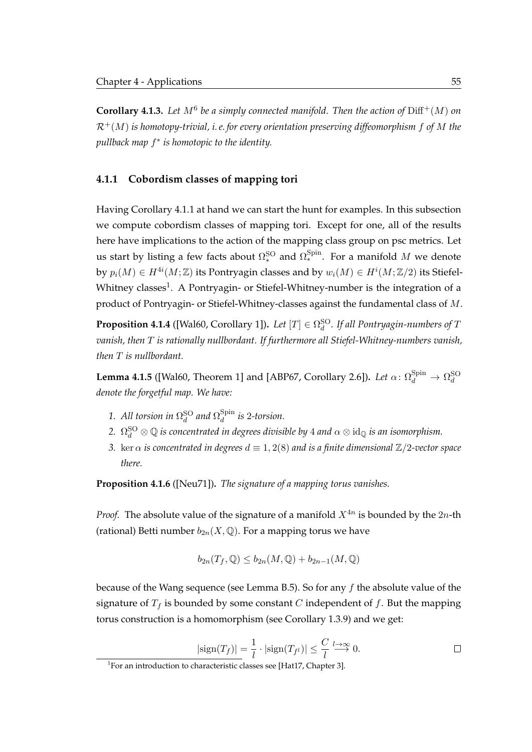**Corollary 4.1.3.** Let  $M^6$  be a simply connected manifold. Then the action of  $\text{Diff}^+(M)$  on  $\mathcal{R}^+(M)$  *is homotopy-trivial, i.e. for every orientation preserving diffeomorphism* f of M the *pullback map* f ∗ *is homotopic to the identity.*

## **4.1.1 Cobordism classes of mapping tori**

Having [Corollary 4.1.1](#page-71-0) at hand we can start the hunt for examples. In this subsection we compute cobordism classes of mapping tori. Except for one, all of the results here have implications to the action of the mapping class group on psc metrics. Let us start by listing a few facts about  $\Omega_*^{\rm SO}$  and  $\Omega_*^{\rm Spin.}$  For a manifold  $M$  we denote by  $p_i(M)\in H^{4i}(M;\mathbb{Z})$  its Pontryagin classes and by  $w_i(M)\in H^i(M;\mathbb{Z}/2)$  its Stiefel-Whitney classes<sup>[1](#page-72-0)</sup>. A Pontryagin- or Stiefel-Whitney-number is the integration of a product of Pontryagin- or Stiefel-Whitney-classes against the fundamental class of M.

<span id="page-72-2"></span>**Proposition 4.1.4** ([\[Wal60,](#page-122-0) Corollary 1]). Let  $[T] \in \Omega_d^{{\rm SO}}$ . If all Pontryagin-numbers of T *vanish, then* T *is rationally nullbordant. If furthermore all Stiefel-Whitney-numbers vanish, then* T *is nullbordant.*

<span id="page-72-1"></span>**Lemma 4.1.5** ([\[Wal60,](#page-122-0) Theorem 1] and [\[ABP67,](#page-118-0) Corollary 2.6]). *Let*  $\alpha$ :  $\Omega_d^{\text{Spin}} \to \Omega_d^{\text{SO}}$ *denote the forgetful map. We have:*

- 1. All torsion in  $\Omega_d^{\rm SO}$  and  $\Omega_d^{\rm Spin}$ d *is* 2*-torsion.*
- 2.  $\, \Omega_{d}^{\rm SO} \otimes \mathbb Q \,$  is concentrated in degrees divisible by 4 and  $\alpha \otimes \mathrm{id}_\mathbb Q$  is an isomorphism.
- *3.* ker  $\alpha$  *is concentrated in degrees*  $d \equiv 1, 2(8)$  *and is a finite dimensional*  $\mathbb{Z}/2$ *-vector space there.*

<span id="page-72-3"></span>**Proposition 4.1.6** ([\[Neu71\]](#page-121-0))**.** *The signature of a mapping torus vanishes.*

*Proof.* The absolute value of the signature of a manifold  $X^{4n}$  is bounded by the  $2n$ -th (rational) Betti number  $b_{2n}(X, \mathbb{Q})$ . For a mapping torus we have

$$
b_{2n}(T_f, \mathbb{Q}) \le b_{2n}(M, \mathbb{Q}) + b_{2n-1}(M, \mathbb{Q})
$$

because of the Wang sequence (see [Lemma B.5\)](#page-117-0). So for any f the absolute value of the signature of  $T_f$  is bounded by some constant C independent of f. But the mapping torus construction is a homomorphism (see [Corollary 1.3.9\)](#page-32-0) and we get:

$$
|\text{sign}(T_f)| = \frac{1}{l} \cdot |\text{sign}(T_{f^l})| \le \frac{C}{l} \stackrel{l \to \infty}{\longrightarrow} 0.
$$

<span id="page-72-0"></span> ${}^{1}$ For an introduction to characteristic classes see [\[Hat17,](#page-120-0) Chapter 3].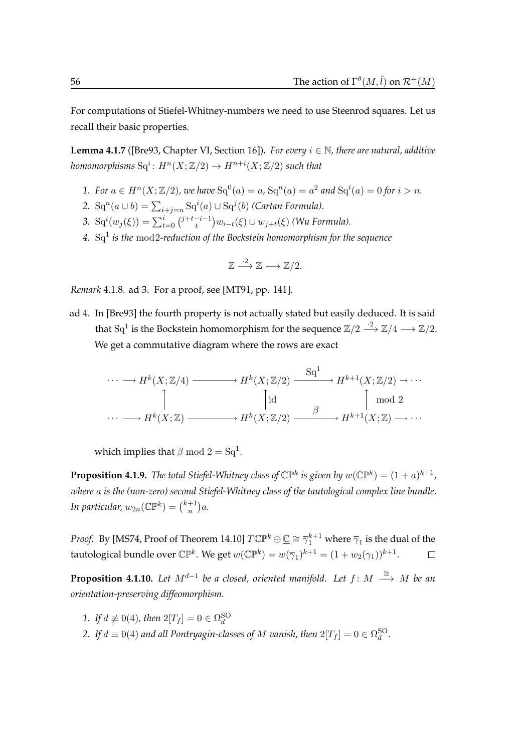For computations of Stiefel-Whitney-numbers we need to use Steenrod squares. Let us recall their basic properties.

**Lemma 4.1.7** ([\[Bre93,](#page-118-1) Chapter VI, Section 16])**.** *For every* i ∈ N*, there are natural, additive* homomorphisms  $\operatorname{Sq}^i\colon H^n(X;\mathbb{Z}/2)\to H^{n+i}(X;\mathbb{Z}/2)$  such that

- *1.* For  $a \in H^{n}(X; \mathbb{Z}/2)$ , we have  $Sq^{0}(a) = a$ ,  $Sq^{n}(a) = a^{2}$  and  $Sq^{i}(a) = 0$  for  $i > n$ .
- 2.  $\operatorname{Sq}^n(a \cup b) = \sum_{i+j=n} \operatorname{Sq}^i(a) \cup \operatorname{Sq}^j(b)$  *(Cartan Formula).*
- 3.  $\operatorname{Sq}^{i}(w_{j}(\xi)) = \sum_{t=0}^{i} {j+t-i-1 \choose t}$  $\binom{-i-1}{t}w_{i-t}(\xi) \cup w_{j+t}(\xi)$  (Wu Formula).
- *4.* Sq<sup>1</sup> *is the* mod2*-reduction of the Bockstein homomorphism for the sequence*

$$
\mathbb{Z} \xrightarrow{\cdot 2} \mathbb{Z} \longrightarrow \mathbb{Z}/2.
$$

*Remark* 4.1.8*.* ad 3. For a proof, see [\[MT91,](#page-121-1) pp. 141].

ad 4. In [\[Bre93\]](#page-118-1) the fourth property is not actually stated but easily deduced. It is said that  $\mathrm{Sq}^1$  is the Bockstein homomorphism for the sequence  $\mathbb{Z}/2 \stackrel{\cdot 2}{\longrightarrow} \mathbb{Z}/4 \longrightarrow \mathbb{Z}/2.$ We get a commutative diagram where the rows are exact

$$
\cdots \longrightarrow H^k(X; \mathbb{Z}/4) \longrightarrow H^k(X; \mathbb{Z}/2) \xrightarrow{\mathrm{Sq}^1} H^{k+1}(X; \mathbb{Z}/2) \longrightarrow \cdots
$$
  
\n
$$
\uparrow \qquad \qquad \uparrow \qquad \qquad \uparrow \qquad \qquad \uparrow \qquad \qquad \uparrow \qquad \qquad \uparrow \qquad \qquad \uparrow \qquad \qquad \uparrow \qquad \qquad \uparrow \qquad \uparrow \qquad \uparrow \qquad \uparrow \qquad \uparrow \qquad \uparrow \qquad \uparrow \qquad \uparrow \qquad \uparrow \qquad \uparrow \qquad \uparrow \qquad \uparrow \qquad \uparrow \qquad \uparrow \qquad \uparrow \qquad \uparrow \qquad \uparrow \qquad \uparrow \qquad \uparrow \qquad \uparrow \qquad \uparrow \qquad \uparrow \qquad \uparrow \qquad \uparrow \qquad \uparrow \qquad \uparrow \qquad \uparrow \qquad \uparrow \qquad \uparrow \qquad \uparrow \qquad \uparrow \qquad \uparrow \qquad \uparrow \qquad \uparrow \qquad \uparrow \qquad \uparrow \qquad \uparrow \qquad \uparrow \qquad \uparrow \qquad \uparrow \qquad \uparrow \qquad \uparrow \qquad \uparrow \qquad \uparrow \qquad \uparrow \qquad \uparrow \qquad \uparrow \qquad \uparrow \qquad \uparrow \qquad \uparrow \qquad \uparrow \qquad \uparrow \qquad \uparrow \qquad \uparrow \qquad \uparrow \qquad \uparrow \qquad \uparrow \qquad \uparrow \qquad \uparrow \qquad \uparrow \qquad \uparrow \qquad \uparrow \qquad \uparrow \qquad \uparrow \qquad \uparrow \qquad \uparrow \qquad \uparrow \qquad \uparrow \qquad \uparrow \qquad \uparrow \qquad \uparrow \qquad \uparrow \qquad \uparrow \qquad \uparrow \qquad \uparrow \qquad \uparrow \qquad \uparrow \qquad \uparrow \qquad \uparrow \qquad \uparrow \qquad \uparrow \qquad \uparrow \qquad \uparrow \qquad \uparrow \qquad \uparrow \qquad \uparrow \qquad \uparrow \qquad \uparrow \qquad \uparrow \qquad \uparrow \qquad \uparrow \qquad \uparrow \qquad \uparrow \qquad \uparrow \qquad \uparrow \qquad \uparrow \qquad \uparrow \qquad \uparrow \qquad \uparrow \qquad \uparrow \qquad \uparrow \qquad \uparrow \qquad
$$

which implies that  $\beta$  mod  $2 = Sq^1$ .

**Proposition 4.1.9.** The total Stiefel-Whitney class of  $\mathbb{CP}^k$  is given by  $w(\mathbb{CP}^k) = (1+a)^{k+1}$ , *where* a *is the (non-zero) second Stiefel-Whitney class of the tautological complex line bundle.* In particular,  $w_{2n}(\mathbb{CP}^k) = \binom{k+1}{n}$  $_{n}^{+1})a.$ 

*Proof.* By [\[MS74,](#page-121-2) Proof of Theorem 14.10]  $T\mathbb{CP}^k\oplus\mathbb{C}\cong\overline{\gamma}_1^{k+1}$  where  $\overline{\gamma}_1$  is the dual of the tautological bundle over C $\mathbb{P}^k$ . We get  $w(\mathbb{CP}^k)=w(\overline\gamma_1)^{k+1}=(1+w_2(\gamma_1))^{k+1}.$ 

<span id="page-73-0"></span>**Proposition 4.1.10.** Let  $M^{d-1}$  be a closed, oriented manifold. Let  $f: M \stackrel{\cong}{\longrightarrow} M$  be an *orientation-preserving diffeomorphism.*

- *1. If*  $d \not\equiv 0(4)$ *, then*  $2[T_f] = 0 \in \Omega_d^{\text{SO}}$
- 2. If  $d \equiv 0(4)$  and all Pontryagin-classes of M vanish, then  $2[T_f] = 0 \in \Omega_d^{\text{SO}}$ .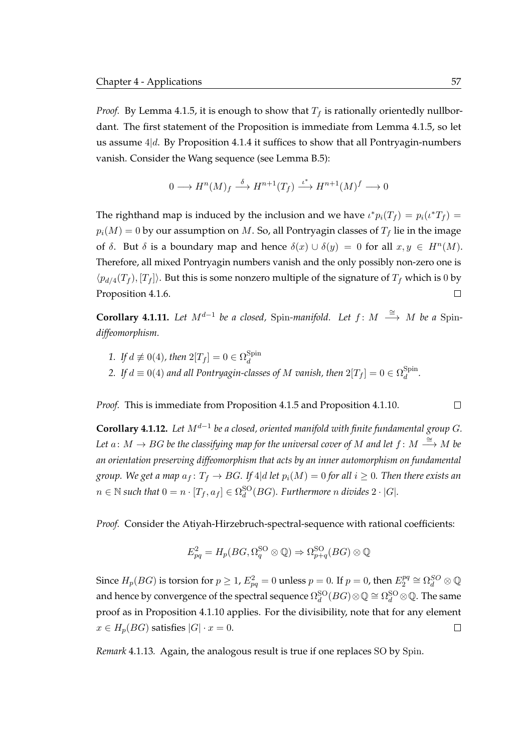*Proof.* By [Lemma 4.1.5,](#page-72-1) it is enough to show that  $T_f$  is rationally orientedly nullbordant. The first statement of the Proposition is immediate from [Lemma 4.1.5,](#page-72-1) so let us assume  $4|d$ . By [Proposition 4.1.4](#page-72-2) it suffices to show that all Pontryagin-numbers vanish. Consider the Wang sequence (see [Lemma B.5\)](#page-117-0):

$$
0 \longrightarrow H^{n}(M)_{f} \stackrel{\delta}{\longrightarrow} H^{n+1}(T_{f}) \stackrel{\iota^{*}}{\longrightarrow} H^{n+1}(M)^{f} \longrightarrow 0
$$

The righthand map is induced by the inclusion and we have  $\iota^* p_i(T_f) = p_i(\iota^* T_f) =$  $p_i(M) = 0$  by our assumption on M. So, all Pontryagin classes of  $T_f$  lie in the image of  $\delta$ . But  $\delta$  is a boundary map and hence  $\delta(x) \cup \delta(y) = 0$  for all  $x, y \in H^n(M)$ . Therefore, all mixed Pontryagin numbers vanish and the only possibly non-zero one is  $\langle p_{d/4}(T_f), [T_f] \rangle$ . But this is some nonzero multiple of the signature of  $T_f$  which is 0 by [Proposition 4.1.6.](#page-72-3)  $\Box$ 

**Corollary 4.1.11.** Let  $M^{d-1}$  be a closed, Spin-manifold. Let  $f: M \stackrel{\cong}{\longrightarrow} M$  be a Spin*diffeomorphism.*

- 1. If  $d \not\equiv 0(4)$ , then  $2[T_f] = 0 \in \Omega_d^{\text{Spin}}$ d
- 2. If  $d\equiv 0(4)$  and all Pontryagin-classes of  $M$  vanish, then  $2[T_f]=0\in \Omega_d^{\mathrm{Spin}}$  $\frac{d}{d}$ .

*Proof.* This is immediate from [Proposition 4.1.5](#page-72-1) and [Proposition 4.1.10.](#page-73-0)

**Corollary 4.1.12.** *Let* Md−<sup>1</sup> *be a closed, oriented manifold with finite fundamental group* G*.* Let  $a\colon M\to BG$  be the classifying map for the universal cover of  $M$  and let  $f\colon M\stackrel{\cong}{\longrightarrow} M$  be *an orientation preserving diffeomorphism that acts by an inner automorphism on fundamental group.* We get a map  $a_f: T_f \to BG$ . If 4|d let  $p_i(M) = 0$  for all  $i \ge 0$ . Then there exists an  $n \in \mathbb{N}$  such that  $0 = n \cdot [T_f, a_f] \in \Omega_d^{\text{SO}}(BG)$ . Furthermore n divides  $2 \cdot |G|$ .

*Proof.* Consider the Atiyah-Hirzebruch-spectral-sequence with rational coefficients:

$$
E_{pq}^2 = H_p(BG, \Omega_q^{\text{SO}} \otimes \mathbb{Q}) \Rightarrow \Omega_{p+q}^{\text{SO}}(BG) \otimes \mathbb{Q}
$$

Since  $H_p(BG)$  is torsion for  $p \geq 1$ ,  $E_{pq}^2 = 0$  unless  $p = 0$ . If  $p = 0$ , then  $E_2^{pq}$  $\Omega_2^{pq} \cong \Omega_d^{SO} \otimes \mathbb{Q}$ and hence by convergence of the spectral sequence  $\Omega_d^{{\rm SO}}(BG)\otimes\mathbb Q\cong\Omega_d^{{\rm SO}}\otimes\mathbb Q.$  The same proof as in [Proposition 4.1.10](#page-73-0) applies. For the divisibility, note that for any element  $x \in H_p(BG)$  satisfies  $|G| \cdot x = 0$ .  $\Box$ 

*Remark* 4.1.13*.* Again, the analogous result is true if one replaces SO by Spin.

 $\Box$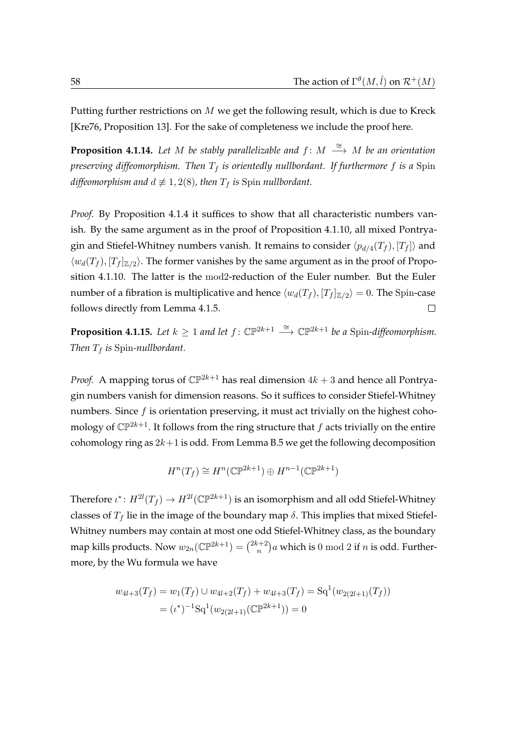Putting further restrictions on  $M$  we get the following result, which is due to Kreck [\[Kre76,](#page-121-3) Proposition 13]. For the sake of completeness we include the proof here.

<span id="page-75-0"></span>**Proposition 4.1.14.** Let M be stably parallelizable and  $f$ : M  $\stackrel{\cong}{\longrightarrow} M$  be an orientation *preserving diffeomorphism. Then*  $T_f$  *is orientedly nullbordant. If furthermore f is a* Spin *diffeomorphism and*  $d \not\equiv 1, 2(8)$ *, then*  $T_f$  *is* Spin *nullbordant.* 

*Proof.* By [Proposition 4.1.4](#page-72-2) it suffices to show that all characteristic numbers vanish. By the same argument as in the proof of [Proposition 4.1.10,](#page-73-0) all mixed Pontryagin and Stiefel-Whitney numbers vanish. It remains to consider  $\langle p_{d/4}(T_f), [T_f]\rangle$  and  $\langle w_d(T_f), [T_f]_{\mathbb{Z}/2} \rangle$ . The former vanishes by the same argument as in the proof of [Propo](#page-73-0)[sition 4.1.10.](#page-73-0) The latter is the mod2-reduction of the Euler number. But the Euler number of a fibration is multiplicative and hence  $\langle w_d(T_f), [T_f]_{\mathbb{Z}/2} \rangle = 0.$  The Spin-case follows directly from [Lemma 4.1.5.](#page-72-1)  $\Box$ 

**Proposition 4.1.15.** *Let*  $k \geq 1$  *and let*  $f: \mathbb{CP}^{2k+1} \xrightarrow{\cong} \mathbb{CP}^{2k+1}$  *be a* Spin-diffeomorphism. *Then*  $T_f$  *is* Spin-*nullbordant*.

*Proof.* A mapping torus of  $\mathbb{CP}^{2k+1}$  has real dimension  $4k + 3$  and hence all Pontryagin numbers vanish for dimension reasons. So it suffices to consider Stiefel-Whitney numbers. Since  $f$  is orientation preserving, it must act trivially on the highest cohomology of  $\mathbb{CP}^{2k+1}$ . It follows from the ring structure that f acts trivially on the entire cohomology ring as  $2k+1$  is odd. From [Lemma B.5](#page-117-0) we get the following decomposition

$$
H^n(T_f) \cong H^n(\mathbb{CP}^{2k+1}) \oplus H^{n-1}(\mathbb{CP}^{2k+1})
$$

Therefore  $\iota^*\colon H^{2l}(T_f)\to H^{2l}(\mathbb{CP}^{2k+1})$  is an isomorphism and all odd Stiefel-Whitney classes of  $T_f$  lie in the image of the boundary map  $\delta$ . This implies that mixed Stiefel-Whitney numbers may contain at most one odd Stiefel-Whitney class, as the boundary map kills products. Now  $w_{2n}(\mathbb{CP}^{2k+1}) = \binom{2k+2}{n}$  $(n^{n+2})$ a which is  $0 \bmod 2$  if  $n$  is odd. Furthermore, by the Wu formula we have

$$
w_{4l+3}(T_f) = w_1(T_f) \cup w_{4l+2}(T_f) + w_{4l+3}(T_f) = Sq^1(w_{2(2l+1)}(T_f))
$$
  
=  $(\iota^*)^{-1}Sq^1(w_{2(2l+1)}(\mathbb{CP}^{2k+1})) = 0$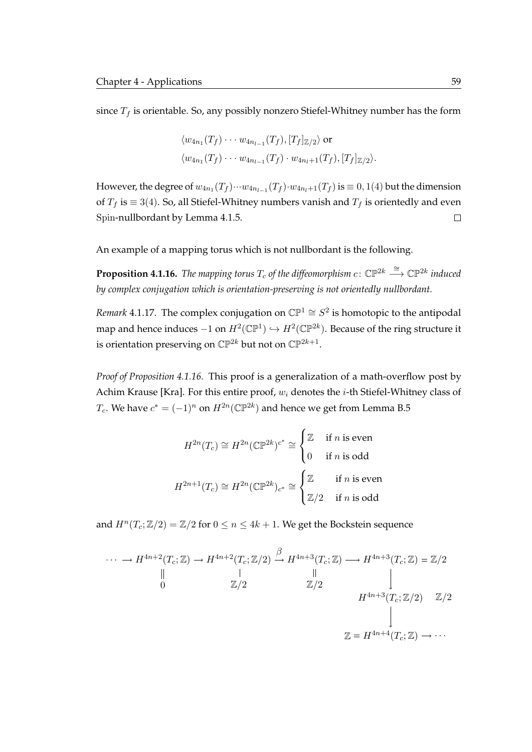since  $T_f$  is orientable. So, any possibly nonzero Stiefel-Whitney number has the form

$$
\langle w_{4n_1}(T_f) \cdots w_{4n_{l-1}}(T_f), [T_f]_{\mathbb{Z}/2} \rangle
$$
 or  
 $\langle w_{4n_1}(T_f) \cdots w_{4n_{l-1}}(T_f) \cdot w_{4n_l+1}(T_f), [T_f]_{\mathbb{Z}/2} \rangle$ .

However, the degree of  $w_{4n_1}(T_f)\cdots w_{4n_{l-1}}(T_f)\cdot w_{4n_l+1}(T_f)$  is  $\equiv 0,1(4)$  but the dimension of  $T_f$  is  $\equiv 3(4)$ . So, all Stiefel-Whitney numbers vanish and  $T_f$  is orientedly and even Spin-nullbordant by [Lemma 4.1.5.](#page-72-1)  $\Box$ 

An example of a mapping torus which is not nullbordant is the following.

<span id="page-76-0"></span>**Proposition 4.1.16.** The mapping torus  $T_c$  of the diffeomorphism  $c \colon \mathbb{CP}^{2k} \stackrel{\cong}{\longrightarrow} \mathbb{CP}^{2k}$  induced *by complex conjugation which is orientation-preserving is not orientedly nullbordant.*

*Remark* 4.1.17. The complex conjugation on  $\mathbb{CP}^1 \cong S^2$  is homotopic to the antipodal map and hence induces  $-1$  on  $H^2(\mathbb{CP}^1) \hookrightarrow H^2(\mathbb{CP}^{2k})$ . Because of the ring structure it is orientation preserving on  $\mathbb{CP}^{2k}$  but not on  $\mathbb{CP}^{2k+1}.$ 

*Proof of [Proposition 4.1.16.](#page-76-0)* This proof is a generalization of a math-overflow post by Achim Krause [\[Kra\]](#page-121-4). For this entire proof,  $w_i$  denotes the *i*-th Stiefel-Whitney class of  $T_c$ . We have  $c^*=(-1)^n$  on  $H^{2n}(\mathbb{CP}^{2k})$  and hence we get from [Lemma B.5](#page-117-0)

$$
H^{2n}(T_c) \cong H^{2n}(\mathbb{CP}^{2k})^{c^*} \cong \begin{cases} \mathbb{Z} & \text{if } n \text{ is even} \\ 0 & \text{if } n \text{ is odd} \end{cases}
$$

$$
H^{2n+1}(T_c) \cong H^{2n}(\mathbb{CP}^{2k})_{c^*} \cong \begin{cases} \mathbb{Z} & \text{if } n \text{ is even} \\ \mathbb{Z}/2 & \text{if } n \text{ is odd} \end{cases}
$$

and  $H^n(T_c; \mathbb{Z}/2) = \mathbb{Z}/2$  for  $0 \le n \le 4k + 1$ . We get the Bockstein sequence

$$
\cdots \longrightarrow H^{4n+2}(T_c; \mathbb{Z}) \longrightarrow H^{4n+2}(T_c; \mathbb{Z}/2) \stackrel{\beta}{\longrightarrow} H^{4n+3}(T_c; \mathbb{Z}) \longrightarrow H^{4n+3}(T_c; \mathbb{Z}) = \mathbb{Z}/2
$$
  
\n
$$
\begin{array}{ccc}\n\downarrow & & \downarrow \\
0 & \mathbb{Z}/2 & & \downarrow \\
 & H^{4n+3}(T_c; \mathbb{Z}/2) = \mathbb{Z}/2 \\
 & & \downarrow \\
 & & \mathbb{Z} = H^{4n+4}(T_c; \mathbb{Z}) \longrightarrow \cdots\n\end{array}
$$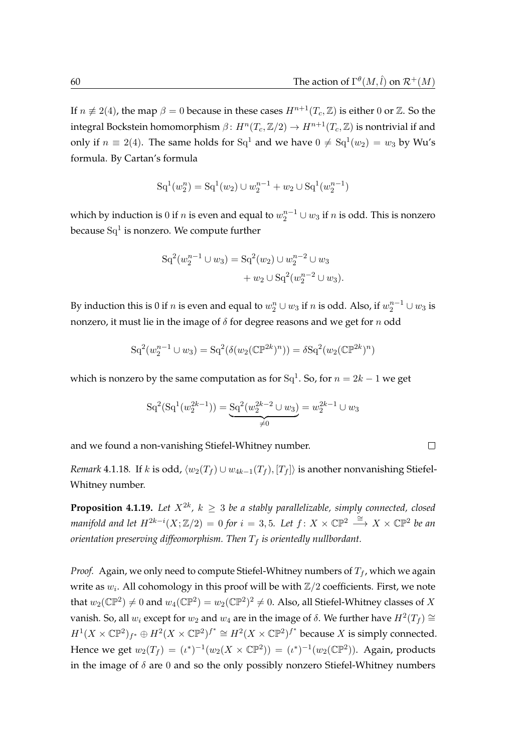If  $n \neq 2(4)$ , the map  $\beta = 0$  because in these cases  $H^{n+1}(T_c, \mathbb{Z})$  is either 0 or  $\mathbb{Z}$ . So the integral Bockstein homomorphism  $\beta\colon H^n(T_c,\mathbb{Z}/2)\to H^{n+1}(T_c,\mathbb{Z})$  is nontrivial if and only if  $n \equiv 2(4)$ . The same holds for  $\mathrm{Sq}^1$  and we have  $0 \neq \mathrm{Sq}^1(w_2) = w_3$  by Wu's formula. By Cartan's formula

$$
\mathrm{Sq}^1(w_2^n) = \mathrm{Sq}^1(w_2) \cup w_2^{n-1} + w_2 \cup \mathrm{Sq}^1(w_2^{n-1})
$$

which by induction is  $0$  if  $n$  is even and equal to  $w_2^{n-1} \cup w_3$  if  $n$  is odd. This is nonzero because  $\mathrm{Sq}^1$  is nonzero. We compute further

$$
Sq^{2}(w_{2}^{n-1} \cup w_{3}) = Sq^{2}(w_{2}) \cup w_{2}^{n-2} \cup w_{3} + w_{2} \cup Sq^{2}(w_{2}^{n-2} \cup w_{3}).
$$

By induction this is 0 if  $n$  is even and equal to  $w_2^n\cup w_3$  if  $n$  is odd. Also, if  $w_2^{n-1}\cup w_3$  is nonzero, it must lie in the image of  $\delta$  for degree reasons and we get for n odd

$$
Sq^{2}(w_{2}^{n-1} \cup w_{3}) = Sq^{2}(\delta(w_{2}(\mathbb{C}\mathbb{P}^{2k})^{n})) = \delta Sq^{2}(w_{2}(\mathbb{C}\mathbb{P}^{2k})^{n})
$$

which is nonzero by the same computation as for  $\mathrm{Sq}^1.$  So, for  $n=2k-1$  we get

$$
Sq^{2}(Sq^{1}(w_{2}^{2k-1})) = \underbrace{Sq^{2}(w_{2}^{2k-2} \cup w_{3})}_{\neq 0} = w_{2}^{2k-1} \cup w_{3}
$$

and we found a non-vanishing Stiefel-Whitney number.

 $\Box$ 

*Remark* 4.1.18*.* If k is odd,  $\langle w_2(T_f) \cup w_{4k-1}(T_f), T_f \rangle$  is another nonvanishing Stiefel-Whitney number.

**Proposition 4.1.19.** Let  $X^{2k}$ ,  $k \geq 3$  be a stably parallelizable, simply connected, closed *manifold and let*  $H^{2k-i}(X;\mathbb{Z}/2) = 0$  for  $i = 3,5$ . Let  $f: X \times \mathbb{CP}^2 \xrightarrow{\cong} X \times \mathbb{CP}^2$  be an *orientation preserving diffeomorphism. Then*  $T_f$  *is orientedly nullbordant.* 

*Proof.* Again, we only need to compute Stiefel-Whitney numbers of  $T_f$ , which we again write as  $w_i$ . All cohomology in this proof will be with  $\mathbb{Z}/2$  coefficients. First, we note that  $w_2(\mathbb{CP}^2) \neq 0$  and  $w_4(\mathbb{CP}^2) = w_2(\mathbb{CP}^2)^2 \neq 0$ . Also, all Stiefel-Whitney classes of  $X$ vanish. So, all  $w_i$  except for  $w_2$  and  $w_4$  are in the image of  $\delta$ . We further have  $H^2(T_f) \cong \mathbb{Z}$  $H^1(X\times \mathbb{CP}^2)_{f^*}\oplus H^2(X\times \mathbb{CP}^2)^{f^*}\cong H^2(X\times \mathbb{CP}^2)^{f^*}$  because X is simply connected. Hence we get  $w_2(T_f) = (\iota^*)^{-1}(w_2(X \times \mathbb{CP}^2)) = (\iota^*)^{-1}(w_2(\mathbb{CP}^2))$ . Again, products in the image of  $\delta$  are 0 and so the only possibly nonzero Stiefel-Whitney numbers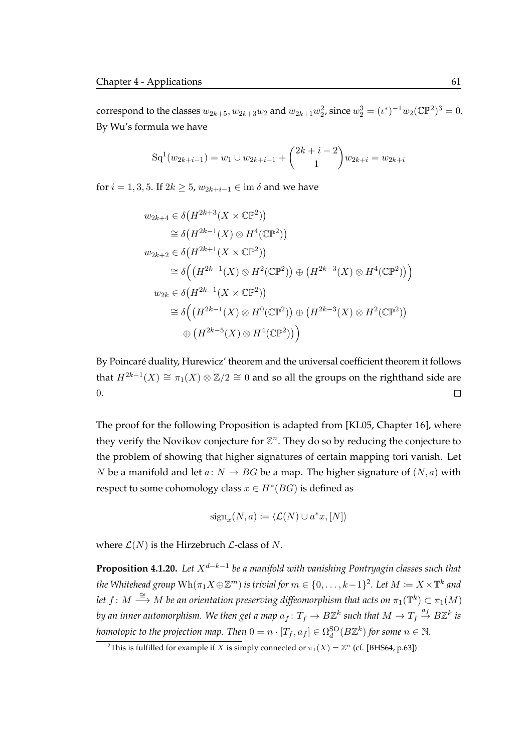correspond to the classes  $w_{2k+5}$ ,  $w_{2k+3}w_2$  and  $w_{2k+1}w_2^2$ , since  $w_2^3 = (u^*)^{-1}w_2(\mathbb{CP}^2)^3 = 0$ . By Wu's formula we have

$$
Sq^{1}(w_{2k+i-1}) = w_1 \cup w_{2k+i-1} + {2k+i-2 \choose 1} w_{2k+i} = w_{2k+i}
$$

for  $i = 1, 3, 5$ . If  $2k \ge 5$ ,  $w_{2k+i-1} \in \text{im } \delta$  and we have

$$
w_{2k+4} \in \delta(H^{2k+3}(X \times \mathbb{CP}^2))
$$
  
\n
$$
\cong \delta(H^{2k-1}(X) \otimes H^4(\mathbb{CP}^2))
$$
  
\n
$$
w_{2k+2} \in \delta(H^{2k+1}(X \times \mathbb{CP}^2))
$$
  
\n
$$
\cong \delta((H^{2k-1}(X) \otimes H^2(\mathbb{CP}^2)) \oplus (H^{2k-3}(X) \otimes H^4(\mathbb{CP}^2)))
$$
  
\n
$$
w_{2k} \in \delta(H^{2k-1}(X \times \mathbb{CP}^2))
$$
  
\n
$$
\cong \delta((H^{2k-1}(X) \otimes H^0(\mathbb{CP}^2)) \oplus (H^{2k-3}(X) \otimes H^2(\mathbb{CP}^2))
$$
  
\n
$$
\oplus (H^{2k-5}(X) \otimes H^4(\mathbb{CP}^2))
$$

By Poincaré duality, Hurewicz' theorem and the universal coefficient theorem it follows that  $H^{2k-1}(X) \cong \pi_1(X) \otimes \mathbb{Z}/2 \cong 0$  and so all the groups on the righthand side are 0.  $\Box$ 

The proof for the following Proposition is adapted from [\[KL05,](#page-120-1) Chapter 16], where they verify the Novikov conjecture for  $\mathbb{Z}^n$ . They do so by reducing the conjecture to the problem of showing that higher signatures of certain mapping tori vanish. Let N be a manifold and let  $a: N \to BG$  be a map. The higher signature of  $(N, a)$  with respect to some cohomology class  $x \in H^*(BG)$  is defined as

$$
sign_x(N, a) := \langle \mathcal{L}(N) \cup a^*x, [N] \rangle
$$

where  $\mathcal{L}(N)$  is the Hirzebruch  $\mathcal{L}$ -class of N.

**Proposition 4.1.20.** Let  $X^{d-k-1}$  be a manifold with vanishing Pontryagin classes such that the Whitehead group  $\text{Wh}(\pi_1X\oplus\mathbb{Z}^m)$  is trivial for  $m\in\{0,\ldots,k-1\}^2$  $m\in\{0,\ldots,k-1\}^2$ . Let  $M\coloneqq X\times\mathbb{T}^k$  and let  $f\colon M\stackrel{\cong}{\longrightarrow}M$  be an orientation preserving diffeomorphism that acts on  $\pi_1(\mathbb{T}^k)\subset \pi_1(M)$ *by an inner automorphism. We then get a map*  $a_f\colon T_f\to B\mathbb{Z}^k$  such that  $M\to T_f\stackrel{a_f}{\to}B\mathbb{Z}^k$  is *homotopic to the projection map. Then*  $0 = n \cdot [T_f, a_f] \in \Omega_d^{{\rm SO}}(B\mathbb{Z}^k)$  *for some*  $n \in \mathbb{N}$ *.* 

<span id="page-78-0"></span><sup>&</sup>lt;sup>2</sup>This is fulfilled for example if X is simply connected or  $\pi_1(X) = \mathbb{Z}^n$  (cf. [\[BHS64,](#page-118-2) p.63])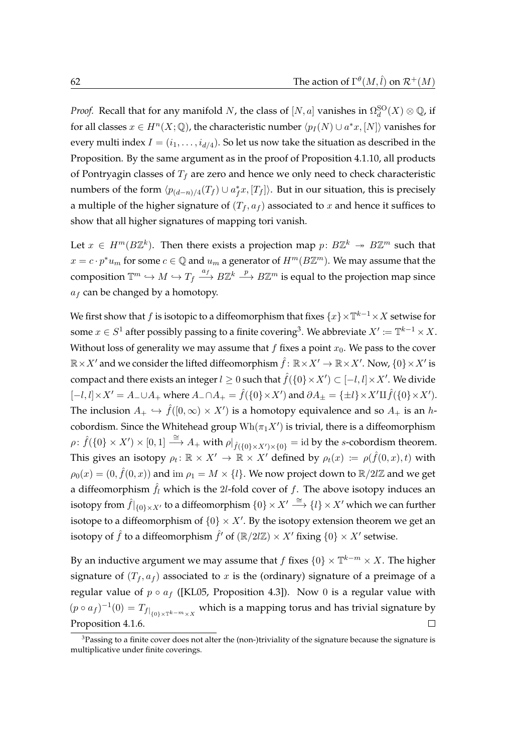*Proof.* Recall that for any manifold N, the class of  $[N, a]$  vanishes in  $\Omega_d^{{\rm SO}}(X)\otimes \mathbb Q$ , if for all classes  $x \in H^n(X; \mathbb{Q})$ , the characteristic number  $\langle p_I(N) \cup a^*x, [N] \rangle$  vanishes for every multi index  $I=(i_1,\ldots,i_{d/4}).$  So let us now take the situation as described in the Proposition. By the same argument as in the proof of [Proposition 4.1.10,](#page-73-0) all products of Pontryagin classes of  $T_f$  are zero and hence we only need to check characteristic numbers of the form  $\langle p_{(d-n)/4}(T_f) \cup a_f^*x, [T_f] \rangle$ . But in our situation, this is precisely a multiple of the higher signature of  $(T_f, a_f)$  associated to x and hence it suffices to show that all higher signatures of mapping tori vanish.

Let  $x \in H^m(B\mathbb{Z}^k)$ . Then there exists a projection map  $p\colon B\mathbb{Z}^k \twoheadrightarrow B\mathbb{Z}^m$  such that  $x = c \cdot p^* u_m$  for some  $c \in \mathbb{Q}$  and  $u_m$  a generator of  $H^m(B\mathbb{Z}^m)$ . We may assume that the composition  $\mathbb{T}^m\hookrightarrow M\hookrightarrow T_f\stackrel{a_f}\longrightarrow B\mathbb{Z}^k\stackrel{p}\longrightarrow B\mathbb{Z}^m$  is equal to the projection map since  $a_f$  can be changed by a homotopy.

We first show that  $f$  is isotopic to a diffeomorphism that fixes  $\{x\}\! \mathbb{X}^{k-1}\!\times\! X$  setwise for some  $x \in S^1$  after possibly passing to a finite covering<sup>[3](#page-79-0)</sup>. We abbreviate  $X' \coloneqq \mathbb{T}^{k-1} \times X.$ Without loss of generality we may assume that  $f$  fixes a point  $x_0$ . We pass to the cover  $\R{\times}X'$  and we consider the lifted diffeomorphism  $\hat{f}\colon\R{\times}X'\to\R{\times}X'$  . Now,  $\{0\}{\times}X'$  is compact and there exists an integer  $l\geq 0$  such that  $\hat{f}(\{0\}\times X')\subset [-l,l]\times X'.$  We divide  $[-l, l] \times X' = A_- \cup A_+$  where  $A_- \cap A_+ = \hat{f}(\{0\} \times X')$  and  $\partial A_\pm = \{\pm l\} \times X' \amalg \hat{f}(\{0\} \times X').$ The inclusion  $A_+ \hookrightarrow \hat{f}([0,\infty) \times X')$  is a homotopy equivalence and so  $A_+$  is an hcobordism. Since the Whitehead group  $\text{Wh}(\pi_1 X')$  is trivial, there is a diffeomorphism  $\rho\colon \hat{f}(\{0\}\times X')\times [0,1]\stackrel{\cong}{\longrightarrow} A_+ \text{ with } \rho|_{\hat{f}(\{0\}\times X')\times \{0\}}=\text{id by the }s\text{-cobordism theorem}.$ This gives an isotopy  $\rho_t \colon \mathbb{R} \times X' \to \mathbb{R} \times X'$  defined by  $\rho_t(x) \coloneqq \rho(\hat{f}(0,x), t)$  with  $\rho_0(x)=(0,\hat{f}(0,x))$  and  $\operatorname{im}\,\rho_1=M\times\{l\}.$  We now project down to  $\R/2l\Z$  and we get a diffeomorphism  $\hat{f}_l$  which is the 2l-fold cover of f. The above isotopy induces an isotopy from  $\hat{f}|_{\{0\}\times X'}$  to a diffeomorphism  $\{0\}\times X'\overset{\cong}{\longrightarrow}\{l\}\times X'$  which we can further isotope to a diffeomorphism of  $\{0\} \times X'$ . By the isotopy extension theorem we get an isotopy of  $\hat{f}$  to a diffeomorphism  $\hat{f}'$  of  $({\mathbb R}/2l{\mathbb Z})\times X'$  fixing  $\{0\}\times X'$  setwise.

By an inductive argument we may assume that  $f$  fixes  $\{0\}\times \mathbb{T}^{k-m}\times X.$  The higher signature of  $(T_f, a_f)$  associated to x is the (ordinary) signature of a preimage of a regular value of  $p \circ a_f$  ([\[KL05,](#page-120-1) Proposition 4.3]). Now 0 is a regular value with  $(p \circ a_f)^{-1}(0) = T_{f|_{\{0\} \times T^{k-m} \times X}}$  which is a mapping torus and has trivial signature by [Proposition 4.1.6.](#page-72-3)  $\Box$ 

<span id="page-79-1"></span><span id="page-79-0"></span> $3P$ assing to a finite cover does not alter the (non-)triviality of the signature because the signature is multiplicative under finite coverings.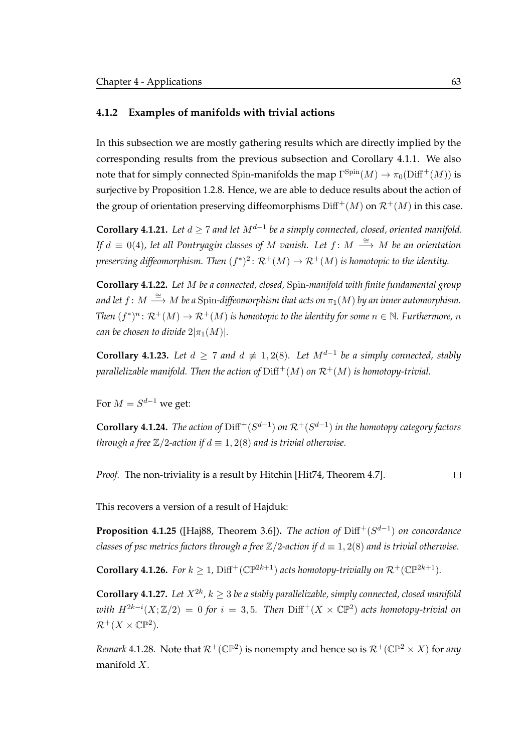#### **4.1.2 Examples of manifolds with trivial actions**

In this subsection we are mostly gathering results which are directly implied by the corresponding results from the previous subsection and [Corollary 4.1.1.](#page-71-0) We also note that for simply connected Spin-manifolds the map  $\Gamma^{\mathrm{Spin}}(M)\to \pi_0(\mathrm{Diff}^+(M))$  is surjective by [Proposition 1.2.8.](#page-23-0) Hence, we are able to deduce results about the action of the group of orientation preserving diffeomorphisms  $\text{Diff}^+(M)$  on  $\mathcal{R}^+(M)$  in this case.

<span id="page-80-0"></span> $\bf{Corollary 4.1.21.}$  Let  $d\geq 7$  and let  $M^{d-1}$  be a simply connected, closed, oriented manifold. *If d*  $\equiv$  0(4), let all Pontryagin classes of M vanish. Let *f* : M  $\stackrel{\cong}{\longrightarrow}$  M be an orientation preserving diffeomorphism. Then  $(f^*)^2\colon \mathcal{R}^+(M)\to \mathcal{R}^+(M)$  is homotopic to the identity.

**Corollary 4.1.22.** *Let* M *be a connected, closed,* Spin*-manifold with finite fundamental group* and let  $f\colon M\stackrel{\cong}{\longrightarrow}M$  be a  $\operatorname{Spin-diffeomorphism}$  that acts on  $\pi_1(M)$  by an inner automorphism. *Then*  $(f^*)^n: \mathcal{R}^+(M) \to \mathcal{R}^+(M)$  is homotopic to the identity for some  $n \in \mathbb{N}$ . Furthermore, n *can be chosen to divide*  $2|\pi_1(M)|$ *.* 

**Corollary 4.1.23.** Let  $d \geq 7$  and  $d \not\equiv 1,2(8)$ . Let  $M^{d-1}$  be a simply connected, stably *parallelizable manifold. Then the action of*  $Diff^{+}(M)$  *on*  $\mathcal{R}^{+}(M)$  *is homotopy-trivial.* 

For  $M=S^{d-1}$  we get:

**Corollary 4.1.24.** *The action of*  $\text{Diff}^+(S^{d-1})$  *on*  $\mathcal{R}^+(S^{d-1})$  *in the homotopy category factors through a free*  $\mathbb{Z}/2$ -action if  $d \equiv 1, 2(8)$  and is trivial otherwise.

 $\Box$ *Proof.* The non-triviality is a result by Hitchin [\[Hit74,](#page-120-2) Theorem 4.7].

This recovers a version of a result of Hajduk:

**Proposition 4.1.25** ([\[Haj88,](#page-120-3) Theorem 3.6]). *The action of* Diff<sup>+</sup>(S<sup>d−1</sup>) *on concordance classes of psc metrics factors through a free*  $\mathbb{Z}/2$ -action if  $d \equiv 1, 2(8)$  and is trivial otherwise.

**Corollary 4.1.26.** *For*  $k \geq 1$ ,  $\text{Diff}^+(\mathbb{CP}^{2k+1})$  *acts homotopy-trivially on*  $\mathcal{R}^+(\mathbb{CP}^{2k+1})$ *.* 

**Corollary 4.1.27.** Let  $X^{2k}$ ,  $k \geq 3$  be a stably parallelizable, simply connected, closed manifold  $with H^{2k-i}(X;\mathbb{Z}/2) = 0$  for  $i = 3,5$ . Then  $\text{Diff}^+(X\times \mathbb{CP}^2)$  acts homotopy-trivial on  $\mathcal{R}^+(X\times\mathbb{C}\mathbb{P}^2).$ 

*Remark* 4.1.28. Note that  $\mathcal{R}^+(\mathbb{CP}^2)$  is nonempty and hence so is  $\mathcal{R}^+(\mathbb{CP}^2\times X)$  for *any* manifold X.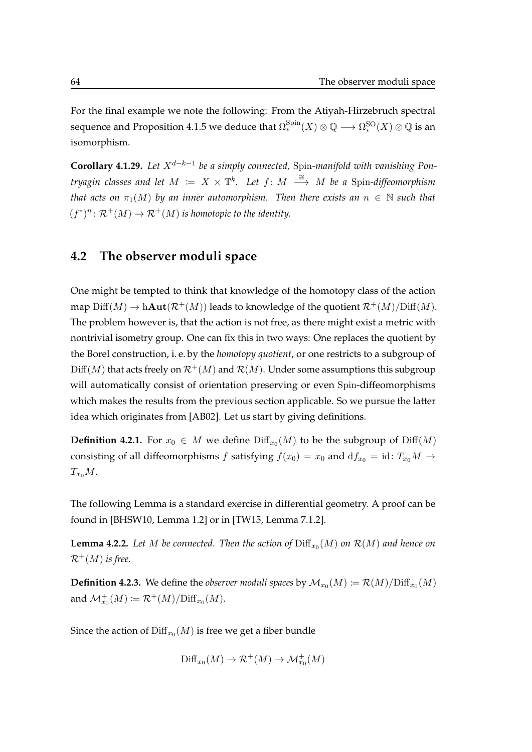For the final example we note the following: From the Atiyah-Hirzebruch spectral sequence and [Proposition 4.1.5](#page-72-1) we deduce that  $\Omega_*^{\rm Spin}(X)\otimes \mathbb Q \longrightarrow \Omega_*^{\rm SO}(X)\otimes \mathbb Q$  is an isomorphism.

**Corollary 4.1.29.** Let  $X^{d-k-1}$  be a simply connected, Spin-manifold with vanishing Pon*tryagin classes and let*  $M := X \times \mathbb{T}^k$ *. Let*  $f: M \stackrel{\cong}{\longrightarrow} M$  *be a Spin-diffeomorphism that acts on*  $\pi_1(M)$  *by an inner automorphism. Then there exists an*  $n \in \mathbb{N}$  *such that*  $(f^*)^n \colon \mathcal{R}^+(M) \to \mathcal{R}^+(M)$  is homotopic to the identity.

## <span id="page-81-0"></span>**4.2 The observer moduli space**

One might be tempted to think that knowledge of the homotopy class of the action map  $\text{Diff}(M) \to \text{hAut}(\mathcal{R}^+(M))$  leads to knowledge of the quotient  $\mathcal{R}^+(M)/\text{Diff}(M)$ . The problem however is, that the action is not free, as there might exist a metric with nontrivial isometry group. One can fix this in two ways: One replaces the quotient by the Borel construction, i. e. by the *homotopy quotient*, or one restricts to a subgroup of  $\mathrm{Diff}(M)$  that acts freely on  $\mathcal{R}^+(M)$  and  $\mathcal{R}(M)$ . Under some assumptions this subgroup will automatically consist of orientation preserving or even Spin-diffeomorphisms which makes the results from the previous section applicable. So we pursue the latter idea which originates from [\[AB02\]](#page-118-3). Let us start by giving definitions.

**Definition 4.2.1.** For  $x_0 \in M$  we define  $\text{Diff}_x(M)$  to be the subgroup of  $\text{Diff}(M)$ consisting of all diffeomorphisms f satisfying  $f(x_0) = x_0$  and  $df_{x_0} = id$ :  $T_{x_0}M \rightarrow$  $T_{x_0}M$ .

The following Lemma is a standard exercise in differential geometry. A proof can be found in [\[BHSW10,](#page-118-4) Lemma 1.2] or in [\[TW15,](#page-122-1) Lemma 7.1.2].

**Lemma 4.2.2.** Let M be connected. Then the action of  $\text{Diff}_{x_0}(M)$  on  $\mathcal{R}(M)$  and hence on  $\mathcal{R}^+(M)$  *is free.* 

**Definition 4.2.3.** We define the *observer moduli spaces* by  $\mathcal{M}_{x_0}(M) \coloneqq \mathcal{R}(M)/\mathrm{Diff}_{x_0}(M)$ and  $\mathcal{M}^+_{x_0}(M) \coloneqq \mathcal{R}^+(M)/\mathrm{Diff}_{x_0}(M).$ 

Since the action of  $\mathrm{Diff}_{x_0}(M)$  is free we get a fiber bundle

$$
\mathrm{Diff}_{x_0}(M) \to \mathcal{R}^+(M) \to \mathcal{M}_{x_0}^+(M)
$$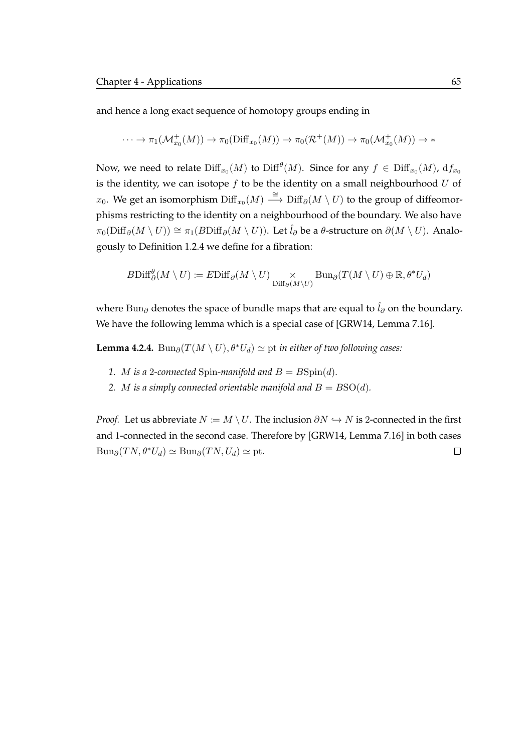and hence a long exact sequence of homotopy groups ending in

$$
\cdots \to \pi_1(\mathcal{M}^+_{x_0}(M)) \to \pi_0(\text{Diff}_{x_0}(M)) \to \pi_0(\mathcal{R}^+(M)) \to \pi_0(\mathcal{M}^+_{x_0}(M)) \to *
$$

Now, we need to relate  $\mathrm{Diff}_{x_0}(M)$  to  $\mathrm{Diff}^{\theta}(M).$  Since for any  $f\,\in\, \mathrm{Diff}_{x_0}(M)$ ,  $\mathrm{d}f_{x_0}$ is the identity, we can isotope  $f$  to be the identity on a small neighbourhood  $U$  of  $x_0$ . We get an isomorphism  $\mathrm{Diff}_{x_0}(M) \stackrel{\cong}{\longrightarrow} \mathrm{Diff}_{\partial}(M \setminus U)$  to the group of diffeomorphisms restricting to the identity on a neighbourhood of the boundary. We also have  $\pi_0(\text{Diff}_\partial(M \setminus U)) \cong \pi_1(B\text{Diff}_\partial(M \setminus U)).$  Let  $\hat{l}_\partial$  be a  $\theta$ -structure on  $\partial(M \setminus U)$ . Analogously to [Definition 1.2.4](#page-21-0) we define for a fibration:

$$
B\mathrm{Diff}^{\theta}_{\partial}(M\setminus U)\coloneqq E\mathrm{Diff}_{\partial}(M\setminus U)\underset{\mathrm{Diff}_{\partial}(M\setminus U)}{\times}\mathrm{Bun}_{\partial}(T(M\setminus U)\oplus\mathbb{R},\theta^{*}U_{d})
$$

where Bun $_{\partial}$  denotes the space of bundle maps that are equal to  $\hat{l}_{\partial}$  on the boundary. We have the following lemma which is a special case of [\[GRW14,](#page-120-4) Lemma 7.16].

<span id="page-82-0"></span>**Lemma 4.2.4.** Bun<sub>∂</sub>( $T(M \setminus U)$ ,  $\theta^*U_d$ )  $\simeq$  pt *in either of two following cases:* 

- *1. M is a* 2-connected Spin-manifold and  $B = B\text{Spin}(d)$ *.*
- 2. *M* is a simply connected orientable manifold and  $B = BSO(d)$ .

*Proof.* Let us abbreviate  $N := M \setminus U$ . The inclusion  $\partial N \hookrightarrow N$  is 2-connected in the first and 1-connected in the second case. Therefore by [\[GRW14,](#page-120-4) Lemma 7.16] in both cases  $\text{Bun}_{\partial}(TN, \theta^*U_d) \simeq \text{Bun}_{\partial}(TN, U_d) \simeq \text{pt}.$  $\Box$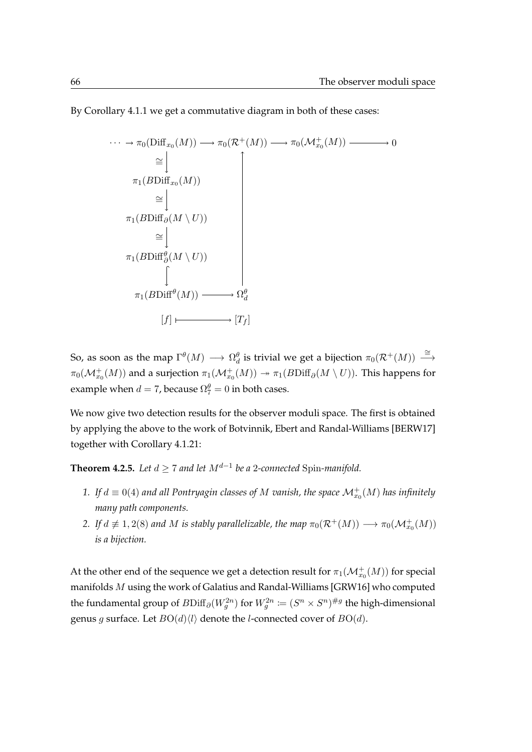By [Corollary 4.1.1](#page-71-0) we get a commutative diagram in both of these cases:

$$
\cdots \rightarrow \pi_0(\text{Diff}_{x_0}(M)) \longrightarrow \pi_0(\mathcal{R}^+(M)) \longrightarrow \pi_0(\mathcal{M}^+_{x_0}(M)) \longrightarrow 0
$$
  
\n
$$
\cong \downarrow \qquad \qquad \uparrow
$$
  
\n
$$
\pi_1(B\text{Diff}_{\partial}(M \setminus U)) \cong \downarrow \qquad \qquad \downarrow
$$
  
\n
$$
\pi_1(B\text{Diff}_{\partial}^{\theta}(M \setminus U)) \qquad \qquad \downarrow
$$
  
\n
$$
\pi_1(B\text{Diff}^{\theta}(M)) \longrightarrow \Omega_d^{\theta}
$$
  
\n
$$
[f] \longmapsto [T_f]
$$

So, as soon as the map  $\Gamma^\theta(M)\longrightarrow \Omega^\theta_d$  is trivial we get a bijection  $\pi_0(\mathcal{R}^+(M))\stackrel{\cong}{\longrightarrow}$  $\pi_0(\mathcal{M}^+_{x_0}(M))$  and a surjection  $\pi_1(\mathcal{M}^+_{x_0}(M)) \twoheadrightarrow \pi_1(B\mathrm{Diff}_\partial(M\setminus U)).$  This happens for example when  $d = 7$ , because  $\Omega_7^{\theta} = 0$  in both cases.

We now give two detection results for the observer moduli space. The first is obtained by applying the above to the work of Botvinnik, Ebert and Randal-Williams [\[BERW17\]](#page-118-5) together with [Corollary 4.1.21:](#page-80-0)

**Theorem 4.2.5.** Let  $d \geq 7$  and let  $M^{d-1}$  be a 2-connected Spin-manifold.

- 1. If  $d \equiv 0(4)$  and all Pontryagin classes of M vanish, the space  $\mathcal{M}^+_{x_0}(M)$  has infinitely *many path components.*
- 2. If  $d \not\equiv 1,2(8)$  and M is stably parallelizable, the map  $\pi_0(\mathcal{R}^+(M)) \longrightarrow \pi_0(\mathcal{M}_{x_0}^+(M))$ *is a bijection.*

At the other end of the sequence we get a detection result for  $\pi_1(\mathcal{M}^+_{x_0}(M))$  for special manifolds M using the work of Galatius and Randal-Williams [\[GRW16\]](#page-120-5) who computed the fundamental group of  $B\mathrm{Diff}_\partial (W^{2n}_g)$  for  $W^{2n}_g \coloneqq (S^n \times S^n)^{\# g}$  the high-dimensional genus g surface. Let  $BO(d) \langle l \rangle$  denote the *l*-connected cover of  $BO(d)$ .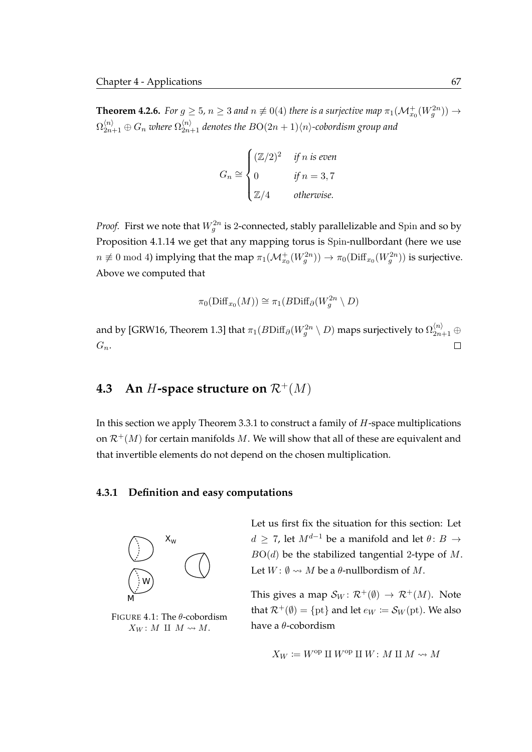**Theorem 4.2.6.** For  $g \ge 5$ ,  $n \ge 3$  and  $n \not\equiv 0(4)$  there is a surjective map  $\pi_1(\mathcal{M}_{x_0}^+(W_g^{2n})) \to$  $\Omega_{2n+1}^{\langle n \rangle} \oplus G_n$  where  $\Omega_{2n+1}^{\langle n \rangle}$  denotes the  $BO(2n+1)\langle n \rangle$ -cobordism group and

$$
G_n \cong \begin{cases} (\mathbb{Z}/2)^2 & \text{if } n \text{ is even} \\ 0 & \text{if } n = 3,7 \\ \mathbb{Z}/4 & \text{otherwise.} \end{cases}
$$

*Proof.* First we note that  $W_g^{2n}$  is 2-connected, stably parallelizable and Spin and so by [Proposition 4.1.14](#page-75-0) we get that any mapping torus is Spin-nullbordant (here we use  $n\not\equiv 0\ {\rm mod}\ 4$ ) implying that the map  $\pi_1(\mathcal{M}^+_{x_0}(W^{2n}_g))\to \pi_0(\text{Diff}_{x_0}(W^{2n}_g))$  is surjective. Above we computed that

$$
\pi_0(\text{Diff}_{x_0}(M)) \cong \pi_1(B\text{Diff}_{\partial}(W_g^{2n} \setminus D))
$$

and by [\[GRW16,](#page-120-5) Theorem 1.3] that  $\pi_1(B\mathrm{Diff}_\partial (W^{2n}_{g} \setminus D)$  maps surjectively to  $\Omega_{2n+1}^{\langle n \rangle}\oplus$  $G_n$ .  $\Box$ 

# **4.3** An *H*-space structure on  $\mathcal{R}^+(M)$

In this section we apply [Theorem 3.3.1](#page-68-0) to construct a family of  $H$ -space multiplications on  $\mathcal{R}^+(M)$  for certain manifolds M. We will show that all of these are equivalent and that invertible elements do not depend on the chosen multiplication.

### **4.3.1 Definition and easy computations**

<span id="page-84-0"></span>

FIGURE 4.1: The  $\theta$ -cobordism  $X_W : M \amalg M \rightsquigarrow M$ .

Let us first fix the situation for this section: Let  $d \geq 7$ , let  $M^{d-1}$  be a manifold and let  $\theta: B \to$  $BO(d)$  be the stabilized tangential 2-type of M. Let  $W: \emptyset \rightsquigarrow M$  be a  $\theta$ -nullbordism of M.

This gives a map  $S_W : \mathcal{R}^+(\emptyset) \to \mathcal{R}^+(M)$ . Note that  $\mathcal{R}^+(\emptyset) = \{\text{pt}\}\$ and let  $e_W \coloneqq \mathcal{S}_W(\text{pt})$ . We also have a θ-cobordism

$$
X_W \coloneqq W^\mathrm{op} \amalg W^\mathrm{op} \amalg W \colon M \amalg M \rightsquigarrow M
$$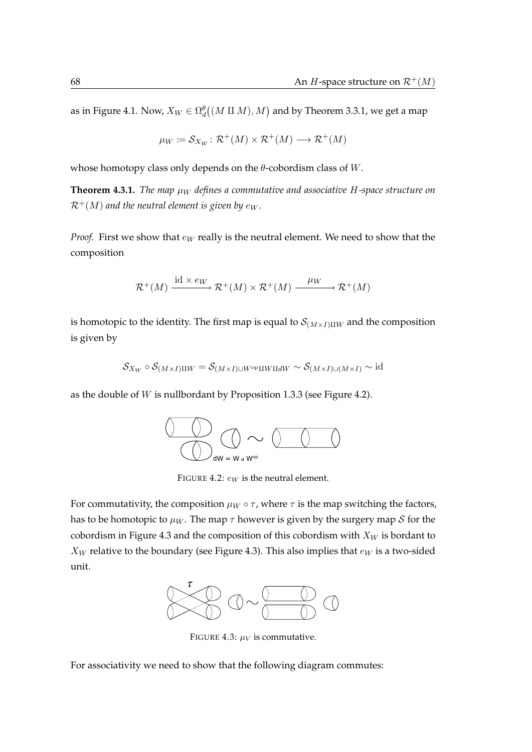as in [Figure 4.1.](#page-84-0) Now,  $X_W \in \Omega^{\theta}_d\big((M \amalg M), M\big)$  and by [Theorem 3.3.1,](#page-68-0) we get a map

$$
\mu_W := \mathcal{S}_{X_W} \colon \mathcal{R}^+(M) \times \mathcal{R}^+(M) \longrightarrow \mathcal{R}^+(M)
$$

whose homotopy class only depends on the  $\theta$ -cobordism class of W.

**Theorem 4.3.1.** *The map*  $\mu_W$  *defines a commutative and associative H-space structure on*  $\mathcal{R}^+(M)$  and the neutral element is given by  $e_W$ .

*Proof.* First we show that  $e_W$  really is the neutral element. We need to show that the composition

$$
\mathcal{R}^+(M) \xrightarrow{\mathrm{id} \times e_W} \mathcal{R}^+(M) \times \mathcal{R}^+(M) \xrightarrow{\mu_W} \mathcal{R}^+(M)
$$

is homotopic to the identity. The first map is equal to  $\mathcal{S}_{(M\times I) \amalg W}$  and the composition is given by

$$
\mathcal{S}_{X_W} \circ \mathcal{S}_{(M \times I) \amalg W} = \mathcal{S}_{(M \times I) \cup W^{\mathrm{op}} \amalg W \amalg dW} \sim \mathcal{S}_{(M \times I) \cup (M \times I)} \sim \mathrm{id}
$$

<span id="page-85-0"></span>as the double of W is nullbordant by [Proposition 1.3.3](#page-28-0) (see [Figure 4.2\)](#page-85-0).



FIGURE 4.2:  $e_W$  is the neutral element.

<span id="page-85-1"></span>For commutativity, the composition  $\mu_W \circ \tau$ , where  $\tau$  is the map switching the factors, has to be homotopic to  $\mu_W$ . The map  $\tau$  however is given by the surgery map S for the cobordism in [Figure 4.3](#page-85-1) and the composition of this cobordism with  $X_W$  is bordant to  $X_W$  relative to the boundary (see [Figure 4.3\)](#page-85-1). This also implies that  $e_W$  is a two-sided unit.



FIGURE 4.3:  $\mu_V$  is commutative.

For associativity we need to show that the following diagram commutes: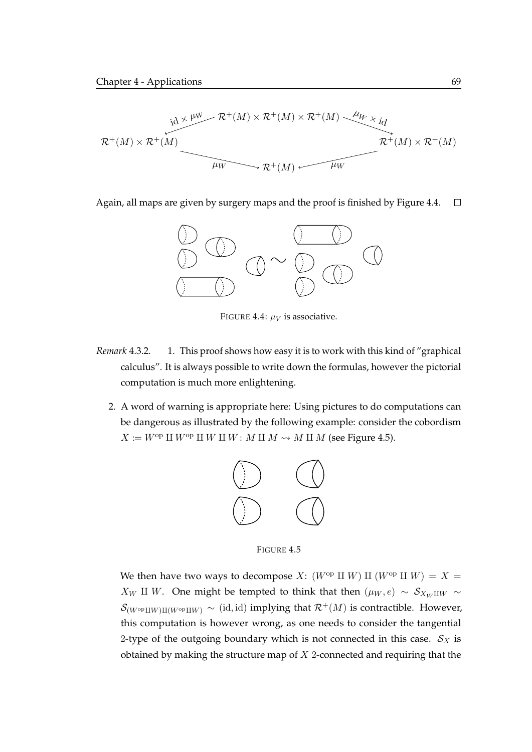$$
\begin{array}{c}\n\ddot{\mathcal{R}}^+(M) \times \mathcal{R}^+(M) \times \mathcal{R}^+(M) \times \mathcal{R}^+(M) \xrightarrow{\mu_W} \ddot{\mathcal{R}}^+(M) \\
\hline\n\mathcal{R}^+(M) \times \mathcal{R}^+(M) \xrightarrow{\mu_W} \mathcal{R}^+(M) \times \mathcal{R}^+(M)\n\end{array}
$$

<span id="page-86-0"></span>Again, all maps are given by surgery maps and the proof is finished by [Figure 4.4.](#page-86-0)  $\Box$ 



FIGURE 4.4:  $\mu_V$  is associative.

- <span id="page-86-1"></span>*Remark* 4.3.2*.* 1. This proof shows how easy it is to work with this kind of "graphical calculus". It is always possible to write down the formulas, however the pictorial computation is much more enlightening.
	- 2. A word of warning is appropriate here: Using pictures to do computations can be dangerous as illustrated by the following example: consider the cobordism  $X \coloneqq W^{\text{op}} \amalg W^{\text{op}} \amalg W \amalg W : M \amalg M \rightsquigarrow M \amalg M$  (see [Figure 4.5\)](#page-86-1).



FIGURE 4.5

We then have two ways to decompose X:  $(W^{op} \amalg W) \amalg (W^{op} \amalg W) = X =$  $X_W$  II W. One might be tempted to think that then ( $\mu_W, e$ ) ∼  $S_{X_W \perp W}$  ∼  $\mathcal{S}_{(W^{\text{op}}\text{II}W)\text{II}(W^{\text{op}}\text{II}W)}$   $\sim$  (id, id) implying that  $\mathcal{R}^+(M)$  is contractible. However, this computation is however wrong, as one needs to consider the tangential 2-type of the outgoing boundary which is not connected in this case.  $S_X$  is obtained by making the structure map of  $X$  2-connected and requiring that the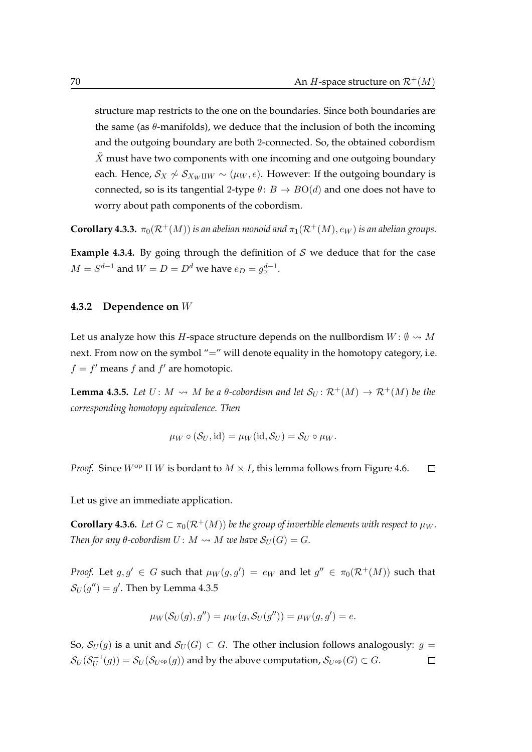structure map restricts to the one on the boundaries. Since both boundaries are the same (as  $\theta$ -manifolds), we deduce that the inclusion of both the incoming and the outgoing boundary are both 2-connected. So, the obtained cobordism  $\tilde{X}$  must have two components with one incoming and one outgoing boundary each. Hence,  $S_X \nsim S_{X_W \amalg W} \sim (\mu_W, e)$ . However: If the outgoing boundary is connected, so is its tangential 2-type  $\theta$ :  $B \to BO(d)$  and one does not have to worry about path components of the cobordism.

**Corollary 4.3.3.**  $\pi_0(\mathcal{R}^+(M))$  *is an abelian monoid and*  $\pi_1(\mathcal{R}^+(M), e_W)$  *is an abelian groups.* 

<span id="page-87-2"></span>**Example 4.3.4.** By going through the definition of  $S$  we deduce that for the case  $M = S^{d-1}$  and  $W = D = D^d$  we have  $e_D = g_o^{d-1}$ .

#### **4.3.2 Dependence on** W

Let us analyze how this *H*-space structure depends on the nullbordism  $W: \emptyset \rightarrow M$ next. From now on the symbol "=" will denote equality in the homotopy category, i.e.  $f = f'$  means f and f' are homotopic.

<span id="page-87-0"></span>**Lemma 4.3.5.** Let  $U: M \rightarrow M$  be a  $\theta$ -cobordism and let  $S_U: \mathcal{R}^+(M) \rightarrow \mathcal{R}^+(M)$  be the *corresponding homotopy equivalence. Then*

$$
\mu_W \circ (\mathcal{S}_U, \mathrm{id}) = \mu_W(\mathrm{id}, \mathcal{S}_U) = \mathcal{S}_U \circ \mu_W.
$$

*Proof.* Since  $W^{\text{op}}$  II *W* is bordant to  $M \times I$ , this lemma follows from [Figure 4.6.](#page-88-0)  $\Box$ 

Let us give an immediate application.

<span id="page-87-1"></span>**Corollary 4.3.6.** Let  $G \subset \pi_0(\mathcal{R}^+(M))$  be the group of invertible elements with respect to  $\mu_W$ . *Then for any*  $\theta$ -cobordism  $U: M \rightarrow M$  *we have*  $\mathcal{S}_U(G) = G$ *.* 

*Proof.* Let  $g, g' \in G$  such that  $\mu_W(g, g') = e_W$  and let  $g'' \in \pi_0(\mathcal{R}^+(M))$  such that  $\mathcal{S}_U(g'')=g'.$  Then by [Lemma 4.3.5](#page-87-0)

$$
\mu_W(\mathcal{S}_U(g), g'') = \mu_W(g, \mathcal{S}_U(g'')) = \mu_W(g, g') = e.
$$

So,  $S_U(g)$  is a unit and  $S_U(G) \subset G$ . The other inclusion follows analogously:  $g =$  $\mathcal{S}_U(\mathcal{S}_U^{-1}$  $U_U^{-1}(g)) = \mathcal{S}_U(\mathcal{S}_{U^{\mathrm{op}}}(g))$  and by the above computation,  $\mathcal{S}_{U^{\mathrm{op}}}(G) \subset G.$  $\Box$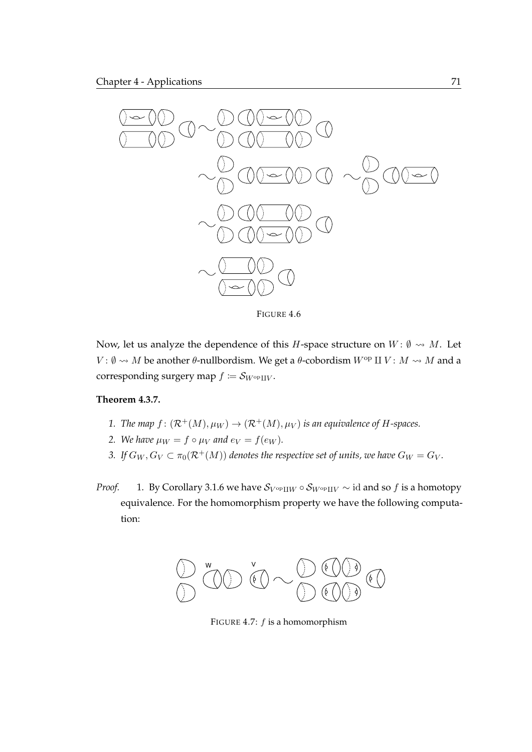<span id="page-88-0"></span>

FIGURE 4.6

Now, let us analyze the dependence of this H-space structure on  $W: \emptyset \rightsquigarrow M$ . Let  $V: \emptyset \rightarrow M$  be another  $\theta$ -nullbordism. We get a  $\theta$ -cobordism  $W^{op}$  II  $V: M \rightarrow M$  and a corresponding surgery map  $f \coloneqq S_{W^{\mathrm{op}}\amalg V}$ .

## <span id="page-88-1"></span>**Theorem 4.3.7.**

- *1. The map*  $f : (\mathcal{R}^+(M), \mu_W) \to (\mathcal{R}^+(M), \mu_V)$  *is an equivalence of H-spaces.*
- *2. We have*  $\mu_W = f \circ \mu_V$  *and*  $e_V = f(e_W)$ *.*
- *3.* If  $G_W$ ,  $G_V \subset \pi_0(\mathcal{R}^+(M))$  denotes the respective set of units, we have  $G_W = G_V$ .
- *Proof.* 1. By [Corollary 3.1.6](#page-62-0) we have  $S_{V^{\text{op}}\text{II}W} \circ S_{W^{\text{op}}\text{II}V} \sim \text{id}$  and so f is a homotopy equivalence. For the homomorphism property we have the following computation:



FIGURE 4.7:  $f$  is a homomorphism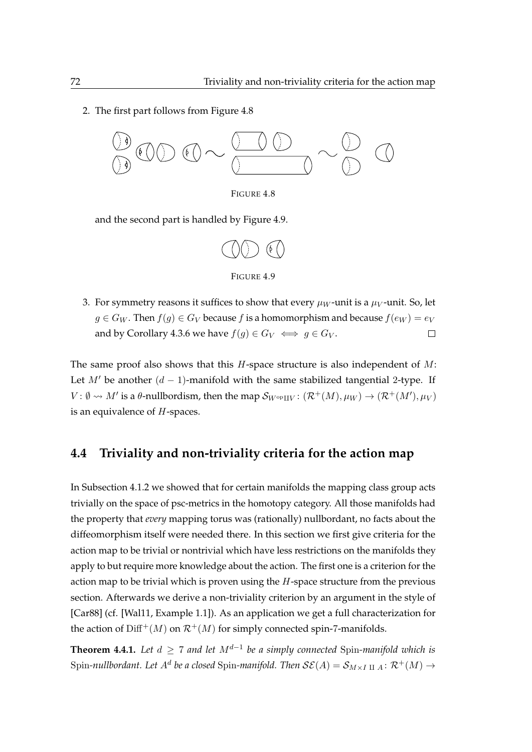<span id="page-89-0"></span>2. The first part follows from [Figure 4.8](#page-89-0)



FIGURE 4.8

<span id="page-89-1"></span>and the second part is handled by [Figure 4.9.](#page-89-1)





3. For symmetry reasons it suffices to show that every  $\mu_W$ -unit is a  $\mu_V$ -unit. So, let  $g \in G_W$ . Then  $f(g) \in G_V$  because f is a homomorphism and because  $f(e_W) = e_V$ and by [Corollary 4.3.6](#page-87-1) we have  $f(g) \in G_V \iff g \in G_V$ .  $\Box$ 

The same proof also shows that this  $H$ -space structure is also independent of  $M$ : Let  $M'$  be another  $(d - 1)$ -manifold with the same stabilized tangential 2-type. If  $V: \emptyset \leadsto M'$  is a  $\theta$ -nullbordism, then the map  $\mathcal{S}_{W^{\text{op}}\amalg V}: (\mathcal{R}^+(M), \mu_W) \to (\mathcal{R}^+(M'), \mu_V)$ is an equivalence of  $H$ -spaces.

## **4.4 Triviality and non-triviality criteria for the action map**

In [Subsection 4.1.2](#page-79-1) we showed that for certain manifolds the mapping class group acts trivially on the space of psc-metrics in the homotopy category. All those manifolds had the property that *every* mapping torus was (rationally) nullbordant, no facts about the diffeomorphism itself were needed there. In this section we first give criteria for the action map to be trivial or nontrivial which have less restrictions on the manifolds they apply to but require more knowledge about the action. The first one is a criterion for the action map to be trivial which is proven using the  $H$ -space structure from the previous section. Afterwards we derive a non-triviality criterion by an argument in the style of [\[Car88\]](#page-118-6) (cf. [\[Wal11,](#page-122-2) Example 1.1]). As an application we get a full characterization for the action of  $\text{Diff}^+(M)$  on  $\mathcal{R}^+(M)$  for simply connected spin-7-manifolds.

<span id="page-89-2"></span>**Theorem 4.4.1.** *Let* d ≥ 7 *and let* Md−<sup>1</sup> *be a simply connected* Spin*-manifold which is* Spin-nullbordant. Let  $A^d$  be a closed Spin-manifold. Then  $\mathcal{SE}(A)=\mathcal{S}_{M\times I\; II\; A}\colon \mathcal{R}^+(M)\to \mathcal{S}$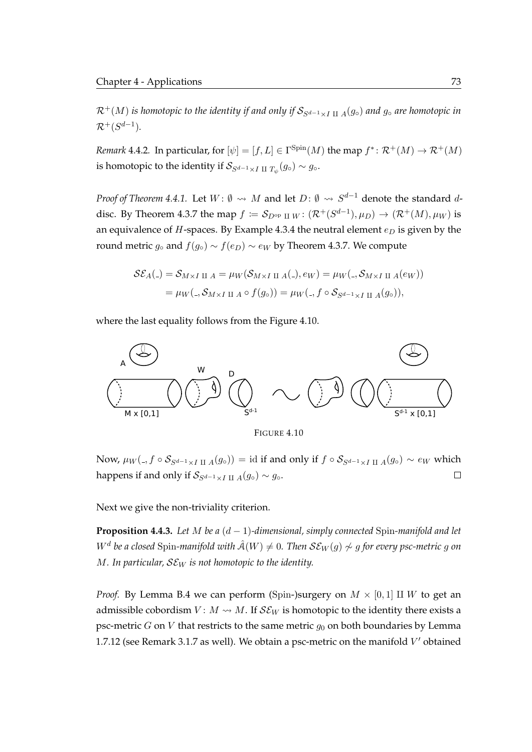$\mathcal{R}^+(M)$  *is homotopic to the identity if and only if*  $\mathcal{S}_{S^{d-1}\times I \coprod A}(g\circ)$  *and*  $g\circ$  *are homotopic in*  $\mathcal{R}^+(S^{d-1}).$ 

*Remark* 4.4.2. In particular, for  $[\psi] = [f, L] \in \Gamma^{\text{Spin}}(M)$  the map  $f^* \colon \mathcal{R}^+(M) \to \mathcal{R}^+(M)$ is homotopic to the identity if  $\mathcal{S}_{S^{d-1} \times I \coprod T_{\psi}}(g \circ) \sim g \circ \cdot$ 

*Proof of [Theorem 4.4.1.](#page-89-2)* Let  $W: \emptyset \leadsto M$  and let  $D: \emptyset \leadsto S^{d-1}$  denote the standard  $d$ -disc. By [Theorem 4.3.7](#page-88-1) the map  $f \coloneqq S_{D^{\mathrm{op}} \amalg W} \colon (\mathcal{R}^+(S^{d-1}), \mu_D) \to (\mathcal{R}^+(M), \mu_W)$  is an equivalence of  $H$ -spaces. By [Example 4.3.4](#page-87-2) the neutral element  $e_D$  is given by the round metric  $g_\circ$  and  $f(g_\circ) \sim f(e_D) \sim e_W$  by [Theorem 4.3.7.](#page-88-1) We compute

$$
\mathcal{SE}_A(.) = \mathcal{S}_{M \times I \amalg A} = \mu_W(\mathcal{S}_{M \times I \amalg A}(.) , e_W) = \mu_W(., \mathcal{S}_{M \times I \amalg A}(e_W))
$$
  
=  $\mu_W(., \mathcal{S}_{M \times I \amalg A} \circ f(g_\circ)) = \mu_W(., f \circ \mathcal{S}_{S^{d-1} \times I \amalg A}(g_\circ)),$ 

where the last equality follows from the [Figure 4.10.](#page-90-0)

<span id="page-90-0"></span>

FIGURE 4.10

Now,  $\mu_W($ ,  $f \circ S_{S^{d-1} \times I \coprod A}(g \circ)) = id$  if and only if  $f \circ S_{S^{d-1} \times I \coprod A}(g \circ) \sim e_W$  which happens if and only if  $S_{S^{d-1} \times I \coprod A}(g \circ) \sim g \circ$ .  $\Box$ 

Next we give the non-triviality criterion.

<span id="page-90-1"></span>**Proposition 4.4.3.** *Let* M *be a* (d − 1)*-dimensional, simply connected* Spin*-manifold and let*  $W^d$  be a closed Spin-manifold with  $\hat{\mathcal{A}}(W)\neq 0.$  Then  $\mathcal{SE}_W(g)\not\sim g$  for every psc-metric  $g$  on  $M$ *. In particular,*  $SE_W$  *is not homotopic to the identity.* 

*Proof.* By [Lemma B.4](#page-115-0) we can perform (Spin-)surgery on  $M \times [0, 1]$  II W to get an admissible cobordism  $V: M \rightarrow M$ . If  $\mathcal{SE}_W$  is homotopic to the identity there exists a psc-metric  $G$  on  $V$  that restricts to the same metric  $g_0$  on both boundaries by [Lemma](#page-46-0) [1.7.12](#page-46-0) (see [Remark 3.1.7](#page-62-1) as well). We obtain a psc-metric on the manifold  $V'$  obtained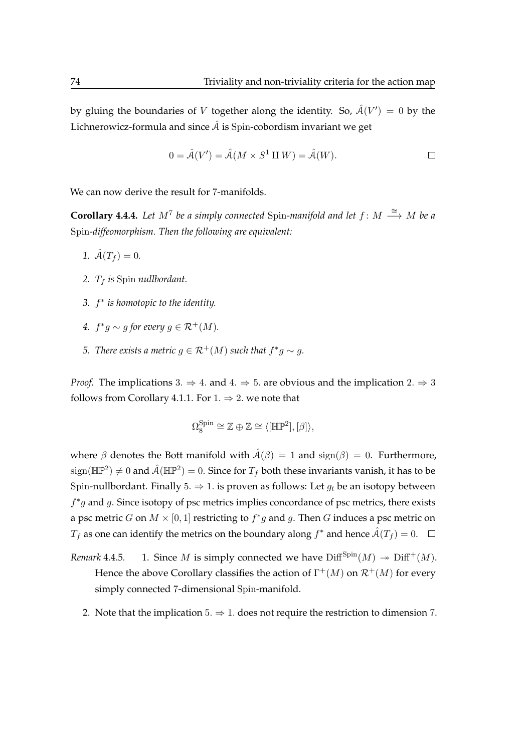by gluing the boundaries of V together along the identity. So,  $\hat{\mathcal{A}}(V') = 0$  by the Lichnerowicz-formula and since  $\hat{A}$  is Spin-cobordism invariant we get

$$
0 = \hat{\mathcal{A}}(V') = \hat{\mathcal{A}}(M \times S^1 \amalg W) = \hat{\mathcal{A}}(W).
$$

We can now derive the result for 7-manifolds.

**Corollary 4.4.4.** Let  $M^7$  be a simply connected Spin-manifold and let  $f: M \stackrel{\cong}{\longrightarrow} M$  be a Spin*-diffeomorphism. Then the following are equivalent:*

- 1.  $\hat{A}(T_f) = 0$ .
- *2.* T<sup>f</sup> *is* Spin *nullbordant.*
- *3.* f ∗ *is homotopic to the identity.*
- 4.  $f^*g \sim g$  for every  $g \in \mathcal{R}^+(M)$ .
- *5. There exists a metric*  $g \in \mathcal{R}^+(M)$  *such that*  $f^*g \sim g$ *.*

*Proof.* The implications 3.  $\Rightarrow$  4. and 4.  $\Rightarrow$  5. are obvious and the implication 2.  $\Rightarrow$  3 follows from [Corollary 4.1.1.](#page-71-0) For  $1. \Rightarrow 2.$  we note that

$$
\Omega_8^{\text{Spin}} \cong \mathbb{Z} \oplus \mathbb{Z} \cong \langle [\mathbb{HP}^2], [\beta] \rangle,
$$

where  $\beta$  denotes the Bott manifold with  $\hat{A}(\beta) = 1$  and  $sign(\beta) = 0$ . Furthermore,  $\text{sign}(\mathbb{HP}^2) \neq 0$  and  $\hat{\mathcal{A}}(\mathbb{HP}^2) = 0.$  Since for  $T_f$  both these invariants vanish, it has to be Spin-nullbordant. Finally 5.  $\Rightarrow$  1. is proven as follows: Let  $g_t$  be an isotopy between  $f^*g$  and g. Since isotopy of psc metrics implies concordance of psc metrics, there exists a psc metric G on  $M \times [0,1]$  restricting to  $f^*g$  and g. Then G induces a psc metric on  $T_f$  as one can identify the metrics on the boundary along  $f^*$  and hence  $\hat{\mathcal{A}}(T_f)=0.$ 

- *Remark* 4.4.5. 1. Since *M* is simply connected we have  $\text{Diff}^{\text{Spin}}(M) \rightarrow \text{Diff}^+(M)$ . Hence the above Corollary classifies the action of  $\Gamma^+(M)$  on  $\mathcal{R}^+(M)$  for every simply connected 7-dimensional Spin-manifold.
	- 2. Note that the implication  $5 \Rightarrow 1$ . does not require the restriction to dimension 7.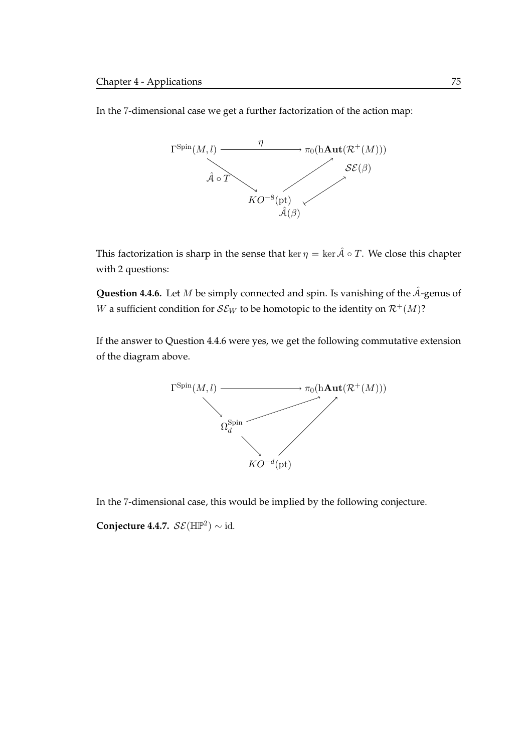In the 7-dimensional case we get a further factorization of the action map:



This factorization is sharp in the sense that ker  $\eta = \ker \hat{A} \circ T$ . We close this chapter with 2 questions:

<span id="page-92-0"></span>**Question 4.4.6.** Let M be simply connected and spin. Is vanishing of the  $\hat{A}$ -genus of W a sufficient condition for  $\mathcal{SE}_W$  to be homotopic to the identity on  $\mathcal{R}^+(M)$ ?

If the answer to [Question 4.4.6](#page-92-0) were yes, we get the following commutative extension of the diagram above.



In the 7-dimensional case, this would be implied by the following conjecture.

**Conjecture 4.4.7.**  $\mathcal{SE}(\mathbb{HP}^2) \sim id$ .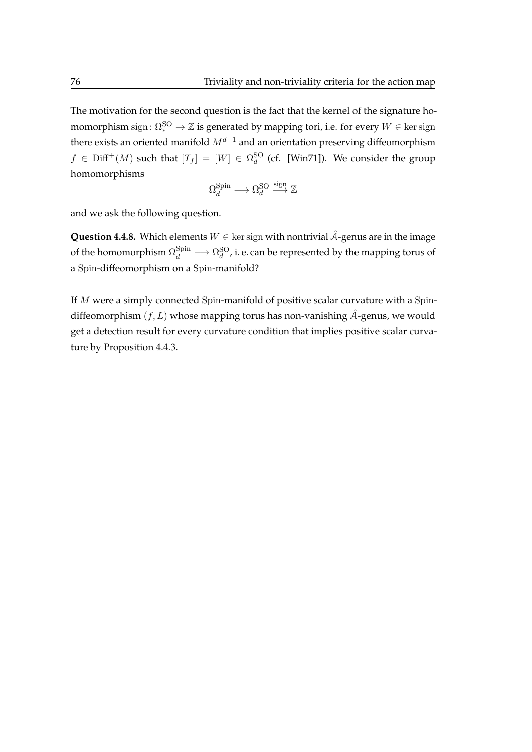The motivation for the second question is the fact that the kernel of the signature homomorphism  $\operatorname{sign}\colon \Omega_*^{{\rm SO}} \to \mathbb{Z}$  is generated by mapping tori, i.e. for every  $W \in \ker \operatorname{sign}$ there exists an oriented manifold  $M^{d-1}$  and an orientation preserving diffeomorphism  $f \in \text{Diff}^+(M)$  such that  $[T_f] = [W] \in \Omega_d^{\text{SO}}$  (cf. [\[Win71\]](#page-122-3)). We consider the group homomorphisms

$$
\Omega_d^{\text{Spin}} \longrightarrow \Omega_d^{\text{SO}} \stackrel{\text{sign}}{\longrightarrow} \mathbb{Z}
$$

and we ask the following question.

**Question 4.4.8.** Which elements  $W \in \text{ker sign with nontrivial } \hat{A}$ -genus are in the image of the homomorphism  $\Omega_d^{\rm Spin}\longrightarrow \Omega_d^{\rm SO}$  , i. e. can be represented by the mapping torus of a Spin-diffeomorphism on a Spin-manifold?

If  $M$  were a simply connected Spin-manifold of positive scalar curvature with a Spindiffeomorphism  $(f, L)$  whose mapping torus has non-vanishing  $\hat{A}$ -genus, we would get a detection result for every curvature condition that implies positive scalar curvature by [Proposition 4.4.3.](#page-90-1)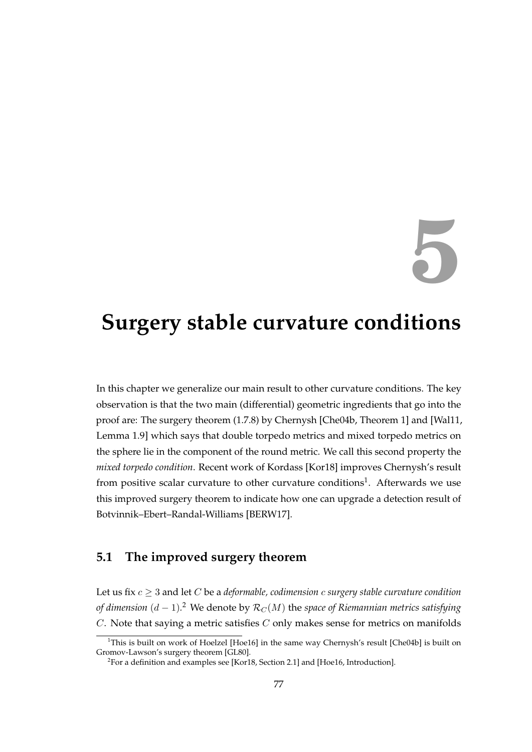# **5**

# **Surgery stable curvature conditions**

In this chapter we generalize our main result to other curvature conditions. The key observation is that the two main (differential) geometric ingredients that go into the proof are: The surgery theorem [\(1.7.8\)](#page-45-0) by Chernysh [\[Che04b,](#page-119-0) Theorem 1] and [\[Wal11,](#page-122-2) Lemma 1.9] which says that double torpedo metrics and mixed torpedo metrics on the sphere lie in the component of the round metric. We call this second property the *mixed torpedo condition*. Recent work of Kordass [\[Kor18\]](#page-121-5) improves Chernysh's result from positive scalar curvature to other curvature conditions<sup>[1](#page-94-0)</sup>. Afterwards we use this improved surgery theorem to indicate how one can upgrade a detection result of Botvinnik–Ebert–Randal-Williams [\[BERW17\]](#page-118-5).

## **5.1 The improved surgery theorem**

Let us fix  $c \geq 3$  and let C be a *deformable, codimension* c *surgery stable curvature condition of dimension*  $(d-1)$ *.* $^2$  $^2$  *W*e denote by  $\mathcal{R}_C(M)$  the *space of Riemannian metrics satisfying*  $C$ . Note that saying a metric satisfies  $C$  only makes sense for metrics on manifolds

<span id="page-94-0"></span><sup>&</sup>lt;sup>1</sup>This is built on work of Hoelzel [\[Hoe16\]](#page-120-6) in the same way Chernysh's result [\[Che04b\]](#page-119-0) is built on Gromov-Lawson's surgery theorem [\[GL80\]](#page-119-1).

<span id="page-94-1"></span> $^2$ For a definition and examples see [\[Kor18,](#page-121-5) Section 2.1] and [\[Hoe16,](#page-120-6) Introduction].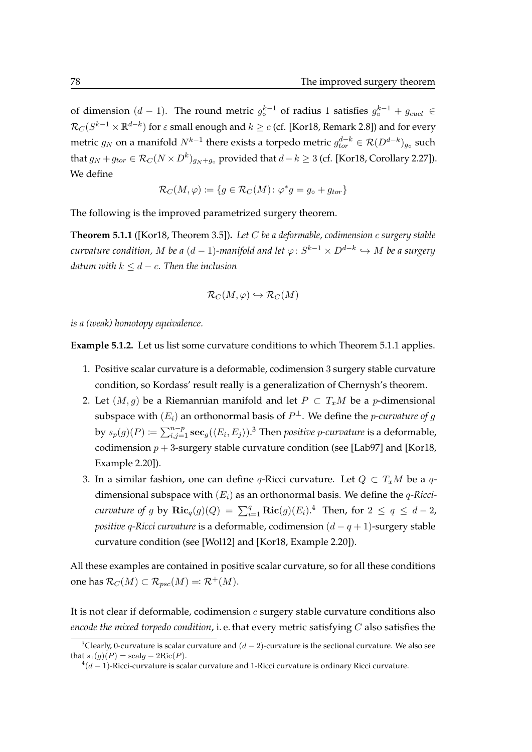of dimension  $(d-1)$ . The round metric  $g_0^{k-1}$  of radius 1 satisfies  $g_0^{k-1} + g_{eucl}$  ∈  $\mathcal{R}_C(S^{k-1}\times \mathbb{R}^{d-k})$  for  $\varepsilon$  small enough and  $k\ge c$  (cf. [\[Kor18,](#page-121-5) Remark 2.8]) and for every metric  $g_N$  on a manifold  $N^{k-1}$  there exists a torpedo metric  $g_{tor}^{d-k} \in \mathcal{R}(D^{d-k})_{g_\circ}$  such that  $g_N + g_{tor} \in \mathcal{R}_C(N \times D^k)_{g_N + g_\circ}$  provided that  $d-k \geq 3$  (cf. [\[Kor18,](#page-121-5) Corollary 2.27]). We define

$$
\mathcal{R}_C(M,\varphi) \coloneqq \{ g \in \mathcal{R}_C(M) \colon \varphi^*g = g_\circ + g_{tor} \}
$$

The following is the improved parametrized surgery theorem.

<span id="page-95-0"></span>**Theorem 5.1.1** ([\[Kor18,](#page-121-5) Theorem 3.5])**.** *Let* C *be a deformable, codimension* c *surgery stable*  $\emph{curvature condition,} ~M~be~a~(d-1)$ -manifold and let  $\varphi\colon S^{k-1}\times D^{d-k}\hookrightarrow M~be~a~surgery$ *datum with*  $k \leq d - c$ *. Then the inclusion* 

$$
\mathcal{R}_C(M,\varphi)\hookrightarrow \mathcal{R}_C(M)
$$

*is a (weak) homotopy equivalence.*

**Example 5.1.2.** Let us list some curvature conditions to which [Theorem 5.1.1](#page-95-0) applies.

- 1. Positive scalar curvature is a deformable, codimension 3 surgery stable curvature condition, so Kordass' result really is a generalization of Chernysh's theorem.
- 2. Let  $(M, g)$  be a Riemannian manifold and let  $P \subset T_xM$  be a *p*-dimensional subspace with  $(E_i)$  an orthonormal basis of  $P^\perp.$  We define the  $p\text{-}curvature$  of  $g$ by  $s_p(g)(P) \coloneqq \sum_{i,j=1}^{n-p} \mathbf{sec}_g(\langle E_i, E_j \rangle).^{3}$  $s_p(g)(P) \coloneqq \sum_{i,j=1}^{n-p} \mathbf{sec}_g(\langle E_i, E_j \rangle).^{3}$  $s_p(g)(P) \coloneqq \sum_{i,j=1}^{n-p} \mathbf{sec}_g(\langle E_i, E_j \rangle).^{3}$  Then *positive p-curvature* is a deformable, codimension  $p + 3$ -surgery stable curvature condition (see [\[Lab97\]](#page-121-6) and [\[Kor18,](#page-121-5) Example 2.20]).
- 3. In a similar fashion, one can define q-Ricci curvature. Let  $Q \subset T_xM$  be a qdimensional subspace with (Ei) as an orthonormal basis. We define the q*-Riccicurvature of g* by  $\mathbf{Ric}_q(g)(Q) = \sum_{i=1}^q \mathbf{Ric}(g)(E_i).$ <sup>[4](#page-95-2)</sup> Then, for  $2 \le q \le d-2$ , *positive* q*-Ricci curvature* is a deformable, codimension (d − q + 1)-surgery stable curvature condition (see [\[Wol12\]](#page-123-0) and [\[Kor18,](#page-121-5) Example 2.20]).

All these examples are contained in positive scalar curvature, so for all these conditions one has  $\mathcal{R}_C(M) \subset \mathcal{R}_{psc}(M) =: \mathcal{R}^+(M)$ .

It is not clear if deformable, codimension  $c$  surgery stable curvature conditions also *encode the mixed torpedo condition*, i. e. that every metric satisfying C also satisfies the

<span id="page-95-1"></span><sup>&</sup>lt;sup>3</sup>Clearly, 0-curvature is scalar curvature and  $(d-2)$ -curvature is the sectional curvature. We also see that  $s_1(g)(P) = \text{scal } g - 2\text{Ric}(P)$ .

<span id="page-95-2"></span> $\frac{4(d-1)}{4(d-1)}$ -Ricci-curvature is scalar curvature and 1-Ricci curvature is ordinary Ricci curvature.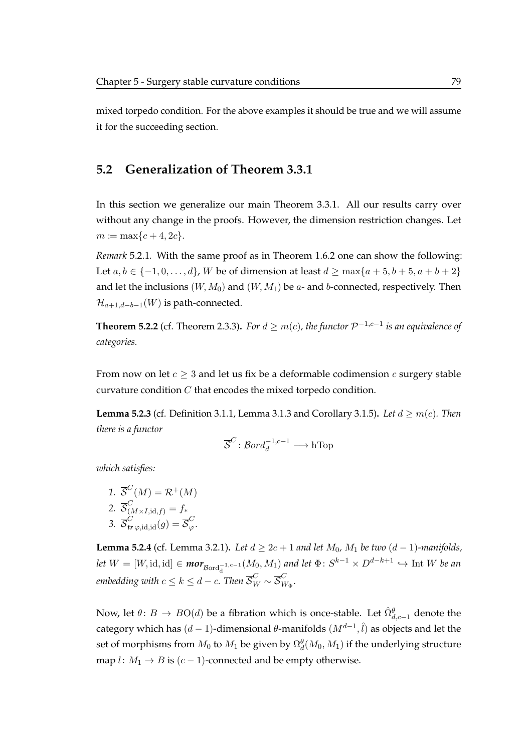mixed torpedo condition. For the above examples it should be true and we will assume it for the succeeding section.

## **5.2 Generalization of [Theorem 3.3.1](#page-68-0)**

In this section we generalize our [main Theorem 3.3.1.](#page-68-0) All our results carry over without any change in the proofs. However, the dimension restriction changes. Let  $m := \max\{c + 4, 2c\}.$ 

*Remark* 5.2.1*.* With the same proof as in [Theorem 1.6.2](#page-41-0) one can show the following: Let *a*, *b* ∈ {-1, 0, . . . , *d*}, *W* be of dimension at least *d* ≥ max{*a* + 5, *b* + 5, *a* + *b* + 2} and let the inclusions  $(W, M_0)$  and  $(W, M_1)$  be a- and b-connected, respectively. Then  $\mathcal{H}_{a+1,d-b-1}(W)$  is path-connected.

**Theorem 5.2.2** (cf. [Theorem 2.3.3\)](#page-54-0). For  $d \geq m(c)$ , the functor  $\mathcal{P}^{-1,c-1}$  is an equivalence of *categories.*

From now on let  $c \geq 3$  and let us fix be a deformable codimension c surgery stable curvature condition  $C$  that encodes the mixed torpedo condition.

**Lemma 5.2.3** (cf. [Definition 3.1.1,](#page-56-0) [Lemma 3.1.3](#page-57-0) and [Corollary 3.1.5\)](#page-62-2). Let  $d \geq m(c)$ . Then *there is a functor*

$$
\overline{\mathcal{S}}^C\colon \mathcal{B}ord_d^{-1,c-1}\longrightarrow \text{hTop}
$$

*which satisfies:*

1. 
$$
\overline{\mathcal{S}}^C(M) = \mathcal{R}^+(M)
$$
  
2. 
$$
\overline{\mathcal{S}}^C_{(M \times I, \text{id}, f)} = f_*
$$

3.  $\overline{\mathcal{S}}_{tr\,\varphi,\mathrm{id},\mathrm{id}}^{C}(g) = \overline{\mathcal{S}}_{\varphi}^{C}.$ 

<span id="page-96-0"></span>**Lemma 5.2.4** (cf. [Lemma 3.2.1\)](#page-62-3). *Let*  $d ≥ 2c + 1$  *and let*  $M_0$ *,*  $M_1$  *be two*  $(d − 1)$ *-manifolds,*  $let\ W = [W, id, id] \in \textit{mor}_{Bord_d^{-1,c-1}}(M_0, M_1)$  and let  $\Phi\colon S^{k-1}\times D^{d-k+1} \hookrightarrow$  Int W be an embedding with  $c \leq k \leq d - c.$  Then  $\overline{\mathcal{S}}^C_W \sim \overline{\mathcal{S}}^C_W$ W<sup>Φ</sup> *.*

Now, let  $\theta\colon B\to BO(d)$  be a fibration which is once-stable. Let  $\hat{\Omega}^{\theta}_{d,c-1}$  denote the category which has  $(d-1)$ -dimensional  $\theta$ -manifolds  $(M^{d-1}, \hat l)$  as objects and let the set of morphisms from  $M_0$  to  $M_1$  be given by  $\Omega_d^{\theta}(M_0,M_1)$  if the underlying structure map  $l: M_1 \rightarrow B$  is  $(c-1)$ -connected and be empty otherwise.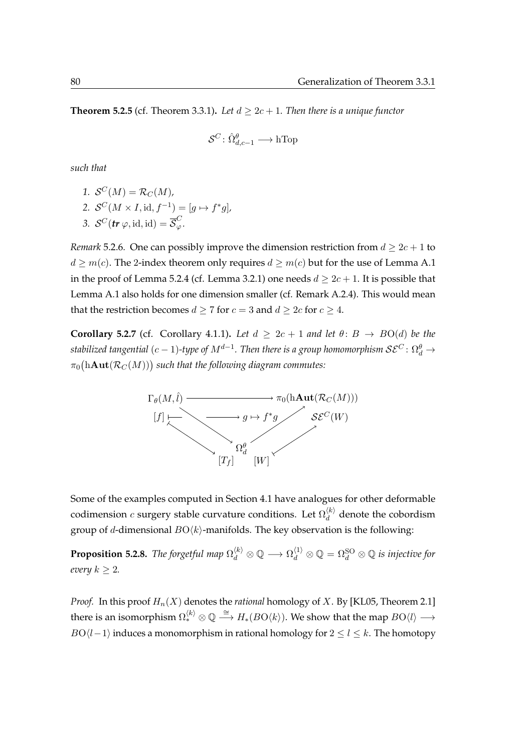**Theorem 5.2.5** (cf. [Theorem 3.3.1\)](#page-68-0). Let  $d \geq 2c + 1$ . Then there is a unique functor

$$
\mathcal{S}^C \colon \hat{\Omega}^{\theta}_{d,c-1} \longrightarrow \text{hTop}
$$

*such that*

1.  $S^{C}(M) = R_{C}(M)$ , 2.  $S^{C}(M \times I, id, f^{-1}) = [g \mapsto f^{*}g],$ 3.  $S^C(tr\varphi, id, id) = \overline{S}_{\varphi}^C$ .

*Remark* 5.2.6*.* One can possibly improve the dimension restriction from  $d \geq 2c + 1$  to  $d \geq m(c)$ . The 2-index theorem only requires  $d \geq m(c)$  but for the use of [Lemma A.1](#page-104-0) in the proof of [Lemma 5.2.4](#page-96-0) (cf. [Lemma 3.2.1\)](#page-62-3) one needs  $d \ge 2c + 1$ . It is possible that [Lemma A.1](#page-104-0) also holds for one dimension smaller (cf. [Remark A.2.4\)](#page-109-0). This would mean that the restriction becomes  $d \ge 7$  for  $c = 3$  and  $d \ge 2c$  for  $c \ge 4$ .

**Corollary 5.2.7** (cf. [Corollary 4.1.1\)](#page-71-0). Let  $d \geq 2c + 1$  and let  $\theta: B \to BO(d)$  be the stabilized tangential ( $c-1$ )-type of  $M^{d-1}.$  Then there is a group homomorphism  $\mathcal{SE}^C\colon \Omega_d^{\theta} \to$  $\pi_0 \bigl( {\rm hAut}({\cal R}_C(M)) \bigr)$  such that the following diagram commutes:



Some of the examples computed in [Section 4.1](#page-70-0) have analogues for other deformable codimension  $c$  surgery stable curvature conditions. Let  $\Omega_d^{(k)}$  $\hat{d}$  denote the cobordism group of d-dimensional  $BO\langle k \rangle$ -manifolds. The key observation is the following:

**Proposition 5.2.8.** *The forgetful map*  $\Omega_d^{(k)}\otimes\mathbb{Q}\longrightarrow\Omega_d^{(1)}\otimes\mathbb{Q}=\Omega_d^{\rm SO}\otimes\mathbb{Q}$  *is injective for every*  $k \geq 2$ *.* 

*Proof.* In this proof  $H_n(X)$  denotes the *rational* homology of X. By [\[KL05,](#page-120-1) Theorem 2.1] there is an isomorphism  $\Omega^{(k)}_*\otimes\mathbb{Q}\stackrel{\cong}{\longrightarrow} H_*(B\mathrm{O}\langle k\rangle).$  We show that the map  $B\mathrm{O}\langle l\rangle\longrightarrow$  $BO\langle l-1 \rangle$  induces a monomorphism in rational homology for  $2 \leq l \leq k$ . The homotopy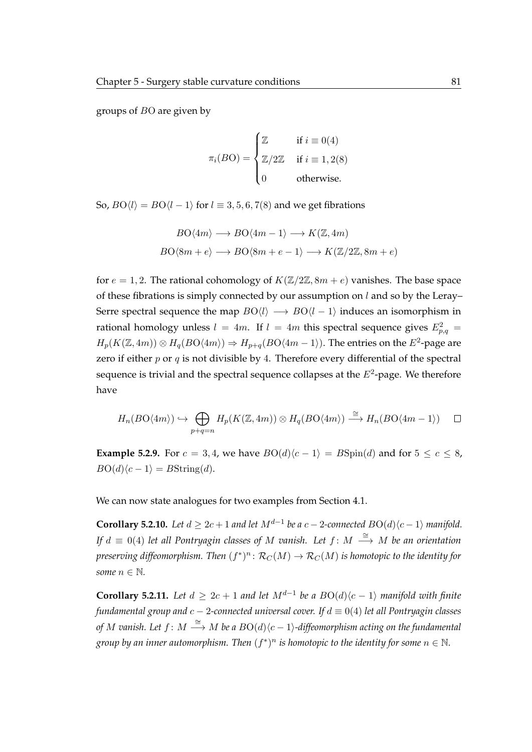groups of BO are given by

$$
\pi_i(BO) = \begin{cases} \mathbb{Z} & \text{if } i \equiv 0(4) \\ \mathbb{Z}/2\mathbb{Z} & \text{if } i \equiv 1, 2(8) \\ 0 & \text{otherwise.} \end{cases}
$$

So,  $BO\langle l \rangle = BO\langle l - 1 \rangle$  for  $l \equiv 3, 5, 6, 7(8)$  and we get fibrations

$$
BO\langle 4m \rangle \longrightarrow BO\langle 4m - 1 \rangle \longrightarrow K(\mathbb{Z}, 4m)
$$

$$
BO\langle 8m + e \rangle \longrightarrow BO\langle 8m + e - 1 \rangle \longrightarrow K(\mathbb{Z}/2\mathbb{Z}, 8m + e)
$$

for  $e = 1, 2$ . The rational cohomology of  $K(\mathbb{Z}/2\mathbb{Z}, 8m + e)$  vanishes. The base space of these fibrations is simply connected by our assumption on  $l$  and so by the Leray– Serre spectral sequence the map  $BO\langle l \rangle \longrightarrow BO\langle l-1 \rangle$  induces an isomorphism in rational homology unless  $l = 4m$ . If  $l = 4m$  this spectral sequence gives  $E_{p,q}^2 =$  $H_p(K(\mathbb{Z}, 4m)) \otimes H_q(BO\langle 4m \rangle) \Rightarrow H_{p+q}(BO\langle 4m-1 \rangle)$ . The entries on the  $E^2$ -page are zero if either  $p$  or  $q$  is not divisible by 4. Therefore every differential of the spectral sequence is trivial and the spectral sequence collapses at the  $E^2$ -page. We therefore have

$$
H_n(BO\langle 4m \rangle) \hookrightarrow \bigoplus_{p+q=n} H_p(K(\mathbb{Z}, 4m)) \otimes H_q(BO\langle 4m \rangle) \xrightarrow{\cong} H_n(BO\langle 4m-1 \rangle) \square
$$

**Example 5.2.9.** For  $c = 3, 4$ , we have  $BO(d)(c-1) = BSpin(d)$  and for  $5 \leq c \leq 8$ ,  $B\mathrm{O}(d\zeta - 1) = B\mathrm{String}(d).$ 

We can now state analogues for two examples from [Section 4.1.](#page-70-0)

**Corollary 5.2.10.** Let  $d \geq 2c + 1$  and let  $M^{d-1}$  be a  $c - 2$ -connected  $BO(d)\langle c - 1 \rangle$  manifold. *If d*  $\equiv$  0(4) *let all Pontryagin classes of M vanish. Let f* : *M*  $\stackrel{\cong}{\longrightarrow}$  *M be an orientation* preserving diffeomorphism. Then  $(f^*)^n\colon {\mathcal R}_C(M)\to {\mathcal R}_C(M)$  is homotopic to the identity for *some*  $n \in \mathbb{N}$ *.* 

**Corollary 5.2.11.** Let  $d \geq 2c + 1$  and let  $M^{d-1}$  be a  $BO(d)\langle c - 1 \rangle$  manifold with finite *fundamental group and* c − 2*-connected universal cover. If* d ≡ 0(4) *let all Pontryagin classes of M vanish. Let f : M*  $\xrightarrow{\cong} M$  *be a BO(d)\c − 1)-diffeomorphism acting on the fundamental* group by an inner automorphism. Then  $(f^*)^n$  is homotopic to the identity for some  $n \in \mathbb{N}$ .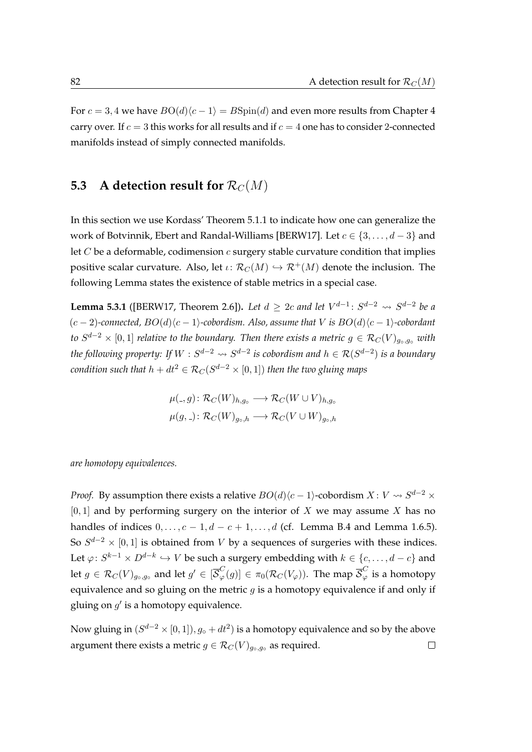For  $c = 3, 4$  we have  $BO(d)(c - 1) = B\text{Spin}(d)$  and even more results from [Chapter 4](#page-70-1) carry over. If  $c = 3$  this works for all results and if  $c = 4$  one has to consider 2-connected manifolds instead of simply connected manifolds.

## **5.3 A** detection result for  $\mathcal{R}_C(M)$

In this section we use [Kordass' Theorem 5.1.1](#page-95-0) to indicate how one can generalize the work of Botvinnik, Ebert and Randal-Williams [\[BERW17\]](#page-118-5). Let  $c \in \{3, \ldots, d-3\}$  and let  $C$  be a deformable, codimension  $c$  surgery stable curvature condition that implies positive scalar curvature. Also, let  $\iota: \mathcal{R}_C(M) \hookrightarrow \mathcal{R}^+(M)$  denote the inclusion. The following Lemma states the existence of stable metrics in a special case.

<span id="page-99-0"></span>**Lemma 5.3.1** ([\[BERW17,](#page-118-5) Theorem 2.6]). *Let*  $d \geq 2c$  *and let*  $V^{d-1}$ :  $S^{d-2} \rightsquigarrow S^{d-2}$  *be a*  $(c-2)$ -connected,  $BO(d)\langle c-1\rangle$ -cobordism. Also, assume that V is  $BO(d)\langle c-1\rangle$ -cobordant  $t$ o  $S^{d-2}\times [0,1]$  *relative to the boundary. Then there exists a metric*  $g\in \mathcal{R}_C(V)_{g\circ, g\circ}$  *with the following property: If W*  $: S^{d-2} \rightsquigarrow S^{d-2}$  *is cobordism and*  $h ∈ \mathcal{R}(S^{d-2})$  *is a boundary*  $\emph{condition such that } \emph{h} + \emph{dt}^2 \in \mathcal{R}_C(S^{d-2} \times [0,1])$  then the two gluing maps

$$
\mu(.,g) \colon \mathcal{R}_C(W)_{h,g_0} \longrightarrow \mathcal{R}_C(W \cup V)_{h,g_0}
$$

$$
\mu(g,.) \colon \mathcal{R}_C(W)_{g_0,h} \longrightarrow \mathcal{R}_C(V \cup W)_{g_0,h}
$$

*are homotopy equivalences.*

*Proof.* By assumption there exists a relative  $BO(d) \langle c - 1 \rangle$ -cobordism  $X \colon V \leadsto S^{d-2} \times V$  $[0, 1]$  and by performing surgery on the interior of X we may assume X has no handles of indices  $0, \ldots, c - 1, d - c + 1, \ldots, d$  (cf. [Lemma B.4](#page-115-0) and [Lemma 1.6.5\)](#page-43-0). So  $S^{d-2} \times [0,1]$  is obtained from V by a sequences of surgeries with these indices. Let  $\varphi\colon S^{k-1}\times D^{d-k}\hookrightarrow V$  be such a surgery embedding with  $k\in\{c,\ldots,d-c\}$  and let  $g\in\mathcal{R}_C(V)_{g\circ,g\circ}$  and let  $g'\in [\overline{\mathcal{S}}_{\varphi}^C(g)]\in \pi_0(\mathcal{R}_C(V_\varphi)).$  The map  $\overline{\mathcal{S}}_{\varphi}^C$  is a homotopy equivalence and so gluing on the metric  $g$  is a homotopy equivalence if and only if gluing on  $g'$  is a homotopy equivalence.

Now gluing in  $(S^{d-2} \times [0,1]), g_\circ + dt^2)$  is a homotopy equivalence and so by the above argument there exists a metric  $g \in \mathcal{R}_C(V)_{g_0,g_0}$  as required.  $\Box$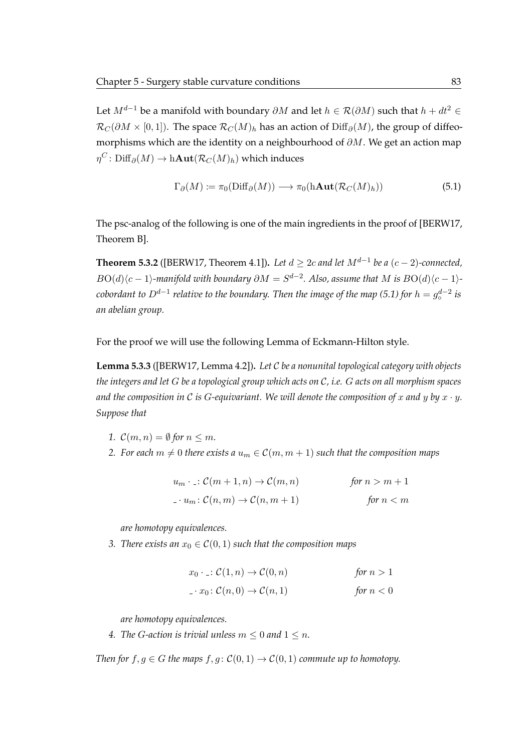Let  $M^{d-1}$  be a manifold with boundary  $\partial M$  and let  $h \in \mathcal{R}(\partial M)$  such that  $h + dt^2 \in$  $\mathcal{R}_C(\partial M \times [0,1])$ . The space  $\mathcal{R}_C(M)_h$  has an action of Diff<sub>∂</sub>(M), the group of diffeomorphisms which are the identity on a neighbourhood of  $\partial M$ . We get an action map  $\eta^C \colon \mathrm{Diff}_\partial(M) \to \mathrm{h\textup{Aut}}(\mathcal{R}_C(M)_h)$  which induces

<span id="page-100-0"></span>
$$
\Gamma_{\partial}(M) := \pi_0(\text{Diff}_{\partial}(M)) \longrightarrow \pi_0(\text{hAut}(\mathcal{R}_C(M)_h))
$$
\n(5.1)

The psc-analog of the following is one of the main ingredients in the proof of [\[BERW17,](#page-118-5) Theorem B].

<span id="page-100-1"></span>**Theorem 5.3.2** ([\[BERW17,](#page-118-5) Theorem 4.1]). Let  $d \geq 2c$  and let  $M^{d-1}$  be a  $(c-2)$ -connected,  $B\mathrm{O}(d)\langle c-1\rangle$ -manifold with boundary  $\partial M=S^{d-2}.$  Also, assume that  $M$  is  $B\mathrm{O}(d)\langle c-1\rangle$ - $\alpha$  *cobordant to*  $D^{d-1}$  *relative to the boundary. Then the image of the map [\(5.1\)](#page-100-0) for*  $h = g_\circ^{d-2}$  *is an abelian group.*

For the proof we will use the following Lemma of Eckmann-Hilton style.

<span id="page-100-2"></span>**Lemma 5.3.3** ([\[BERW17,](#page-118-5) Lemma 4.2])**.** *Let* C *be a nonunital topological category with objects the integers and let* G *be a topological group which acts on* C*, i.e.* G *acts on all morphism spaces* and the composition in C is G-equivariant. We will denote the composition of x and y by  $x \cdot y$ . *Suppose that*

- *1.*  $\mathcal{C}(m, n) = \emptyset$  for  $n \leq m$ .
- *2.* For each  $m \neq 0$  there exists a  $u_m \in \mathcal{C}(m, m + 1)$  such that the composition maps

| $u_m \cdot \therefore \mathcal{C}(m+1,n) \rightarrow \mathcal{C}(m,n)$ | for $n > m + 1$ |
|------------------------------------------------------------------------|-----------------|
| $u_n: \mathcal{C}(n,m) \to \mathcal{C}(n,m+1)$                         | for $n < m$     |

*are homotopy equivalences.*

*3. There exists an*  $x_0 \in C(0,1)$  *such that the composition maps* 

$$
x_0 \cdot \underline{\cdot}: \mathcal{C}(1, n) \to \mathcal{C}(0, n) \qquad \text{for } n > 1
$$
\n
$$
\underline{\cdot}: x_0: \mathcal{C}(n, 0) \to \mathcal{C}(n, 1) \qquad \text{for } n < 0
$$

*are homotopy equivalences.*

*4. The G-action is trivial unless*  $m \leq 0$  *and*  $1 \leq n$ *.* 

*Then for*  $f, g \in G$  *the maps*  $f, g : \mathcal{C}(0, 1) \to \mathcal{C}(0, 1)$  *commute up to homotopy.*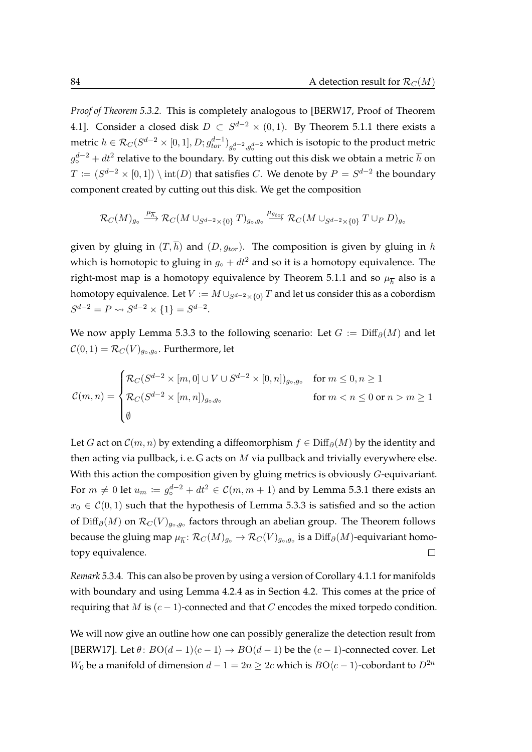*Proof of [Theorem 5.3.2.](#page-100-1)* This is completely analogous to [\[BERW17,](#page-118-5) Proof of Theorem 4.1]. Consider a closed disk  $D \subset S^{d-2} \times (0,1)$ . By [Theorem 5.1.1](#page-95-0) there exists a metric  $h\in\mathcal{R}_C(S^{d-2}\times[0,1],D;g^{d-1}_{tor})_{g^{d-2}_\circ,g^{d-2}_\circ}$  which is isotopic to the product metric ◦  $g_{\circ}^{d-2}+dt^2$  relative to the boundary. By cutting out this disk we obtain a metric  $\overline{h}$  on  $T \coloneqq (S^{d-2} \times [0,1]) \setminus \mathrm{int}(D)$  that satisfies  $C.$  We denote by  $P = S^{d-2}$  the boundary component created by cutting out this disk. We get the composition

$$
\mathcal{R}_C(M)_{g_\circ} \stackrel{\mu_{\overline{h}}^-}{\longrightarrow} \mathcal{R}_C(M \cup_{S^{d-2} \times \{0\}} T)_{g_\circ, g_\circ} \stackrel{\mu_{g_{tor}}}{\longrightarrow} \mathcal{R}_C(M \cup_{S^{d-2} \times \{0\}} T \cup_P D)_{g_\circ}
$$

given by gluing in  $(T, \overline{h})$  and  $(D, g_{tor})$ . The composition is given by gluing in h which is homotopic to gluing in  $g_{\text{o}} + dt^2$  and so it is a homotopy equivalence. The right-most map is a homotopy equivalence by [Theorem 5.1.1](#page-95-0) and so  $\mu_{\overline{h}}$  also is a homotopy equivalence. Let  $V := M \cup_{S^{d-2} \times \{0\}} T$  and let us consider this as a cobordism  $S^{d-2} = P \rightsquigarrow S^{d-2} \times \{1\} = S^{d-2}.$ 

We now apply [Lemma 5.3.3](#page-100-2) to the following scenario: Let  $G := \text{Diff}_{\partial}(M)$  and let  $\mathcal{C}(0,1)=\mathcal{R}_{C}(V)_{g_{\circ},g_{\circ}}.$  Furthermore, let

$$
\mathcal{C}(m,n) = \begin{cases} \mathcal{R}_{C}(S^{d-2} \times [m,0] \cup V \cup S^{d-2} \times [0,n])_{g_{\circ},g_{\circ}} & \text{for } m \leq 0, n \geq 1\\ \mathcal{R}_{C}(S^{d-2} \times [m,n])_{g_{\circ},g_{\circ}} & \text{for } m < n \leq 0 \text{ or } n > m \geq 1\\ \emptyset & \end{cases}
$$

Let G act on  $\mathcal{C}(m, n)$  by extending a diffeomorphism  $f \in \text{Diff}_{\partial}(M)$  by the identity and then acting via pullback, i. e. G acts on  $M$  via pullback and trivially everywhere else. With this action the composition given by gluing metrics is obviously G-equivariant. For  $m \neq 0$  let  $u_m \coloneqq g_\circ^{d-2} + dt^2 \in \mathcal{C}(m, m+1)$  and by [Lemma 5.3.1](#page-99-0) there exists an  $x_0 \in \mathcal{C}(0, 1)$  such that the hypothesis of [Lemma 5.3.3](#page-100-2) is satisfied and so the action of Diff $_\partial(M)$  on  $\mathcal{R}_C(V)_{g_\circ, g_\circ}$  factors through an abelian group. The Theorem follows because the gluing map  $\mu_{\overline{h}}\colon \mathcal{R}_C(M)_{g\circ}\to \mathcal{R}_C(V)_{g\circ, g\circ}$  is a  $\mathrm{Diff}_\partial(M)$ -equivariant homotopy equivalence.  $\Box$ 

*Remark* 5.3.4*.* This can also be proven by using a version of [Corollary 4.1.1](#page-71-0) for manifolds with boundary and using [Lemma 4.2.4](#page-82-0) as in [Section 4.2.](#page-81-0) This comes at the price of requiring that M is  $(c - 1)$ -connected and that C encodes the mixed torpedo condition.

We will now give an outline how one can possibly generalize the detection result from [\[BERW17\]](#page-118-5). Let  $\theta$ :  $BO(d-1)(c-1) \rightarrow BO(d-1)$  be the  $(c-1)$ -connected cover. Let W<sub>0</sub> be a manifold of dimension  $d - 1 = 2n \ge 2c$  which is  $BO\langle c - 1 \rangle$ -cobordant to  $D^{2n}$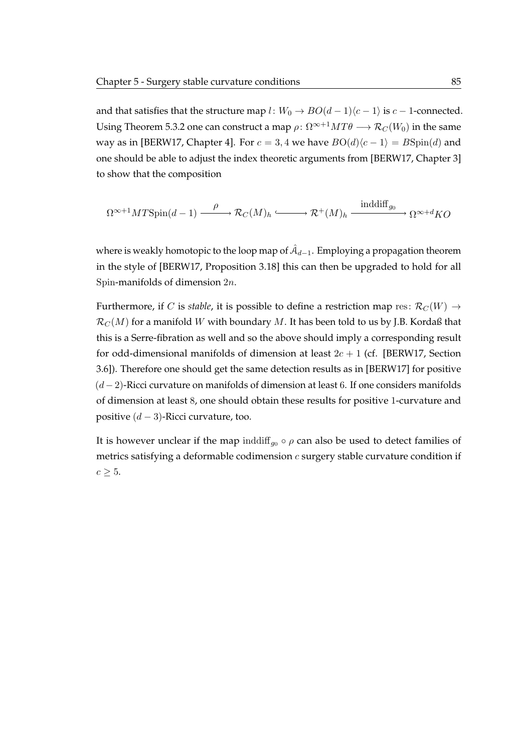and that satisfies that the structure map  $l: W_0 \to BO(d-1)\langle c-1 \rangle$  is  $c-1$ -connected. Using [Theorem 5.3.2](#page-100-1) one can construct a map  $\rho: \Omega^{\infty+1}MT\theta \longrightarrow \mathcal{R}_C(W_0)$  in the same way as in [\[BERW17,](#page-118-5) Chapter 4]. For  $c = 3, 4$  we have  $BO(d)(c - 1) = B\text{Spin}(d)$  and one should be able to adjust the index theoretic arguments from [\[BERW17,](#page-118-5) Chapter 3] to show that the composition

$$
\Omega^{\infty+1}MT\mathrm{Spin}(d-1) \xrightarrow{\rho} \mathcal{R}_C(M)_h \xrightarrow{\text{inddiff}_{g_0}} \Omega^{\infty+d}KO
$$

where is weakly homotopic to the loop map of  $\hat{\mathcal{A}}_{d-1}.$  Employing a propagation theorem in the style of [\[BERW17,](#page-118-5) Proposition 3.18] this can then be upgraded to hold for all Spin-manifolds of dimension 2n.

Furthermore, if C is *stable*, it is possible to define a restriction map res:  $\mathcal{R}_C(W) \rightarrow$  $\mathcal{R}_C(M)$  for a manifold W with boundary M. It has been told to us by J.B. Kordaß that this is a Serre-fibration as well and so the above should imply a corresponding result for odd-dimensional manifolds of dimension at least  $2c + 1$  (cf. [\[BERW17,](#page-118-5) Section 3.6]). Therefore one should get the same detection results as in [\[BERW17\]](#page-118-5) for positive  $(d-2)$ -Ricci curvature on manifolds of dimension at least 6. If one considers manifolds of dimension at least 8, one should obtain these results for positive 1-curvature and positive  $(d-3)$ -Ricci curvature, too.

It is however unclear if the map inddiff<sub>g0</sub>  $\circ$   $\rho$  can also be used to detect families of metrics satisfying a deformable codimension  $c$  surgery stable curvature condition if  $c \geq 5$ .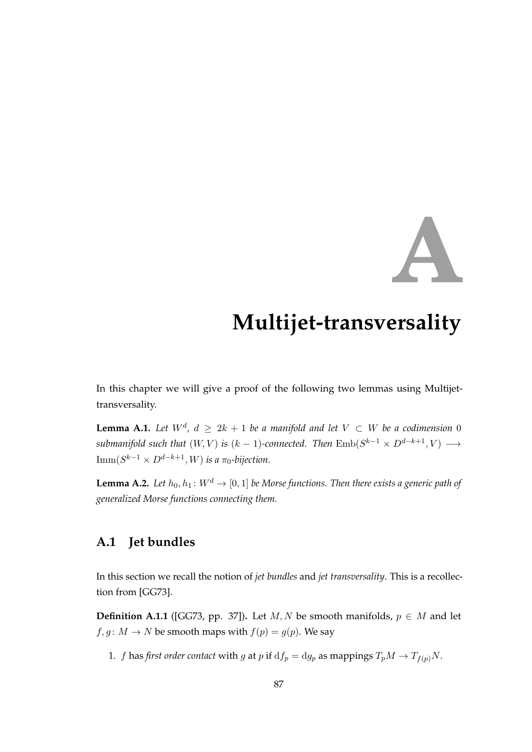# **A**

# **Multijet-transversality**

In this chapter we will give a proof of the following two lemmas using Multijettransversality.

<span id="page-104-0"></span>**Lemma A.1.** Let  $W^d$ ,  $d \geq 2k + 1$  be a manifold and let  $V \subset W$  be a codimension 0 submanifold such that  $(W, V)$  is  $(k-1)$ -connected. Then  ${\rm Emb}(S^{k-1} \times D^{d-k+1}, V) \longrightarrow$  ${\rm Imm}(S^{k-1}\times D^{d-k+1},W)$  is a  $\pi_0\text{-}bijection.$ 

**Lemma A.2.** *Let*  $h_0, h_1: W^d \to [0, 1]$  *be Morse functions. Then there exists a generic path of generalized Morse functions connecting them.*

## **A.1 Jet bundles**

In this section we recall the notion of *jet bundles* and *jet transversality*. This is a recollection from [\[GG73\]](#page-119-2).

**Definition A.1.1** ([\[GG73,](#page-119-2) pp. 37]). Let  $M, N$  be smooth manifolds,  $p \in M$  and let  $f, g: M \to N$  be smooth maps with  $f(p) = g(p)$ . We say

1. *f* has *first order contact* with *g* at *p* if  $df_p = dg_p$  as mappings  $T_pM \rightarrow T_{f(p)}N$ .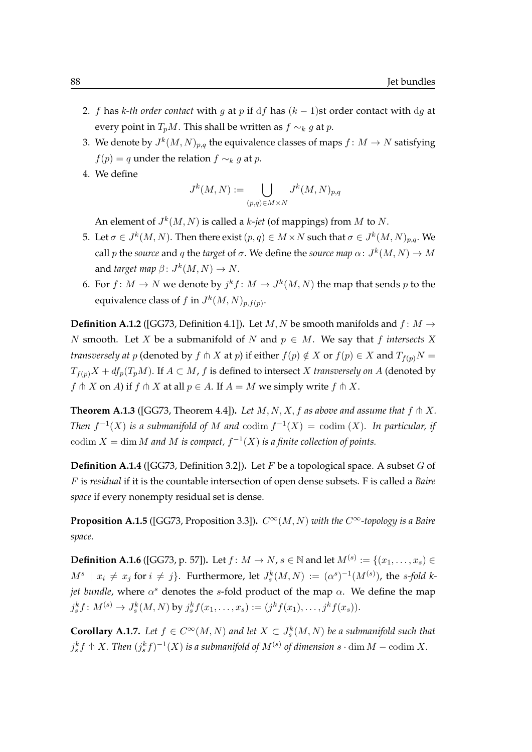- 2. f has *k-th order contact* with g at p if df has  $(k 1)$ st order contact with dg at every point in  $T_pM$ . This shall be written as  $f \sim_k g$  at p.
- 3. We denote by  $J^k(M,N)_{p,q}$  the equivalence classes of maps  $f\colon M\to N$  satisfying  $f(p) = q$  under the relation  $f \sim_k g$  at p.
- 4. We define

$$
J^k(M,N):=\bigcup_{(p,q)\in M\times N}J^k(M,N)_{p,q}
$$

An element of  $J^k(M, N)$  is called a *k*-jet (of mappings) from M to N.

- 5. Let  $\sigma \in J^k(M,N).$  Then there exist  $(p,q) \in M \times N$  such that  $\sigma \in J^k(M,N)_{p,q}.$  We call  $p$  the source and  $q$  the *target* of  $\sigma$ . We define the source map  $\alpha\colon J^k(M,N)\to M$ and *target map*  $\beta$ :  $J^k(M, N) \to N$ .
- 6. For  $f \colon M \to N$  we denote by  $j^k f \colon M \to J^k(M,N)$  the map that sends  $p$  to the equivalence class of f in  $J^k(M,N)_{p,f(p)}.$

**Definition A.1.2** ([\[GG73,](#page-119-2) Definition 4.1]). Let M, N be smooth manifolds and  $f : M \rightarrow$ N smooth. Let X be a submanifold of N and  $p \in M$ . We say that f *intersects* X *transversely at* p (denoted by f  $\uparrow$  X at p) if either  $f(p) \notin X$  or  $f(p) \in X$  and  $T_{f(p)}N =$  $T_{f(p)}X + df_p(T_pM)$ . If  $A \subset M$ , f is defined to intersect X *transversely on* A (denoted by  $f \uparrow X$  on A) if  $f \uparrow X$  at all  $p \in A$ . If  $A = M$  we simply write  $f \uparrow X$ .

**Theorem A.1.3** ([\[GG73,](#page-119-2) Theorem 4.4]). Let  $M, N, X, f$  as above and assume that  $f \uparrow X$ . *Then*  $f^{-1}(X)$  *is a submanifold of* M *and* codim  $f^{-1}(X) = \text{codim}(X)$ *. In particular, if*  $\operatorname{codim} X = \dim M$  *and*  $M$  *is compact,*  $f^{-1}(X)$  *is a finite collection of points.* 

**Definition A.1.4** ([\[GG73,](#page-119-2) Definition 3.2])**.** Let F be a topological space. A subset G of F is *residual* if it is the countable intersection of open dense subsets. F is called a *Baire space* if every nonempty residual set is dense.

**Proposition A.1.5** ([\[GG73,](#page-119-2) Proposition 3.3]).  $C^{\infty}(M, N)$  *with the*  $C^{\infty}$ *-topology is a Baire space.*

**Definition A.1.6** ([\[GG73,](#page-119-2) p. 57]). Let  $f\colon M\to N$ ,  $s\in\mathbb{N}$  and let  $M^{(s)}:=\{(x_1,\ldots,x_s)\in\mathbb{N}\}$  $M^s \, \mid \, x_i \, \neq \, x_j \text{ for } i \, \neq \, j \}.$  Furthermore, let  $J_s^k(M,N) \, := \, (\alpha^s)^{-1}(M^{(s)})$ , the s-fold k*jet bundle*, where  $\alpha^s$  denotes the s-fold product of the map  $\alpha$ . We define the map  $j_s^k f: M^{(s)} \to J_s^k(M, N)$  by  $j_s^k f(x_1, \ldots, x_s) := (j^k f(x_1), \ldots, j^k f(x_s)).$ 

**Corollary A.1.7.** Let  $f \in C^{\infty}(M, N)$  and let  $X \subset J_s^k(M, N)$  be a submanifold such that  $j_s^k f \pitchfork X$ . Then  $(j_s^k f)^{-1}(X)$  is a submanifold of  $M^{(s)}$  of dimension  $s \cdot \dim M - \operatorname{codim} X$ .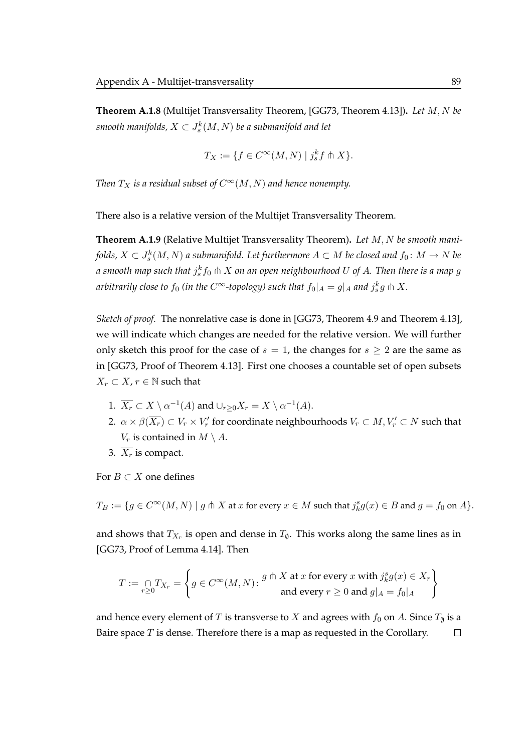**Theorem A.1.8** (Multijet Transversality Theorem, [\[GG73,](#page-119-2) Theorem 4.13])**.** *Let* M, N *be* smooth manifolds,  $X\subset J_s^k(M,N)$  be a submanifold and let

$$
T_X := \{ f \in C^{\infty}(M, N) \mid j_s^k f \pitchfork X \}.
$$

*Then*  $T_X$  *is a residual subset of*  $C^\infty(M, N)$  *and hence nonempty.* 

There also is a relative version of the Multijet Transversality Theorem.

**Theorem A.1.9** (Relative Multijet Transversality Theorem)**.** *Let* M, N *be smooth mani*folds,  $X\subset J_s^k(M,N)$  a submanifold. Let furthermore  $A\subset M$  be closed and  $f_0\colon M\to N$  be a smooth map such that  $j^k_s f_0 \pitchfork X$  on an open neighbourhood  $U$  of  $A$ . Then there is a map  $g$ arbitrarily close to  $f_0$  (in the C<sup>∞</sup>-topology) such that  $f_0|_A = g|_A$  and  $j_s^kg \pitchfork X$ .

*Sketch of proof.* The nonrelative case is done in [\[GG73,](#page-119-2) Theorem 4.9 and Theorem 4.13], we will indicate which changes are needed for the relative version. We will further only sketch this proof for the case of  $s = 1$ , the changes for  $s \geq 2$  are the same as in [\[GG73,](#page-119-2) Proof of Theorem 4.13]. First one chooses a countable set of open subsets  $X_r \subset X, r \in \mathbb{N}$  such that

- 1.  $\overline{X_r} \subset X \setminus \alpha^{-1}(A)$  and  $\cup_{r\geq 0} X_r = X \setminus \alpha^{-1}(A)$ .
- 2.  $\alpha \times \beta(\overline{X_r}) \subset V_r \times V'_r$  for coordinate neighbourhoods  $V_r \subset M, V'_r \subset N$  such that  $V_r$  is contained in  $M \setminus A$ .
- 3.  $\overline{X_r}$  is compact.

For  $B \subset X$  one defines

 $T_B := \{g \in C^\infty(M,N) \mid g \pitchfork X \text{ at } x \text{ for every } x \in M \text{ such that } j_k^s g(x) \in B \text{ and } g = f_0 \text{ on } A \}.$ 

and shows that  $T_{X_r}$  is open and dense in  $T_{\emptyset}$ . This works along the same lines as in [\[GG73,](#page-119-2) Proof of Lemma 4.14]. Then

$$
T := \bigcap_{r \ge 0} T_{X_r} = \left\{ g \in C^\infty(M, N) \colon \frac{g \pitchfork X \text{ at } x \text{ for every } x \text{ with } j_k^s g(x) \in X_r \right\}
$$
  
and every  $r \ge 0$  and  $g|_A = f_0|_A$ 

and hence every element of  $T$  is transverse to  $X$  and agrees with  $f_0$  on  $A.$  Since  $T_{\emptyset}$  is a Baire space  $T$  is dense. Therefore there is a map as requested in the Corollary.  $\Box$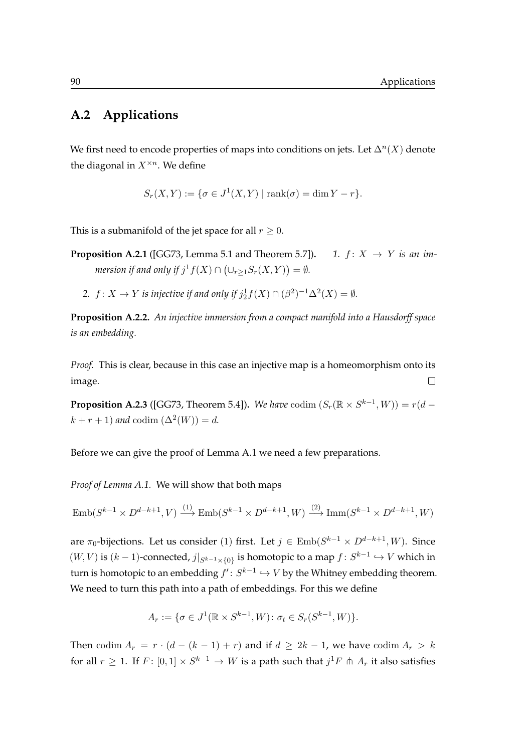## **A.2 Applications**

We first need to encode properties of maps into conditions on jets. Let  $\Delta^n(X)$  denote the diagonal in  $X^{\times n}$ . We define

$$
S_r(X,Y) := \{ \sigma \in J^1(X,Y) \mid \text{rank}(\sigma) = \dim Y - r \}.
$$

This is a submanifold of the jet space for all  $r \geq 0$ .

**Proposition A.2.1** ([\[GG73,](#page-119-2) Lemma 5.1 and Theorem 5.7]).  $1. f: X \rightarrow Y$  *is an immersion if and only if*  $j^1 f(X) \cap (\cup_{r \geq 1} S_r(X, Y)) = \emptyset$ .

2.  $f: X \to Y$  *is injective if and only if*  $j_2^1 f(X) \cap (\beta^2)^{-1} \Delta^2(X) = \emptyset$ *.* 

**Proposition A.2.2.** *An injective immersion from a compact manifold into a Hausdorff space is an embedding.*

*Proof.* This is clear, because in this case an injective map is a homeomorphism onto its image.  $\Box$ 

**Proposition A.2.3** ([\[GG73,](#page-119-2) Theorem 5.4]). *We have* codim  $(S_r(\mathbb{R} \times S^{k-1}, W)) = r(d$  $k + r + 1$ ) and codim  $(\Delta^2(W)) = d$ .

Before we can give the proof of [Lemma A.1](#page-104-0) we need a few preparations.

*Proof of [Lemma A.1.](#page-104-0)* We will show that both maps

$$
\text{Emb}(S^{k-1} \times D^{d-k+1}, V) \xrightarrow{(1)} \text{Emb}(S^{k-1} \times D^{d-k+1}, W) \xrightarrow{(2)} \text{Imm}(S^{k-1} \times D^{d-k+1}, W)
$$

are  $\pi_0$ -bijections. Let us consider (1) first. Let  $j \in \text{Emb}(S^{k-1} \times D^{d-k+1}, W)$ . Since  $(W, V)$  is  $(k-1)$ -connected,  $j|_{S^{k-1} \times \{0\}}$  is homotopic to a map  $f: S^{k-1} \hookrightarrow V$  which in turn is homotopic to an embedding  $f'\colon S^{k-1}\hookrightarrow V$  by the Whitney embedding theorem. We need to turn this path into a path of embeddings. For this we define

$$
A_r := \{ \sigma \in J^1(\mathbb{R} \times S^{k-1}, W) \colon \sigma_t \in S_r(S^{k-1}, W) \}.
$$

Then codim  $A_r = r \cdot (d - (k - 1) + r)$  and if  $d \geq 2k - 1$ , we have codim  $A_r > k$ for all  $r \geq 1$ . If  $F \colon [0,1] \times S^{k-1} \to W$  is a path such that  $j^1F \pitchfork A_r$  it also satisfies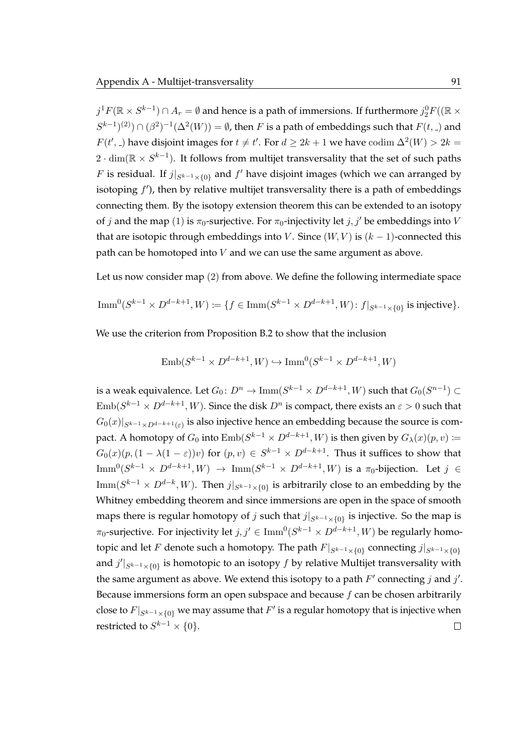$j^1F(\mathbb{R}\times S^{k-1})\cap A_r=\emptyset$  and hence is a path of immersions. If furthermore  $j_2^0F((\mathbb{R}\times S^{k-1})\cap A_r)=\emptyset$  $(S^{k-1})^{(2)}) \cap (\beta^2)^{-1}(\Delta^2(W)) = \emptyset$ , then F is a path of embeddings such that  $F(t, \Delta)$  and  $F(t',.)$  have disjoint images for  $t \neq t'$ . For  $d \geq 2k + 1$  we have  $\text{codim }\Delta^2(W) > 2k = 1$  $2 \cdot \dim(\mathbb{R} \times S^{k-1})$ . It follows from multijet transversality that the set of such paths F is residual. If  $j|_{S^{k-1}\times\{0\}}$  and  $f'$  have disjoint images (which we can arranged by isotoping  $f'$ ), then by relative multijet transversality there is a path of embeddings connecting them. By the isotopy extension theorem this can be extended to an isotopy of j and the map (1) is  $\pi_0$ -surjective. For  $\pi_0$ -injectivity let j, j' be embeddings into V that are isotopic through embeddings into V. Since  $(W, V)$  is  $(k - 1)$ -connected this path can be homotoped into V and we can use the same argument as above.

Let us now consider map (2) from above. We define the following intermediate space

$$
\operatorname{Imm}^0(S^{k-1} \times D^{d-k+1}, W) \coloneqq \{ f \in \operatorname{Imm}(S^{k-1} \times D^{d-k+1}, W) : f|_{S^{k-1} \times \{0\}} \text{ is injective} \}.
$$

We use the criterion from [Proposition B.2](#page-115-0) to show that the inclusion

$$
Emb(S^{k-1} \times D^{d-k+1}, W) \hookrightarrow \text{Imm}^0(S^{k-1} \times D^{d-k+1}, W)
$$

is a weak equivalence. Let  $G_0\colon D^n\to \text{Imm}(S^{k-1}\times D^{d-k+1}, W)$  such that  $G_0(S^{n-1})\subset$  $\mathrm{Emb}(S^{k-1}\times D^{d-k+1}, W).$  Since the disk  $D^n$  is compact, there exists an  $\varepsilon>0$  such that  $G_0(x)|_{S^{k-1}\times D^{d-k+1}(\varepsilon)}$  is also injective hence an embedding because the source is compact. A homotopy of  $G_0$  into  $\mathrm{Emb}(S^{k-1} \times D^{d-k+1}, W)$  is then given by  $G_\lambda(x)(p,v) \coloneqq$  $G_0(x)(p,(1-\lambda(1-\varepsilon))v)$  for  $(p,v)\in S^{k-1}\times D^{d-k+1}$ . Thus it suffices to show that  ${\rm Imm}^0(S^{k-1} \times D^{d-k+1}, W) \ \to \ {\rm Imm}(S^{k-1} \times D^{d-k+1}, W)$  is a  $\pi_0\text{-bijection.}$  Let  $j \ \in$  ${\rm Imm}(S^{k-1}\times D^{d-k},W).$  Then  $j|_{S^{k-1}\times\{0\}}$  is arbitrarily close to an embedding by the Whitney embedding theorem and since immersions are open in the space of smooth maps there is regular homotopy of  $j$  such that  $j|_{S^{k-1}\times\{0\}}$  is injective. So the map is  $\pi_0$ -surjective. For injectivity let  $j,j'\in \mathrm{Imm}^0(S^{k-1}\times D^{d-k+1}, W)$  be regularly homotopic and let  $F$  denote such a homotopy. The path  $F|_{S^{k-1}\times\{0\}}$  connecting  $j|_{S^{k-1}\times\{0\}}$ and  $j'|_{S^{k-1}\times\{0\}}$  is homotopic to an isotopy  $f$  by relative Multijet transversality with the same argument as above. We extend this isotopy to a path  $F'$  connecting  $j$  and  $j'$ . Because immersions form an open subspace and because  $f$  can be chosen arbitrarily close to  $F|_{S^{k-1}\times\{0\}}$  we may assume that  $F'$  is a regular homotopy that is injective when restricted to  $S^{k-1}\times\{0\}.$  $\Box$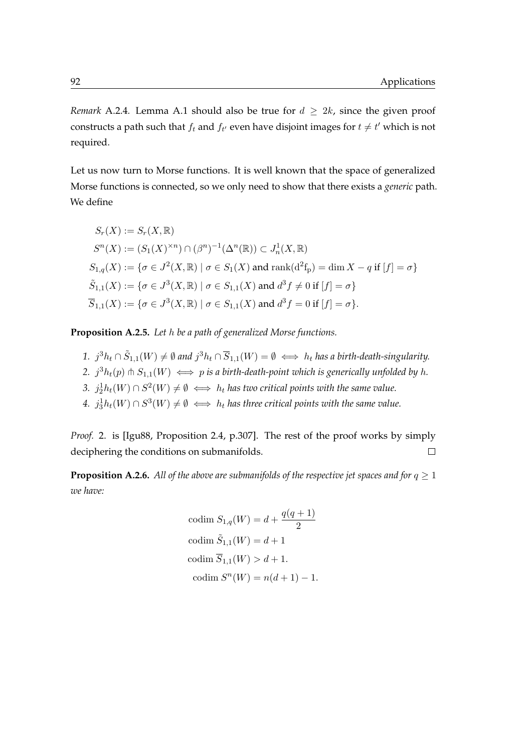*Remark* A.2.4*.* [Lemma A.1](#page-104-0) should also be true for  $d \geq 2k$ , since the given proof constructs a path such that  $f_t$  and  $f_{t'}$  even have disjoint images for  $t\neq t'$  which is not required.

Let us now turn to Morse functions. It is well known that the space of generalized Morse functions is connected, so we only need to show that there exists a *generic* path. We define

$$
S_r(X) := S_r(X, \mathbb{R})
$$
  
\n
$$
S^n(X) := (S_1(X)^{\times n}) \cap (\beta^n)^{-1}(\Delta^n(\mathbb{R})) \subset J_n^1(X, \mathbb{R})
$$
  
\n
$$
S_{1,q}(X) := \{ \sigma \in J^2(X, \mathbb{R}) \mid \sigma \in S_1(X) \text{ and } \text{rank}(d^2f_p) = \dim X - q \text{ if } [f] = \sigma \}
$$
  
\n
$$
\tilde{S}_{1,1}(X) := \{ \sigma \in J^3(X, \mathbb{R}) \mid \sigma \in S_{1,1}(X) \text{ and } d^3f \neq 0 \text{ if } [f] = \sigma \}
$$
  
\n
$$
\overline{S}_{1,1}(X) := \{ \sigma \in J^3(X, \mathbb{R}) \mid \sigma \in S_{1,1}(X) \text{ and } d^3f = 0 \text{ if } [f] = \sigma \}.
$$

**Proposition A.2.5.** *Let* h *be a path of generalized Morse functions.*

- 1.  $j^3h_t \cap \tilde{S}_{1,1}(W) \neq \emptyset$  and  $j^3h_t \cap \overline{S}_{1,1}(W) = \emptyset \iff h_t$  has a birth-death-singularity. 2.  $j^3h_t(p)$   $\pitchfork S_{1,1}(W) \iff p$  *is a birth-death-point which is generically unfolded by h.*
- 3.  $j_2^1 h_t(W) \cap S^2(W) \neq \emptyset \iff h_t$  *has two critical points with the same value.*
- *4.*  $j_3^1 h_t(W) ∩ S^3(W) ≠ ∅ → h_t$  *has three critical points with the same value.*

*Proof.* 2. is [\[Igu88,](#page-120-0) Proposition 2.4, p.307]. The rest of the proof works by simply deciphering the conditions on submanifolds.  $\Box$ 

<span id="page-109-0"></span>**Proposition A.2.6.** All of the above are submanifolds of the respective jet spaces and for  $q \ge 1$ *we have:*

$$
codim S_{1,q}(W) = d + \frac{q(q+1)}{2}
$$
  
codim  $\tilde{S}_{1,1}(W) = d+1$   
codim  $\overline{S}_{1,1}(W) > d+1$ .  
codim  $S^{n}(W) = n(d+1) - 1$ .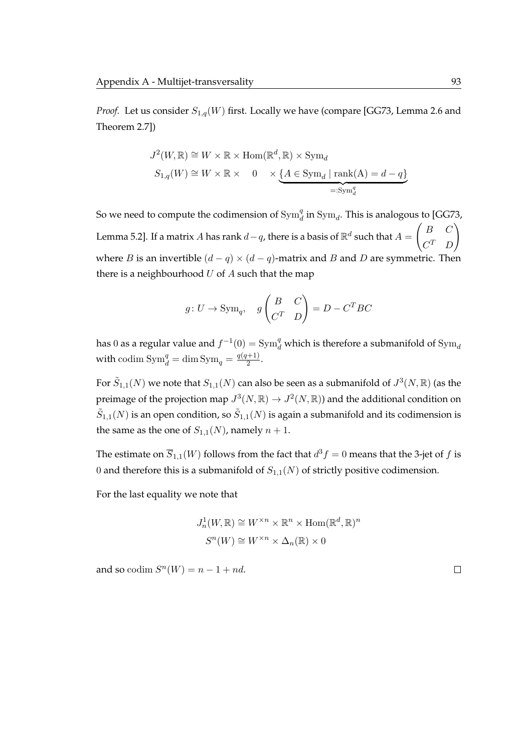*Proof.* Let us consider  $S_{1,q}(W)$  first. Locally we have (compare [\[GG73,](#page-119-0) Lemma 2.6 and Theorem 2.7])

$$
J^{2}(W, \mathbb{R}) \cong W \times \mathbb{R} \times \text{Hom}(\mathbb{R}^{d}, \mathbb{R}) \times \text{Sym}_{d}
$$
  

$$
S_{1,q}(W) \cong W \times \mathbb{R} \times 0 \times \underbrace{\{A \in \text{Sym}_{d} \mid \text{rank}(A) = d - q\}}_{=: \text{Sym}_{d}^{q}}
$$

So we need to compute the codimension of  $\text{Sym}_d^q$  in  $\text{Sym}_d$ . This is analogous to [\[GG73,](#page-119-0) Lemma 5.2]. If a matrix  $A$  has rank  $d-q$ , there is a basis of  $\mathbb{R}^d$  such that  $A=$  $\left(B \right)$  $C^T$  D  $\setminus$ where *B* is an invertible  $(d - q) \times (d - q)$ -matrix and *B* and *D* are symmetric. Then there is a neighbourhood  $U$  of  $A$  such that the map

$$
g: U \to \text{Sym}_q
$$
,  $g\begin{pmatrix} B & C \\ C^T & D \end{pmatrix} = D - C^T BC$ 

has 0 as a regular value and  $f^{-1}(0) = \text{Sym}_d^q$  which is therefore a submanifold of  $\text{Sym}_d$ with codim  $\text{Sym}_d^q = \dim \text{Sym}_q = \frac{q(q+1)}{2}$  $\frac{1}{2}$ .

For  $\tilde{S}_{1,1}(N)$  we note that  $S_{1,1}(N)$  can also be seen as a submanifold of  $J^3(N,\mathbb{R})$  (as the preimage of the projection map  $J^3(N,\mathbb{R}) \to J^2(N,\mathbb{R})$  and the additional condition on  $\tilde{S}_{1,1}(N)$  is an open condition, so  $\tilde{S}_{1,1}(N)$  is again a submanifold and its codimension is the same as the one of  $S_{1,1}(N)$ , namely  $n + 1$ .

The estimate on  $\overline{S}_{1,1}(W)$  follows from the fact that  $d^3f=0$  means that the 3-jet of  $f$  is 0 and therefore this is a submanifold of  $S_{1,1}(N)$  of strictly positive codimension.

For the last equality we note that

$$
J_n^1(W, \mathbb{R}) \cong W^{\times n} \times \mathbb{R}^n \times \text{Hom}(\mathbb{R}^d, \mathbb{R})^n
$$

$$
S^n(W) \cong W^{\times n} \times \Delta_n(\mathbb{R}) \times 0
$$

and so codim  $S^n(W) = n - 1 + nd$ .

 $\Box$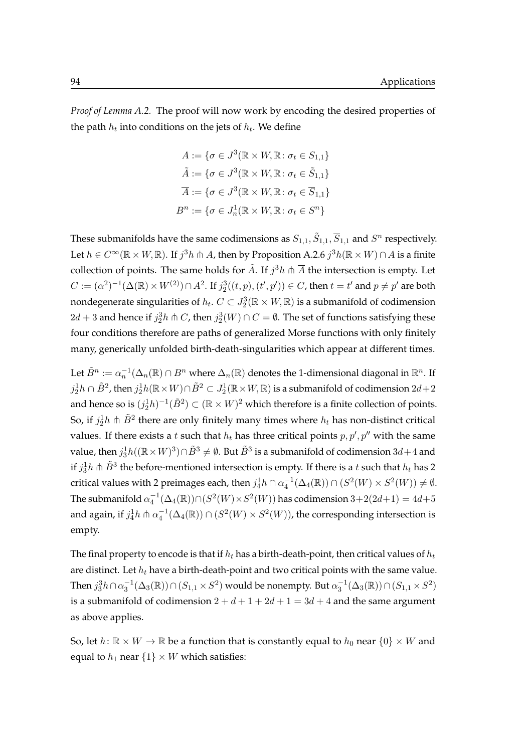*Proof of [Lemma A.2.](#page-104-1)* The proof will now work by encoding the desired properties of the path  $h_t$  into conditions on the jets of  $h_t$ . We define

$$
A := \{ \sigma \in J^3(\mathbb{R} \times W, \mathbb{R} : \sigma_t \in S_{1,1} \}
$$

$$
\tilde{A} := \{ \sigma \in J^3(\mathbb{R} \times W, \mathbb{R} : \sigma_t \in \tilde{S}_{1,1} \}
$$

$$
\overline{A} := \{ \sigma \in J^3(\mathbb{R} \times W, \mathbb{R} : \sigma_t \in \overline{S}_{1,1} \}
$$

$$
B^n := \{ \sigma \in J_n^1(\mathbb{R} \times W, \mathbb{R} : \sigma_t \in S^n \}
$$

These submanifolds have the same codimensions as  $S_{1,1}, \tilde{S}_{1,1}, \overline{S}_{1,1}$  and  $S^n$  respectively. Let  $h\in C^\infty(\mathbb{R}\times W,\mathbb{R})$ . If  $j^3h$   $\pitchfork A$ , then by [Proposition A.2.6](#page-109-0)  $j^3h(\mathbb{R}\times W)\cap A$  is a finite collection of points. The same holds for  $\tilde{A}$ . If  $j^3h$   $\pitchfork \overline{A}$  the intersection is empty. Let  $C:=(\alpha^2)^{-1}(\Delta(\mathbb{R})\times W^{(2)})\cap A^2$ . If  $j_2^3((t,p),(t',p'))\in C$ , then  $t=t'$  and  $p\neq p'$  are both nondegenerate singularities of  $h_t$ .  $C\subset J_2^3(\mathbb{R}\times W,\mathbb{R})$  is a submanifold of codimension  $2d + 3$  and hence if  $j_2^3h \pitchfork C$ , then  $j_2^3(W) \cap C = \emptyset$ . The set of functions satisfying these four conditions therefore are paths of generalized Morse functions with only finitely many, generically unfolded birth-death-singularities which appear at different times.

Let  $\tilde{B}^n:=\alpha_n^{-1}(\Delta_n(\R)\cap B^n$  where  $\Delta_n(\R)$  denotes the 1-dimensional diagonal in  $\R^n.$  If  $j_2^1 h$   $\pitchfork$   $\tilde{B}^2$ , then  $j_2^1 h(\mathbb{R}\times W)\cap \tilde{B}^2\subset J_2^1(\mathbb{R}\times W,\mathbb{R})$  is a submanifold of codimension  $2d+2$ and hence so is  $(j_2^1h)^{-1}(\tilde{B}^2) \subset (\mathbb{R} \times W)^2$  which therefore is a finite collection of points. So, if  $j_2^1 h \pitchfork \tilde{B}^2$  there are only finitely many times where  $h_t$  has non-distinct critical values. If there exists a t such that  $h_t$  has three critical points  $p, p', p''$  with the same value, then  $j_3^1 h((\mathbb{R}\times W)^3)\cap \tilde{B}^3\neq \emptyset$ . But  $\tilde{B}^3$  is a submanifold of codimension  $3d+4$  and if  $j_3^1 h$   $\pitchfork \tilde{B}^3$  the before-mentioned intersection is empty. If there is a  $t$  such that  $h_t$  has 2 critical values with 2 preimages each, then  $j_4^1 h \cap \alpha_4^{-1}(\Delta_4(\mathbb{R})) \cap (S^2(W) \times S^2(W)) \neq \emptyset$ . The submanifold  $\alpha_4^{-1}(\Delta_4(\mathbb{R})) \cap (S^2(W) \times S^2(W))$  has codimension  $3+2(2d+1)=4d+5$ and again, if  $j_4^1h$   $\pitchfork\alpha_4^{-1}(\Delta_4(\mathbb{R}))\cap (S^2(W)\times S^2(W))$ , the corresponding intersection is empty.

The final property to encode is that if  $h_t$  has a birth-death-point, then critical values of  $h_t$ are distinct. Let  $h_t$  have a birth-death-point and two critical points with the same value. Then  $j_3^3h$   $\cap$   $\alpha_3^{-1}(\Delta_3(\mathbb{R}))$   $\cap$   $(S_{1,1}\times S^2)$  would be nonempty. But  $\alpha_3^{-1}(\Delta_3(\mathbb{R}))$   $\cap$   $(S_{1,1}\times S^2)$ is a submanifold of codimension  $2 + d + 1 + 2d + 1 = 3d + 4$  and the same argument as above applies.

So, let  $h: \mathbb{R} \times W \to \mathbb{R}$  be a function that is constantly equal to  $h_0$  near  $\{0\} \times W$  and equal to  $h_1$  near  $\{1\} \times W$  which satisfies: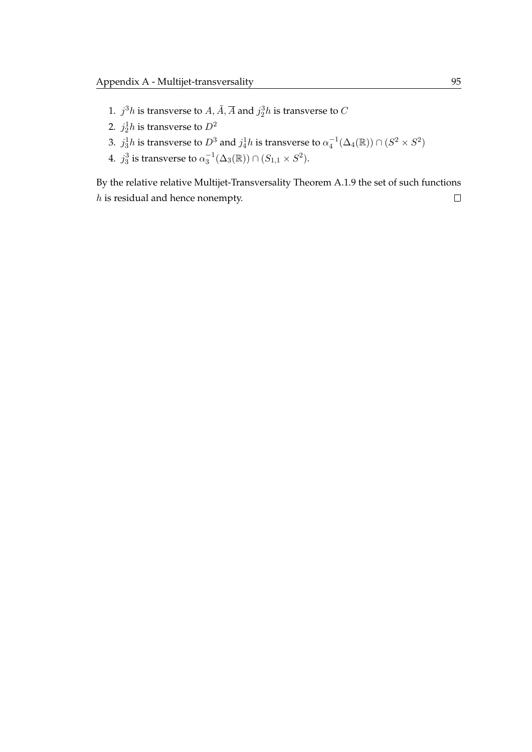- 1.  $j^3h$  is transverse to  $A, \tilde{A}, \overline{A}$  and  $j_2^3h$  is transverse to  $C$
- 2.  $j_2^1h$  is transverse to  $D^2$
- 3.  $j_3^1h$  is transverse to  $D^3$  and  $j_4^1h$  is transverse to  $\alpha_4^{-1}(\Delta_4(\mathbb{R}))\cap (S^2\times S^2)$
- 4.  $j_3^3$  is transverse to  $\alpha_3^{-1}(\Delta_3(\mathbb{R})) \cap (S_{1,1} \times S^2)$ .

By the relative [relative Multijet-Transversality Theorem A.1.9](#page-106-0) the set of such functions  $h$  is residual and hence nonempty.  $\Box$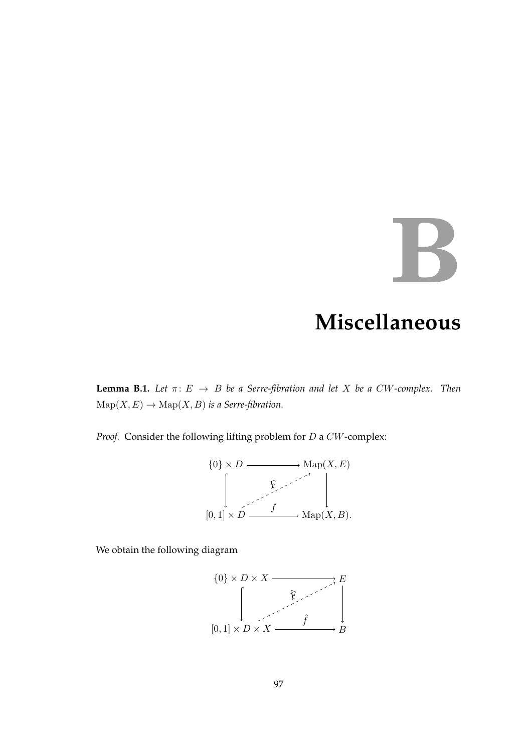## **B**

## **Miscellaneous**

**Lemma B.1.** *Let*  $\pi: E \to B$  *be a Serre-fibration and let X be a CW-complex. Then*  $\mathrm{Map}(X, E) \to \mathrm{Map}(X, B)$  *is a Serre-fibration.* 

*Proof.* Consider the following lifting problem for D a CW-complex:

$$
\{0\} \times D \longrightarrow \text{Map}(X, E)
$$
  

$$
\downarrow \qquad \qquad \downarrow
$$
  

$$
[0, 1] \times D \longrightarrow \text{Map}(X, B).
$$

We obtain the following diagram

$$
\{0\} \times D \times X \xrightarrow{\qquad \qquad \qquad } E
$$
\n
$$
\left[\begin{array}{c}\n\hat{F} & \hat{F} & \hat{F} \\
\hline\n\hat{F} & \hat{F} & \hat{F} \\
\hline\n\hat{F} & \hat{F} & \hat{B} \\
\hline\n\end{array}\right]
$$
\n
$$
[0,1] \times D \times X \xrightarrow{\qquad \qquad \hat{f} \xrightarrow{\qquad} B}
$$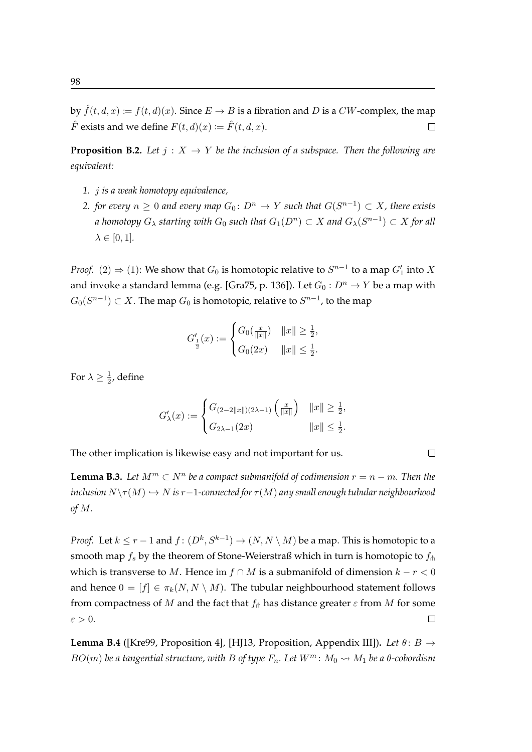<span id="page-115-0"></span>**Proposition B.2.** Let  $j: X \to Y$  be the inclusion of a subspace. Then the following are *equivalent:*

- *1.* j *is a weak homotopy equivalence,*
- 2. *for every*  $n \geq 0$  and every map  $G_0 \colon D^n \to Y$  such that  $G(S^{n-1}) \subset X$ , there exists  $a$  homotopy  $G_\lambda$  starting with  $G_0$  such that  $G_1(D^n)\subset X$  and  $G_\lambda(S^{n-1})\subset X$  for all  $\lambda \in [0, 1]$ *.*

*Proof.* (2)  $\Rightarrow$  (1): We show that  $G_0$  is homotopic relative to  $S^{n-1}$  to a map  $G'_1$  into X and invoke a standard lemma (e.g. [\[Gra75,](#page-120-1) p. 136]). Let  $G_0: D^n \to Y$  be a map with  $G_0(S^{n-1})\subset X.$  The map  $G_0$  is homotopic, relative to  $S^{n-1}$ , to the map

$$
G'_{\frac{1}{2}}(x) := \begin{cases} G_0(\frac{x}{\|x\|}) & \|x\| \ge \frac{1}{2}, \\ G_0(2x) & \|x\| \le \frac{1}{2}. \end{cases}
$$

For  $\lambda \geq \frac{1}{2}$  $\frac{1}{2}$ , define

$$
G'_{\lambda}(x) := \begin{cases} G_{(2-2||x||)(2\lambda-1)}\left(\frac{x}{||x||}\right) & ||x|| \ge \frac{1}{2}, \\ G_{2\lambda-1}(2x) & ||x|| \le \frac{1}{2}. \end{cases}
$$

 $\Box$ 

The other implication is likewise easy and not important for us.

**Lemma B.3.** Let  $M^m \subset N^n$  be a compact submanifold of codimension  $r = n - m$ . Then the *inclusion*  $N\setminus \tau(M) \hookrightarrow N$  *is*  $r-1$ *-connected for*  $\tau(M)$  *any small enough tubular neighbourhood of* M*.*

*Proof.* Let  $k \leq r - 1$  and  $f: (D^k, S^{k-1}) \to (N, N \setminus M)$  be a map. This is homotopic to a smooth map  $f_s$  by the theorem of Stone-Weierstraß which in turn is homotopic to  $f_{\text{th}}$ which is transverse to M. Hence im  $f \cap M$  is a submanifold of dimension  $k - r < 0$ and hence  $0 = [f] \in \pi_k(N, N \setminus M)$ . The tubular neighbourhood statement follows from compactness of M and the fact that  $f_{\uparrow}$  has distance greater  $\varepsilon$  from M for some  $\varepsilon > 0$ .  $\Box$ 

**Lemma B.4** ([\[Kre99,](#page-121-0) Proposition 4], [\[HJ13,](#page-120-2) Proposition, Appendix III]). *Let*  $\theta$ :  $B \rightarrow$  $BO(m)$  *be a tangential structure, with* B of type  $F_n$ . Let  $W^m$ :  $M_0 \rightarrow M_1$  be a  $\theta$ -cobordism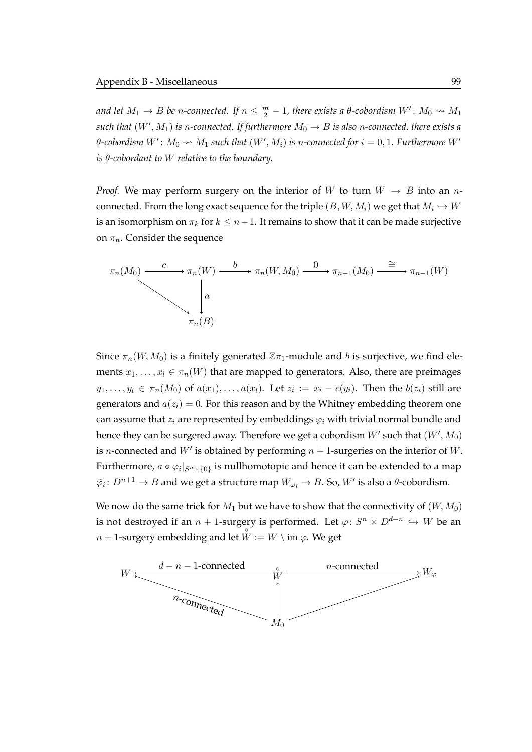and let  $M_1 \to B$  be n-connected. If  $n \leq \frac{m}{2}-1$ , there exists a  $\theta$ -cobordism  $W' \colon M_0 \rightsquigarrow M_1$  $\mathit{such that}\ (W',M_1) \text{ is }n\text{-connected. If furthermore }M_0\to B \text{ is also }n\text{-connected, there exists a}$  $\theta$ -cobordism  $W' \colon M_0 \leadsto M_1$  such that  $(W', M_i)$  is n-connected for  $i = 0, 1$ . Furthermore  $W'$ *is* θ*-cobordant to* W *relative to the boundary.*

*Proof.* We may perform surgery on the interior of W to turn  $W \rightarrow B$  into an nconnected. From the long exact sequence for the triple  $(B, W, M_i)$  we get that  $M_i \hookrightarrow W$ is an isomorphism on  $\pi_k$  for  $k \leq n-1$ . It remains to show that it can be made surjective on  $\pi_n$ . Consider the sequence

$$
\pi_n(M_0) \xrightarrow{c} \pi_n(W) \xrightarrow{b} \pi_n(W, M_0) \xrightarrow{0} \pi_{n-1}(M_0) \xrightarrow{\cong} \pi_{n-1}(W)
$$
\n
$$
\downarrow a
$$
\n
$$
\pi_n(B)
$$

Since  $\pi_n(W, M_0)$  is a finitely generated  $\mathbb{Z} \pi_1$ -module and b is surjective, we find elements  $x_1, \ldots, x_l \in \pi_n(W)$  that are mapped to generators. Also, there are preimages  $y_1,\ldots,y_l\,\in\,\pi_n(M_0)$  of  $a(x_1),\ldots,a(x_l).$  Let  $z_i\,:=\,x_i\,-\,c(y_i).$  Then the  $b(z_i)$  still are generators and  $a(z_i) = 0$ . For this reason and by the Whitney embedding theorem one can assume that  $z_i$  are represented by embeddings  $\varphi_i$  with trivial normal bundle and hence they can be surgered away. Therefore we get a cobordism  $W'$  such that  $(W',M_0)$ is *n*-connected and  $W'$  is obtained by performing  $n + 1$ -surgeries on the interior of W. Furthermore,  $a \circ \varphi_i|_{S^n \times \{0\}}$  is nullhomotopic and hence it can be extended to a map  $\tilde{\varphi}_i\colon D^{n+1}\to B$  and we get a structure map  $W_{\varphi_i}\to B.$  So,  $W'$  is also a  $\theta$ -cobordism.

We now do the same trick for  $M_1$  but we have to show that the connectivity of  $(W, M_0)$ is not destroyed if an  $n+1$ -surgery is performed. Let  $\varphi\colon S^n\times D^{d-n}\hookrightarrow W$  be an  $n + 1$ -surgery embedding and let  $W := W \setminus \text{im } \varphi$ . We get

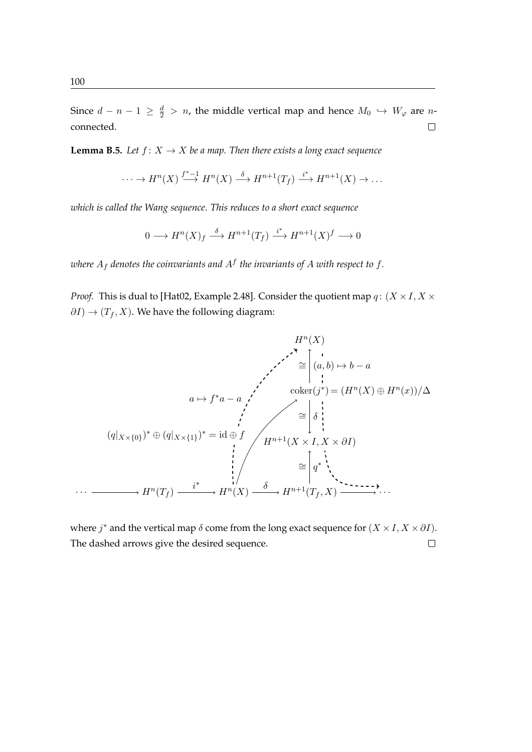Since  $d - n - 1 \ge \frac{d}{2} > n$ , the middle vertical map and hence  $M_0 \hookrightarrow W_{\varphi}$  are nconnected.  $\Box$ 

**Lemma B.5.** *Let*  $f: X \to X$  *be a map. Then there exists a long exact sequence* 

$$
\cdots \to H^n(X) \xrightarrow{f^*-1} H^n(X) \xrightarrow{\delta} H^{n+1}(T_f) \xrightarrow{i^*} H^{n+1}(X) \to \dots
$$

*which is called the Wang sequence. This reduces to a short exact sequence*

$$
0 \longrightarrow H^{n}(X)_{f} \stackrel{\delta}{\longrightarrow} H^{n+1}(T_{f}) \stackrel{i^{*}}{\longrightarrow} H^{n+1}(X)^{f} \longrightarrow 0
$$

where  $A_f$  denotes the coinvariants and  $A^f$  the invariants of  $A$  with respect to  $f.$ 

*Proof.* This is dual to [\[Hat02,](#page-120-3) Example 2.48]. Consider the quotient map  $q: (X \times I, X \times I)$  $\partial I$ )  $\rightarrow$  ( $T_f$ , X). We have the following diagram:

$$
H^{n}(X)
$$
\n
$$
\cong \begin{pmatrix} 1 \\ (a, b) \mapsto b - a \end{pmatrix}
$$
\n
$$
(a \mapsto f^{*}a - a \qquad \qquad \cdots \qquad \qquad \text{coker}(j^{*}) = (H^{n}(X) \oplus H^{n}(x))/\Delta
$$
\n
$$
\cong \begin{bmatrix} 1 \\ \delta \\ \vdots \\ \delta \\ \vdots \end{bmatrix}
$$
\n
$$
(q|_{X \times \{0\}})^{*} \oplus (q|_{X \times \{1\}})^{*} = id \oplus f
$$
\n
$$
H^{n+1}(X \times I, X \times \partial I)
$$
\n
$$
\cong \begin{bmatrix} 1 \\ q^{*} \\ \vdots \\ q^{*} \\ \vdots \end{bmatrix}
$$
\n
$$
\cong \begin{bmatrix} 1 \\ q^{*} \\ \vdots \\ q^{*} \\ \vdots \end{bmatrix}
$$
\n
$$
\cong \begin{bmatrix} 1 \\ q^{*} \\ \vdots \\ q^{*} \\ \vdots \end{bmatrix}
$$
\n
$$
\cong \begin{bmatrix} 1 \\ q^{*} \\ \vdots \\ q^{*} \\ \vdots \end{bmatrix}
$$

where  $j^*$  and the vertical map  $\delta$  come from the long exact sequence for  $(X \times I, X \times \partial I)$ . The dashed arrows give the desired sequence. $\Box$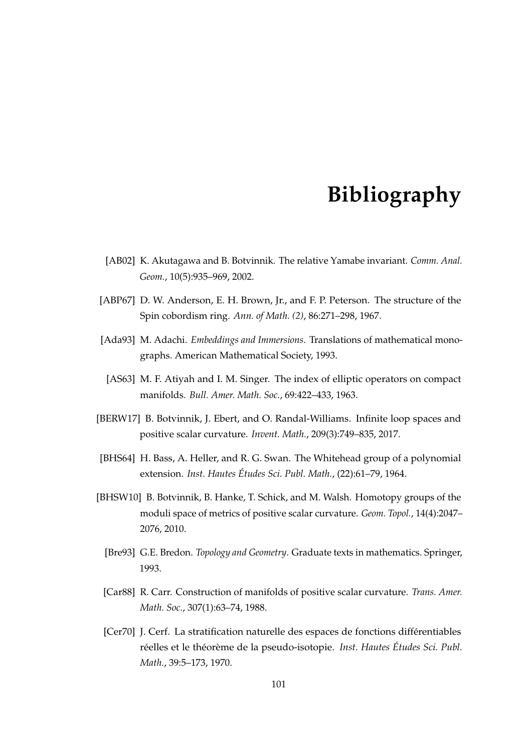## **Bibliography**

- [AB02] K. Akutagawa and B. Botvinnik. The relative Yamabe invariant. *Comm. Anal. Geom.*, 10(5):935–969, 2002.
- [ABP67] D. W. Anderson, E. H. Brown, Jr., and F. P. Peterson. The structure of the Spin cobordism ring. *Ann. of Math. (2)*, 86:271–298, 1967.
- [Ada93] M. Adachi. *Embeddings and Immersions*. Translations of mathematical monographs. American Mathematical Society, 1993.
- [AS63] M. F. Atiyah and I. M. Singer. The index of elliptic operators on compact manifolds. *Bull. Amer. Math. Soc.*, 69:422–433, 1963.
- [BERW17] B. Botvinnik, J. Ebert, and O. Randal-Williams. Infinite loop spaces and positive scalar curvature. *Invent. Math.*, 209(3):749–835, 2017.
- [BHS64] H. Bass, A. Heller, and R. G. Swan. The Whitehead group of a polynomial extension. *Inst. Hautes Etudes Sci. Publ. Math. ´* , (22):61–79, 1964.
- [BHSW10] B. Botvinnik, B. Hanke, T. Schick, and M. Walsh. Homotopy groups of the moduli space of metrics of positive scalar curvature. *Geom. Topol.*, 14(4):2047– 2076, 2010.
	- [Bre93] G.E. Bredon. *Topology and Geometry*. Graduate texts in mathematics. Springer, 1993.
	- [Car88] R. Carr. Construction of manifolds of positive scalar curvature. *Trans. Amer. Math. Soc.*, 307(1):63–74, 1988.
	- [Cer70] J. Cerf. La stratification naturelle des espaces de fonctions differentiables ´ réelles et le théorème de la pseudo-isotopie. *Inst. Hautes Études Sci. Publ. Math.*, 39:5–173, 1970.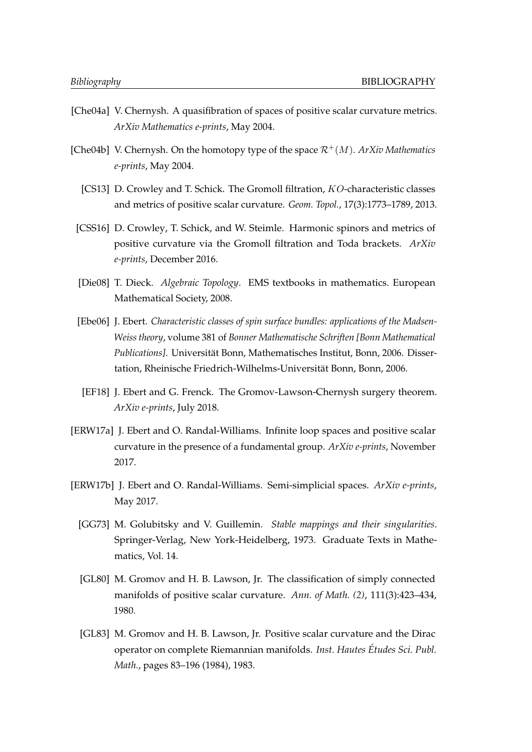- [Che04a] V. Chernysh. A quasifibration of spaces of positive scalar curvature metrics. *ArXiv Mathematics e-prints*, May 2004.
- [Che04b] V. Chernysh. On the homotopy type of the space  $\mathcal{R}^+(M)$ . *ArXiv Mathematics e-prints*, May 2004.
	- [CS13] D. Crowley and T. Schick. The Gromoll filtration, KO-characteristic classes and metrics of positive scalar curvature. *Geom. Topol.*, 17(3):1773–1789, 2013.
- [CSS16] D. Crowley, T. Schick, and W. Steimle. Harmonic spinors and metrics of positive curvature via the Gromoll filtration and Toda brackets. *ArXiv e-prints*, December 2016.
- [Die08] T. Dieck. *Algebraic Topology*. EMS textbooks in mathematics. European Mathematical Society, 2008.
- [Ebe06] J. Ebert. *Characteristic classes of spin surface bundles: applications of the Madsen-Weiss theory*, volume 381 of *Bonner Mathematische Schriften [Bonn Mathematical Publications]*. Universitat Bonn, Mathematisches Institut, Bonn, 2006. Disser- ¨ tation, Rheinische Friedrich-Wilhelms-Universitat Bonn, Bonn, 2006. ¨
- [EF18] J. Ebert and G. Frenck. The Gromov-Lawson-Chernysh surgery theorem. *ArXiv e-prints*, July 2018.
- [ERW17a] J. Ebert and O. Randal-Williams. Infinite loop spaces and positive scalar curvature in the presence of a fundamental group. *ArXiv e-prints*, November 2017.
- <span id="page-119-0"></span>[ERW17b] J. Ebert and O. Randal-Williams. Semi-simplicial spaces. *ArXiv e-prints*, May 2017.
	- [GG73] M. Golubitsky and V. Guillemin. *Stable mappings and their singularities*. Springer-Verlag, New York-Heidelberg, 1973. Graduate Texts in Mathematics, Vol. 14.
	- [GL80] M. Gromov and H. B. Lawson, Jr. The classification of simply connected manifolds of positive scalar curvature. *Ann. of Math. (2)*, 111(3):423–434, 1980.
	- [GL83] M. Gromov and H. B. Lawson, Jr. Positive scalar curvature and the Dirac operator on complete Riemannian manifolds. *Inst. Hautes Etudes Sci. Publ. ´ Math.*, pages 83–196 (1984), 1983.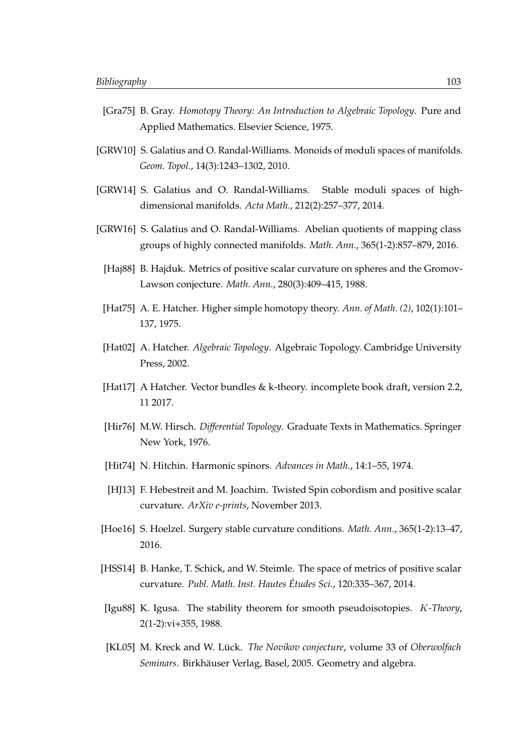- <span id="page-120-1"></span>[Gra75] B. Gray. *Homotopy Theory: An Introduction to Algebraic Topology*. Pure and Applied Mathematics. Elsevier Science, 1975.
- [GRW10] S. Galatius and O. Randal-Williams. Monoids of moduli spaces of manifolds. *Geom. Topol.*, 14(3):1243–1302, 2010.
- [GRW14] S. Galatius and O. Randal-Williams. Stable moduli spaces of highdimensional manifolds. *Acta Math.*, 212(2):257–377, 2014.
- [GRW16] S. Galatius and O. Randal-Williams. Abelian quotients of mapping class groups of highly connected manifolds. *Math. Ann.*, 365(1-2):857–879, 2016.
	- [Haj88] B. Hajduk. Metrics of positive scalar curvature on spheres and the Gromov-Lawson conjecture. *Math. Ann.*, 280(3):409–415, 1988.
- [Hat75] A. E. Hatcher. Higher simple homotopy theory. *Ann. of Math. (2)*, 102(1):101– 137, 1975.
- <span id="page-120-3"></span>[Hat02] A. Hatcher. *Algebraic Topology*. Algebraic Topology. Cambridge University Press, 2002.
- [Hat17] A Hatcher. Vector bundles & k-theory. incomplete book draft, version 2.2, 11 2017.
- [Hir76] M.W. Hirsch. *Differential Topology*. Graduate Texts in Mathematics. Springer New York, 1976.
- [Hit74] N. Hitchin. Harmonic spinors. *Advances in Math.*, 14:1–55, 1974.
- <span id="page-120-2"></span>[HJ13] F. Hebestreit and M. Joachim. Twisted Spin cobordism and positive scalar curvature. *ArXiv e-prints*, November 2013.
- [Hoe16] S. Hoelzel. Surgery stable curvature conditions. *Math. Ann.*, 365(1-2):13–47, 2016.
- [HSS14] B. Hanke, T. Schick, and W. Steimle. The space of metrics of positive scalar curvature. *Publ. Math. Inst. Hautes Etudes Sci. ´* , 120:335–367, 2014.
- <span id="page-120-0"></span>[Igu88] K. Igusa. The stability theorem for smooth pseudoisotopies. K*-Theory*, 2(1-2):vi+355, 1988.
- [KL05] M. Kreck and W. Lück. The Novikov conjecture, volume 33 of Oberwolfach Seminars. Birkhäuser Verlag, Basel, 2005. Geometry and algebra.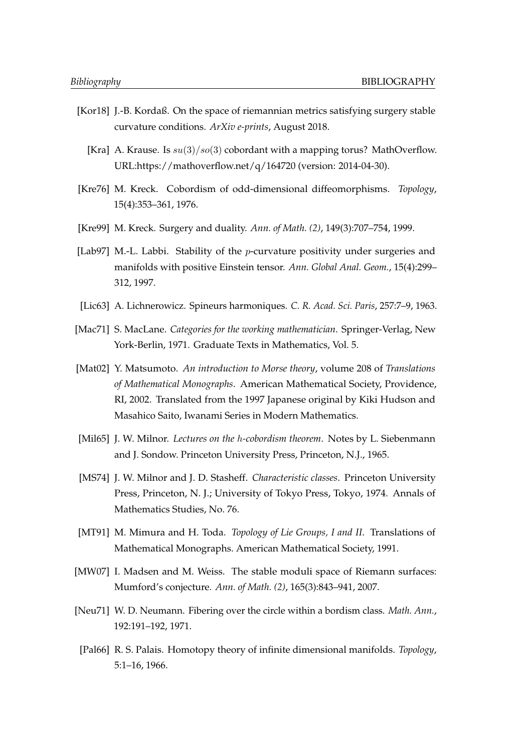- [Kor18] J.-B. Kordaß. On the space of riemannian metrics satisfying surgery stable curvature conditions. *ArXiv e-prints*, August 2018.
	- [Kra] A. Krause. Is  $su(3)/so(3)$  cobordant with a mapping torus? MathOverflow. URL:https://mathoverflow.net/q/164720 (version: 2014-04-30).
- [Kre76] M. Kreck. Cobordism of odd-dimensional diffeomorphisms. *Topology*, 15(4):353–361, 1976.
- <span id="page-121-0"></span>[Kre99] M. Kreck. Surgery and duality. *Ann. of Math. (2)*, 149(3):707–754, 1999.
- [Lab97] M.-L. Labbi. Stability of the *p*-curvature positivity under surgeries and manifolds with positive Einstein tensor. *Ann. Global Anal. Geom.*, 15(4):299– 312, 1997.
- [Lic63] A. Lichnerowicz. Spineurs harmoniques. *C. R. Acad. Sci. Paris*, 257:7–9, 1963.
- [Mac71] S. MacLane. *Categories for the working mathematician*. Springer-Verlag, New York-Berlin, 1971. Graduate Texts in Mathematics, Vol. 5.
- [Mat02] Y. Matsumoto. *An introduction to Morse theory*, volume 208 of *Translations of Mathematical Monographs*. American Mathematical Society, Providence, RI, 2002. Translated from the 1997 Japanese original by Kiki Hudson and Masahico Saito, Iwanami Series in Modern Mathematics.
- [Mil65] J. W. Milnor. *Lectures on the* h*-cobordism theorem*. Notes by L. Siebenmann and J. Sondow. Princeton University Press, Princeton, N.J., 1965.
- [MS74] J. W. Milnor and J. D. Stasheff. *Characteristic classes*. Princeton University Press, Princeton, N. J.; University of Tokyo Press, Tokyo, 1974. Annals of Mathematics Studies, No. 76.
- [MT91] M. Mimura and H. Toda. *Topology of Lie Groups, I and II*. Translations of Mathematical Monographs. American Mathematical Society, 1991.
- [MW07] I. Madsen and M. Weiss. The stable moduli space of Riemann surfaces: Mumford's conjecture. *Ann. of Math. (2)*, 165(3):843–941, 2007.
- [Neu71] W. D. Neumann. Fibering over the circle within a bordism class. *Math. Ann.*, 192:191–192, 1971.
- [Pal66] R. S. Palais. Homotopy theory of infinite dimensional manifolds. *Topology*, 5:1–16, 1966.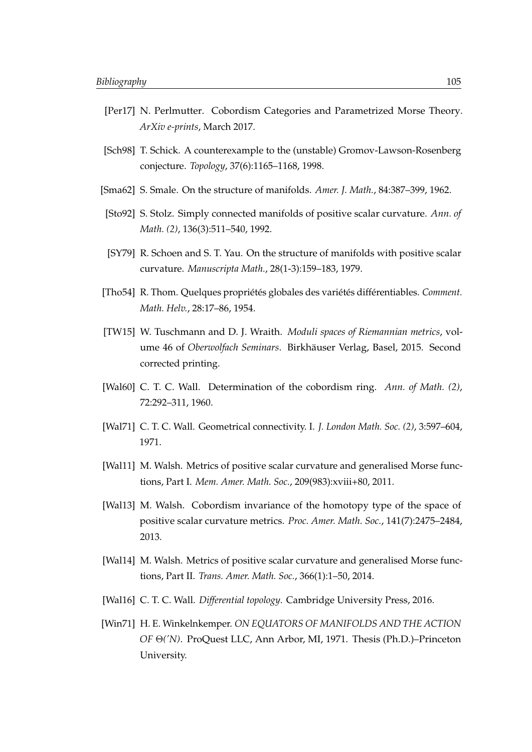- [Per17] N. Perlmutter. Cobordism Categories and Parametrized Morse Theory. *ArXiv e-prints*, March 2017.
- [Sch98] T. Schick. A counterexample to the (unstable) Gromov-Lawson-Rosenberg conjecture. *Topology*, 37(6):1165–1168, 1998.
- [Sma62] S. Smale. On the structure of manifolds. *Amer. J. Math.*, 84:387–399, 1962.
- [Sto92] S. Stolz. Simply connected manifolds of positive scalar curvature. *Ann. of Math. (2)*, 136(3):511–540, 1992.
- [SY79] R. Schoen and S. T. Yau. On the structure of manifolds with positive scalar curvature. *Manuscripta Math.*, 28(1-3):159–183, 1979.
- [Tho54] R. Thom. Quelques propriétés globales des variétés différentiables. *Comment. Math. Helv.*, 28:17–86, 1954.
- [TW15] W. Tuschmann and D. J. Wraith. *Moduli spaces of Riemannian metrics*, volume 46 of *Oberwolfach Seminars*. Birkhauser Verlag, Basel, 2015. Second ¨ corrected printing.
- [Wal60] C. T. C. Wall. Determination of the cobordism ring. *Ann. of Math. (2)*, 72:292–311, 1960.
- [Wal71] C. T. C. Wall. Geometrical connectivity. I. *J. London Math. Soc. (2)*, 3:597–604, 1971.
- [Wal11] M. Walsh. Metrics of positive scalar curvature and generalised Morse functions, Part I. *Mem. Amer. Math. Soc.*, 209(983):xviii+80, 2011.
- [Wal13] M. Walsh. Cobordism invariance of the homotopy type of the space of positive scalar curvature metrics. *Proc. Amer. Math. Soc.*, 141(7):2475–2484, 2013.
- [Wal14] M. Walsh. Metrics of positive scalar curvature and generalised Morse functions, Part II. *Trans. Amer. Math. Soc.*, 366(1):1–50, 2014.
- [Wal16] C. T. C. Wall. *Differential topology*. Cambridge University Press, 2016.
- [Win71] H. E. Winkelnkemper. *ON EQUATORS OF MANIFOLDS AND THE ACTION OF* Θ*('N)*. ProQuest LLC, Ann Arbor, MI, 1971. Thesis (Ph.D.)–Princeton University.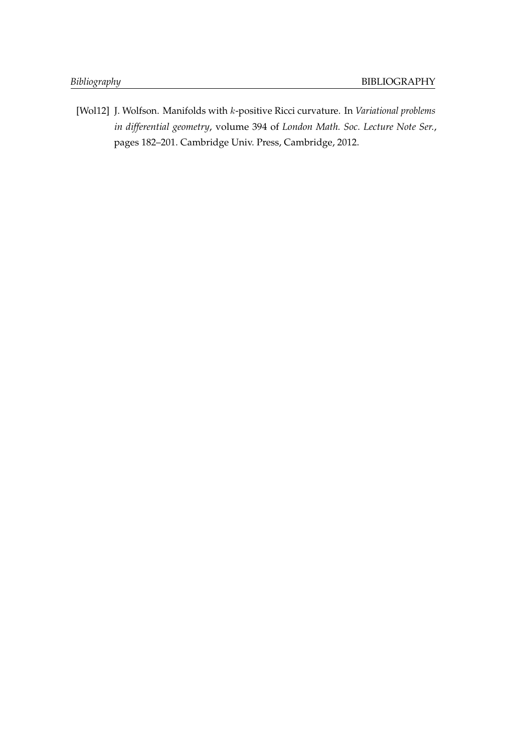[Wol12] J. Wolfson. Manifolds with k-positive Ricci curvature. In *Variational problems in differential geometry*, volume 394 of *London Math. Soc. Lecture Note Ser.*, pages 182–201. Cambridge Univ. Press, Cambridge, 2012.